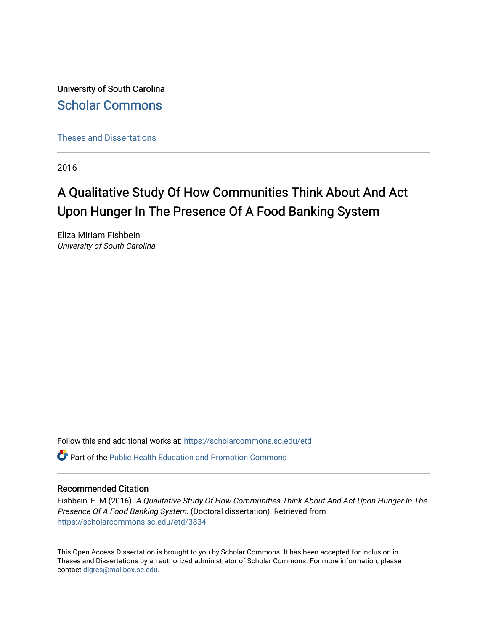University of South Carolina [Scholar Commons](https://scholarcommons.sc.edu/) 

[Theses and Dissertations](https://scholarcommons.sc.edu/etd)

2016

# A Qualitative Study Of How Communities Think About And Act Upon Hunger In The Presence Of A Food Banking System

Eliza Miriam Fishbein University of South Carolina

Follow this and additional works at: [https://scholarcommons.sc.edu/etd](https://scholarcommons.sc.edu/etd?utm_source=scholarcommons.sc.edu%2Fetd%2F3834&utm_medium=PDF&utm_campaign=PDFCoverPages)

 $\bullet$  Part of the Public Health Education and Promotion Commons

#### Recommended Citation

Fishbein, E. M.(2016). A Qualitative Study Of How Communities Think About And Act Upon Hunger In The Presence Of A Food Banking System. (Doctoral dissertation). Retrieved from [https://scholarcommons.sc.edu/etd/3834](https://scholarcommons.sc.edu/etd/3834?utm_source=scholarcommons.sc.edu%2Fetd%2F3834&utm_medium=PDF&utm_campaign=PDFCoverPages) 

This Open Access Dissertation is brought to you by Scholar Commons. It has been accepted for inclusion in Theses and Dissertations by an authorized administrator of Scholar Commons. For more information, please contact [digres@mailbox.sc.edu.](mailto:digres@mailbox.sc.edu)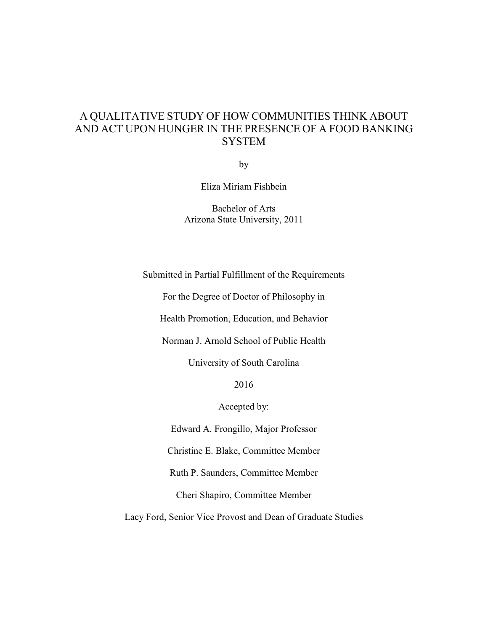### A QUALITATIVE STUDY OF HOW COMMUNITIES THINK ABOUT AND ACT UPON HUNGER IN THE PRESENCE OF A FOOD BANKING **SYSTEM**

by

Eliza Miriam Fishbein

Bachelor of Arts Arizona State University, 2011

Submitted in Partial Fulfillment of the Requirements

For the Degree of Doctor of Philosophy in

Health Promotion, Education, and Behavior

Norman J. Arnold School of Public Health

University of South Carolina

2016

Accepted by:

Edward A. Frongillo, Major Professor

Christine E. Blake, Committee Member

Ruth P. Saunders, Committee Member

Cheri Shapiro, Committee Member

Lacy Ford, Senior Vice Provost and Dean of Graduate Studies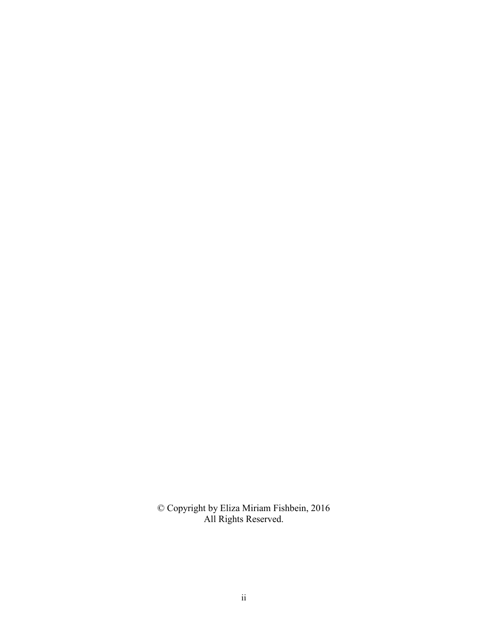© Copyright by Eliza Miriam Fishbein, 2016 All Rights Reserved.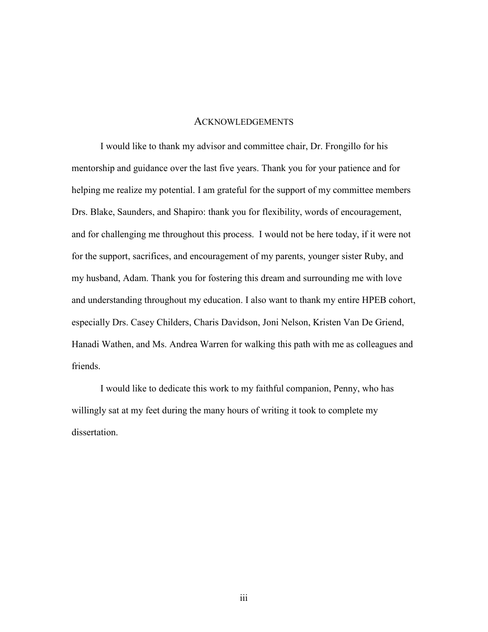#### ACKNOWLEDGEMENTS

 I would like to thank my advisor and committee chair, Dr. Frongillo for his mentorship and guidance over the last five years. Thank you for your patience and for helping me realize my potential. I am grateful for the support of my committee members Drs. Blake, Saunders, and Shapiro: thank you for flexibility, words of encouragement, and for challenging me throughout this process. I would not be here today, if it were not for the support, sacrifices, and encouragement of my parents, younger sister Ruby, and my husband, Adam. Thank you for fostering this dream and surrounding me with love and understanding throughout my education. I also want to thank my entire HPEB cohort, especially Drs. Casey Childers, Charis Davidson, Joni Nelson, Kristen Van De Griend, Hanadi Wathen, and Ms. Andrea Warren for walking this path with me as colleagues and friends.

 I would like to dedicate this work to my faithful companion, Penny, who has willingly sat at my feet during the many hours of writing it took to complete my dissertation.

iii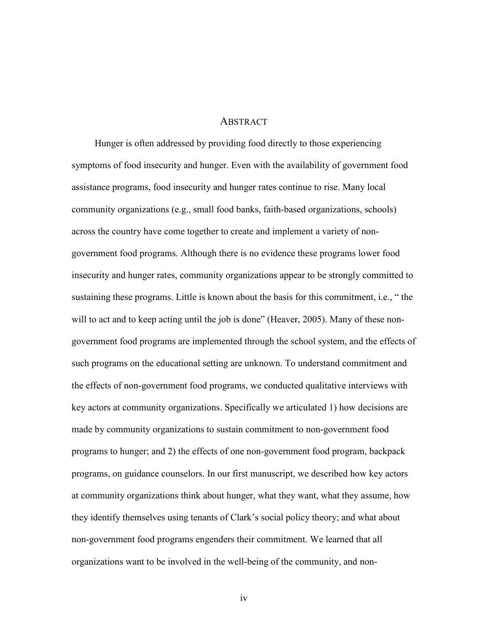#### **ABSTRACT**

 Hunger is often addressed by providing food directly to those experiencing symptoms of food insecurity and hunger. Even with the availability of government food assistance programs, food insecurity and hunger rates continue to rise. Many local community organizations (e.g., small food banks, faith-based organizations, schools) across the country have come together to create and implement a variety of nongovernment food programs. Although there is no evidence these programs lower food insecurity and hunger rates, community organizations appear to be strongly committed to sustaining these programs. Little is known about the basis for this commitment, i.e., " the will to act and to keep acting until the job is done" (Heaver, 2005). Many of these nongovernment food programs are implemented through the school system, and the effects of such programs on the educational setting are unknown. To understand commitment and the effects of non-government food programs, we conducted qualitative interviews with key actors at community organizations. Specifically we articulated 1) how decisions are made by community organizations to sustain commitment to non-government food programs to hunger; and 2) the effects of one non-government food program, backpack programs, on guidance counselors. In our first manuscript, we described how key actors at community organizations think about hunger, what they want, what they assume, how they identify themselves using tenants of Clark's social policy theory; and what about non-government food programs engenders their commitment. We learned that all organizations want to be involved in the well-being of the community, and non-

iv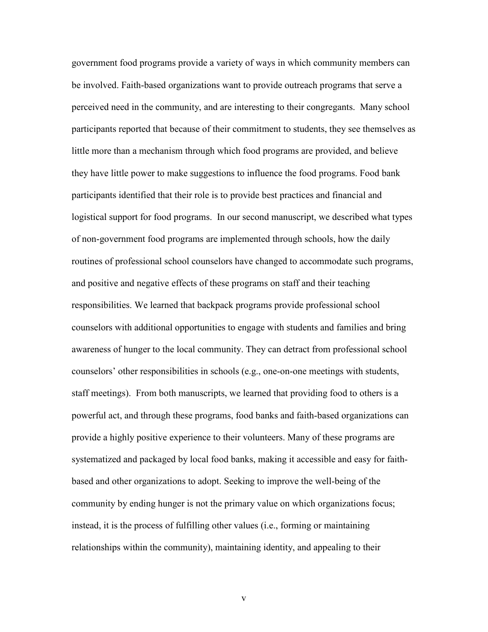government food programs provide a variety of ways in which community members can be involved. Faith-based organizations want to provide outreach programs that serve a perceived need in the community, and are interesting to their congregants. Many school participants reported that because of their commitment to students, they see themselves as little more than a mechanism through which food programs are provided, and believe they have little power to make suggestions to influence the food programs. Food bank participants identified that their role is to provide best practices and financial and logistical support for food programs. In our second manuscript, we described what types of non-government food programs are implemented through schools, how the daily routines of professional school counselors have changed to accommodate such programs, and positive and negative effects of these programs on staff and their teaching responsibilities. We learned that backpack programs provide professional school counselors with additional opportunities to engage with students and families and bring awareness of hunger to the local community. They can detract from professional school counselors' other responsibilities in schools (e.g., one-on-one meetings with students, staff meetings). From both manuscripts, we learned that providing food to others is a powerful act, and through these programs, food banks and faith-based organizations can provide a highly positive experience to their volunteers. Many of these programs are systematized and packaged by local food banks, making it accessible and easy for faithbased and other organizations to adopt. Seeking to improve the well-being of the community by ending hunger is not the primary value on which organizations focus; instead, it is the process of fulfilling other values (i.e., forming or maintaining relationships within the community), maintaining identity, and appealing to their

v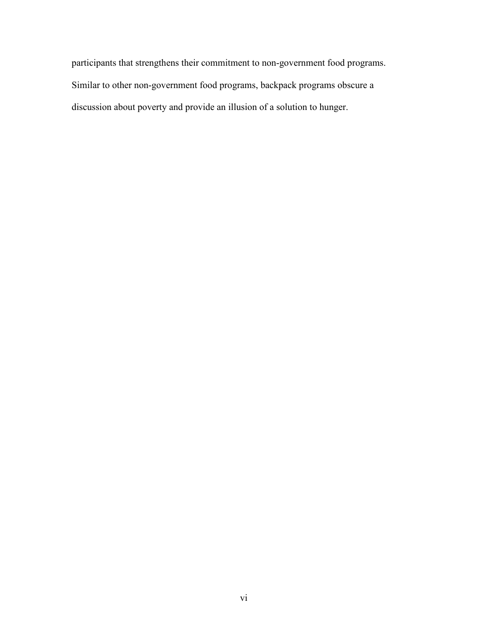participants that strengthens their commitment to non-government food programs. Similar to other non-government food programs, backpack programs obscure a discussion about poverty and provide an illusion of a solution to hunger.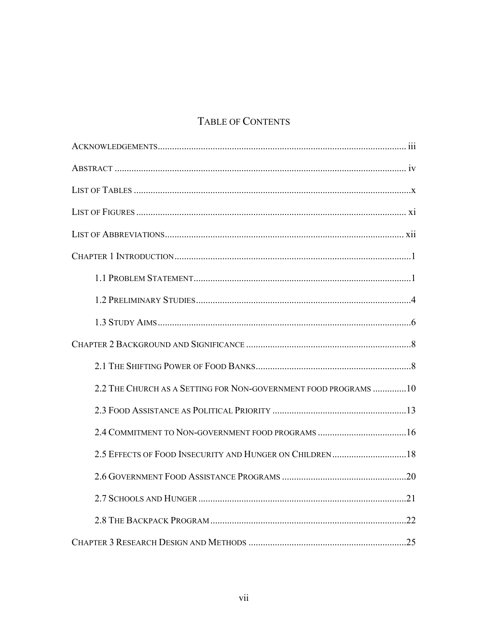## TABLE OF CONTENTS

| 2.2 THE CHURCH AS A SETTING FOR NON-GOVERNMENT FOOD PROGRAMS 10 |
|-----------------------------------------------------------------|
|                                                                 |
|                                                                 |
|                                                                 |
|                                                                 |
|                                                                 |
|                                                                 |
|                                                                 |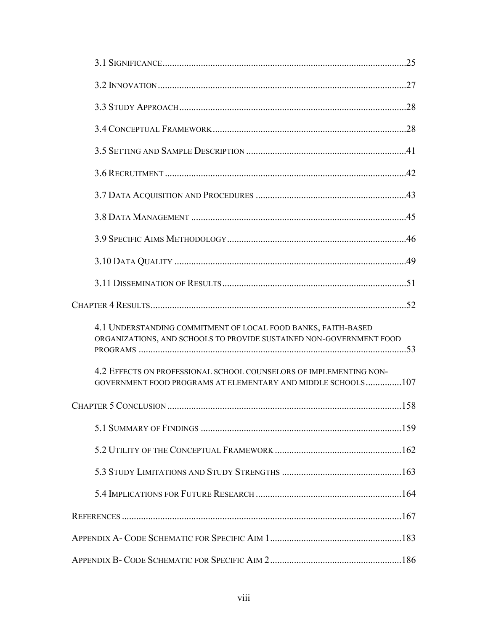| 4.1 UNDERSTANDING COMMITMENT OF LOCAL FOOD BANKS, FAITH-BASED<br>ORGANIZATIONS, AND SCHOOLS TO PROVIDE SUSTAINED NON-GOVERNMENT FOOD |  |
|--------------------------------------------------------------------------------------------------------------------------------------|--|
| 4.2 EFFECTS ON PROFESSIONAL SCHOOL COUNSELORS OF IMPLEMENTING NON-<br>GOVERNMENT FOOD PROGRAMS AT ELEMENTARY AND MIDDLE SCHOOLS107   |  |
|                                                                                                                                      |  |
|                                                                                                                                      |  |
|                                                                                                                                      |  |
|                                                                                                                                      |  |
|                                                                                                                                      |  |
|                                                                                                                                      |  |
|                                                                                                                                      |  |
|                                                                                                                                      |  |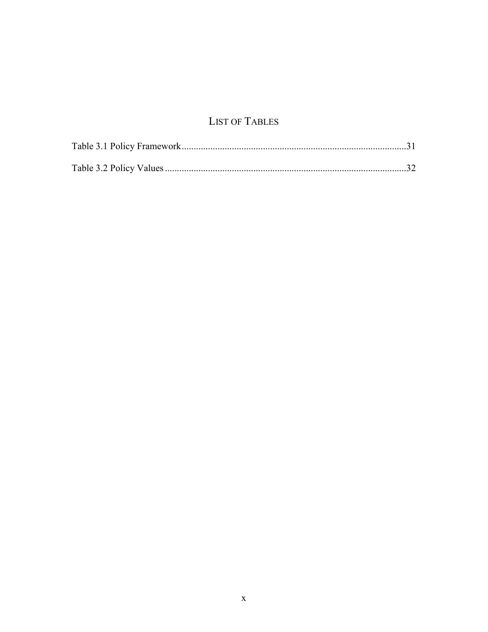## **LIST OF TABLES**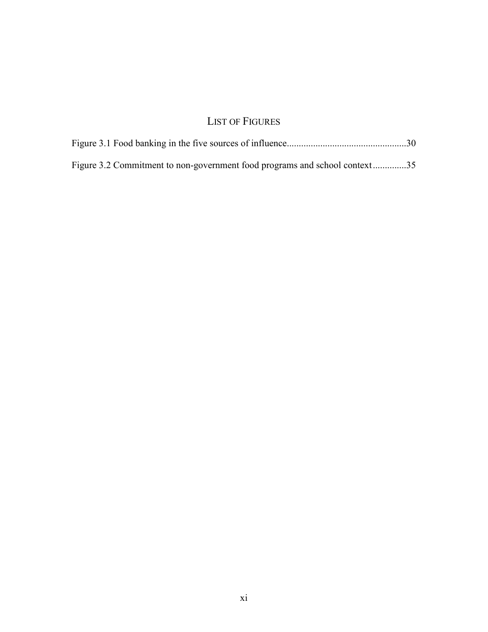## LIST OF FIGURES

| Figure 3.2 Commitment to non-government food programs and school context35 |  |
|----------------------------------------------------------------------------|--|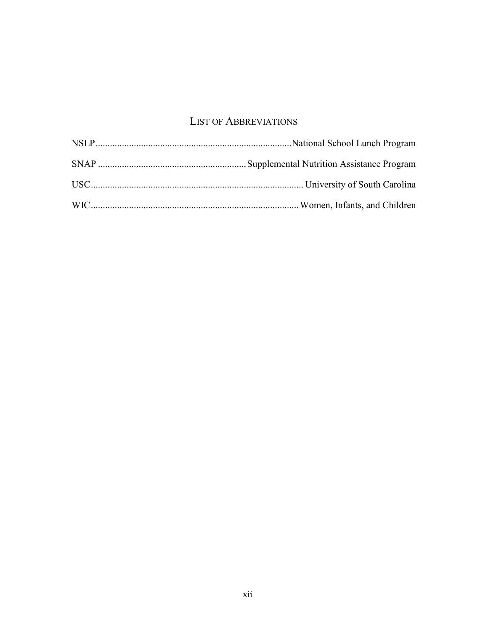### LIST OF ABBREVIATIONS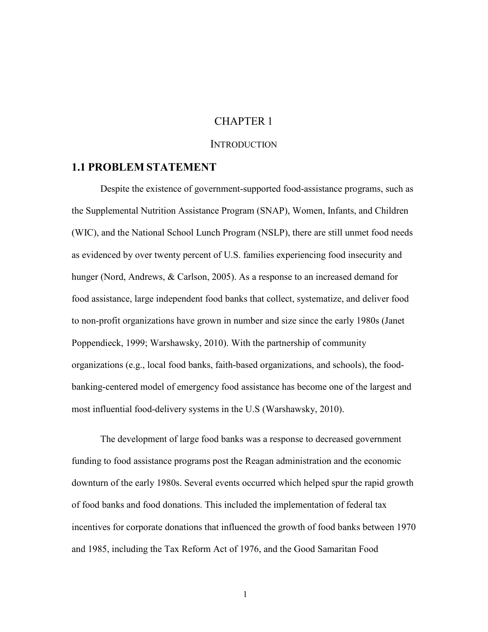#### CHAPTER 1

#### **INTRODUCTION**

#### **1.1 PROBLEM STATEMENT**

Despite the existence of government-supported food-assistance programs, such as the Supplemental Nutrition Assistance Program (SNAP), Women, Infants, and Children (WIC), and the National School Lunch Program (NSLP), there are still unmet food needs as evidenced by over twenty percent of U.S. families experiencing food insecurity and hunger (Nord, Andrews, & Carlson, 2005). As a response to an increased demand for food assistance, large independent food banks that collect, systematize, and deliver food to non-profit organizations have grown in number and size since the early 1980s (Janet Poppendieck, 1999; Warshawsky, 2010). With the partnership of community organizations (e.g., local food banks, faith-based organizations, and schools), the foodbanking-centered model of emergency food assistance has become one of the largest and most influential food-delivery systems in the U.S (Warshawsky, 2010).

The development of large food banks was a response to decreased government funding to food assistance programs post the Reagan administration and the economic downturn of the early 1980s. Several events occurred which helped spur the rapid growth of food banks and food donations. This included the implementation of federal tax incentives for corporate donations that influenced the growth of food banks between 1970 and 1985, including the Tax Reform Act of 1976, and the Good Samaritan Food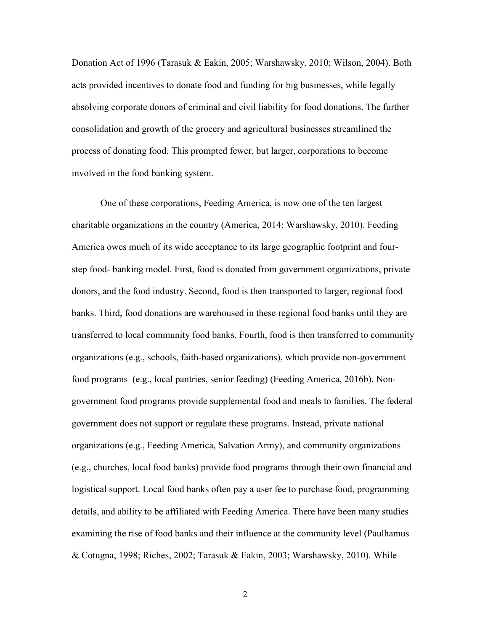Donation Act of 1996 (Tarasuk & Eakin, 2005; Warshawsky, 2010; Wilson, 2004). Both acts provided incentives to donate food and funding for big businesses, while legally absolving corporate donors of criminal and civil liability for food donations. The further consolidation and growth of the grocery and agricultural businesses streamlined the process of donating food. This prompted fewer, but larger, corporations to become involved in the food banking system.

One of these corporations, Feeding America, is now one of the ten largest charitable organizations in the country (America, 2014; Warshawsky, 2010). Feeding America owes much of its wide acceptance to its large geographic footprint and fourstep food- banking model. First, food is donated from government organizations, private donors, and the food industry. Second, food is then transported to larger, regional food banks. Third, food donations are warehoused in these regional food banks until they are transferred to local community food banks. Fourth, food is then transferred to community organizations (e.g., schools, faith-based organizations), which provide non-government food programs (e.g., local pantries, senior feeding) (Feeding America, 2016b). Nongovernment food programs provide supplemental food and meals to families. The federal government does not support or regulate these programs. Instead, private national organizations (e.g., Feeding America, Salvation Army), and community organizations (e.g., churches, local food banks) provide food programs through their own financial and logistical support. Local food banks often pay a user fee to purchase food, programming details, and ability to be affiliated with Feeding America. There have been many studies examining the rise of food banks and their influence at the community level (Paulhamus & Cotugna, 1998; Riches, 2002; Tarasuk & Eakin, 2003; Warshawsky, 2010). While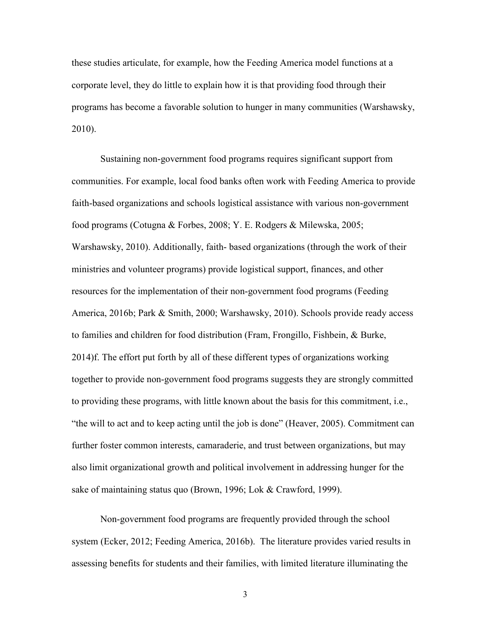these studies articulate, for example, how the Feeding America model functions at a corporate level, they do little to explain how it is that providing food through their programs has become a favorable solution to hunger in many communities (Warshawsky, 2010).

Sustaining non-government food programs requires significant support from communities. For example, local food banks often work with Feeding America to provide faith-based organizations and schools logistical assistance with various non-government food programs (Cotugna & Forbes, 2008; Y. E. Rodgers & Milewska, 2005; Warshawsky, 2010). Additionally, faith- based organizations (through the work of their ministries and volunteer programs) provide logistical support, finances, and other resources for the implementation of their non-government food programs (Feeding America, 2016b; Park & Smith, 2000; Warshawsky, 2010). Schools provide ready access to families and children for food distribution (Fram, Frongillo, Fishbein, & Burke, 2014)f. The effort put forth by all of these different types of organizations working together to provide non-government food programs suggests they are strongly committed to providing these programs, with little known about the basis for this commitment, i.e., "the will to act and to keep acting until the job is done" (Heaver, 2005). Commitment can further foster common interests, camaraderie, and trust between organizations, but may also limit organizational growth and political involvement in addressing hunger for the sake of maintaining status quo (Brown, 1996; Lok & Crawford, 1999).

Non-government food programs are frequently provided through the school system (Ecker, 2012; Feeding America, 2016b). The literature provides varied results in assessing benefits for students and their families, with limited literature illuminating the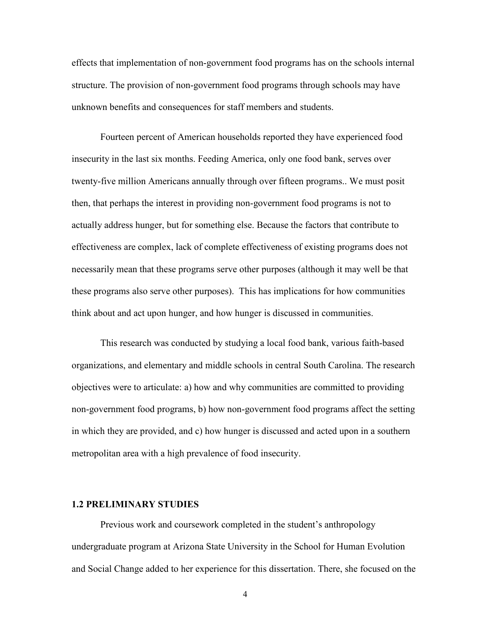effects that implementation of non-government food programs has on the schools internal structure. The provision of non-government food programs through schools may have unknown benefits and consequences for staff members and students.

Fourteen percent of American households reported they have experienced food insecurity in the last six months. Feeding America, only one food bank, serves over twenty-five million Americans annually through over fifteen programs.. We must posit then, that perhaps the interest in providing non-government food programs is not to actually address hunger, but for something else. Because the factors that contribute to effectiveness are complex, lack of complete effectiveness of existing programs does not necessarily mean that these programs serve other purposes (although it may well be that these programs also serve other purposes). This has implications for how communities think about and act upon hunger, and how hunger is discussed in communities.

This research was conducted by studying a local food bank, various faith-based organizations, and elementary and middle schools in central South Carolina. The research objectives were to articulate: a) how and why communities are committed to providing non-government food programs, b) how non-government food programs affect the setting in which they are provided, and c) how hunger is discussed and acted upon in a southern metropolitan area with a high prevalence of food insecurity.

#### **1.2 PRELIMINARY STUDIES**

Previous work and coursework completed in the student's anthropology undergraduate program at Arizona State University in the School for Human Evolution and Social Change added to her experience for this dissertation. There, she focused on the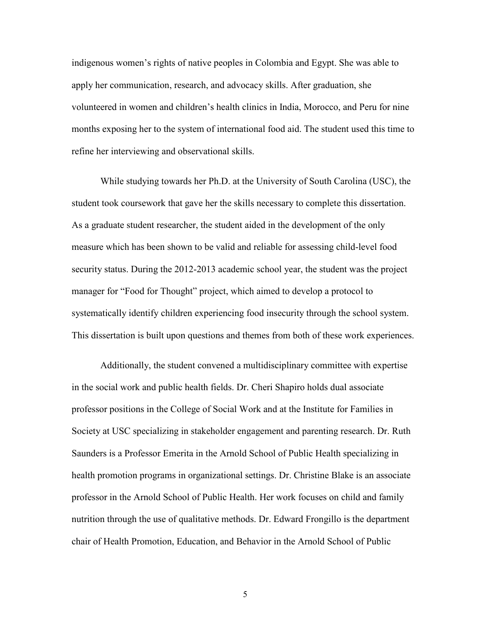indigenous women's rights of native peoples in Colombia and Egypt. She was able to apply her communication, research, and advocacy skills. After graduation, she volunteered in women and children's health clinics in India, Morocco, and Peru for nine months exposing her to the system of international food aid. The student used this time to refine her interviewing and observational skills.

 While studying towards her Ph.D. at the University of South Carolina (USC), the student took coursework that gave her the skills necessary to complete this dissertation. As a graduate student researcher, the student aided in the development of the only measure which has been shown to be valid and reliable for assessing child-level food security status. During the 2012-2013 academic school year, the student was the project manager for "Food for Thought" project, which aimed to develop a protocol to systematically identify children experiencing food insecurity through the school system. This dissertation is built upon questions and themes from both of these work experiences.

 Additionally, the student convened a multidisciplinary committee with expertise in the social work and public health fields. Dr. Cheri Shapiro holds dual associate professor positions in the College of Social Work and at the Institute for Families in Society at USC specializing in stakeholder engagement and parenting research. Dr. Ruth Saunders is a Professor Emerita in the Arnold School of Public Health specializing in health promotion programs in organizational settings. Dr. Christine Blake is an associate professor in the Arnold School of Public Health. Her work focuses on child and family nutrition through the use of qualitative methods. Dr. Edward Frongillo is the department chair of Health Promotion, Education, and Behavior in the Arnold School of Public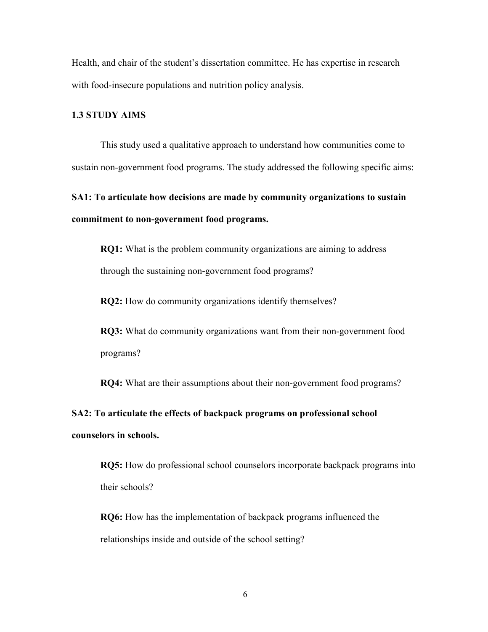Health, and chair of the student's dissertation committee. He has expertise in research with food-insecure populations and nutrition policy analysis.

#### **1.3 STUDY AIMS**

 This study used a qualitative approach to understand how communities come to sustain non-government food programs. The study addressed the following specific aims:

**SA1: To articulate how decisions are made by community organizations to sustain commitment to non-government food programs.** 

**RQ1:** What is the problem community organizations are aiming to address through the sustaining non-government food programs?

**RQ2:** How do community organizations identify themselves?

**RQ3:** What do community organizations want from their non-government food programs?

**RQ4:** What are their assumptions about their non-government food programs?

**SA2: To articulate the effects of backpack programs on professional school counselors in schools.** 

 **RQ5:** How do professional school counselors incorporate backpack programs into their schools?

**RQ6:** How has the implementation of backpack programs influenced the relationships inside and outside of the school setting?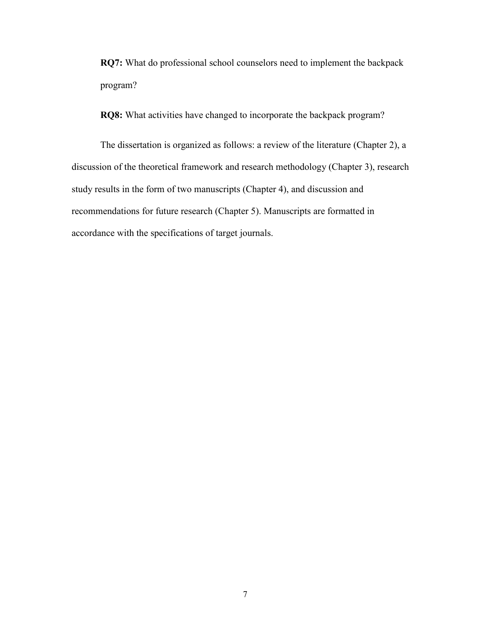**RQ7:** What do professional school counselors need to implement the backpack program?

**RQ8:** What activities have changed to incorporate the backpack program?

 The dissertation is organized as follows: a review of the literature (Chapter 2), a discussion of the theoretical framework and research methodology (Chapter 3), research study results in the form of two manuscripts (Chapter 4), and discussion and recommendations for future research (Chapter 5). Manuscripts are formatted in accordance with the specifications of target journals.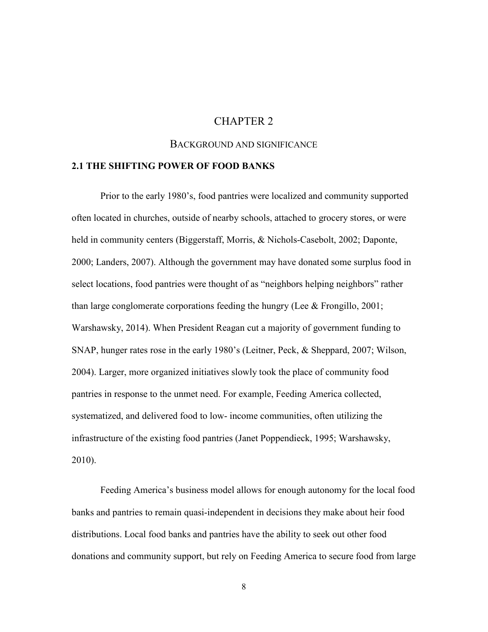#### CHAPTER 2

#### BACKGROUND AND SIGNIFICANCE

#### **2.1 THE SHIFTING POWER OF FOOD BANKS**

Prior to the early 1980's, food pantries were localized and community supported often located in churches, outside of nearby schools, attached to grocery stores, or were held in community centers (Biggerstaff, Morris, & Nichols-Casebolt, 2002; Daponte, 2000; Landers, 2007). Although the government may have donated some surplus food in select locations, food pantries were thought of as "neighbors helping neighbors" rather than large conglomerate corporations feeding the hungry (Lee  $\&$  Frongillo, 2001; Warshawsky, 2014). When President Reagan cut a majority of government funding to SNAP, hunger rates rose in the early 1980's (Leitner, Peck, & Sheppard, 2007; Wilson, 2004). Larger, more organized initiatives slowly took the place of community food pantries in response to the unmet need. For example, Feeding America collected, systematized, and delivered food to low- income communities, often utilizing the infrastructure of the existing food pantries (Janet Poppendieck, 1995; Warshawsky, 2010).

Feeding America's business model allows for enough autonomy for the local food banks and pantries to remain quasi-independent in decisions they make about heir food distributions. Local food banks and pantries have the ability to seek out other food donations and community support, but rely on Feeding America to secure food from large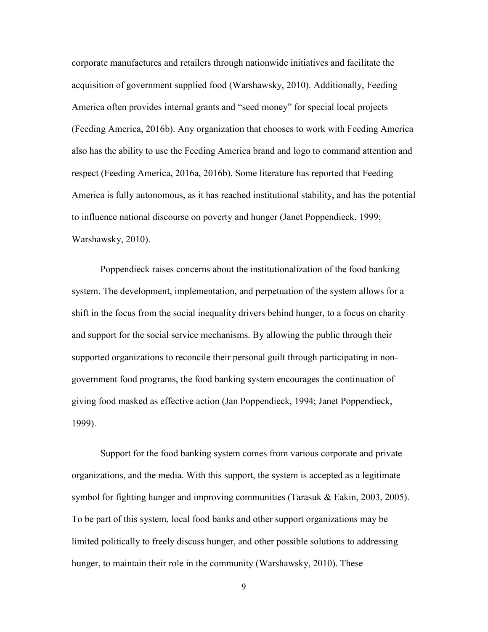corporate manufactures and retailers through nationwide initiatives and facilitate the acquisition of government supplied food (Warshawsky, 2010). Additionally, Feeding America often provides internal grants and "seed money" for special local projects (Feeding America, 2016b). Any organization that chooses to work with Feeding America also has the ability to use the Feeding America brand and logo to command attention and respect (Feeding America, 2016a, 2016b). Some literature has reported that Feeding America is fully autonomous, as it has reached institutional stability, and has the potential to influence national discourse on poverty and hunger (Janet Poppendieck, 1999; Warshawsky, 2010).

Poppendieck raises concerns about the institutionalization of the food banking system. The development, implementation, and perpetuation of the system allows for a shift in the focus from the social inequality drivers behind hunger, to a focus on charity and support for the social service mechanisms. By allowing the public through their supported organizations to reconcile their personal guilt through participating in nongovernment food programs, the food banking system encourages the continuation of giving food masked as effective action (Jan Poppendieck, 1994; Janet Poppendieck, 1999).

Support for the food banking system comes from various corporate and private organizations, and the media. With this support, the system is accepted as a legitimate symbol for fighting hunger and improving communities (Tarasuk & Eakin, 2003, 2005). To be part of this system, local food banks and other support organizations may be limited politically to freely discuss hunger, and other possible solutions to addressing hunger, to maintain their role in the community (Warshawsky, 2010). These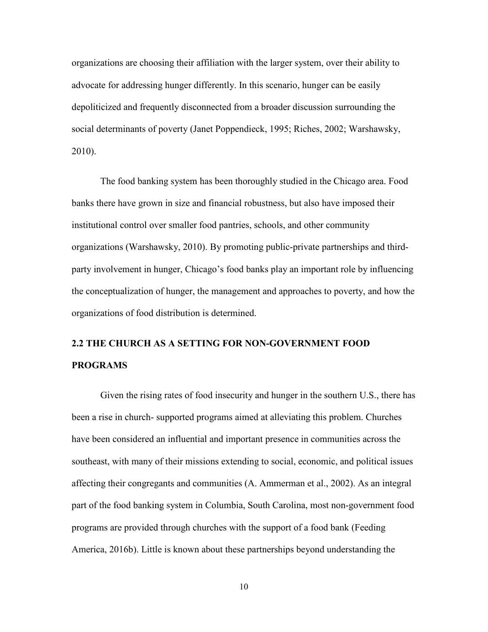organizations are choosing their affiliation with the larger system, over their ability to advocate for addressing hunger differently. In this scenario, hunger can be easily depoliticized and frequently disconnected from a broader discussion surrounding the social determinants of poverty (Janet Poppendieck, 1995; Riches, 2002; Warshawsky, 2010).

The food banking system has been thoroughly studied in the Chicago area. Food banks there have grown in size and financial robustness, but also have imposed their institutional control over smaller food pantries, schools, and other community organizations (Warshawsky, 2010). By promoting public-private partnerships and thirdparty involvement in hunger, Chicago's food banks play an important role by influencing the conceptualization of hunger, the management and approaches to poverty, and how the organizations of food distribution is determined.

# **2.2 THE CHURCH AS A SETTING FOR NON-GOVERNMENT FOOD PROGRAMS**

Given the rising rates of food insecurity and hunger in the southern U.S., there has been a rise in church- supported programs aimed at alleviating this problem. Churches have been considered an influential and important presence in communities across the southeast, with many of their missions extending to social, economic, and political issues affecting their congregants and communities (A. Ammerman et al., 2002). As an integral part of the food banking system in Columbia, South Carolina, most non-government food programs are provided through churches with the support of a food bank (Feeding America, 2016b). Little is known about these partnerships beyond understanding the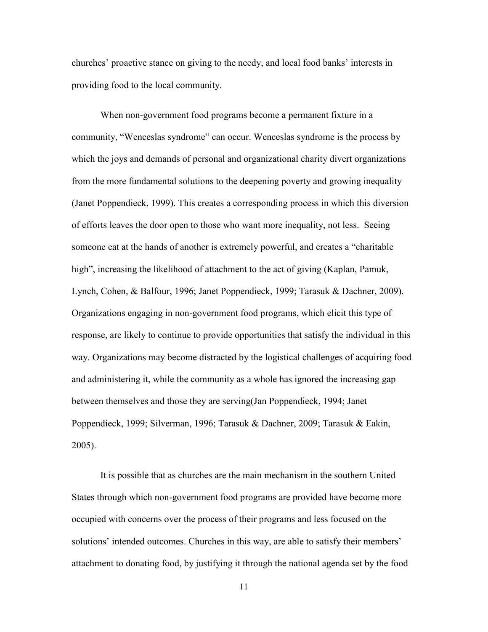churches' proactive stance on giving to the needy, and local food banks' interests in providing food to the local community.

When non-government food programs become a permanent fixture in a community, "Wenceslas syndrome" can occur. Wenceslas syndrome is the process by which the joys and demands of personal and organizational charity divert organizations from the more fundamental solutions to the deepening poverty and growing inequality (Janet Poppendieck, 1999). This creates a corresponding process in which this diversion of efforts leaves the door open to those who want more inequality, not less. Seeing someone eat at the hands of another is extremely powerful, and creates a "charitable high", increasing the likelihood of attachment to the act of giving (Kaplan, Pamuk, Lynch, Cohen, & Balfour, 1996; Janet Poppendieck, 1999; Tarasuk & Dachner, 2009). Organizations engaging in non-government food programs, which elicit this type of response, are likely to continue to provide opportunities that satisfy the individual in this way. Organizations may become distracted by the logistical challenges of acquiring food and administering it, while the community as a whole has ignored the increasing gap between themselves and those they are serving(Jan Poppendieck, 1994; Janet Poppendieck, 1999; Silverman, 1996; Tarasuk & Dachner, 2009; Tarasuk & Eakin, 2005).

It is possible that as churches are the main mechanism in the southern United States through which non-government food programs are provided have become more occupied with concerns over the process of their programs and less focused on the solutions' intended outcomes. Churches in this way, are able to satisfy their members' attachment to donating food, by justifying it through the national agenda set by the food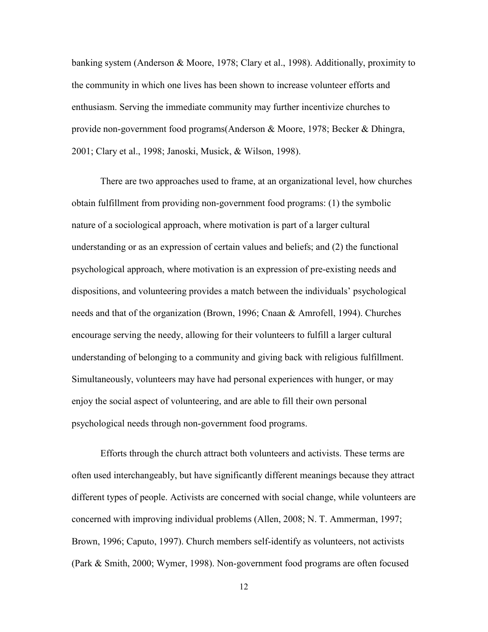banking system (Anderson & Moore, 1978; Clary et al., 1998). Additionally, proximity to the community in which one lives has been shown to increase volunteer efforts and enthusiasm. Serving the immediate community may further incentivize churches to provide non-government food programs(Anderson & Moore, 1978; Becker & Dhingra, 2001; Clary et al., 1998; Janoski, Musick, & Wilson, 1998).

There are two approaches used to frame, at an organizational level, how churches obtain fulfillment from providing non-government food programs: (1) the symbolic nature of a sociological approach, where motivation is part of a larger cultural understanding or as an expression of certain values and beliefs; and (2) the functional psychological approach, where motivation is an expression of pre-existing needs and dispositions, and volunteering provides a match between the individuals' psychological needs and that of the organization (Brown, 1996; Cnaan & Amrofell, 1994). Churches encourage serving the needy, allowing for their volunteers to fulfill a larger cultural understanding of belonging to a community and giving back with religious fulfillment. Simultaneously, volunteers may have had personal experiences with hunger, or may enjoy the social aspect of volunteering, and are able to fill their own personal psychological needs through non-government food programs.

Efforts through the church attract both volunteers and activists. These terms are often used interchangeably, but have significantly different meanings because they attract different types of people. Activists are concerned with social change, while volunteers are concerned with improving individual problems (Allen, 2008; N. T. Ammerman, 1997; Brown, 1996; Caputo, 1997). Church members self-identify as volunteers, not activists (Park & Smith, 2000; Wymer, 1998). Non-government food programs are often focused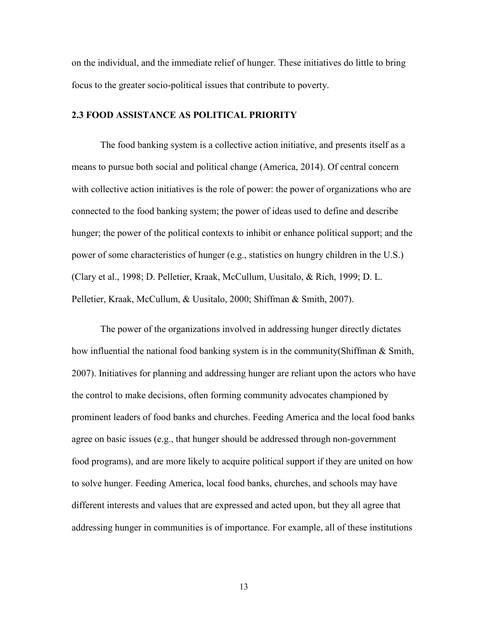on the individual, and the immediate relief of hunger. These initiatives do little to bring focus to the greater socio-political issues that contribute to poverty.

#### **2.3 FOOD ASSISTANCE AS POLITICAL PRIORITY**

The food banking system is a collective action initiative, and presents itself as a means to pursue both social and political change (America, 2014). Of central concern with collective action initiatives is the role of power: the power of organizations who are connected to the food banking system; the power of ideas used to define and describe hunger; the power of the political contexts to inhibit or enhance political support; and the power of some characteristics of hunger (e.g., statistics on hungry children in the U.S.) (Clary et al., 1998; D. Pelletier, Kraak, McCullum, Uusitalo, & Rich, 1999; D. L. Pelletier, Kraak, McCullum, & Uusitalo, 2000; Shiffman & Smith, 2007).

The power of the organizations involved in addressing hunger directly dictates how influential the national food banking system is in the community(Shiffman & Smith, 2007). Initiatives for planning and addressing hunger are reliant upon the actors who have the control to make decisions, often forming community advocates championed by prominent leaders of food banks and churches. Feeding America and the local food banks agree on basic issues (e.g., that hunger should be addressed through non-government food programs), and are more likely to acquire political support if they are united on how to solve hunger. Feeding America, local food banks, churches, and schools may have different interests and values that are expressed and acted upon, but they all agree that addressing hunger in communities is of importance. For example, all of these institutions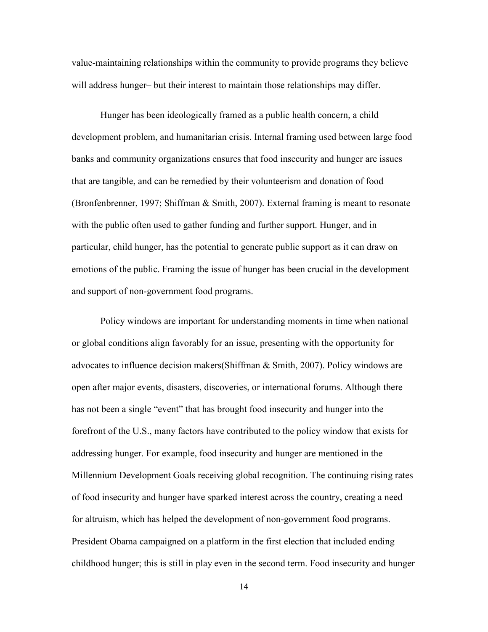value-maintaining relationships within the community to provide programs they believe will address hunger– but their interest to maintain those relationships may differ.

Hunger has been ideologically framed as a public health concern, a child development problem, and humanitarian crisis. Internal framing used between large food banks and community organizations ensures that food insecurity and hunger are issues that are tangible, and can be remedied by their volunteerism and donation of food (Bronfenbrenner, 1997; Shiffman & Smith, 2007). External framing is meant to resonate with the public often used to gather funding and further support. Hunger, and in particular, child hunger, has the potential to generate public support as it can draw on emotions of the public. Framing the issue of hunger has been crucial in the development and support of non-government food programs.

Policy windows are important for understanding moments in time when national or global conditions align favorably for an issue, presenting with the opportunity for advocates to influence decision makers(Shiffman & Smith, 2007). Policy windows are open after major events, disasters, discoveries, or international forums. Although there has not been a single "event" that has brought food insecurity and hunger into the forefront of the U.S., many factors have contributed to the policy window that exists for addressing hunger. For example, food insecurity and hunger are mentioned in the Millennium Development Goals receiving global recognition. The continuing rising rates of food insecurity and hunger have sparked interest across the country, creating a need for altruism, which has helped the development of non-government food programs. President Obama campaigned on a platform in the first election that included ending childhood hunger; this is still in play even in the second term. Food insecurity and hunger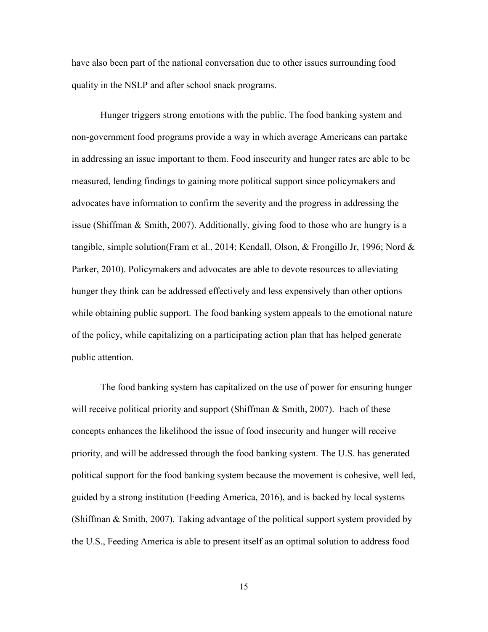have also been part of the national conversation due to other issues surrounding food quality in the NSLP and after school snack programs.

Hunger triggers strong emotions with the public. The food banking system and non-government food programs provide a way in which average Americans can partake in addressing an issue important to them. Food insecurity and hunger rates are able to be measured, lending findings to gaining more political support since policymakers and advocates have information to confirm the severity and the progress in addressing the issue (Shiffman & Smith, 2007). Additionally, giving food to those who are hungry is a tangible, simple solution(Fram et al., 2014; Kendall, Olson, & Frongillo Jr, 1996; Nord & Parker, 2010). Policymakers and advocates are able to devote resources to alleviating hunger they think can be addressed effectively and less expensively than other options while obtaining public support. The food banking system appeals to the emotional nature of the policy, while capitalizing on a participating action plan that has helped generate public attention.

The food banking system has capitalized on the use of power for ensuring hunger will receive political priority and support (Shiffman  $\&$  Smith, 2007). Each of these concepts enhances the likelihood the issue of food insecurity and hunger will receive priority, and will be addressed through the food banking system. The U.S. has generated political support for the food banking system because the movement is cohesive, well led, guided by a strong institution (Feeding America, 2016), and is backed by local systems (Shiffman & Smith, 2007). Taking advantage of the political support system provided by the U.S., Feeding America is able to present itself as an optimal solution to address food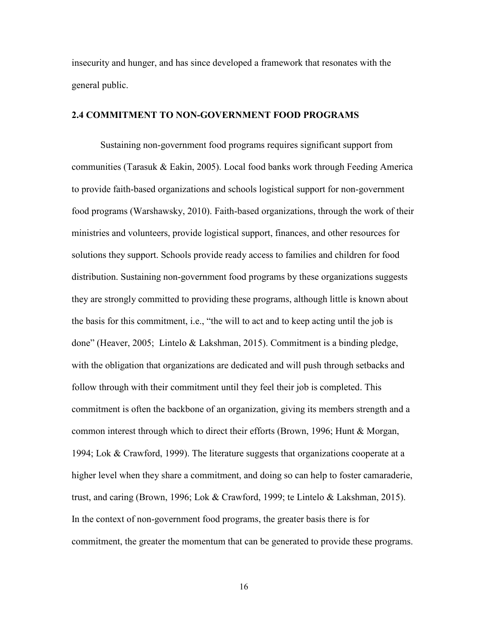insecurity and hunger, and has since developed a framework that resonates with the general public.

#### **2.4 COMMITMENT TO NON-GOVERNMENT FOOD PROGRAMS**

Sustaining non-government food programs requires significant support from communities (Tarasuk & Eakin, 2005). Local food banks work through Feeding America to provide faith-based organizations and schools logistical support for non-government food programs (Warshawsky, 2010). Faith-based organizations, through the work of their ministries and volunteers, provide logistical support, finances, and other resources for solutions they support. Schools provide ready access to families and children for food distribution. Sustaining non-government food programs by these organizations suggests they are strongly committed to providing these programs, although little is known about the basis for this commitment, i.e., "the will to act and to keep acting until the job is done" (Heaver, 2005; Lintelo & Lakshman, 2015). Commitment is a binding pledge, with the obligation that organizations are dedicated and will push through setbacks and follow through with their commitment until they feel their job is completed. This commitment is often the backbone of an organization, giving its members strength and a common interest through which to direct their efforts (Brown, 1996; Hunt & Morgan, 1994; Lok & Crawford, 1999). The literature suggests that organizations cooperate at a higher level when they share a commitment, and doing so can help to foster camaraderie, trust, and caring (Brown, 1996; Lok & Crawford, 1999; te Lintelo & Lakshman, 2015). In the context of non-government food programs, the greater basis there is for commitment, the greater the momentum that can be generated to provide these programs.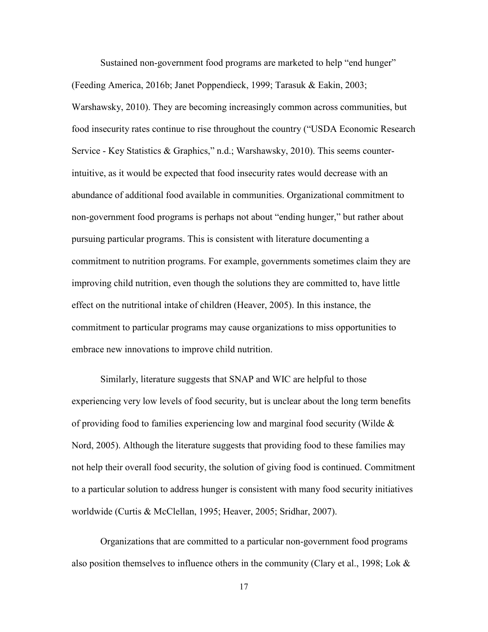Sustained non-government food programs are marketed to help "end hunger" (Feeding America, 2016b; Janet Poppendieck, 1999; Tarasuk & Eakin, 2003; Warshawsky, 2010). They are becoming increasingly common across communities, but food insecurity rates continue to rise throughout the country ("USDA Economic Research Service - Key Statistics & Graphics," n.d.; Warshawsky, 2010). This seems counterintuitive, as it would be expected that food insecurity rates would decrease with an abundance of additional food available in communities. Organizational commitment to non-government food programs is perhaps not about "ending hunger," but rather about pursuing particular programs. This is consistent with literature documenting a commitment to nutrition programs. For example, governments sometimes claim they are improving child nutrition, even though the solutions they are committed to, have little effect on the nutritional intake of children (Heaver, 2005). In this instance, the commitment to particular programs may cause organizations to miss opportunities to embrace new innovations to improve child nutrition.

Similarly, literature suggests that SNAP and WIC are helpful to those experiencing very low levels of food security, but is unclear about the long term benefits of providing food to families experiencing low and marginal food security (Wilde  $\&$ Nord, 2005). Although the literature suggests that providing food to these families may not help their overall food security, the solution of giving food is continued. Commitment to a particular solution to address hunger is consistent with many food security initiatives worldwide (Curtis & McClellan, 1995; Heaver, 2005; Sridhar, 2007).

Organizations that are committed to a particular non-government food programs also position themselves to influence others in the community (Clary et al., 1998; Lok  $\&$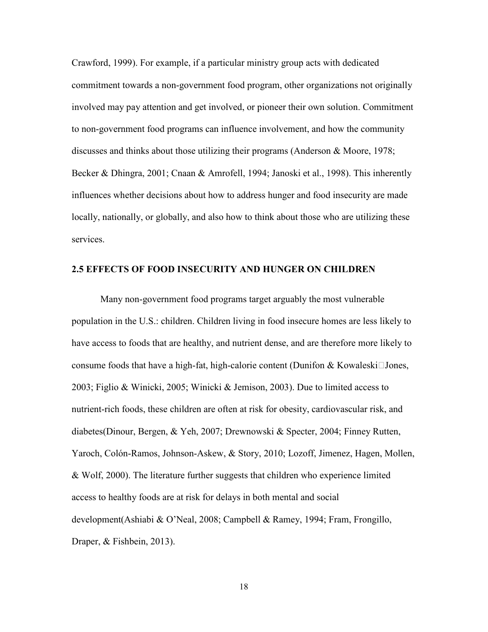Crawford, 1999). For example, if a particular ministry group acts with dedicated commitment towards a non-government food program, other organizations not originally involved may pay attention and get involved, or pioneer their own solution. Commitment to non-government food programs can influence involvement, and how the community discusses and thinks about those utilizing their programs (Anderson  $\&$  Moore, 1978; Becker & Dhingra, 2001; Cnaan & Amrofell, 1994; Janoski et al., 1998). This inherently influences whether decisions about how to address hunger and food insecurity are made locally, nationally, or globally, and also how to think about those who are utilizing these services.

#### **2.5 EFFECTS OF FOOD INSECURITY AND HUNGER ON CHILDREN**

 Many non-government food programs target arguably the most vulnerable population in the U.S.: children. Children living in food insecure homes are less likely to have access to foods that are healthy, and nutrient dense, and are therefore more likely to consume foods that have a high-fat, high-calorie content (Dunifon & Kowaleski $\Box$ Jones, 2003; Figlio & Winicki, 2005; Winicki & Jemison, 2003). Due to limited access to nutrient-rich foods, these children are often at risk for obesity, cardiovascular risk, and diabetes(Dinour, Bergen, & Yeh, 2007; Drewnowski & Specter, 2004; Finney Rutten, Yaroch, Colón-Ramos, Johnson-Askew, & Story, 2010; Lozoff, Jimenez, Hagen, Mollen, & Wolf, 2000). The literature further suggests that children who experience limited access to healthy foods are at risk for delays in both mental and social development(Ashiabi & O'Neal, 2008; Campbell & Ramey, 1994; Fram, Frongillo, Draper, & Fishbein, 2013).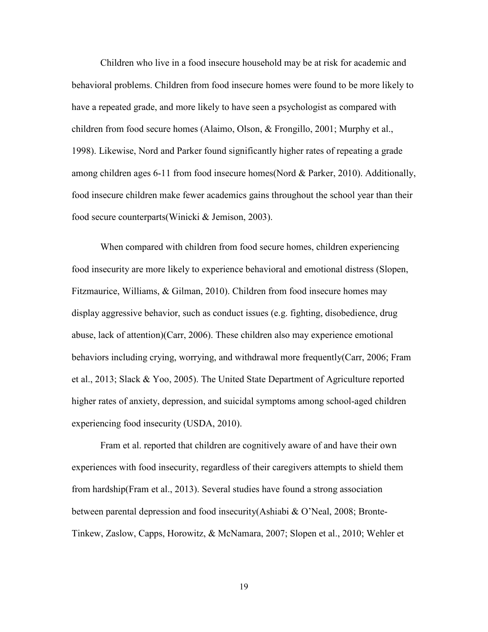Children who live in a food insecure household may be at risk for academic and behavioral problems. Children from food insecure homes were found to be more likely to have a repeated grade, and more likely to have seen a psychologist as compared with children from food secure homes (Alaimo, Olson, & Frongillo, 2001; Murphy et al., 1998). Likewise, Nord and Parker found significantly higher rates of repeating a grade among children ages 6-11 from food insecure homes(Nord & Parker, 2010). Additionally, food insecure children make fewer academics gains throughout the school year than their food secure counterparts(Winicki & Jemison, 2003).

 When compared with children from food secure homes, children experiencing food insecurity are more likely to experience behavioral and emotional distress (Slopen, Fitzmaurice, Williams, & Gilman, 2010). Children from food insecure homes may display aggressive behavior, such as conduct issues (e.g. fighting, disobedience, drug abuse, lack of attention)(Carr, 2006). These children also may experience emotional behaviors including crying, worrying, and withdrawal more frequently(Carr, 2006; Fram et al., 2013; Slack & Yoo, 2005). The United State Department of Agriculture reported higher rates of anxiety, depression, and suicidal symptoms among school-aged children experiencing food insecurity (USDA, 2010).

 Fram et al. reported that children are cognitively aware of and have their own experiences with food insecurity, regardless of their caregivers attempts to shield them from hardship(Fram et al., 2013). Several studies have found a strong association between parental depression and food insecurity(Ashiabi & O'Neal, 2008; Bronte-Tinkew, Zaslow, Capps, Horowitz, & McNamara, 2007; Slopen et al., 2010; Wehler et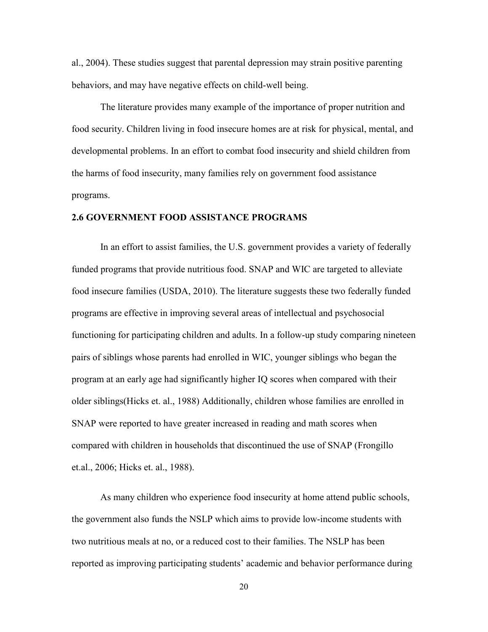al., 2004). These studies suggest that parental depression may strain positive parenting behaviors, and may have negative effects on child-well being.

The literature provides many example of the importance of proper nutrition and food security. Children living in food insecure homes are at risk for physical, mental, and developmental problems. In an effort to combat food insecurity and shield children from the harms of food insecurity, many families rely on government food assistance programs.

#### **2.6 GOVERNMENT FOOD ASSISTANCE PROGRAMS**

In an effort to assist families, the U.S. government provides a variety of federally funded programs that provide nutritious food. SNAP and WIC are targeted to alleviate food insecure families (USDA, 2010). The literature suggests these two federally funded programs are effective in improving several areas of intellectual and psychosocial functioning for participating children and adults. In a follow-up study comparing nineteen pairs of siblings whose parents had enrolled in WIC, younger siblings who began the program at an early age had significantly higher IQ scores when compared with their older siblings(Hicks et. al., 1988) Additionally, children whose families are enrolled in SNAP were reported to have greater increased in reading and math scores when compared with children in households that discontinued the use of SNAP (Frongillo et.al., 2006; Hicks et. al., 1988).

As many children who experience food insecurity at home attend public schools, the government also funds the NSLP which aims to provide low-income students with two nutritious meals at no, or a reduced cost to their families. The NSLP has been reported as improving participating students' academic and behavior performance during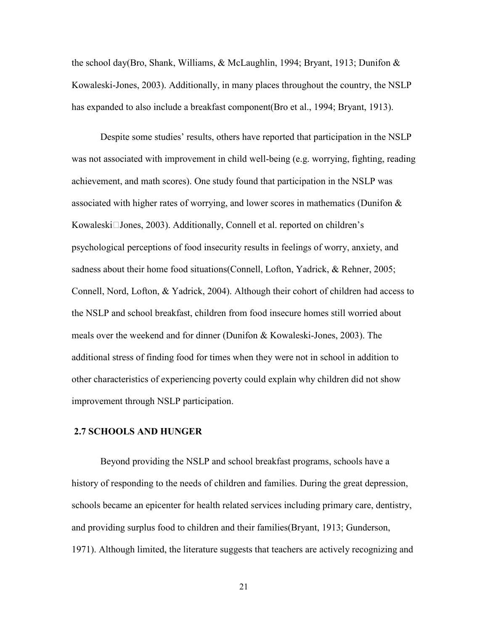the school day(Bro, Shank, Williams, & McLaughlin, 1994; Bryant, 1913; Dunifon  $\&$ Kowaleski-Jones, 2003). Additionally, in many places throughout the country, the NSLP has expanded to also include a breakfast component(Bro et al., 1994; Bryant, 1913).

Despite some studies' results, others have reported that participation in the NSLP was not associated with improvement in child well-being (e.g. worrying, fighting, reading achievement, and math scores). One study found that participation in the NSLP was associated with higher rates of worrying, and lower scores in mathematics (Dunifon & Kowaleski□Jones, 2003). Additionally, Connell et al. reported on children's psychological perceptions of food insecurity results in feelings of worry, anxiety, and sadness about their home food situations(Connell, Lofton, Yadrick, & Rehner, 2005; Connell, Nord, Lofton, & Yadrick, 2004). Although their cohort of children had access to the NSLP and school breakfast, children from food insecure homes still worried about meals over the weekend and for dinner (Dunifon & Kowaleski-Jones, 2003). The additional stress of finding food for times when they were not in school in addition to other characteristics of experiencing poverty could explain why children did not show improvement through NSLP participation.

#### **2.7 SCHOOLS AND HUNGER**

Beyond providing the NSLP and school breakfast programs, schools have a history of responding to the needs of children and families. During the great depression, schools became an epicenter for health related services including primary care, dentistry, and providing surplus food to children and their families(Bryant, 1913; Gunderson, 1971). Although limited, the literature suggests that teachers are actively recognizing and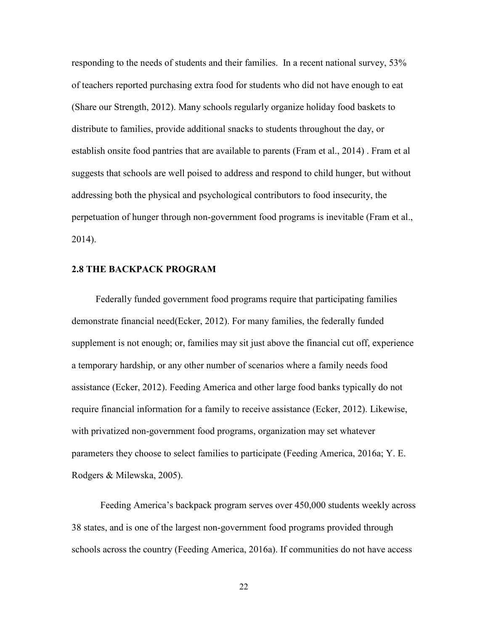responding to the needs of students and their families. In a recent national survey, 53% of teachers reported purchasing extra food for students who did not have enough to eat (Share our Strength, 2012). Many schools regularly organize holiday food baskets to distribute to families, provide additional snacks to students throughout the day, or establish onsite food pantries that are available to parents (Fram et al., 2014) . Fram et al suggests that schools are well poised to address and respond to child hunger, but without addressing both the physical and psychological contributors to food insecurity, the perpetuation of hunger through non-government food programs is inevitable (Fram et al., 2014).

#### **2.8 THE BACKPACK PROGRAM**

 Federally funded government food programs require that participating families demonstrate financial need(Ecker, 2012). For many families, the federally funded supplement is not enough; or, families may sit just above the financial cut off, experience a temporary hardship, or any other number of scenarios where a family needs food assistance (Ecker, 2012). Feeding America and other large food banks typically do not require financial information for a family to receive assistance (Ecker, 2012). Likewise, with privatized non-government food programs, organization may set whatever parameters they choose to select families to participate (Feeding America, 2016a; Y. E. Rodgers & Milewska, 2005).

Feeding America's backpack program serves over 450,000 students weekly across 38 states, and is one of the largest non-government food programs provided through schools across the country (Feeding America, 2016a). If communities do not have access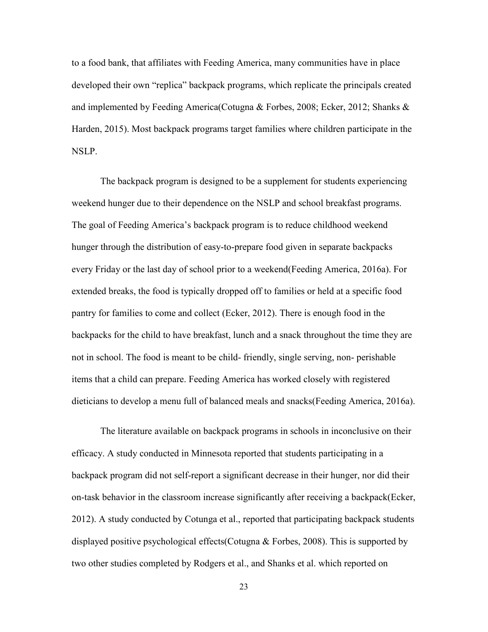to a food bank, that affiliates with Feeding America, many communities have in place developed their own "replica" backpack programs, which replicate the principals created and implemented by Feeding America(Cotugna & Forbes, 2008; Ecker, 2012; Shanks & Harden, 2015). Most backpack programs target families where children participate in the NSLP.

The backpack program is designed to be a supplement for students experiencing weekend hunger due to their dependence on the NSLP and school breakfast programs. The goal of Feeding America's backpack program is to reduce childhood weekend hunger through the distribution of easy-to-prepare food given in separate backpacks every Friday or the last day of school prior to a weekend(Feeding America, 2016a). For extended breaks, the food is typically dropped off to families or held at a specific food pantry for families to come and collect (Ecker, 2012). There is enough food in the backpacks for the child to have breakfast, lunch and a snack throughout the time they are not in school. The food is meant to be child- friendly, single serving, non- perishable items that a child can prepare. Feeding America has worked closely with registered dieticians to develop a menu full of balanced meals and snacks(Feeding America, 2016a).

The literature available on backpack programs in schools in inconclusive on their efficacy. A study conducted in Minnesota reported that students participating in a backpack program did not self-report a significant decrease in their hunger, nor did their on-task behavior in the classroom increase significantly after receiving a backpack(Ecker, 2012). A study conducted by Cotunga et al., reported that participating backpack students displayed positive psychological effects(Cotugna & Forbes, 2008). This is supported by two other studies completed by Rodgers et al., and Shanks et al. which reported on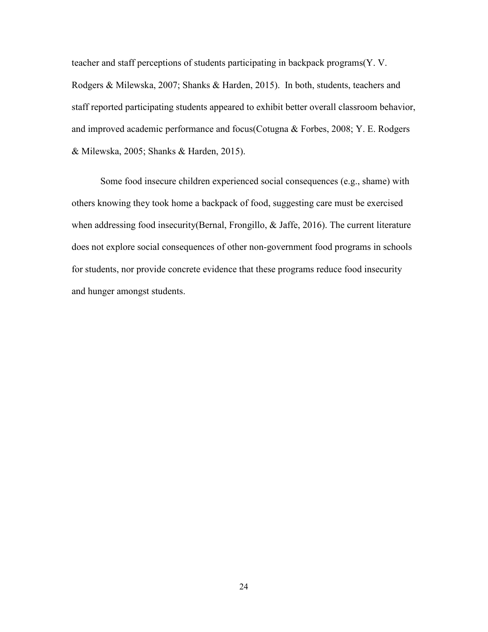teacher and staff perceptions of students participating in backpack programs(Y. V. Rodgers & Milewska, 2007; Shanks & Harden, 2015). In both, students, teachers and staff reported participating students appeared to exhibit better overall classroom behavior, and improved academic performance and focus(Cotugna & Forbes, 2008; Y. E. Rodgers & Milewska, 2005; Shanks & Harden, 2015).

Some food insecure children experienced social consequences (e.g., shame) with others knowing they took home a backpack of food, suggesting care must be exercised when addressing food insecurity(Bernal, Frongillo, & Jaffe, 2016). The current literature does not explore social consequences of other non-government food programs in schools for students, nor provide concrete evidence that these programs reduce food insecurity and hunger amongst students.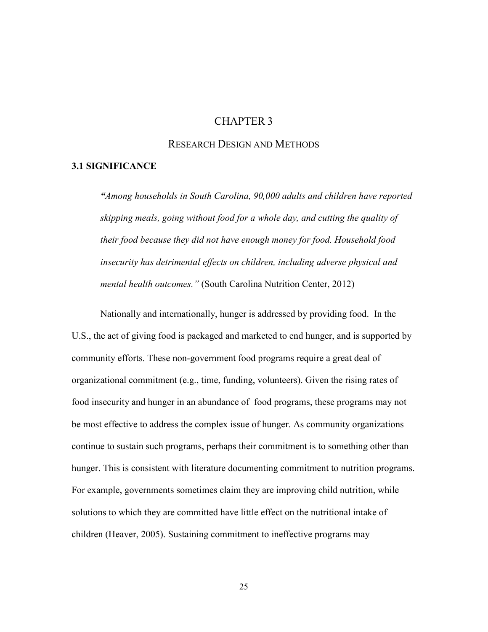# CHAPTER 3

## RESEARCH DESIGN AND METHODS

#### **3.1 SIGNIFICANCE**

*"Among households in South Carolina, 90,000 adults and children have reported skipping meals, going without food for a whole day, and cutting the quality of their food because they did not have enough money for food. Household food insecurity has detrimental effects on children, including adverse physical and mental health outcomes."* (South Carolina Nutrition Center, 2012)

 Nationally and internationally, hunger is addressed by providing food. In the U.S., the act of giving food is packaged and marketed to end hunger, and is supported by community efforts. These non-government food programs require a great deal of organizational commitment (e.g., time, funding, volunteers). Given the rising rates of food insecurity and hunger in an abundance of food programs, these programs may not be most effective to address the complex issue of hunger. As community organizations continue to sustain such programs, perhaps their commitment is to something other than hunger. This is consistent with literature documenting commitment to nutrition programs. For example, governments sometimes claim they are improving child nutrition, while solutions to which they are committed have little effect on the nutritional intake of children (Heaver, 2005). Sustaining commitment to ineffective programs may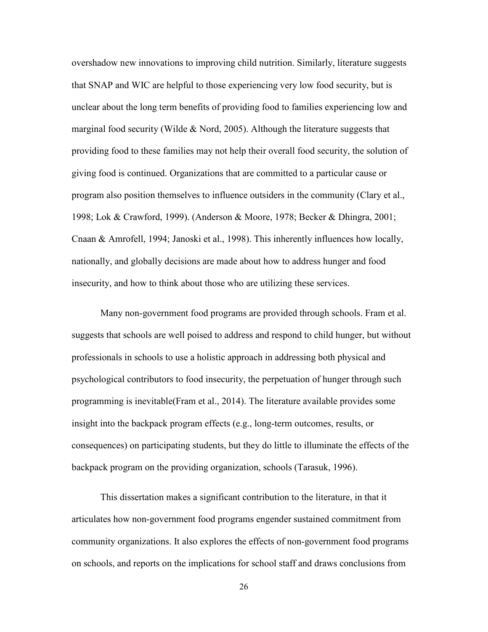overshadow new innovations to improving child nutrition. Similarly, literature suggests that SNAP and WIC are helpful to those experiencing very low food security, but is unclear about the long term benefits of providing food to families experiencing low and marginal food security (Wilde  $& Nord, 2005$ ). Although the literature suggests that providing food to these families may not help their overall food security, the solution of giving food is continued. Organizations that are committed to a particular cause or program also position themselves to influence outsiders in the community (Clary et al., 1998; Lok & Crawford, 1999). (Anderson & Moore, 1978; Becker & Dhingra, 2001; Cnaan & Amrofell, 1994; Janoski et al., 1998). This inherently influences how locally, nationally, and globally decisions are made about how to address hunger and food insecurity, and how to think about those who are utilizing these services.

 Many non-government food programs are provided through schools. Fram et al. suggests that schools are well poised to address and respond to child hunger, but without professionals in schools to use a holistic approach in addressing both physical and psychological contributors to food insecurity, the perpetuation of hunger through such programming is inevitable(Fram et al., 2014). The literature available provides some insight into the backpack program effects (e.g., long-term outcomes, results, or consequences) on participating students, but they do little to illuminate the effects of the backpack program on the providing organization, schools (Tarasuk, 1996).

 This dissertation makes a significant contribution to the literature, in that it articulates how non-government food programs engender sustained commitment from community organizations. It also explores the effects of non-government food programs on schools, and reports on the implications for school staff and draws conclusions from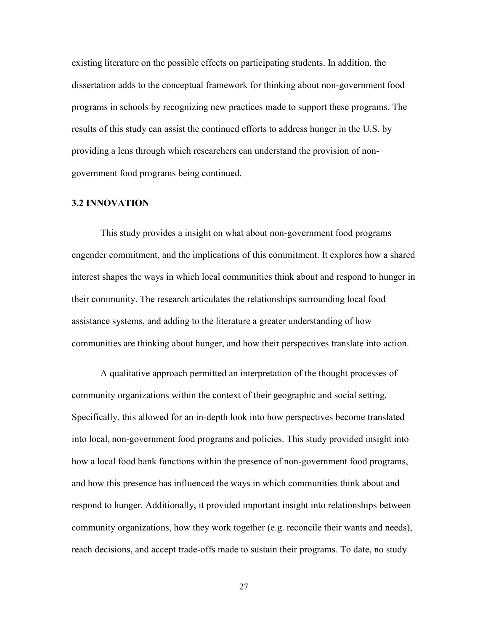existing literature on the possible effects on participating students. In addition, the dissertation adds to the conceptual framework for thinking about non-government food programs in schools by recognizing new practices made to support these programs. The results of this study can assist the continued efforts to address hunger in the U.S. by providing a lens through which researchers can understand the provision of nongovernment food programs being continued.

# **3.2 INNOVATION**

This study provides a insight on what about non-government food programs engender commitment, and the implications of this commitment. It explores how a shared interest shapes the ways in which local communities think about and respond to hunger in their community. The research articulates the relationships surrounding local food assistance systems, and adding to the literature a greater understanding of how communities are thinking about hunger, and how their perspectives translate into action.

 A qualitative approach permitted an interpretation of the thought processes of community organizations within the context of their geographic and social setting. Specifically, this allowed for an in-depth look into how perspectives become translated into local, non-government food programs and policies. This study provided insight into how a local food bank functions within the presence of non-government food programs, and how this presence has influenced the ways in which communities think about and respond to hunger. Additionally, it provided important insight into relationships between community organizations, how they work together (e.g. reconcile their wants and needs), reach decisions, and accept trade-offs made to sustain their programs. To date, no study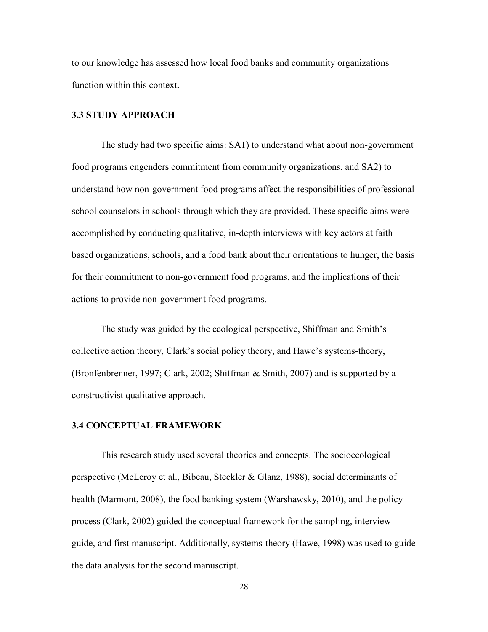to our knowledge has assessed how local food banks and community organizations function within this context.

## **3.3 STUDY APPROACH**

 The study had two specific aims: SA1) to understand what about non-government food programs engenders commitment from community organizations, and SA2) to understand how non-government food programs affect the responsibilities of professional school counselors in schools through which they are provided. These specific aims were accomplished by conducting qualitative, in-depth interviews with key actors at faith based organizations, schools, and a food bank about their orientations to hunger, the basis for their commitment to non-government food programs, and the implications of their actions to provide non-government food programs.

 The study was guided by the ecological perspective, Shiffman and Smith's collective action theory, Clark's social policy theory, and Hawe's systems-theory, (Bronfenbrenner, 1997; Clark, 2002; Shiffman & Smith, 2007) and is supported by a constructivist qualitative approach.

#### **3.4 CONCEPTUAL FRAMEWORK**

This research study used several theories and concepts. The socioecological perspective (McLeroy et al., Bibeau, Steckler & Glanz, 1988), social determinants of health (Marmont, 2008), the food banking system (Warshawsky, 2010), and the policy process (Clark, 2002) guided the conceptual framework for the sampling, interview guide, and first manuscript. Additionally, systems-theory (Hawe, 1998) was used to guide the data analysis for the second manuscript.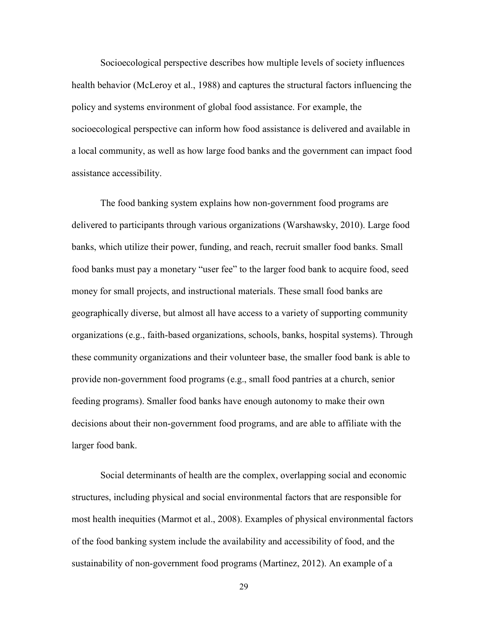Socioecological perspective describes how multiple levels of society influences health behavior (McLeroy et al., 1988) and captures the structural factors influencing the policy and systems environment of global food assistance. For example, the socioecological perspective can inform how food assistance is delivered and available in a local community, as well as how large food banks and the government can impact food assistance accessibility.

 The food banking system explains how non-government food programs are delivered to participants through various organizations (Warshawsky, 2010). Large food banks, which utilize their power, funding, and reach, recruit smaller food banks. Small food banks must pay a monetary "user fee" to the larger food bank to acquire food, seed money for small projects, and instructional materials. These small food banks are geographically diverse, but almost all have access to a variety of supporting community organizations (e.g., faith-based organizations, schools, banks, hospital systems). Through these community organizations and their volunteer base, the smaller food bank is able to provide non-government food programs (e.g., small food pantries at a church, senior feeding programs). Smaller food banks have enough autonomy to make their own decisions about their non-government food programs, and are able to affiliate with the larger food bank.

Social determinants of health are the complex, overlapping social and economic structures, including physical and social environmental factors that are responsible for most health inequities (Marmot et al., 2008). Examples of physical environmental factors of the food banking system include the availability and accessibility of food, and the sustainability of non-government food programs (Martinez, 2012). An example of a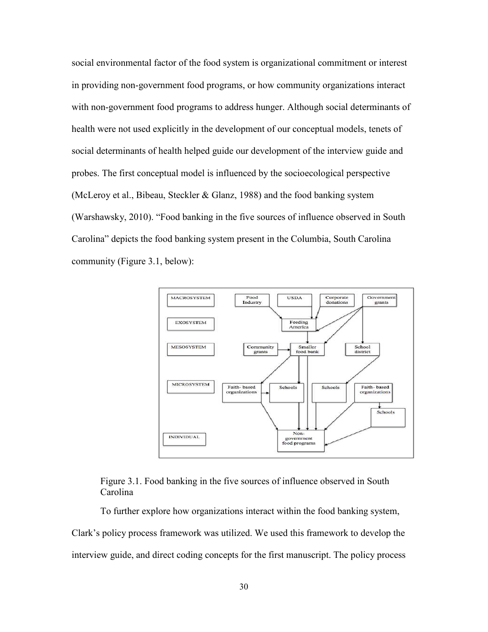social environmental factor of the food system is organizational commitment or interest in providing non-government food programs, or how community organizations interact with non-government food programs to address hunger. Although social determinants of health were not used explicitly in the development of our conceptual models, tenets of social determinants of health helped guide our development of the interview guide and probes. The first conceptual model is influenced by the socioecological perspective (McLeroy et al., Bibeau, Steckler & Glanz, 1988) and the food banking system (Warshawsky, 2010). "Food banking in the five sources of influence observed in South Carolina" depicts the food banking system present in the Columbia, South Carolina community (Figure 3.1, below):



# Figure 3.1. Food banking in the five sources of influence observed in South Carolina

To further explore how organizations interact within the food banking system, Clark's policy process framework was utilized. We used this framework to develop the interview guide, and direct coding concepts for the first manuscript. The policy process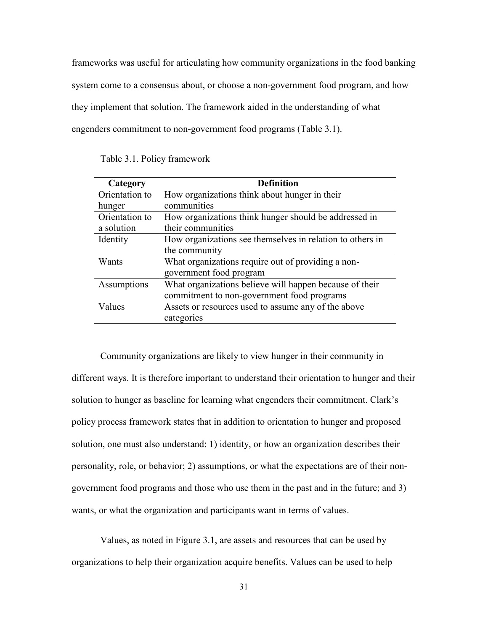frameworks was useful for articulating how community organizations in the food banking system come to a consensus about, or choose a non-government food program, and how they implement that solution. The framework aided in the understanding of what engenders commitment to non-government food programs (Table 3.1).

|  | Table 3.1. Policy framework |
|--|-----------------------------|
|--|-----------------------------|

| Category       | <b>Definition</b>                                         |
|----------------|-----------------------------------------------------------|
| Orientation to | How organizations think about hunger in their             |
| hunger         | communities                                               |
| Orientation to | How organizations think hunger should be addressed in     |
| a solution     | their communities                                         |
| Identity       | How organizations see themselves in relation to others in |
|                | the community                                             |
| Wants          | What organizations require out of providing a non-        |
|                | government food program                                   |
| Assumptions    | What organizations believe will happen because of their   |
|                | commitment to non-government food programs                |
| Values         | Assets or resources used to assume any of the above       |
|                | categories                                                |

Community organizations are likely to view hunger in their community in different ways. It is therefore important to understand their orientation to hunger and their solution to hunger as baseline for learning what engenders their commitment. Clark's policy process framework states that in addition to orientation to hunger and proposed solution, one must also understand: 1) identity, or how an organization describes their personality, role, or behavior; 2) assumptions, or what the expectations are of their nongovernment food programs and those who use them in the past and in the future; and 3) wants, or what the organization and participants want in terms of values.

 Values, as noted in Figure 3.1, are assets and resources that can be used by organizations to help their organization acquire benefits. Values can be used to help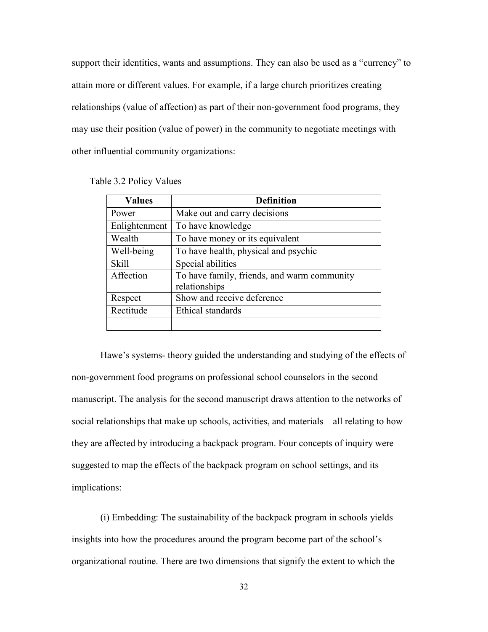support their identities, wants and assumptions. They can also be used as a "currency" to attain more or different values. For example, if a large church prioritizes creating relationships (value of affection) as part of their non-government food programs, they may use their position (value of power) in the community to negotiate meetings with other influential community organizations:

| <b>Values</b> | <b>Definition</b>                           |
|---------------|---------------------------------------------|
| Power         | Make out and carry decisions                |
| Enlightenment | To have knowledge                           |
| Wealth        | To have money or its equivalent             |
| Well-being    | To have health, physical and psychic        |
| <b>Skill</b>  | Special abilities                           |
| Affection     | To have family, friends, and warm community |
|               | relationships                               |
| Respect       | Show and receive deference                  |
| Rectitude     | Ethical standards                           |
|               |                                             |

Table 3.2 Policy Values

Hawe's systems- theory guided the understanding and studying of the effects of non-government food programs on professional school counselors in the second manuscript. The analysis for the second manuscript draws attention to the networks of social relationships that make up schools, activities, and materials – all relating to how they are affected by introducing a backpack program. Four concepts of inquiry were suggested to map the effects of the backpack program on school settings, and its implications:

(i) Embedding: The sustainability of the backpack program in schools yields insights into how the procedures around the program become part of the school's organizational routine. There are two dimensions that signify the extent to which the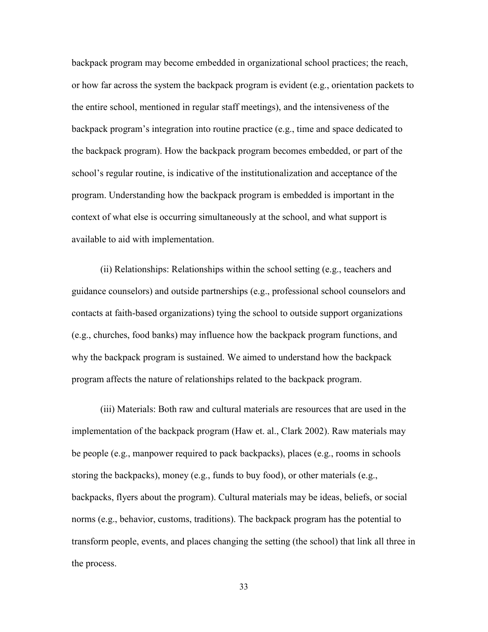backpack program may become embedded in organizational school practices; the reach, or how far across the system the backpack program is evident (e.g., orientation packets to the entire school, mentioned in regular staff meetings), and the intensiveness of the backpack program's integration into routine practice (e.g., time and space dedicated to the backpack program). How the backpack program becomes embedded, or part of the school's regular routine, is indicative of the institutionalization and acceptance of the program. Understanding how the backpack program is embedded is important in the context of what else is occurring simultaneously at the school, and what support is available to aid with implementation.

(ii) Relationships: Relationships within the school setting (e.g., teachers and guidance counselors) and outside partnerships (e.g., professional school counselors and contacts at faith-based organizations) tying the school to outside support organizations (e.g., churches, food banks) may influence how the backpack program functions, and why the backpack program is sustained. We aimed to understand how the backpack program affects the nature of relationships related to the backpack program.

(iii) Materials: Both raw and cultural materials are resources that are used in the implementation of the backpack program (Haw et. al., Clark 2002). Raw materials may be people (e.g., manpower required to pack backpacks), places (e.g., rooms in schools storing the backpacks), money (e.g., funds to buy food), or other materials (e.g., backpacks, flyers about the program). Cultural materials may be ideas, beliefs, or social norms (e.g., behavior, customs, traditions). The backpack program has the potential to transform people, events, and places changing the setting (the school) that link all three in the process.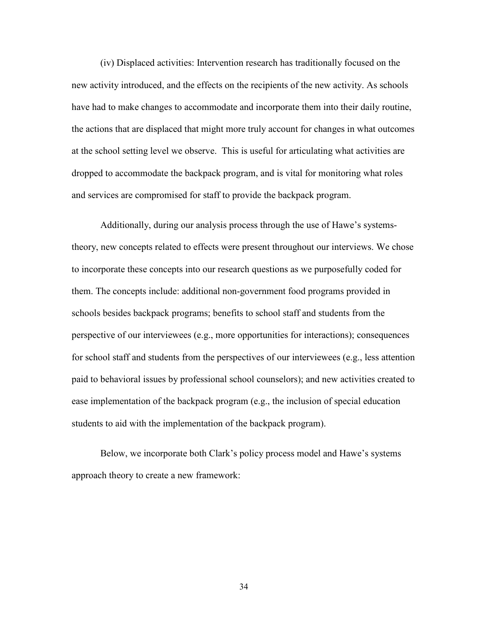(iv) Displaced activities: Intervention research has traditionally focused on the new activity introduced, and the effects on the recipients of the new activity. As schools have had to make changes to accommodate and incorporate them into their daily routine, the actions that are displaced that might more truly account for changes in what outcomes at the school setting level we observe. This is useful for articulating what activities are dropped to accommodate the backpack program, and is vital for monitoring what roles and services are compromised for staff to provide the backpack program.

Additionally, during our analysis process through the use of Hawe's systemstheory, new concepts related to effects were present throughout our interviews. We chose to incorporate these concepts into our research questions as we purposefully coded for them. The concepts include: additional non-government food programs provided in schools besides backpack programs; benefits to school staff and students from the perspective of our interviewees (e.g., more opportunities for interactions); consequences for school staff and students from the perspectives of our interviewees (e.g., less attention paid to behavioral issues by professional school counselors); and new activities created to ease implementation of the backpack program (e.g., the inclusion of special education students to aid with the implementation of the backpack program).

Below, we incorporate both Clark's policy process model and Hawe's systems approach theory to create a new framework: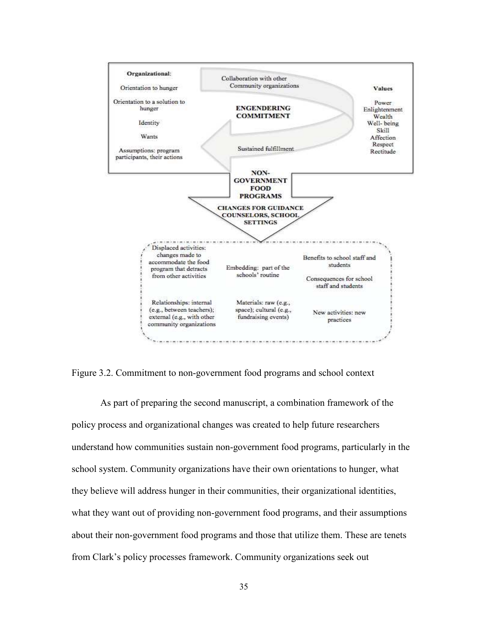

Figure 3.2. Commitment to non-government food programs and school context

 As part of preparing the second manuscript, a combination framework of the policy process and organizational changes was created to help future researchers understand how communities sustain non-government food programs, particularly in the school system. Community organizations have their own orientations to hunger, what they believe will address hunger in their communities, their organizational identities, what they want out of providing non-government food programs, and their assumptions about their non-government food programs and those that utilize them. These are tenets from Clark's policy processes framework. Community organizations seek out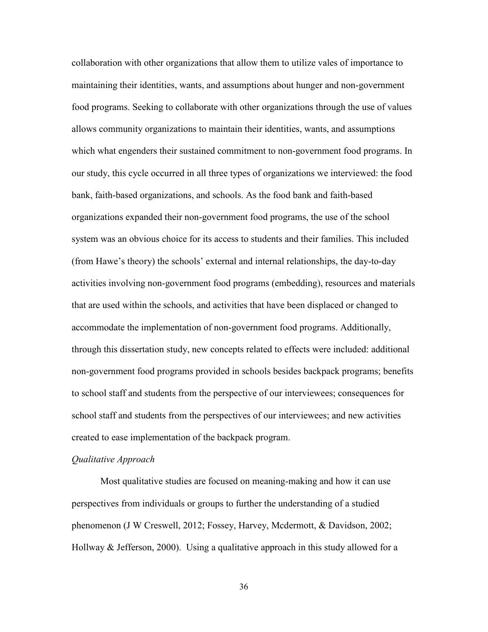collaboration with other organizations that allow them to utilize vales of importance to maintaining their identities, wants, and assumptions about hunger and non-government food programs. Seeking to collaborate with other organizations through the use of values allows community organizations to maintain their identities, wants, and assumptions which what engenders their sustained commitment to non-government food programs. In our study, this cycle occurred in all three types of organizations we interviewed: the food bank, faith-based organizations, and schools. As the food bank and faith-based organizations expanded their non-government food programs, the use of the school system was an obvious choice for its access to students and their families. This included (from Hawe's theory) the schools' external and internal relationships, the day-to-day activities involving non-government food programs (embedding), resources and materials that are used within the schools, and activities that have been displaced or changed to accommodate the implementation of non-government food programs. Additionally, through this dissertation study, new concepts related to effects were included: additional non-government food programs provided in schools besides backpack programs; benefits to school staff and students from the perspective of our interviewees; consequences for school staff and students from the perspectives of our interviewees; and new activities created to ease implementation of the backpack program.

### *Qualitative Approach*

Most qualitative studies are focused on meaning-making and how it can use perspectives from individuals or groups to further the understanding of a studied phenomenon (J W Creswell, 2012; Fossey, Harvey, Mcdermott, & Davidson, 2002; Hollway  $\&$  Jefferson, 2000). Using a qualitative approach in this study allowed for a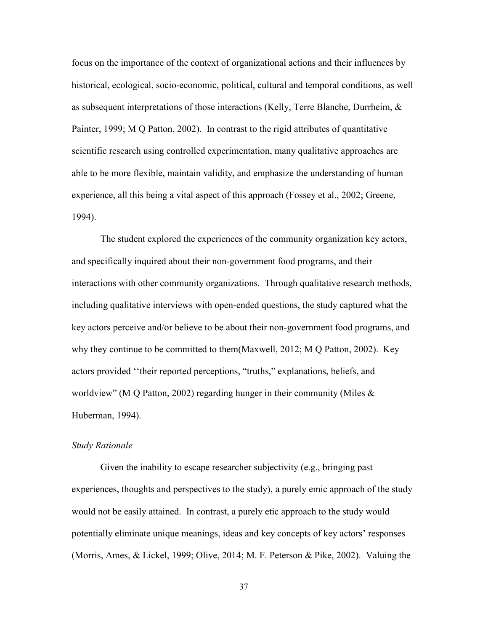focus on the importance of the context of organizational actions and their influences by historical, ecological, socio-economic, political, cultural and temporal conditions, as well as subsequent interpretations of those interactions (Kelly, Terre Blanche, Durrheim, & Painter, 1999; M Q Patton, 2002). In contrast to the rigid attributes of quantitative scientific research using controlled experimentation, many qualitative approaches are able to be more flexible, maintain validity, and emphasize the understanding of human experience, all this being a vital aspect of this approach (Fossey et al., 2002; Greene, 1994).

The student explored the experiences of the community organization key actors, and specifically inquired about their non-government food programs, and their interactions with other community organizations. Through qualitative research methods, including qualitative interviews with open-ended questions, the study captured what the key actors perceive and/or believe to be about their non-government food programs, and why they continue to be committed to them(Maxwell, 2012; M Q Patton, 2002). Key actors provided ''their reported perceptions, "truths," explanations, beliefs, and worldview" (M Q Patton, 2002) regarding hunger in their community (Miles & Huberman, 1994).

#### *Study Rationale*

Given the inability to escape researcher subjectivity (e.g., bringing past experiences, thoughts and perspectives to the study), a purely emic approach of the study would not be easily attained. In contrast, a purely etic approach to the study would potentially eliminate unique meanings, ideas and key concepts of key actors' responses (Morris, Ames, & Lickel, 1999; Olive, 2014; M. F. Peterson & Pike, 2002). Valuing the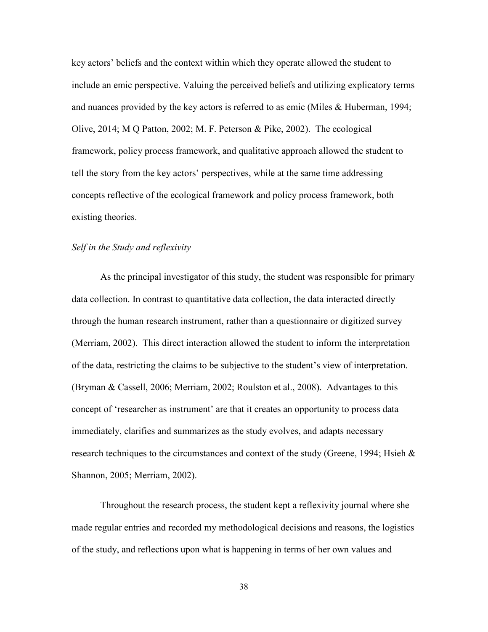key actors' beliefs and the context within which they operate allowed the student to include an emic perspective. Valuing the perceived beliefs and utilizing explicatory terms and nuances provided by the key actors is referred to as emic (Miles & Huberman, 1994; Olive,  $2014$ ; M Q Patton,  $2002$ ; M. F. Peterson & Pike,  $2002$ ). The ecological framework, policy process framework, and qualitative approach allowed the student to tell the story from the key actors' perspectives, while at the same time addressing concepts reflective of the ecological framework and policy process framework, both existing theories.

### *Self in the Study and reflexivity*

As the principal investigator of this study, the student was responsible for primary data collection. In contrast to quantitative data collection, the data interacted directly through the human research instrument, rather than a questionnaire or digitized survey (Merriam, 2002). This direct interaction allowed the student to inform the interpretation of the data, restricting the claims to be subjective to the student's view of interpretation. (Bryman & Cassell, 2006; Merriam, 2002; Roulston et al., 2008). Advantages to this concept of 'researcher as instrument' are that it creates an opportunity to process data immediately, clarifies and summarizes as the study evolves, and adapts necessary research techniques to the circumstances and context of the study (Greene, 1994; Hsieh  $\&$ Shannon, 2005; Merriam, 2002).

Throughout the research process, the student kept a reflexivity journal where she made regular entries and recorded my methodological decisions and reasons, the logistics of the study, and reflections upon what is happening in terms of her own values and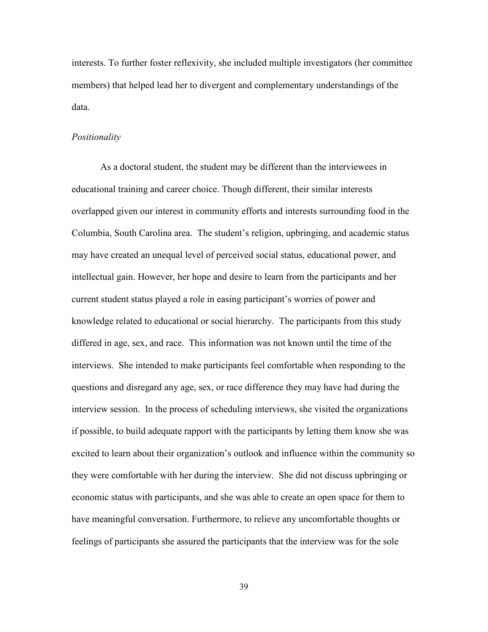interests. To further foster reflexivity, she included multiple investigators (her committee members) that helped lead her to divergent and complementary understandings of the data.

#### *Positionality*

As a doctoral student, the student may be different than the interviewees in educational training and career choice. Though different, their similar interests overlapped given our interest in community efforts and interests surrounding food in the Columbia, South Carolina area. The student's religion, upbringing, and academic status may have created an unequal level of perceived social status, educational power, and intellectual gain. However, her hope and desire to learn from the participants and her current student status played a role in easing participant's worries of power and knowledge related to educational or social hierarchy. The participants from this study differed in age, sex, and race. This information was not known until the time of the interviews. She intended to make participants feel comfortable when responding to the questions and disregard any age, sex, or race difference they may have had during the interview session. In the process of scheduling interviews, she visited the organizations if possible, to build adequate rapport with the participants by letting them know she was excited to learn about their organization's outlook and influence within the community so they were comfortable with her during the interview. She did not discuss upbringing or economic status with participants, and she was able to create an open space for them to have meaningful conversation. Furthermore, to relieve any uncomfortable thoughts or feelings of participants she assured the participants that the interview was for the sole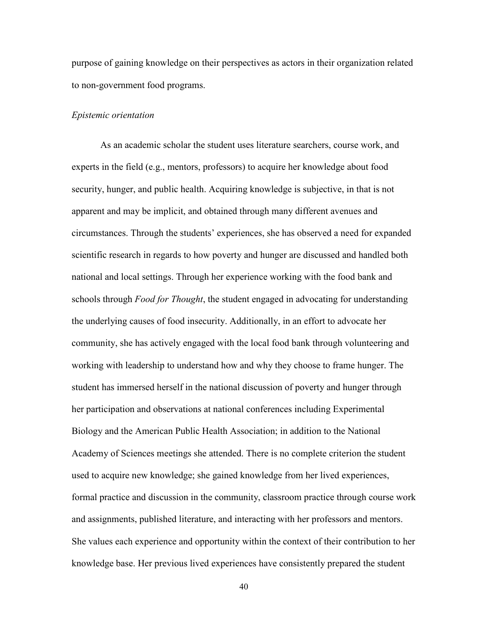purpose of gaining knowledge on their perspectives as actors in their organization related to non-government food programs.

#### *Epistemic orientation*

As an academic scholar the student uses literature searchers, course work, and experts in the field (e.g., mentors, professors) to acquire her knowledge about food security, hunger, and public health. Acquiring knowledge is subjective, in that is not apparent and may be implicit, and obtained through many different avenues and circumstances. Through the students' experiences, she has observed a need for expanded scientific research in regards to how poverty and hunger are discussed and handled both national and local settings. Through her experience working with the food bank and schools through *Food for Thought*, the student engaged in advocating for understanding the underlying causes of food insecurity. Additionally, in an effort to advocate her community, she has actively engaged with the local food bank through volunteering and working with leadership to understand how and why they choose to frame hunger. The student has immersed herself in the national discussion of poverty and hunger through her participation and observations at national conferences including Experimental Biology and the American Public Health Association; in addition to the National Academy of Sciences meetings she attended. There is no complete criterion the student used to acquire new knowledge; she gained knowledge from her lived experiences, formal practice and discussion in the community, classroom practice through course work and assignments, published literature, and interacting with her professors and mentors. She values each experience and opportunity within the context of their contribution to her knowledge base. Her previous lived experiences have consistently prepared the student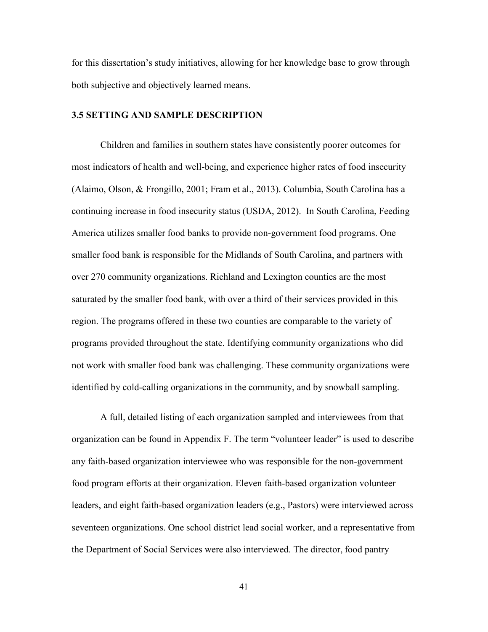for this dissertation's study initiatives, allowing for her knowledge base to grow through both subjective and objectively learned means.

## **3.5 SETTING AND SAMPLE DESCRIPTION**

Children and families in southern states have consistently poorer outcomes for most indicators of health and well-being, and experience higher rates of food insecurity (Alaimo, Olson, & Frongillo, 2001; Fram et al., 2013). Columbia, South Carolina has a continuing increase in food insecurity status (USDA, 2012). In South Carolina, Feeding America utilizes smaller food banks to provide non-government food programs. One smaller food bank is responsible for the Midlands of South Carolina, and partners with over 270 community organizations. Richland and Lexington counties are the most saturated by the smaller food bank, with over a third of their services provided in this region. The programs offered in these two counties are comparable to the variety of programs provided throughout the state. Identifying community organizations who did not work with smaller food bank was challenging. These community organizations were identified by cold-calling organizations in the community, and by snowball sampling.

A full, detailed listing of each organization sampled and interviewees from that organization can be found in Appendix F. The term "volunteer leader" is used to describe any faith-based organization interviewee who was responsible for the non-government food program efforts at their organization. Eleven faith-based organization volunteer leaders, and eight faith-based organization leaders (e.g., Pastors) were interviewed across seventeen organizations. One school district lead social worker, and a representative from the Department of Social Services were also interviewed. The director, food pantry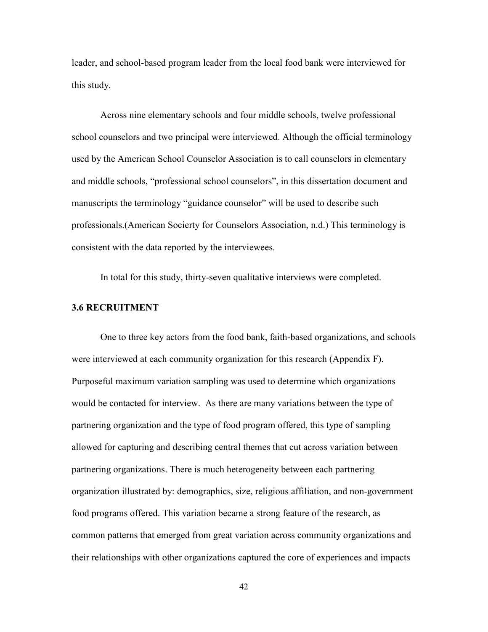leader, and school-based program leader from the local food bank were interviewed for this study.

Across nine elementary schools and four middle schools, twelve professional school counselors and two principal were interviewed. Although the official terminology used by the American School Counselor Association is to call counselors in elementary and middle schools, "professional school counselors", in this dissertation document and manuscripts the terminology "guidance counselor" will be used to describe such professionals.(American Socierty for Counselors Association, n.d.) This terminology is consistent with the data reported by the interviewees.

In total for this study, thirty-seven qualitative interviews were completed.

# **3.6 RECRUITMENT**

One to three key actors from the food bank, faith-based organizations, and schools were interviewed at each community organization for this research (Appendix F). Purposeful maximum variation sampling was used to determine which organizations would be contacted for interview. As there are many variations between the type of partnering organization and the type of food program offered, this type of sampling allowed for capturing and describing central themes that cut across variation between partnering organizations. There is much heterogeneity between each partnering organization illustrated by: demographics, size, religious affiliation, and non-government food programs offered. This variation became a strong feature of the research, as common patterns that emerged from great variation across community organizations and their relationships with other organizations captured the core of experiences and impacts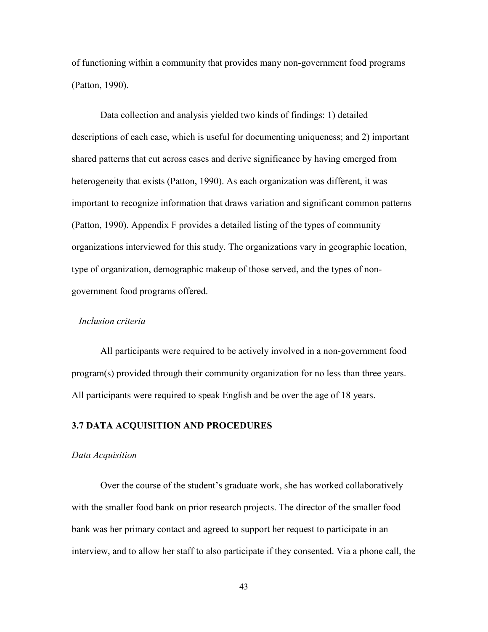of functioning within a community that provides many non-government food programs (Patton, 1990).

Data collection and analysis yielded two kinds of findings: 1) detailed descriptions of each case, which is useful for documenting uniqueness; and 2) important shared patterns that cut across cases and derive significance by having emerged from heterogeneity that exists (Patton, 1990). As each organization was different, it was important to recognize information that draws variation and significant common patterns (Patton, 1990). Appendix F provides a detailed listing of the types of community organizations interviewed for this study. The organizations vary in geographic location, type of organization, demographic makeup of those served, and the types of nongovernment food programs offered.

#### *Inclusion criteria*

 All participants were required to be actively involved in a non-government food program(s) provided through their community organization for no less than three years. All participants were required to speak English and be over the age of 18 years.

# **3.7 DATA ACQUISITION AND PROCEDURES**

#### *Data Acquisition*

Over the course of the student's graduate work, she has worked collaboratively with the smaller food bank on prior research projects. The director of the smaller food bank was her primary contact and agreed to support her request to participate in an interview, and to allow her staff to also participate if they consented. Via a phone call, the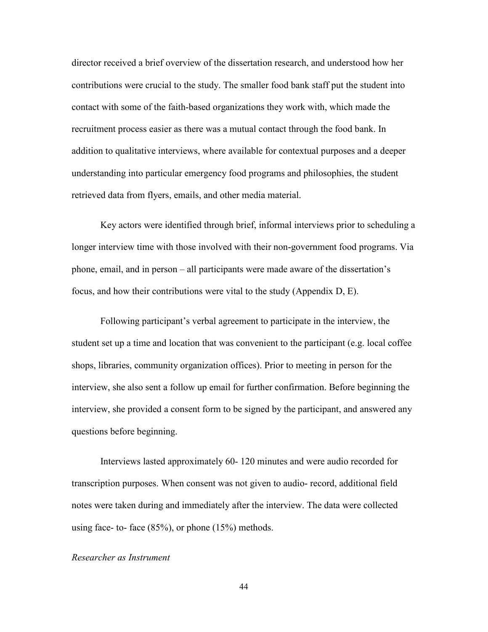director received a brief overview of the dissertation research, and understood how her contributions were crucial to the study. The smaller food bank staff put the student into contact with some of the faith-based organizations they work with, which made the recruitment process easier as there was a mutual contact through the food bank. In addition to qualitative interviews, where available for contextual purposes and a deeper understanding into particular emergency food programs and philosophies, the student retrieved data from flyers, emails, and other media material.

Key actors were identified through brief, informal interviews prior to scheduling a longer interview time with those involved with their non-government food programs. Via phone, email, and in person – all participants were made aware of the dissertation's focus, and how their contributions were vital to the study (Appendix D, E).

Following participant's verbal agreement to participate in the interview, the student set up a time and location that was convenient to the participant (e.g. local coffee shops, libraries, community organization offices). Prior to meeting in person for the interview, she also sent a follow up email for further confirmation. Before beginning the interview, she provided a consent form to be signed by the participant, and answered any questions before beginning.

Interviews lasted approximately 60- 120 minutes and were audio recorded for transcription purposes. When consent was not given to audio- record, additional field notes were taken during and immediately after the interview. The data were collected using face- to- face  $(85\%)$ , or phone  $(15\%)$  methods.

## *Researcher as Instrument*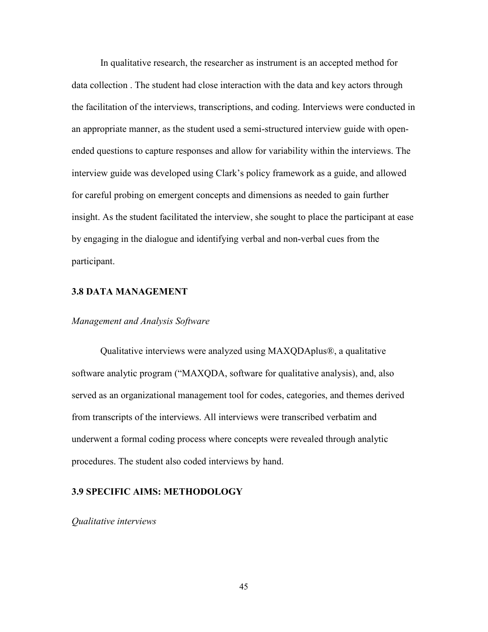In qualitative research, the researcher as instrument is an accepted method for data collection . The student had close interaction with the data and key actors through the facilitation of the interviews, transcriptions, and coding. Interviews were conducted in an appropriate manner, as the student used a semi-structured interview guide with openended questions to capture responses and allow for variability within the interviews. The interview guide was developed using Clark's policy framework as a guide, and allowed for careful probing on emergent concepts and dimensions as needed to gain further insight. As the student facilitated the interview, she sought to place the participant at ease by engaging in the dialogue and identifying verbal and non-verbal cues from the participant.

### **3.8 DATA MANAGEMENT**

### *Management and Analysis Software*

 Qualitative interviews were analyzed using MAXQDAplus®, a qualitative software analytic program ("MAXQDA, software for qualitative analysis), and, also served as an organizational management tool for codes, categories, and themes derived from transcripts of the interviews. All interviews were transcribed verbatim and underwent a formal coding process where concepts were revealed through analytic procedures. The student also coded interviews by hand.

# **3.9 SPECIFIC AIMS: METHODOLOGY**

*Qualitative interviews*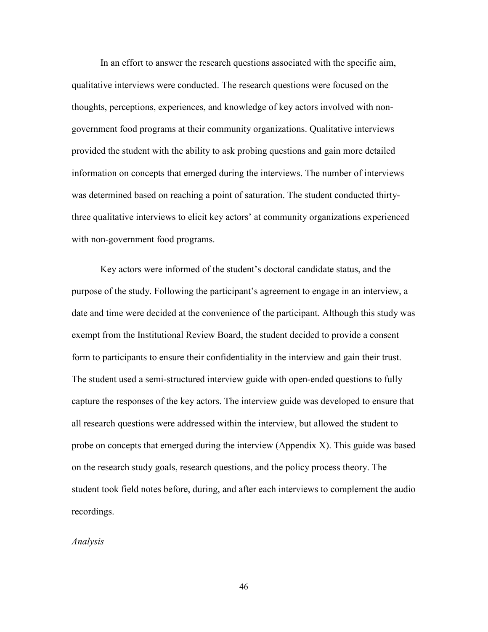In an effort to answer the research questions associated with the specific aim, qualitative interviews were conducted. The research questions were focused on the thoughts, perceptions, experiences, and knowledge of key actors involved with nongovernment food programs at their community organizations. Qualitative interviews provided the student with the ability to ask probing questions and gain more detailed information on concepts that emerged during the interviews. The number of interviews was determined based on reaching a point of saturation. The student conducted thirtythree qualitative interviews to elicit key actors' at community organizations experienced with non-government food programs.

 Key actors were informed of the student's doctoral candidate status, and the purpose of the study. Following the participant's agreement to engage in an interview, a date and time were decided at the convenience of the participant. Although this study was exempt from the Institutional Review Board, the student decided to provide a consent form to participants to ensure their confidentiality in the interview and gain their trust. The student used a semi-structured interview guide with open-ended questions to fully capture the responses of the key actors. The interview guide was developed to ensure that all research questions were addressed within the interview, but allowed the student to probe on concepts that emerged during the interview (Appendix X). This guide was based on the research study goals, research questions, and the policy process theory. The student took field notes before, during, and after each interviews to complement the audio recordings.

### *Analysis*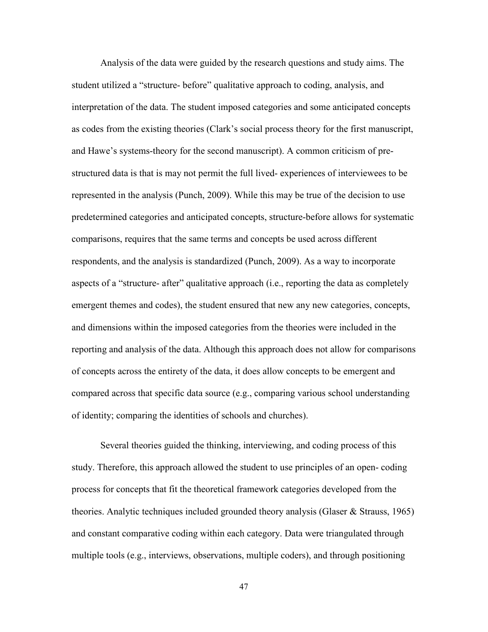Analysis of the data were guided by the research questions and study aims. The student utilized a "structure- before" qualitative approach to coding, analysis, and interpretation of the data. The student imposed categories and some anticipated concepts as codes from the existing theories (Clark's social process theory for the first manuscript, and Hawe's systems-theory for the second manuscript). A common criticism of prestructured data is that is may not permit the full lived- experiences of interviewees to be represented in the analysis (Punch, 2009). While this may be true of the decision to use predetermined categories and anticipated concepts, structure-before allows for systematic comparisons, requires that the same terms and concepts be used across different respondents, and the analysis is standardized (Punch, 2009). As a way to incorporate aspects of a "structure- after" qualitative approach (i.e., reporting the data as completely emergent themes and codes), the student ensured that new any new categories, concepts, and dimensions within the imposed categories from the theories were included in the reporting and analysis of the data. Although this approach does not allow for comparisons of concepts across the entirety of the data, it does allow concepts to be emergent and compared across that specific data source (e.g., comparing various school understanding of identity; comparing the identities of schools and churches).

 Several theories guided the thinking, interviewing, and coding process of this study. Therefore, this approach allowed the student to use principles of an open- coding process for concepts that fit the theoretical framework categories developed from the theories. Analytic techniques included grounded theory analysis (Glaser & Strauss, 1965) and constant comparative coding within each category. Data were triangulated through multiple tools (e.g., interviews, observations, multiple coders), and through positioning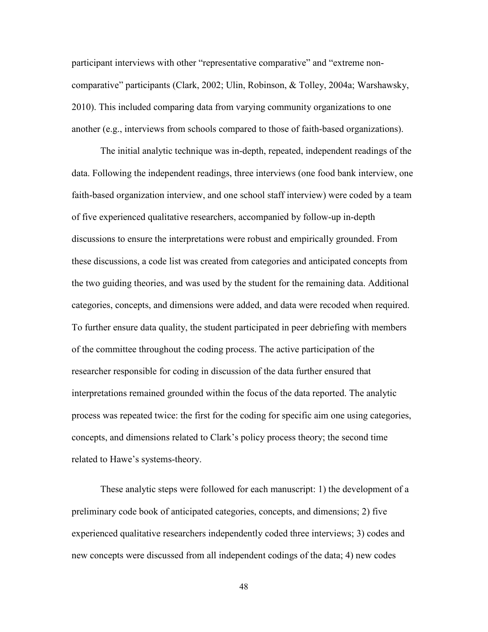participant interviews with other "representative comparative" and "extreme noncomparative" participants (Clark, 2002; Ulin, Robinson, & Tolley, 2004a; Warshawsky, 2010). This included comparing data from varying community organizations to one another (e.g., interviews from schools compared to those of faith-based organizations).

 The initial analytic technique was in-depth, repeated, independent readings of the data. Following the independent readings, three interviews (one food bank interview, one faith-based organization interview, and one school staff interview) were coded by a team of five experienced qualitative researchers, accompanied by follow-up in-depth discussions to ensure the interpretations were robust and empirically grounded. From these discussions, a code list was created from categories and anticipated concepts from the two guiding theories, and was used by the student for the remaining data. Additional categories, concepts, and dimensions were added, and data were recoded when required. To further ensure data quality, the student participated in peer debriefing with members of the committee throughout the coding process. The active participation of the researcher responsible for coding in discussion of the data further ensured that interpretations remained grounded within the focus of the data reported. The analytic process was repeated twice: the first for the coding for specific aim one using categories, concepts, and dimensions related to Clark's policy process theory; the second time related to Hawe's systems-theory.

 These analytic steps were followed for each manuscript: 1) the development of a preliminary code book of anticipated categories, concepts, and dimensions; 2) five experienced qualitative researchers independently coded three interviews; 3) codes and new concepts were discussed from all independent codings of the data; 4) new codes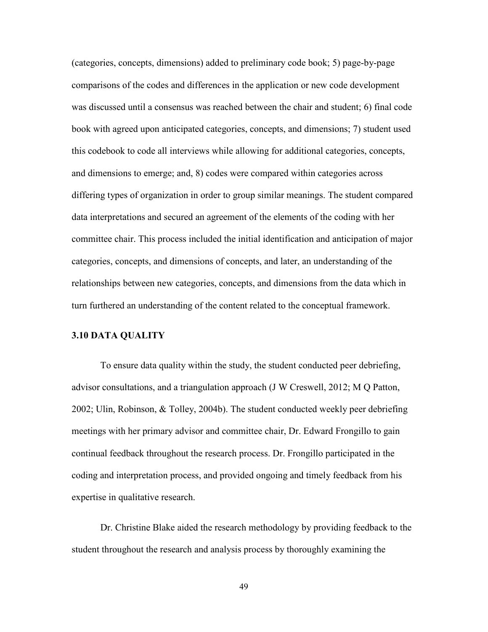(categories, concepts, dimensions) added to preliminary code book; 5) page-by-page comparisons of the codes and differences in the application or new code development was discussed until a consensus was reached between the chair and student; 6) final code book with agreed upon anticipated categories, concepts, and dimensions; 7) student used this codebook to code all interviews while allowing for additional categories, concepts, and dimensions to emerge; and, 8) codes were compared within categories across differing types of organization in order to group similar meanings. The student compared data interpretations and secured an agreement of the elements of the coding with her committee chair. This process included the initial identification and anticipation of major categories, concepts, and dimensions of concepts, and later, an understanding of the relationships between new categories, concepts, and dimensions from the data which in turn furthered an understanding of the content related to the conceptual framework.

### **3.10 DATA QUALITY**

To ensure data quality within the study, the student conducted peer debriefing, advisor consultations, and a triangulation approach (J W Creswell, 2012; M Q Patton, 2002; Ulin, Robinson, & Tolley, 2004b). The student conducted weekly peer debriefing meetings with her primary advisor and committee chair, Dr. Edward Frongillo to gain continual feedback throughout the research process. Dr. Frongillo participated in the coding and interpretation process, and provided ongoing and timely feedback from his expertise in qualitative research.

 Dr. Christine Blake aided the research methodology by providing feedback to the student throughout the research and analysis process by thoroughly examining the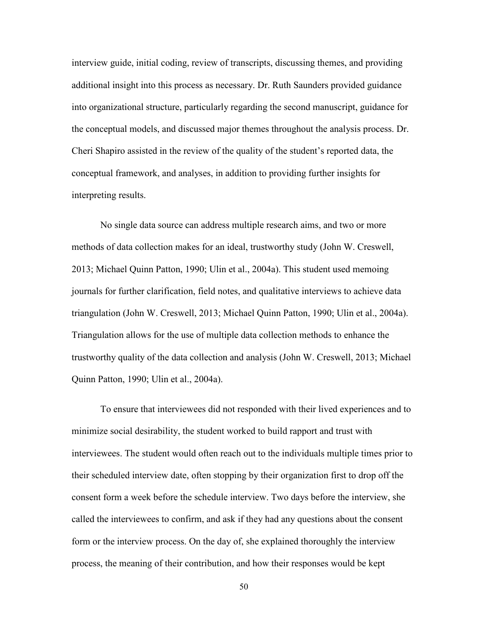interview guide, initial coding, review of transcripts, discussing themes, and providing additional insight into this process as necessary. Dr. Ruth Saunders provided guidance into organizational structure, particularly regarding the second manuscript, guidance for the conceptual models, and discussed major themes throughout the analysis process. Dr. Cheri Shapiro assisted in the review of the quality of the student's reported data, the conceptual framework, and analyses, in addition to providing further insights for interpreting results.

 No single data source can address multiple research aims, and two or more methods of data collection makes for an ideal, trustworthy study (John W. Creswell, 2013; Michael Quinn Patton, 1990; Ulin et al., 2004a). This student used memoing journals for further clarification, field notes, and qualitative interviews to achieve data triangulation (John W. Creswell, 2013; Michael Quinn Patton, 1990; Ulin et al., 2004a). Triangulation allows for the use of multiple data collection methods to enhance the trustworthy quality of the data collection and analysis (John W. Creswell, 2013; Michael Quinn Patton, 1990; Ulin et al., 2004a).

 To ensure that interviewees did not responded with their lived experiences and to minimize social desirability, the student worked to build rapport and trust with interviewees. The student would often reach out to the individuals multiple times prior to their scheduled interview date, often stopping by their organization first to drop off the consent form a week before the schedule interview. Two days before the interview, she called the interviewees to confirm, and ask if they had any questions about the consent form or the interview process. On the day of, she explained thoroughly the interview process, the meaning of their contribution, and how their responses would be kept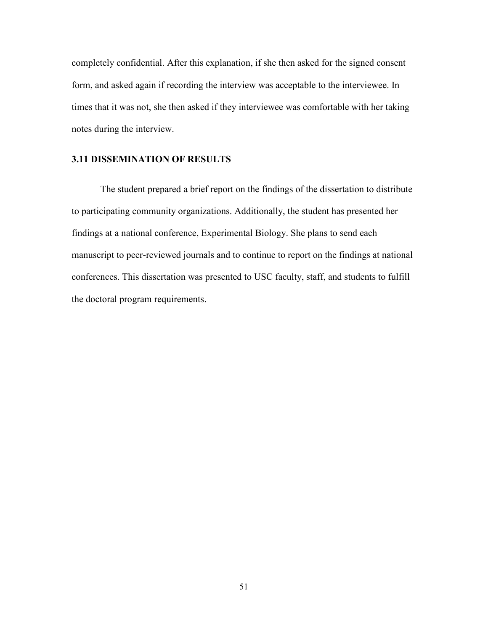completely confidential. After this explanation, if she then asked for the signed consent form, and asked again if recording the interview was acceptable to the interviewee. In times that it was not, she then asked if they interviewee was comfortable with her taking notes during the interview.

## **3.11 DISSEMINATION OF RESULTS**

The student prepared a brief report on the findings of the dissertation to distribute to participating community organizations. Additionally, the student has presented her findings at a national conference, Experimental Biology. She plans to send each manuscript to peer-reviewed journals and to continue to report on the findings at national conferences. This dissertation was presented to USC faculty, staff, and students to fulfill the doctoral program requirements.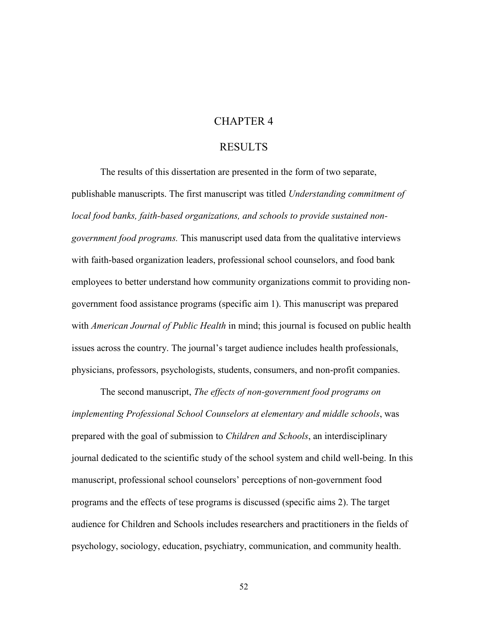# CHAPTER 4

# RESULTS

The results of this dissertation are presented in the form of two separate, publishable manuscripts. The first manuscript was titled *Understanding commitment of local food banks, faith-based organizations, and schools to provide sustained nongovernment food programs.* This manuscript used data from the qualitative interviews with faith-based organization leaders, professional school counselors, and food bank employees to better understand how community organizations commit to providing nongovernment food assistance programs (specific aim 1). This manuscript was prepared with *American Journal of Public Health* in mind; this journal is focused on public health issues across the country. The journal's target audience includes health professionals, physicians, professors, psychologists, students, consumers, and non-profit companies.

 The second manuscript, *The effects of non-government food programs on implementing Professional School Counselors at elementary and middle schools*, was prepared with the goal of submission to *Children and Schools*, an interdisciplinary journal dedicated to the scientific study of the school system and child well-being. In this manuscript, professional school counselors' perceptions of non-government food programs and the effects of tese programs is discussed (specific aims 2). The target audience for Children and Schools includes researchers and practitioners in the fields of psychology, sociology, education, psychiatry, communication, and community health.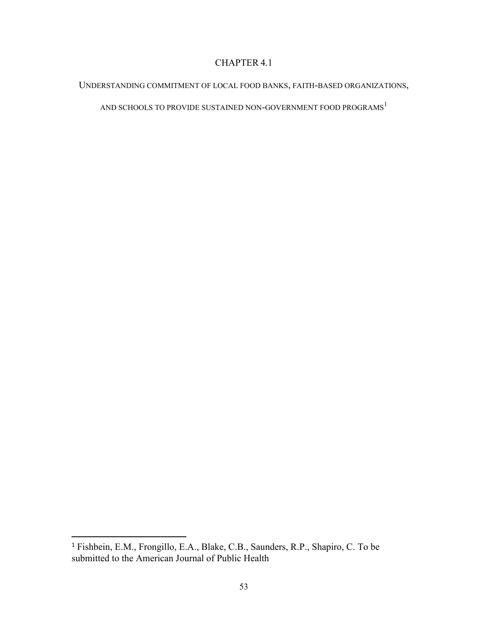# CHAPTER 4.1

# UNDERSTANDING COMMITMENT OF LOCAL FOOD BANKS, FAITH-BASED ORGANIZATIONS,

AND SCHOOLS TO PROVIDE SUSTAINED NON-GOVERNMENT FOOD PROGRAMS  $^{\rm l}$ 

l

<sup>1</sup> Fishbein, E.M., Frongillo, E.A., Blake, C.B., Saunders, R.P., Shapiro, C. To be submitted to the American Journal of Public Health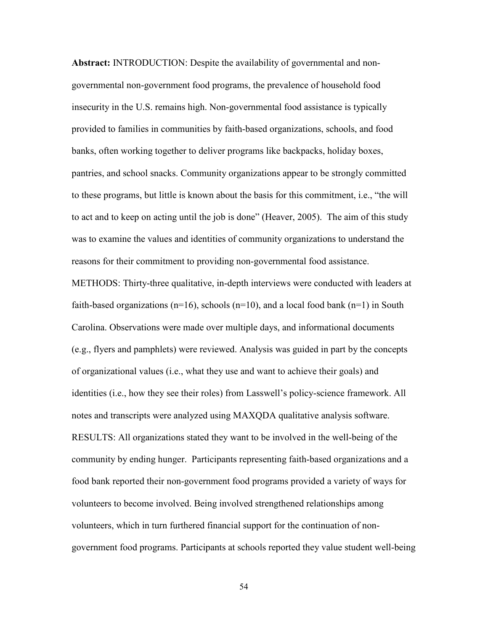**Abstract:** INTRODUCTION: Despite the availability of governmental and nongovernmental non-government food programs, the prevalence of household food insecurity in the U.S. remains high. Non-governmental food assistance is typically provided to families in communities by faith-based organizations, schools, and food banks, often working together to deliver programs like backpacks, holiday boxes, pantries, and school snacks. Community organizations appear to be strongly committed to these programs, but little is known about the basis for this commitment, i.e., "the will to act and to keep on acting until the job is done" (Heaver, 2005). The aim of this study was to examine the values and identities of community organizations to understand the reasons for their commitment to providing non-governmental food assistance.

METHODS: Thirty-three qualitative, in-depth interviews were conducted with leaders at faith-based organizations ( $n=16$ ), schools ( $n=10$ ), and a local food bank ( $n=1$ ) in South Carolina. Observations were made over multiple days, and informational documents (e.g., flyers and pamphlets) were reviewed. Analysis was guided in part by the concepts of organizational values (i.e., what they use and want to achieve their goals) and identities (i.e., how they see their roles) from Lasswell's policy-science framework. All notes and transcripts were analyzed using MAXQDA qualitative analysis software. RESULTS: All organizations stated they want to be involved in the well-being of the community by ending hunger. Participants representing faith-based organizations and a food bank reported their non-government food programs provided a variety of ways for volunteers to become involved. Being involved strengthened relationships among volunteers, which in turn furthered financial support for the continuation of nongovernment food programs. Participants at schools reported they value student well-being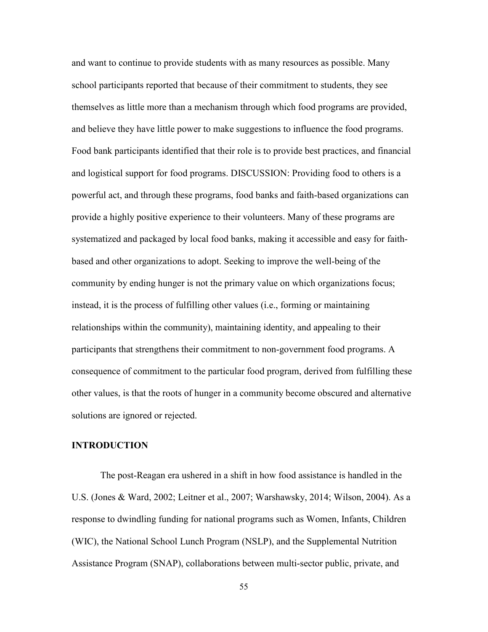and want to continue to provide students with as many resources as possible. Many school participants reported that because of their commitment to students, they see themselves as little more than a mechanism through which food programs are provided, and believe they have little power to make suggestions to influence the food programs. Food bank participants identified that their role is to provide best practices, and financial and logistical support for food programs. DISCUSSION: Providing food to others is a powerful act, and through these programs, food banks and faith-based organizations can provide a highly positive experience to their volunteers. Many of these programs are systematized and packaged by local food banks, making it accessible and easy for faithbased and other organizations to adopt. Seeking to improve the well-being of the community by ending hunger is not the primary value on which organizations focus; instead, it is the process of fulfilling other values (i.e., forming or maintaining relationships within the community), maintaining identity, and appealing to their participants that strengthens their commitment to non-government food programs. A consequence of commitment to the particular food program, derived from fulfilling these other values, is that the roots of hunger in a community become obscured and alternative solutions are ignored or rejected.

#### **INTRODUCTION**

 The post-Reagan era ushered in a shift in how food assistance is handled in the U.S. (Jones & Ward, 2002; Leitner et al., 2007; Warshawsky, 2014; Wilson, 2004). As a response to dwindling funding for national programs such as Women, Infants, Children (WIC), the National School Lunch Program (NSLP), and the Supplemental Nutrition Assistance Program (SNAP), collaborations between multi-sector public, private, and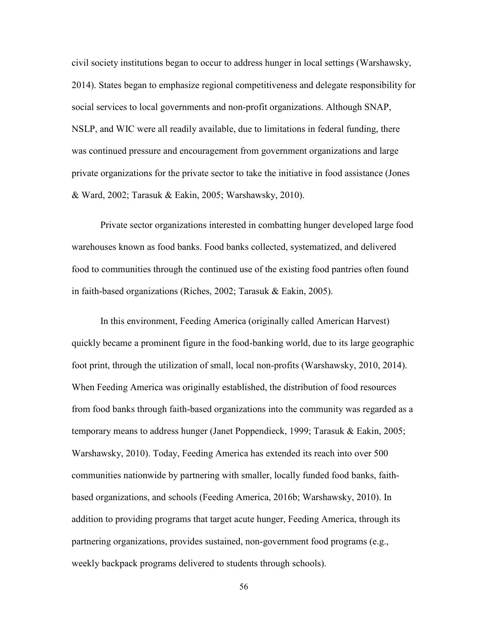civil society institutions began to occur to address hunger in local settings (Warshawsky, 2014). States began to emphasize regional competitiveness and delegate responsibility for social services to local governments and non-profit organizations. Although SNAP, NSLP, and WIC were all readily available, due to limitations in federal funding, there was continued pressure and encouragement from government organizations and large private organizations for the private sector to take the initiative in food assistance (Jones & Ward, 2002; Tarasuk & Eakin, 2005; Warshawsky, 2010).

 Private sector organizations interested in combatting hunger developed large food warehouses known as food banks. Food banks collected, systematized, and delivered food to communities through the continued use of the existing food pantries often found in faith-based organizations (Riches, 2002; Tarasuk & Eakin, 2005).

In this environment, Feeding America (originally called American Harvest) quickly became a prominent figure in the food-banking world, due to its large geographic foot print, through the utilization of small, local non-profits (Warshawsky, 2010, 2014). When Feeding America was originally established, the distribution of food resources from food banks through faith-based organizations into the community was regarded as a temporary means to address hunger (Janet Poppendieck, 1999; Tarasuk & Eakin, 2005; Warshawsky, 2010). Today, Feeding America has extended its reach into over 500 communities nationwide by partnering with smaller, locally funded food banks, faithbased organizations, and schools (Feeding America, 2016b; Warshawsky, 2010). In addition to providing programs that target acute hunger, Feeding America, through its partnering organizations, provides sustained, non-government food programs (e.g., weekly backpack programs delivered to students through schools).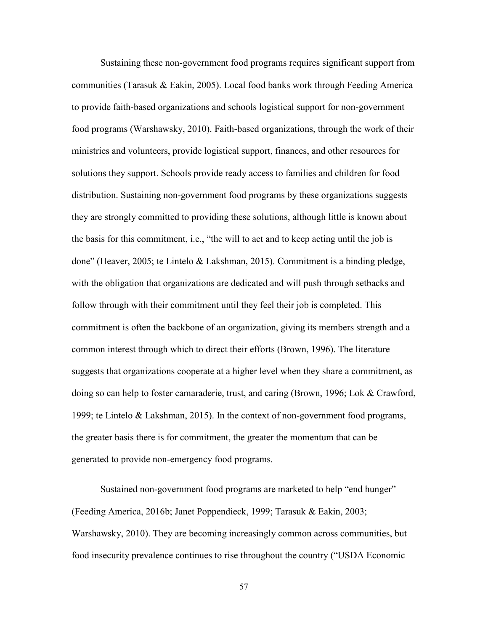Sustaining these non-government food programs requires significant support from communities (Tarasuk & Eakin, 2005). Local food banks work through Feeding America to provide faith-based organizations and schools logistical support for non-government food programs (Warshawsky, 2010). Faith-based organizations, through the work of their ministries and volunteers, provide logistical support, finances, and other resources for solutions they support. Schools provide ready access to families and children for food distribution. Sustaining non-government food programs by these organizations suggests they are strongly committed to providing these solutions, although little is known about the basis for this commitment, i.e., "the will to act and to keep acting until the job is done" (Heaver, 2005; te Lintelo & Lakshman, 2015). Commitment is a binding pledge, with the obligation that organizations are dedicated and will push through setbacks and follow through with their commitment until they feel their job is completed. This commitment is often the backbone of an organization, giving its members strength and a common interest through which to direct their efforts (Brown, 1996). The literature suggests that organizations cooperate at a higher level when they share a commitment, as doing so can help to foster camaraderie, trust, and caring (Brown, 1996; Lok & Crawford, 1999; te Lintelo & Lakshman, 2015). In the context of non-government food programs, the greater basis there is for commitment, the greater the momentum that can be generated to provide non-emergency food programs.

 Sustained non-government food programs are marketed to help "end hunger" (Feeding America, 2016b; Janet Poppendieck, 1999; Tarasuk & Eakin, 2003; Warshawsky, 2010). They are becoming increasingly common across communities, but food insecurity prevalence continues to rise throughout the country ("USDA Economic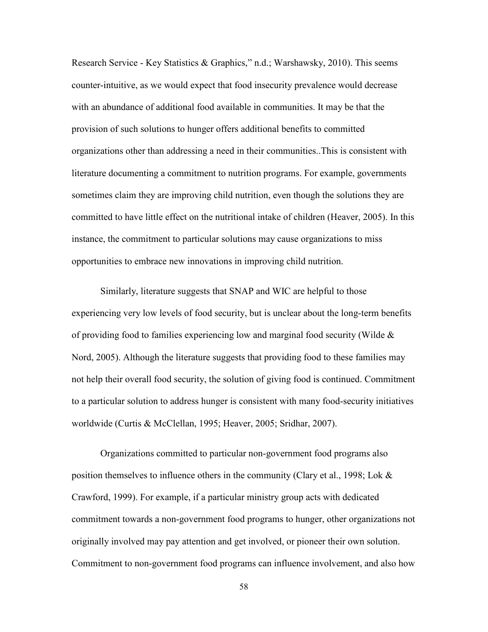Research Service - Key Statistics & Graphics," n.d.; Warshawsky, 2010). This seems counter-intuitive, as we would expect that food insecurity prevalence would decrease with an abundance of additional food available in communities. It may be that the provision of such solutions to hunger offers additional benefits to committed organizations other than addressing a need in their communities..This is consistent with literature documenting a commitment to nutrition programs. For example, governments sometimes claim they are improving child nutrition, even though the solutions they are committed to have little effect on the nutritional intake of children (Heaver, 2005). In this instance, the commitment to particular solutions may cause organizations to miss opportunities to embrace new innovations in improving child nutrition.

Similarly, literature suggests that SNAP and WIC are helpful to those experiencing very low levels of food security, but is unclear about the long-term benefits of providing food to families experiencing low and marginal food security (Wilde & Nord, 2005). Although the literature suggests that providing food to these families may not help their overall food security, the solution of giving food is continued. Commitment to a particular solution to address hunger is consistent with many food-security initiatives worldwide (Curtis & McClellan, 1995; Heaver, 2005; Sridhar, 2007).

 Organizations committed to particular non-government food programs also position themselves to influence others in the community (Clary et al., 1998; Lok & Crawford, 1999). For example, if a particular ministry group acts with dedicated commitment towards a non-government food programs to hunger, other organizations not originally involved may pay attention and get involved, or pioneer their own solution. Commitment to non-government food programs can influence involvement, and also how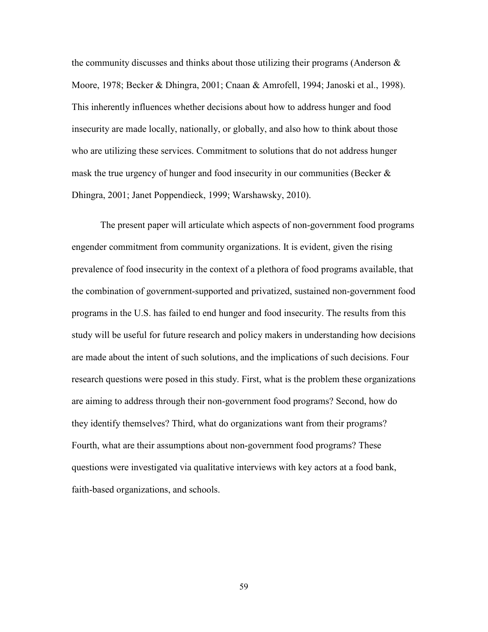the community discusses and thinks about those utilizing their programs (Anderson  $\&$ Moore, 1978; Becker & Dhingra, 2001; Cnaan & Amrofell, 1994; Janoski et al., 1998). This inherently influences whether decisions about how to address hunger and food insecurity are made locally, nationally, or globally, and also how to think about those who are utilizing these services. Commitment to solutions that do not address hunger mask the true urgency of hunger and food insecurity in our communities (Becker & Dhingra, 2001; Janet Poppendieck, 1999; Warshawsky, 2010).

 The present paper will articulate which aspects of non-government food programs engender commitment from community organizations. It is evident, given the rising prevalence of food insecurity in the context of a plethora of food programs available, that the combination of government-supported and privatized, sustained non-government food programs in the U.S. has failed to end hunger and food insecurity. The results from this study will be useful for future research and policy makers in understanding how decisions are made about the intent of such solutions, and the implications of such decisions. Four research questions were posed in this study. First, what is the problem these organizations are aiming to address through their non-government food programs? Second, how do they identify themselves? Third, what do organizations want from their programs? Fourth, what are their assumptions about non-government food programs? These questions were investigated via qualitative interviews with key actors at a food bank, faith-based organizations, and schools.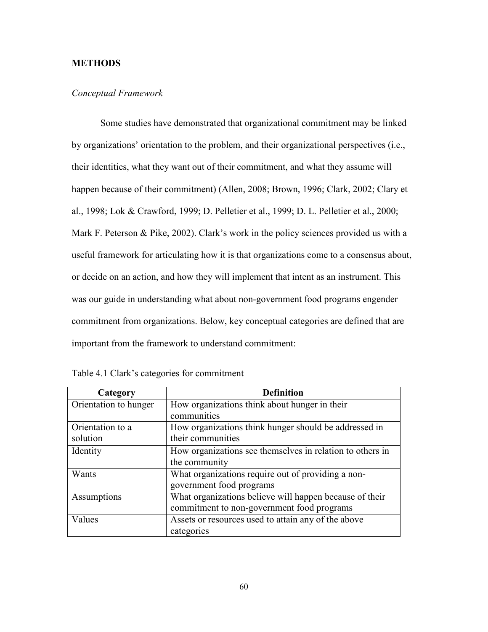# **METHODS**

# *Conceptual Framework*

 Some studies have demonstrated that organizational commitment may be linked by organizations' orientation to the problem, and their organizational perspectives (i.e., their identities, what they want out of their commitment, and what they assume will happen because of their commitment) (Allen, 2008; Brown, 1996; Clark, 2002; Clary et al., 1998; Lok & Crawford, 1999; D. Pelletier et al., 1999; D. L. Pelletier et al., 2000; Mark F. Peterson & Pike, 2002). Clark's work in the policy sciences provided us with a useful framework for articulating how it is that organizations come to a consensus about, or decide on an action, and how they will implement that intent as an instrument. This was our guide in understanding what about non-government food programs engender commitment from organizations. Below, key conceptual categories are defined that are important from the framework to understand commitment:

| Category              | <b>Definition</b>                                         |
|-----------------------|-----------------------------------------------------------|
| Orientation to hunger | How organizations think about hunger in their             |
|                       | communities                                               |
| Orientation to a      | How organizations think hunger should be addressed in     |
| solution              | their communities                                         |
| Identity              | How organizations see themselves in relation to others in |
|                       | the community                                             |
| Wants                 | What organizations require out of providing a non-        |
|                       | government food programs                                  |
| Assumptions           | What organizations believe will happen because of their   |
|                       | commitment to non-government food programs                |
| Values                | Assets or resources used to attain any of the above       |
|                       | categories                                                |

|  |  | Table 4.1 Clark's categories for commitment |
|--|--|---------------------------------------------|
|  |  |                                             |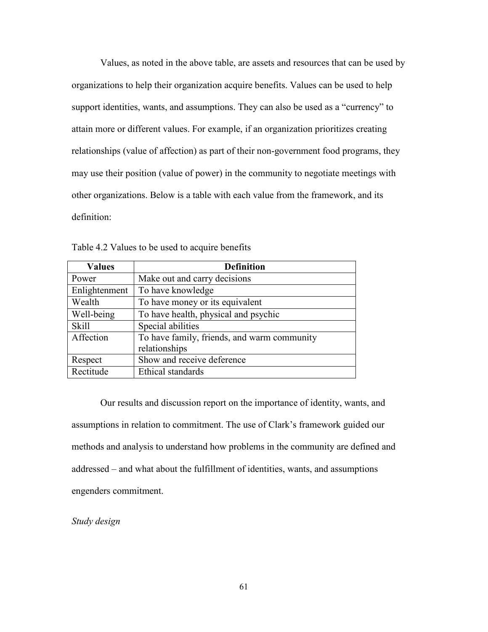Values, as noted in the above table, are assets and resources that can be used by organizations to help their organization acquire benefits. Values can be used to help support identities, wants, and assumptions. They can also be used as a "currency" to attain more or different values. For example, if an organization prioritizes creating relationships (value of affection) as part of their non-government food programs, they may use their position (value of power) in the community to negotiate meetings with other organizations. Below is a table with each value from the framework, and its definition:

| <b>Values</b> | <b>Definition</b>                                            |
|---------------|--------------------------------------------------------------|
| Power         | Make out and carry decisions                                 |
| Enlightenment | To have knowledge                                            |
| Wealth        | To have money or its equivalent                              |
| Well-being    | To have health, physical and psychic                         |
| <b>Skill</b>  | Special abilities                                            |
| Affection     | To have family, friends, and warm community<br>relationships |
| Respect       | Show and receive deference                                   |
| Rectitude     | Ethical standards                                            |

Table 4.2 Values to be used to acquire benefits

 Our results and discussion report on the importance of identity, wants, and assumptions in relation to commitment. The use of Clark's framework guided our methods and analysis to understand how problems in the community are defined and addressed – and what about the fulfillment of identities, wants, and assumptions engenders commitment.

*Study design*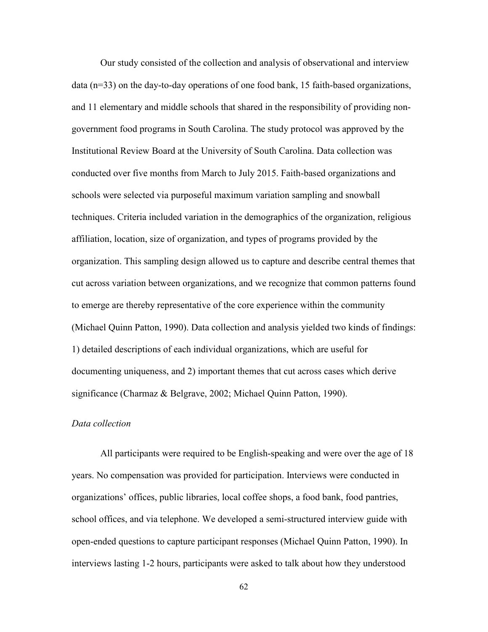Our study consisted of the collection and analysis of observational and interview data (n=33) on the day-to-day operations of one food bank, 15 faith-based organizations, and 11 elementary and middle schools that shared in the responsibility of providing nongovernment food programs in South Carolina. The study protocol was approved by the Institutional Review Board at the University of South Carolina. Data collection was conducted over five months from March to July 2015. Faith-based organizations and schools were selected via purposeful maximum variation sampling and snowball techniques. Criteria included variation in the demographics of the organization, religious affiliation, location, size of organization, and types of programs provided by the organization. This sampling design allowed us to capture and describe central themes that cut across variation between organizations, and we recognize that common patterns found to emerge are thereby representative of the core experience within the community (Michael Quinn Patton, 1990). Data collection and analysis yielded two kinds of findings: 1) detailed descriptions of each individual organizations, which are useful for documenting uniqueness, and 2) important themes that cut across cases which derive significance (Charmaz & Belgrave, 2002; Michael Quinn Patton, 1990).

### *Data collection*

 All participants were required to be English-speaking and were over the age of 18 years. No compensation was provided for participation. Interviews were conducted in organizations' offices, public libraries, local coffee shops, a food bank, food pantries, school offices, and via telephone. We developed a semi-structured interview guide with open-ended questions to capture participant responses (Michael Quinn Patton, 1990). In interviews lasting 1-2 hours, participants were asked to talk about how they understood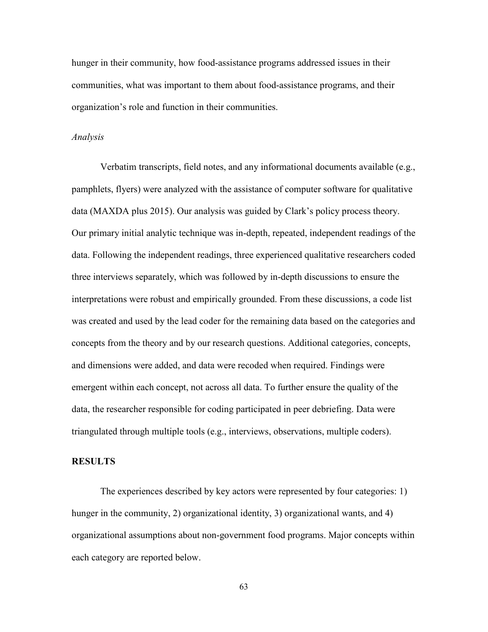hunger in their community, how food-assistance programs addressed issues in their communities, what was important to them about food-assistance programs, and their organization's role and function in their communities.

#### *Analysis*

Verbatim transcripts, field notes, and any informational documents available (e.g., pamphlets, flyers) were analyzed with the assistance of computer software for qualitative data (MAXDA plus 2015). Our analysis was guided by Clark's policy process theory. Our primary initial analytic technique was in-depth, repeated, independent readings of the data. Following the independent readings, three experienced qualitative researchers coded three interviews separately, which was followed by in-depth discussions to ensure the interpretations were robust and empirically grounded. From these discussions, a code list was created and used by the lead coder for the remaining data based on the categories and concepts from the theory and by our research questions. Additional categories, concepts, and dimensions were added, and data were recoded when required. Findings were emergent within each concept, not across all data. To further ensure the quality of the data, the researcher responsible for coding participated in peer debriefing. Data were triangulated through multiple tools (e.g., interviews, observations, multiple coders).

# **RESULTS**

 The experiences described by key actors were represented by four categories: 1) hunger in the community, 2) organizational identity, 3) organizational wants, and 4) organizational assumptions about non-government food programs. Major concepts within each category are reported below.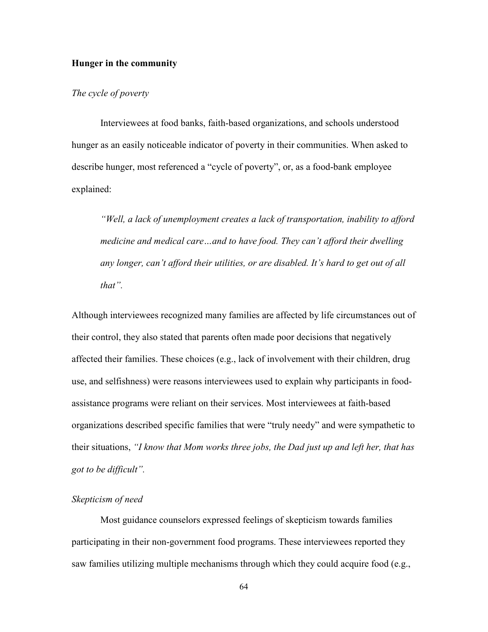## **Hunger in the community**

## *The cycle of poverty*

 Interviewees at food banks, faith-based organizations, and schools understood hunger as an easily noticeable indicator of poverty in their communities. When asked to describe hunger, most referenced a "cycle of poverty", or, as a food-bank employee explained:

*"Well, a lack of unemployment creates a lack of transportation, inability to afford medicine and medical care…and to have food. They can't afford their dwelling any longer, can't afford their utilities, or are disabled. It's hard to get out of all that".*

Although interviewees recognized many families are affected by life circumstances out of their control, they also stated that parents often made poor decisions that negatively affected their families. These choices (e.g., lack of involvement with their children, drug use, and selfishness) were reasons interviewees used to explain why participants in foodassistance programs were reliant on their services. Most interviewees at faith-based organizations described specific families that were "truly needy" and were sympathetic to their situations, *"I know that Mom works three jobs, the Dad just up and left her, that has got to be difficult".*

### *Skepticism of need*

 Most guidance counselors expressed feelings of skepticism towards families participating in their non-government food programs. These interviewees reported they saw families utilizing multiple mechanisms through which they could acquire food (e.g.,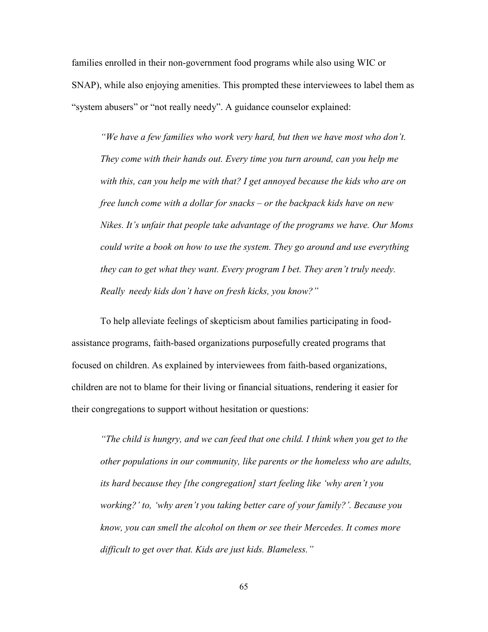families enrolled in their non-government food programs while also using WIC or SNAP), while also enjoying amenities. This prompted these interviewees to label them as "system abusers" or "not really needy". A guidance counselor explained:

*"We have a few families who work very hard, but then we have most who don't. They come with their hands out. Every time you turn around, can you help me with this, can you help me with that? I get annoyed because the kids who are on free lunch come with a dollar for snacks – or the backpack kids have on new Nikes. It's unfair that people take advantage of the programs we have. Our Moms could write a book on how to use the system. They go around and use everything they can to get what they want. Every program I bet. They aren't truly needy. Really needy kids don't have on fresh kicks, you know?"* 

 To help alleviate feelings of skepticism about families participating in foodassistance programs, faith-based organizations purposefully created programs that focused on children. As explained by interviewees from faith-based organizations, children are not to blame for their living or financial situations, rendering it easier for their congregations to support without hesitation or questions:

*"The child is hungry, and we can feed that one child. I think when you get to the other populations in our community, like parents or the homeless who are adults, its hard because they [the congregation] start feeling like 'why aren't you working?' to, 'why aren't you taking better care of your family?'. Because you know, you can smell the alcohol on them or see their Mercedes. It comes more difficult to get over that. Kids are just kids. Blameless."*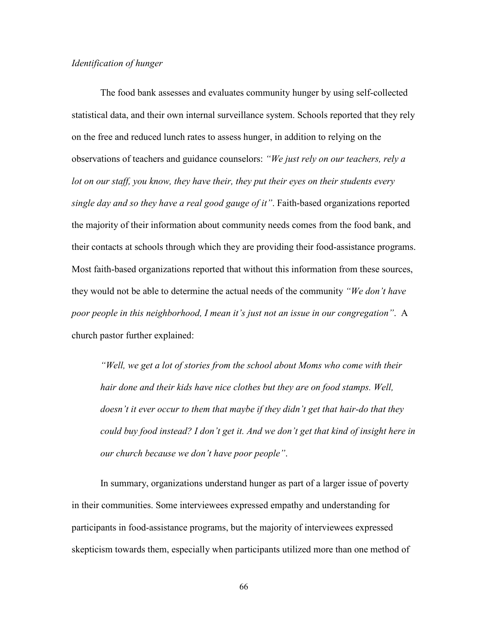## *Identification of hunger*

 The food bank assesses and evaluates community hunger by using self-collected statistical data, and their own internal surveillance system. Schools reported that they rely on the free and reduced lunch rates to assess hunger, in addition to relying on the observations of teachers and guidance counselors: *"We just rely on our teachers, rely a lot on our staff, you know, they have their, they put their eyes on their students every single day and so they have a real good gauge of it"*. Faith-based organizations reported the majority of their information about community needs comes from the food bank, and their contacts at schools through which they are providing their food-assistance programs. Most faith-based organizations reported that without this information from these sources, they would not be able to determine the actual needs of the community *"We don't have poor people in this neighborhood, I mean it's just not an issue in our congregation"*. A church pastor further explained:

*"Well, we get a lot of stories from the school about Moms who come with their hair done and their kids have nice clothes but they are on food stamps. Well, doesn't it ever occur to them that maybe if they didn't get that hair-do that they could buy food instead? I don't get it. And we don't get that kind of insight here in our church because we don't have poor people"*.

 In summary, organizations understand hunger as part of a larger issue of poverty in their communities. Some interviewees expressed empathy and understanding for participants in food-assistance programs, but the majority of interviewees expressed skepticism towards them, especially when participants utilized more than one method of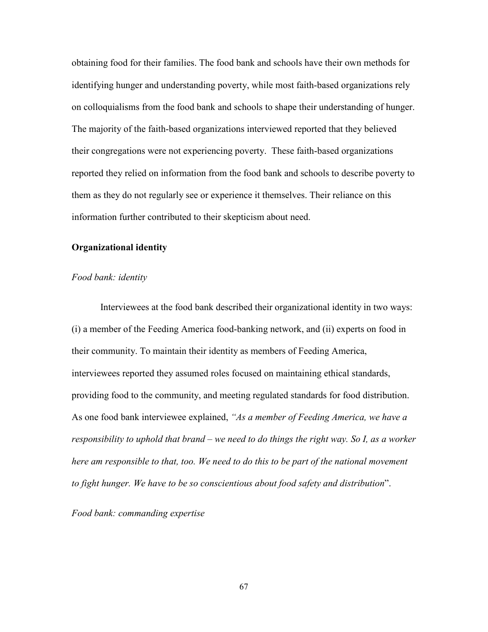obtaining food for their families. The food bank and schools have their own methods for identifying hunger and understanding poverty, while most faith-based organizations rely on colloquialisms from the food bank and schools to shape their understanding of hunger. The majority of the faith-based organizations interviewed reported that they believed their congregations were not experiencing poverty. These faith-based organizations reported they relied on information from the food bank and schools to describe poverty to them as they do not regularly see or experience it themselves. Their reliance on this information further contributed to their skepticism about need.

### **Organizational identity**

### *Food bank: identity*

 Interviewees at the food bank described their organizational identity in two ways: (i) a member of the Feeding America food-banking network, and (ii) experts on food in their community. To maintain their identity as members of Feeding America, interviewees reported they assumed roles focused on maintaining ethical standards, providing food to the community, and meeting regulated standards for food distribution. As one food bank interviewee explained, *"As a member of Feeding America, we have a responsibility to uphold that brand – we need to do things the right way. So I, as a worker here am responsible to that, too. We need to do this to be part of the national movement to fight hunger. We have to be so conscientious about food safety and distribution*".

*Food bank: commanding expertise*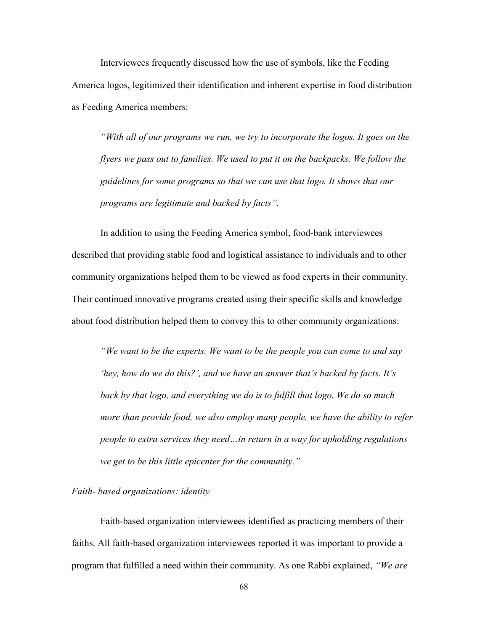Interviewees frequently discussed how the use of symbols, like the Feeding America logos, legitimized their identification and inherent expertise in food distribution as Feeding America members:

*"With all of our programs we run, we try to incorporate the logos. It goes on the flyers we pass out to families. We used to put it on the backpacks. We follow the guidelines for some programs so that we can use that logo. It shows that our programs are legitimate and backed by facts".* 

 In addition to using the Feeding America symbol, food-bank interviewees described that providing stable food and logistical assistance to individuals and to other community organizations helped them to be viewed as food experts in their community. Their continued innovative programs created using their specific skills and knowledge about food distribution helped them to convey this to other community organizations:

*"We want to be the experts. We want to be the people you can come to and say 'hey, how do we do this?', and we have an answer that's backed by facts. It's back by that logo, and everything we do is to fulfill that logo. We do so much more than provide food, we also employ many people, we have the ability to refer people to extra services they need…in return in a way for upholding regulations we get to be this little epicenter for the community."* 

## *Faith- based organizations: identity*

 Faith-based organization interviewees identified as practicing members of their faiths. All faith-based organization interviewees reported it was important to provide a program that fulfilled a need within their community. As one Rabbi explained, *"We are*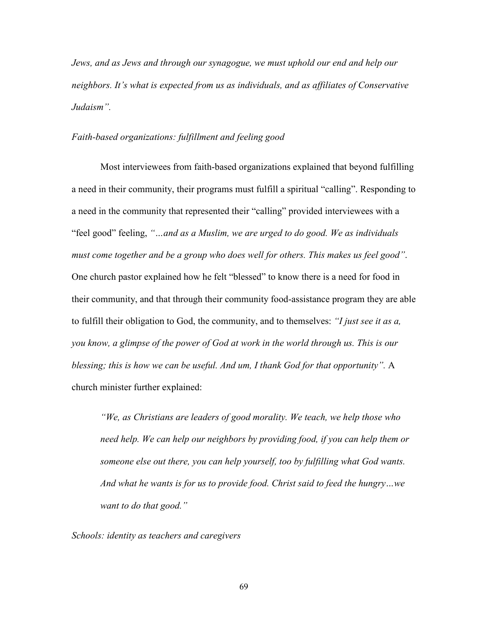*Jews, and as Jews and through our synagogue, we must uphold our end and help our neighbors. It's what is expected from us as individuals, and as affiliates of Conservative Judaism".*

## *Faith-based organizations: fulfillment and feeling good*

 Most interviewees from faith-based organizations explained that beyond fulfilling a need in their community, their programs must fulfill a spiritual "calling". Responding to a need in the community that represented their "calling" provided interviewees with a "feel good" feeling, *"…and as a Muslim, we are urged to do good. We as individuals must come together and be a group who does well for others. This makes us feel good"*. One church pastor explained how he felt "blessed" to know there is a need for food in their community, and that through their community food-assistance program they are able to fulfill their obligation to God, the community, and to themselves: *"I just see it as a, you know, a glimpse of the power of God at work in the world through us. This is our blessing; this is how we can be useful. And um, I thank God for that opportunity".* A church minister further explained:

*"We, as Christians are leaders of good morality. We teach, we help those who need help. We can help our neighbors by providing food, if you can help them or someone else out there, you can help yourself, too by fulfilling what God wants. And what he wants is for us to provide food. Christ said to feed the hungry…we want to do that good."*

*Schools: identity as teachers and caregivers*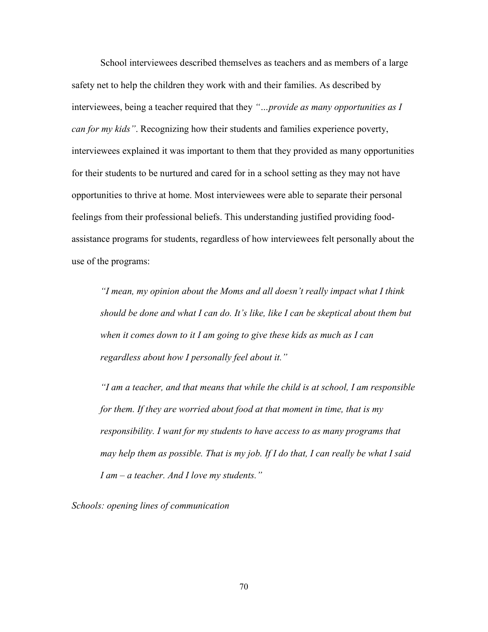School interviewees described themselves as teachers and as members of a large safety net to help the children they work with and their families. As described by interviewees, being a teacher required that they *"…provide as many opportunities as I can for my kids"*. Recognizing how their students and families experience poverty, interviewees explained it was important to them that they provided as many opportunities for their students to be nurtured and cared for in a school setting as they may not have opportunities to thrive at home. Most interviewees were able to separate their personal feelings from their professional beliefs. This understanding justified providing foodassistance programs for students, regardless of how interviewees felt personally about the use of the programs:

*"I mean, my opinion about the Moms and all doesn't really impact what I think should be done and what I can do. It's like, like I can be skeptical about them but when it comes down to it I am going to give these kids as much as I can regardless about how I personally feel about it."* 

*"I am a teacher, and that means that while the child is at school, I am responsible for them. If they are worried about food at that moment in time, that is my responsibility. I want for my students to have access to as many programs that may help them as possible. That is my job. If I do that, I can really be what I said I am – a teacher. And I love my students."* 

*Schools: opening lines of communication*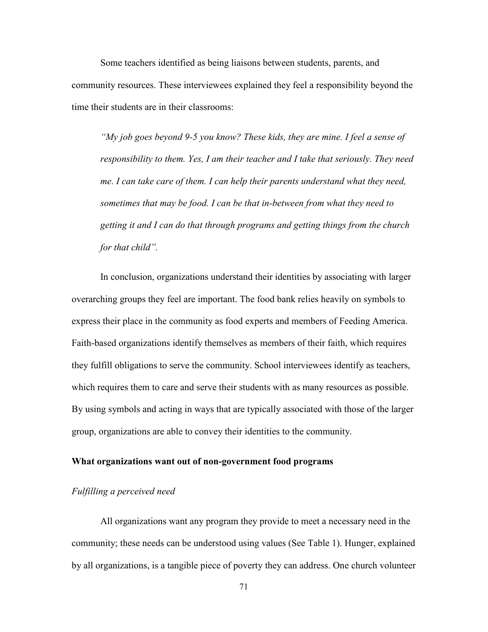Some teachers identified as being liaisons between students, parents, and community resources. These interviewees explained they feel a responsibility beyond the time their students are in their classrooms:

*"My job goes beyond 9-5 you know? These kids, they are mine. I feel a sense of responsibility to them. Yes, I am their teacher and I take that seriously. They need me. I can take care of them. I can help their parents understand what they need, sometimes that may be food. I can be that in-between from what they need to getting it and I can do that through programs and getting things from the church for that child".* 

 In conclusion, organizations understand their identities by associating with larger overarching groups they feel are important. The food bank relies heavily on symbols to express their place in the community as food experts and members of Feeding America. Faith-based organizations identify themselves as members of their faith, which requires they fulfill obligations to serve the community. School interviewees identify as teachers, which requires them to care and serve their students with as many resources as possible. By using symbols and acting in ways that are typically associated with those of the larger group, organizations are able to convey their identities to the community.

## **What organizations want out of non-government food programs**

## *Fulfilling a perceived need*

 All organizations want any program they provide to meet a necessary need in the community; these needs can be understood using values (See Table 1). Hunger, explained by all organizations, is a tangible piece of poverty they can address. One church volunteer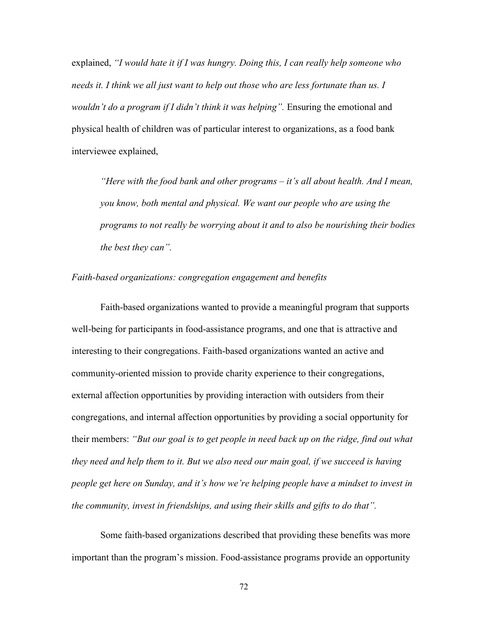explained, *"I would hate it if I was hungry. Doing this, I can really help someone who needs it. I think we all just want to help out those who are less fortunate than us. I wouldn't do a program if I didn't think it was helping".* Ensuring the emotional and physical health of children was of particular interest to organizations, as a food bank interviewee explained,

*"Here with the food bank and other programs – it's all about health. And I mean, you know, both mental and physical. We want our people who are using the programs to not really be worrying about it and to also be nourishing their bodies the best they can".* 

## *Faith-based organizations: congregation engagement and benefits*

 Faith-based organizations wanted to provide a meaningful program that supports well-being for participants in food-assistance programs, and one that is attractive and interesting to their congregations. Faith-based organizations wanted an active and community-oriented mission to provide charity experience to their congregations, external affection opportunities by providing interaction with outsiders from their congregations, and internal affection opportunities by providing a social opportunity for their members: *"But our goal is to get people in need back up on the ridge, find out what they need and help them to it. But we also need our main goal, if we succeed is having people get here on Sunday, and it's how we're helping people have a mindset to invest in the community, invest in friendships, and using their skills and gifts to do that".*

Some faith-based organizations described that providing these benefits was more important than the program's mission. Food-assistance programs provide an opportunity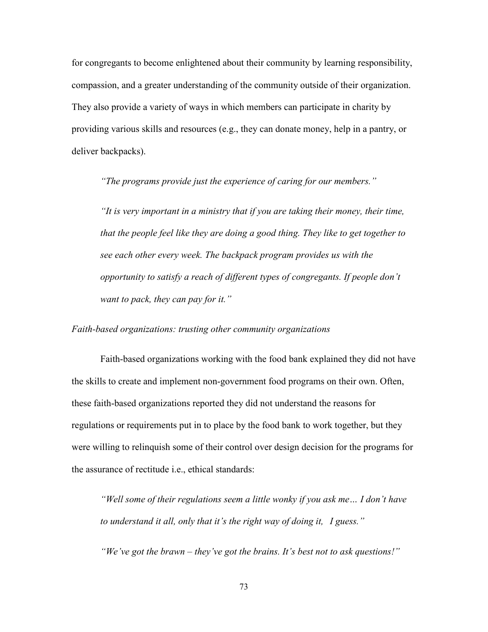for congregants to become enlightened about their community by learning responsibility, compassion, and a greater understanding of the community outside of their organization. They also provide a variety of ways in which members can participate in charity by providing various skills and resources (e.g., they can donate money, help in a pantry, or deliver backpacks).

 *"The programs provide just the experience of caring for our members."* 

*"It is very important in a ministry that if you are taking their money, their time, that the people feel like they are doing a good thing. They like to get together to see each other every week. The backpack program provides us with the opportunity to satisfy a reach of different types of congregants. If people don't want to pack, they can pay for it."*

# *Faith-based organizations: trusting other community organizations*

 Faith-based organizations working with the food bank explained they did not have the skills to create and implement non-government food programs on their own. Often, these faith-based organizations reported they did not understand the reasons for regulations or requirements put in to place by the food bank to work together, but they were willing to relinquish some of their control over design decision for the programs for the assurance of rectitude i.e., ethical standards:

*"Well some of their regulations seem a little wonky if you ask me… I don't have to understand it all, only that it's the right way of doing it, I guess."* 

 *"We've got the brawn – they've got the brains. It's best not to ask questions!"*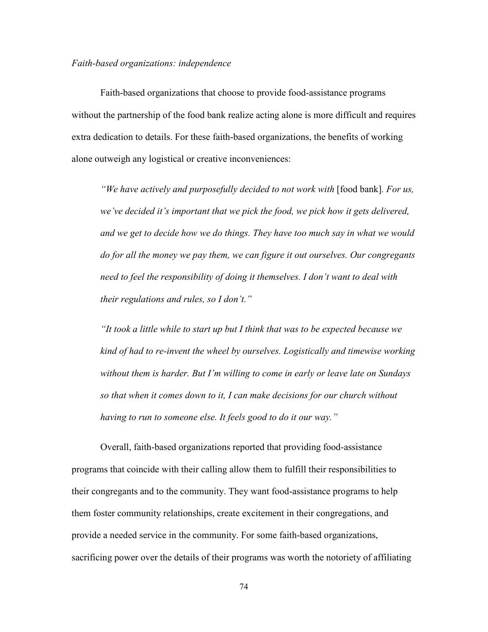## *Faith-based organizations: independence*

 Faith-based organizations that choose to provide food-assistance programs without the partnership of the food bank realize acting alone is more difficult and requires extra dedication to details. For these faith-based organizations, the benefits of working alone outweigh any logistical or creative inconveniences:

*"We have actively and purposefully decided to not work with* [food bank]*. For us, we've decided it's important that we pick the food, we pick how it gets delivered, and we get to decide how we do things. They have too much say in what we would do for all the money we pay them, we can figure it out ourselves. Our congregants need to feel the responsibility of doing it themselves. I don't want to deal with their regulations and rules, so I don't."* 

 *"It took a little while to start up but I think that was to be expected because we kind of had to re-invent the wheel by ourselves. Logistically and timewise working without them is harder. But I'm willing to come in early or leave late on Sundays so that when it comes down to it, I can make decisions for our church without having to run to someone else. It feels good to do it our way."* 

 Overall, faith-based organizations reported that providing food-assistance programs that coincide with their calling allow them to fulfill their responsibilities to their congregants and to the community. They want food-assistance programs to help them foster community relationships, create excitement in their congregations, and provide a needed service in the community. For some faith-based organizations, sacrificing power over the details of their programs was worth the notoriety of affiliating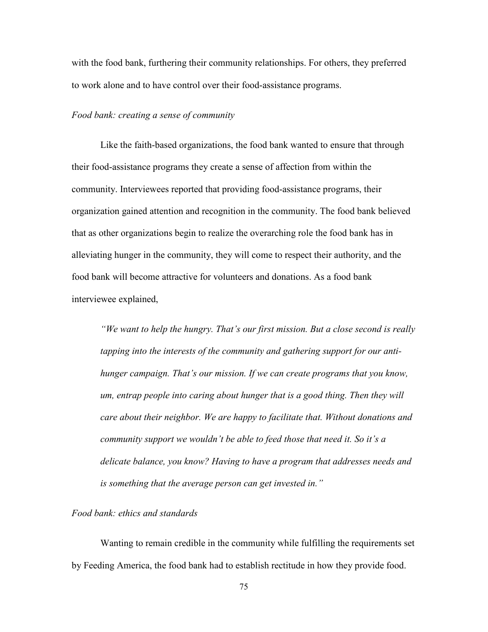with the food bank, furthering their community relationships. For others, they preferred to work alone and to have control over their food-assistance programs.

### *Food bank: creating a sense of community*

 Like the faith-based organizations, the food bank wanted to ensure that through their food-assistance programs they create a sense of affection from within the community. Interviewees reported that providing food-assistance programs, their organization gained attention and recognition in the community. The food bank believed that as other organizations begin to realize the overarching role the food bank has in alleviating hunger in the community, they will come to respect their authority, and the food bank will become attractive for volunteers and donations. As a food bank interviewee explained,

*"We want to help the hungry. That's our first mission. But a close second is really tapping into the interests of the community and gathering support for our anti hunger campaign. That's our mission. If we can create programs that you know, um, entrap people into caring about hunger that is a good thing. Then they will care about their neighbor. We are happy to facilitate that. Without donations and community support we wouldn't be able to feed those that need it. So it's a delicate balance, you know? Having to have a program that addresses needs and is something that the average person can get invested in."* 

# *Food bank: ethics and standards*

 Wanting to remain credible in the community while fulfilling the requirements set by Feeding America, the food bank had to establish rectitude in how they provide food.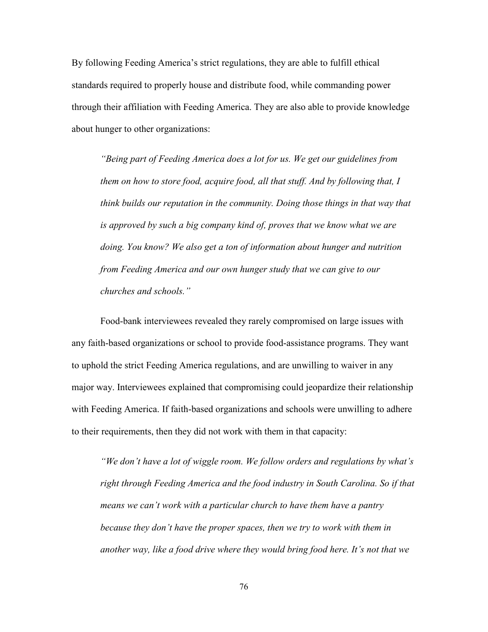By following Feeding America's strict regulations, they are able to fulfill ethical standards required to properly house and distribute food, while commanding power through their affiliation with Feeding America. They are also able to provide knowledge about hunger to other organizations:

*"Being part of Feeding America does a lot for us. We get our guidelines from them on how to store food, acquire food, all that stuff. And by following that, I think builds our reputation in the community. Doing those things in that way that is approved by such a big company kind of, proves that we know what we are doing. You know? We also get a ton of information about hunger and nutrition from Feeding America and our own hunger study that we can give to our churches and schools."*

 Food-bank interviewees revealed they rarely compromised on large issues with any faith-based organizations or school to provide food-assistance programs. They want to uphold the strict Feeding America regulations, and are unwilling to waiver in any major way. Interviewees explained that compromising could jeopardize their relationship with Feeding America. If faith-based organizations and schools were unwilling to adhere to their requirements, then they did not work with them in that capacity:

*"We don't have a lot of wiggle room. We follow orders and regulations by what's right through Feeding America and the food industry in South Carolina. So if that means we can't work with a particular church to have them have a pantry because they don't have the proper spaces, then we try to work with them in another way, like a food drive where they would bring food here. It's not that we*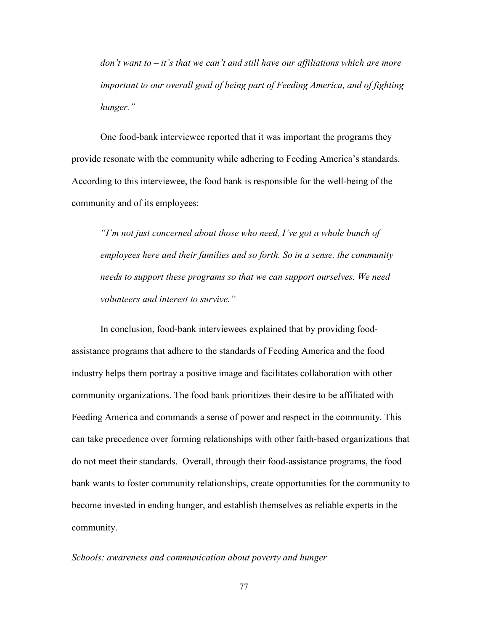*don't want to – it's that we can't and still have our affiliations which are more important to our overall goal of being part of Feeding America, and of fighting hunger."* 

One food-bank interviewee reported that it was important the programs they provide resonate with the community while adhering to Feeding America's standards. According to this interviewee, the food bank is responsible for the well-being of the community and of its employees:

*"I'm not just concerned about those who need, I've got a whole bunch of employees here and their families and so forth. So in a sense, the community needs to support these programs so that we can support ourselves. We need volunteers and interest to survive."* 

 In conclusion, food-bank interviewees explained that by providing foodassistance programs that adhere to the standards of Feeding America and the food industry helps them portray a positive image and facilitates collaboration with other community organizations. The food bank prioritizes their desire to be affiliated with Feeding America and commands a sense of power and respect in the community. This can take precedence over forming relationships with other faith-based organizations that do not meet their standards. Overall, through their food-assistance programs, the food bank wants to foster community relationships, create opportunities for the community to become invested in ending hunger, and establish themselves as reliable experts in the community.

## *Schools: awareness and communication about poverty and hunger*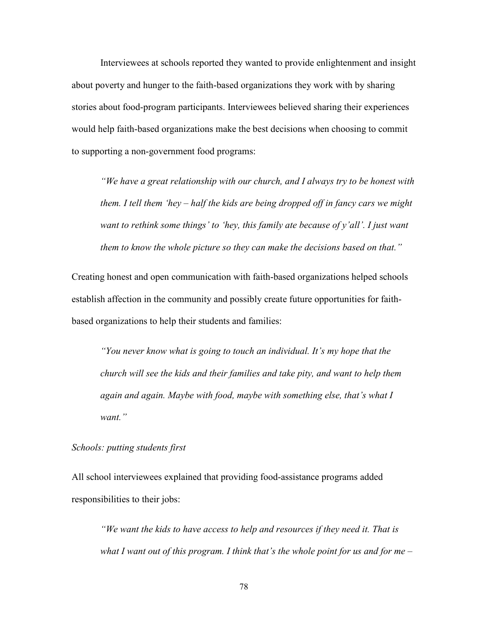Interviewees at schools reported they wanted to provide enlightenment and insight about poverty and hunger to the faith-based organizations they work with by sharing stories about food-program participants. Interviewees believed sharing their experiences would help faith-based organizations make the best decisions when choosing to commit to supporting a non-government food programs:

*"We have a great relationship with our church, and I always try to be honest with them. I tell them 'hey – half the kids are being dropped off in fancy cars we might want to rethink some things' to 'hey, this family ate because of y'all'. I just want them to know the whole picture so they can make the decisions based on that."* 

Creating honest and open communication with faith-based organizations helped schools establish affection in the community and possibly create future opportunities for faithbased organizations to help their students and families:

*"You never know what is going to touch an individual. It's my hope that the church will see the kids and their families and take pity, and want to help them again and again. Maybe with food, maybe with something else, that's what I want."*

# *Schools: putting students first*

All school interviewees explained that providing food-assistance programs added responsibilities to their jobs:

*"We want the kids to have access to help and resources if they need it. That is what I want out of this program. I think that's the whole point for us and for me –*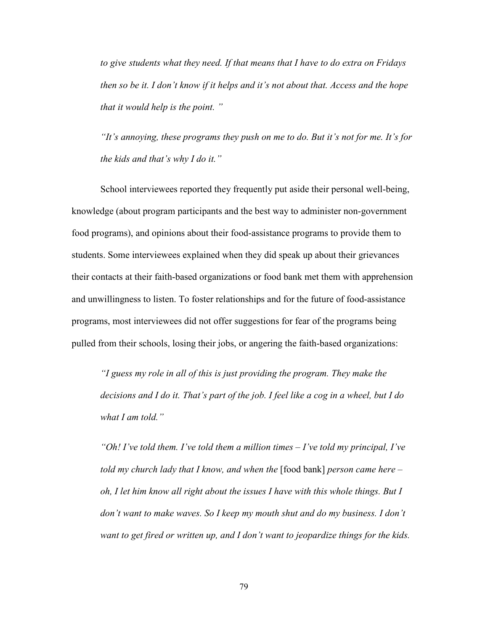*to give students what they need. If that means that I have to do extra on Fridays then so be it. I don't know if it helps and it's not about that. Access and the hope that it would help is the point. "* 

 *"It's annoying, these programs they push on me to do. But it's not for me. It's for the kids and that's why I do it."* 

 School interviewees reported they frequently put aside their personal well-being, knowledge (about program participants and the best way to administer non-government food programs), and opinions about their food-assistance programs to provide them to students. Some interviewees explained when they did speak up about their grievances their contacts at their faith-based organizations or food bank met them with apprehension and unwillingness to listen. To foster relationships and for the future of food-assistance programs, most interviewees did not offer suggestions for fear of the programs being pulled from their schools, losing their jobs, or angering the faith-based organizations:

*"I guess my role in all of this is just providing the program. They make the decisions and I do it. That's part of the job. I feel like a cog in a wheel, but I do what I am told."* 

 *"Oh! I've told them. I've told them a million times – I've told my principal, I've told my church lady that I know, and when the* [food bank] *person came here – oh, I let him know all right about the issues I have with this whole things. But I don't want to make waves. So I keep my mouth shut and do my business. I don't want to get fired or written up, and I don't want to jeopardize things for the kids.*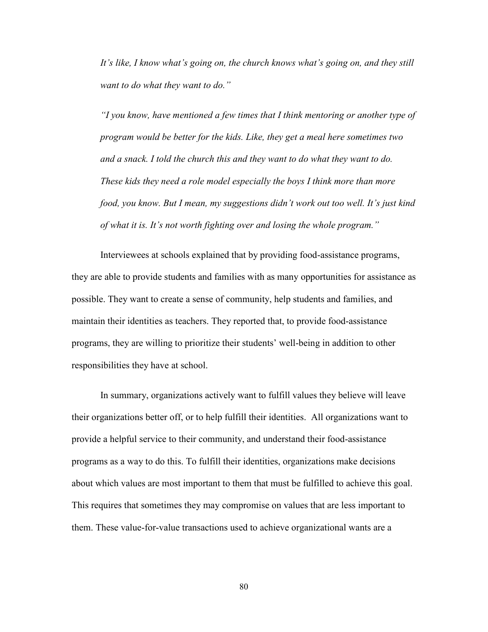*It's like, I know what's going on, the church knows what's going on, and they still want to do what they want to do."* 

 *"I you know, have mentioned a few times that I think mentoring or another type of program would be better for the kids. Like, they get a meal here sometimes two and a snack. I told the church this and they want to do what they want to do. These kids they need a role model especially the boys I think more than more food, you know. But I mean, my suggestions didn't work out too well. It's just kind of what it is. It's not worth fighting over and losing the whole program."* 

 Interviewees at schools explained that by providing food-assistance programs, they are able to provide students and families with as many opportunities for assistance as possible. They want to create a sense of community, help students and families, and maintain their identities as teachers. They reported that, to provide food-assistance programs, they are willing to prioritize their students' well-being in addition to other responsibilities they have at school.

 In summary, organizations actively want to fulfill values they believe will leave their organizations better off, or to help fulfill their identities. All organizations want to provide a helpful service to their community, and understand their food-assistance programs as a way to do this. To fulfill their identities, organizations make decisions about which values are most important to them that must be fulfilled to achieve this goal. This requires that sometimes they may compromise on values that are less important to them. These value-for-value transactions used to achieve organizational wants are a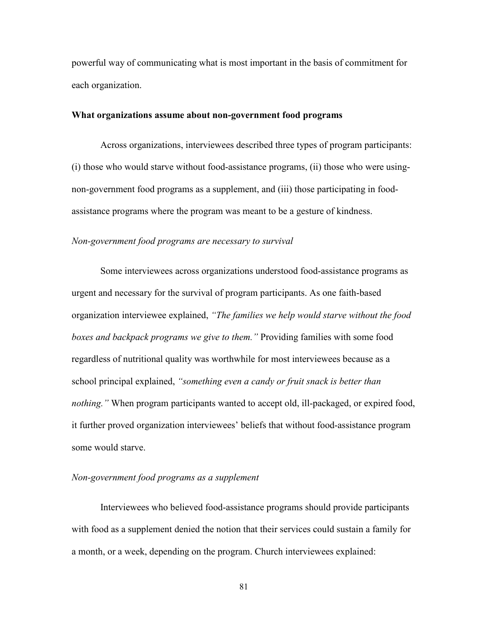powerful way of communicating what is most important in the basis of commitment for each organization.

### **What organizations assume about non-government food programs**

 Across organizations, interviewees described three types of program participants: (i) those who would starve without food-assistance programs, (ii) those who were usingnon-government food programs as a supplement, and (iii) those participating in foodassistance programs where the program was meant to be a gesture of kindness.

## *Non-government food programs are necessary to survival*

 Some interviewees across organizations understood food-assistance programs as urgent and necessary for the survival of program participants. As one faith-based organization interviewee explained, *"The families we help would starve without the food boxes and backpack programs we give to them."* Providing families with some food regardless of nutritional quality was worthwhile for most interviewees because as a school principal explained, *"something even a candy or fruit snack is better than nothing."* When program participants wanted to accept old, ill-packaged, or expired food, it further proved organization interviewees' beliefs that without food-assistance program some would starve.

#### *Non-government food programs as a supplement*

 Interviewees who believed food-assistance programs should provide participants with food as a supplement denied the notion that their services could sustain a family for a month, or a week, depending on the program. Church interviewees explained: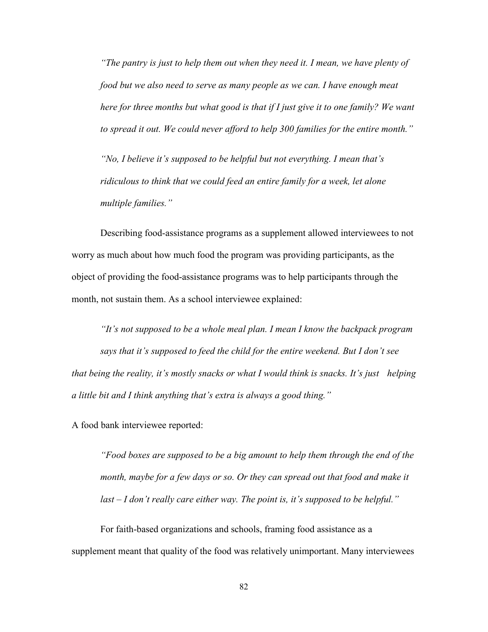*"The pantry is just to help them out when they need it. I mean, we have plenty of food but we also need to serve as many people as we can. I have enough meat here for three months but what good is that if I just give it to one family? We want to spread it out. We could never afford to help 300 families for the entire month."* 

 *"No, I believe it's supposed to be helpful but not everything. I mean that's ridiculous to think that we could feed an entire family for a week, let alone multiple families."* 

 Describing food-assistance programs as a supplement allowed interviewees to not worry as much about how much food the program was providing participants, as the object of providing the food-assistance programs was to help participants through the month, not sustain them. As a school interviewee explained:

*"It's not supposed to be a whole meal plan. I mean I know the backpack program says that it's supposed to feed the child for the entire weekend. But I don't see that being the reality, it's mostly snacks or what I would think is snacks. It's just helping a little bit and I think anything that's extra is always a good thing."* 

A food bank interviewee reported:

*"Food boxes are supposed to be a big amount to help them through the end of the month, maybe for a few days or so. Or they can spread out that food and make it last – I don't really care either way. The point is, it's supposed to be helpful."*

 For faith-based organizations and schools, framing food assistance as a supplement meant that quality of the food was relatively unimportant. Many interviewees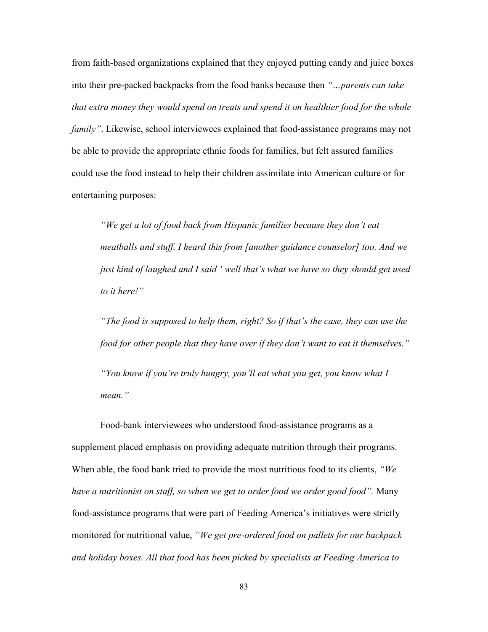from faith-based organizations explained that they enjoyed putting candy and juice boxes into their pre-packed backpacks from the food banks because then *"…parents can take that extra money they would spend on treats and spend it on healthier food for the whole family"*. Likewise, school interviewees explained that food-assistance programs may not be able to provide the appropriate ethnic foods for families, but felt assured families could use the food instead to help their children assimilate into American culture or for entertaining purposes:

 *"We get a lot of food back from Hispanic families because they don't eat meatballs and stuff. I heard this from [another guidance counselor] too. And we just kind of laughed and I said ' well that's what we have so they should get used to it here!"* 

*"The food is supposed to help them, right? So if that's the case, they can use the food for other people that they have over if they don't want to eat it themselves."* 

 *"You know if you're truly hungry, you'll eat what you get, you know what I mean."* 

 Food-bank interviewees who understood food-assistance programs as a supplement placed emphasis on providing adequate nutrition through their programs. When able, the food bank tried to provide the most nutritious food to its clients, *"We have a nutritionist on staff, so when we get to order food we order good food".* Many food-assistance programs that were part of Feeding America's initiatives were strictly monitored for nutritional value, *"We get pre-ordered food on pallets for our backpack and holiday boxes. All that food has been picked by specialists at Feeding America to*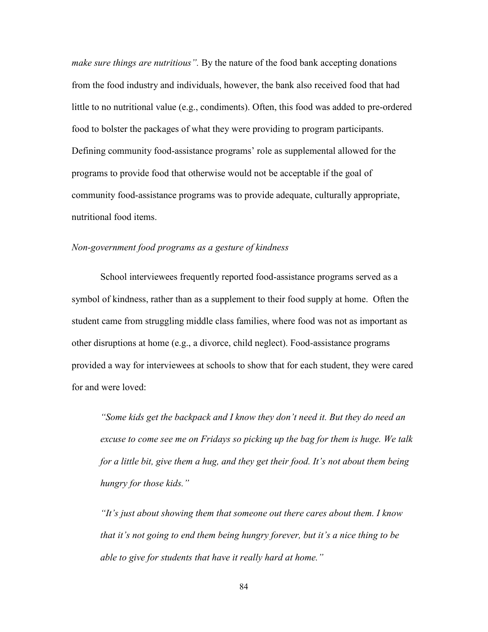*make sure things are nutritious".* By the nature of the food bank accepting donations from the food industry and individuals, however, the bank also received food that had little to no nutritional value (e.g., condiments). Often, this food was added to pre-ordered food to bolster the packages of what they were providing to program participants. Defining community food-assistance programs' role as supplemental allowed for the programs to provide food that otherwise would not be acceptable if the goal of community food-assistance programs was to provide adequate, culturally appropriate, nutritional food items.

## *Non-government food programs as a gesture of kindness*

 School interviewees frequently reported food-assistance programs served as a symbol of kindness, rather than as a supplement to their food supply at home. Often the student came from struggling middle class families, where food was not as important as other disruptions at home (e.g., a divorce, child neglect). Food-assistance programs provided a way for interviewees at schools to show that for each student, they were cared for and were loved:

*"Some kids get the backpack and I know they don't need it. But they do need an excuse to come see me on Fridays so picking up the bag for them is huge. We talk for a little bit, give them a hug, and they get their food. It's not about them being hungry for those kids."* 

 *"It's just about showing them that someone out there cares about them. I know that it's not going to end them being hungry forever, but it's a nice thing to be able to give for students that have it really hard at home."*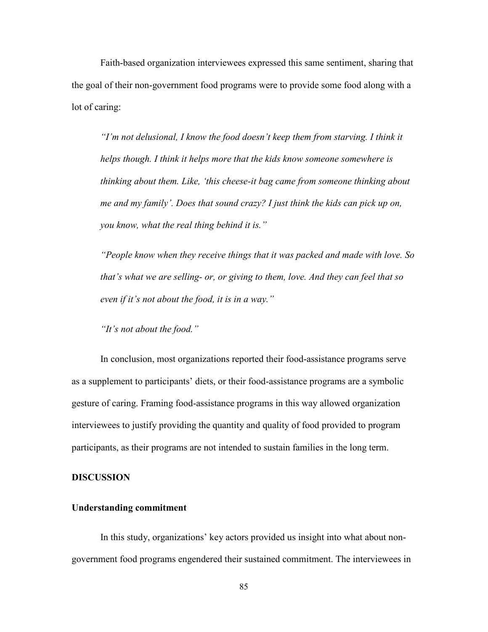Faith-based organization interviewees expressed this same sentiment, sharing that the goal of their non-government food programs were to provide some food along with a lot of caring:

*"I'm not delusional, I know the food doesn't keep them from starving. I think it helps though. I think it helps more that the kids know someone somewhere is thinking about them. Like, 'this cheese-it bag came from someone thinking about me and my family'. Does that sound crazy? I just think the kids can pick up on, you know, what the real thing behind it is."* 

 *"People know when they receive things that it was packed and made with love. So that's what we are selling- or, or giving to them, love. And they can feel that so even if it's not about the food, it is in a way."* 

 *"It's not about the food."*

 In conclusion, most organizations reported their food-assistance programs serve as a supplement to participants' diets, or their food-assistance programs are a symbolic gesture of caring. Framing food-assistance programs in this way allowed organization interviewees to justify providing the quantity and quality of food provided to program participants, as their programs are not intended to sustain families in the long term.

#### **DISCUSSION**

#### **Understanding commitment**

 In this study, organizations' key actors provided us insight into what about nongovernment food programs engendered their sustained commitment. The interviewees in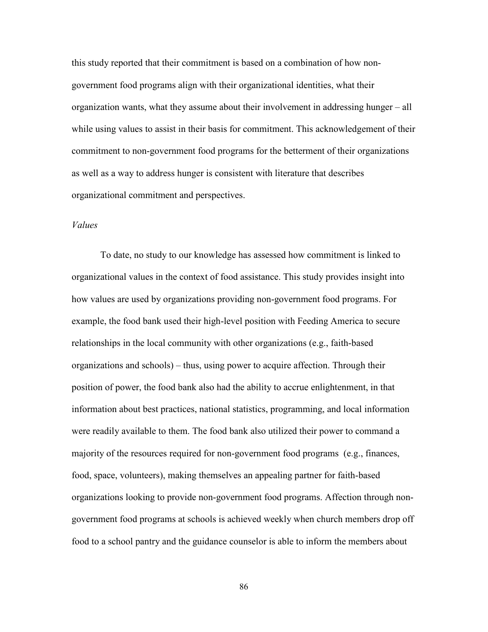this study reported that their commitment is based on a combination of how nongovernment food programs align with their organizational identities, what their organization wants, what they assume about their involvement in addressing hunger – all while using values to assist in their basis for commitment. This acknowledgement of their commitment to non-government food programs for the betterment of their organizations as well as a way to address hunger is consistent with literature that describes organizational commitment and perspectives.

## *Values*

 To date, no study to our knowledge has assessed how commitment is linked to organizational values in the context of food assistance. This study provides insight into how values are used by organizations providing non-government food programs. For example, the food bank used their high-level position with Feeding America to secure relationships in the local community with other organizations (e.g., faith-based organizations and schools) – thus, using power to acquire affection. Through their position of power, the food bank also had the ability to accrue enlightenment, in that information about best practices, national statistics, programming, and local information were readily available to them. The food bank also utilized their power to command a majority of the resources required for non-government food programs (e.g., finances, food, space, volunteers), making themselves an appealing partner for faith-based organizations looking to provide non-government food programs. Affection through nongovernment food programs at schools is achieved weekly when church members drop off food to a school pantry and the guidance counselor is able to inform the members about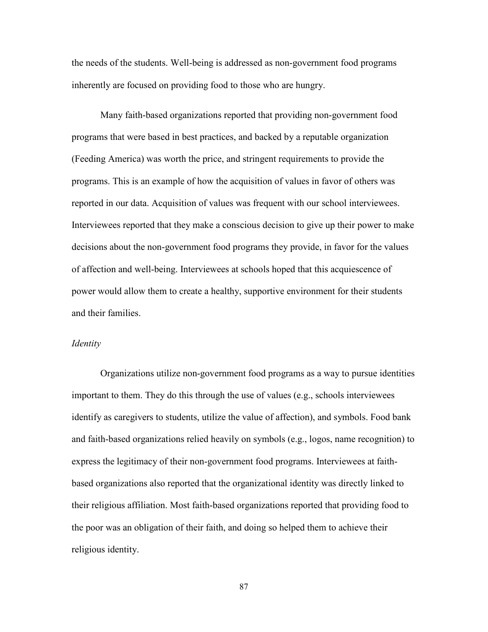the needs of the students. Well-being is addressed as non-government food programs inherently are focused on providing food to those who are hungry.

 Many faith-based organizations reported that providing non-government food programs that were based in best practices, and backed by a reputable organization (Feeding America) was worth the price, and stringent requirements to provide the programs. This is an example of how the acquisition of values in favor of others was reported in our data. Acquisition of values was frequent with our school interviewees. Interviewees reported that they make a conscious decision to give up their power to make decisions about the non-government food programs they provide, in favor for the values of affection and well-being. Interviewees at schools hoped that this acquiescence of power would allow them to create a healthy, supportive environment for their students and their families.

### *Identity*

Organizations utilize non-government food programs as a way to pursue identities important to them. They do this through the use of values (e.g., schools interviewees identify as caregivers to students, utilize the value of affection), and symbols. Food bank and faith-based organizations relied heavily on symbols (e.g., logos, name recognition) to express the legitimacy of their non-government food programs. Interviewees at faithbased organizations also reported that the organizational identity was directly linked to their religious affiliation. Most faith-based organizations reported that providing food to the poor was an obligation of their faith, and doing so helped them to achieve their religious identity.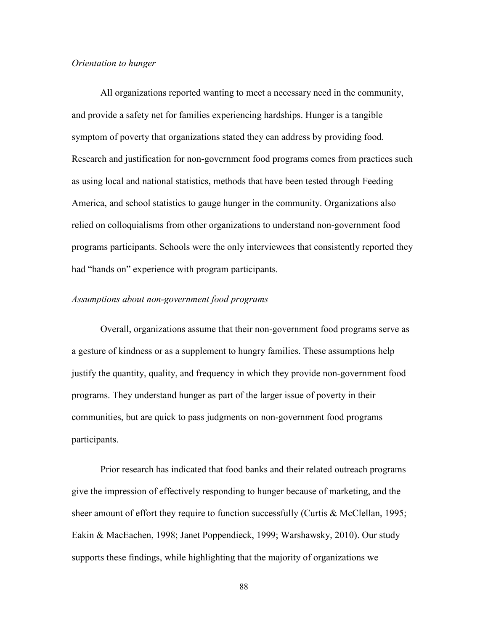## *Orientation to hunger*

All organizations reported wanting to meet a necessary need in the community, and provide a safety net for families experiencing hardships. Hunger is a tangible symptom of poverty that organizations stated they can address by providing food. Research and justification for non-government food programs comes from practices such as using local and national statistics, methods that have been tested through Feeding America, and school statistics to gauge hunger in the community. Organizations also relied on colloquialisms from other organizations to understand non-government food programs participants. Schools were the only interviewees that consistently reported they had "hands on" experience with program participants.

## *Assumptions about non-government food programs*

Overall, organizations assume that their non-government food programs serve as a gesture of kindness or as a supplement to hungry families. These assumptions help justify the quantity, quality, and frequency in which they provide non-government food programs. They understand hunger as part of the larger issue of poverty in their communities, but are quick to pass judgments on non-government food programs participants.

Prior research has indicated that food banks and their related outreach programs give the impression of effectively responding to hunger because of marketing, and the sheer amount of effort they require to function successfully (Curtis & McClellan, 1995; Eakin & MacEachen, 1998; Janet Poppendieck, 1999; Warshawsky, 2010). Our study supports these findings, while highlighting that the majority of organizations we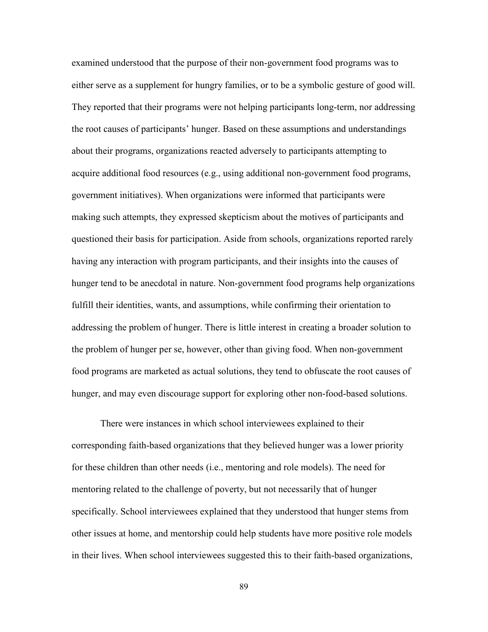examined understood that the purpose of their non-government food programs was to either serve as a supplement for hungry families, or to be a symbolic gesture of good will. They reported that their programs were not helping participants long-term, nor addressing the root causes of participants' hunger. Based on these assumptions and understandings about their programs, organizations reacted adversely to participants attempting to acquire additional food resources (e.g., using additional non-government food programs, government initiatives). When organizations were informed that participants were making such attempts, they expressed skepticism about the motives of participants and questioned their basis for participation. Aside from schools, organizations reported rarely having any interaction with program participants, and their insights into the causes of hunger tend to be anecdotal in nature. Non-government food programs help organizations fulfill their identities, wants, and assumptions, while confirming their orientation to addressing the problem of hunger. There is little interest in creating a broader solution to the problem of hunger per se, however, other than giving food. When non-government food programs are marketed as actual solutions, they tend to obfuscate the root causes of hunger, and may even discourage support for exploring other non-food-based solutions.

 There were instances in which school interviewees explained to their corresponding faith-based organizations that they believed hunger was a lower priority for these children than other needs (i.e., mentoring and role models). The need for mentoring related to the challenge of poverty, but not necessarily that of hunger specifically. School interviewees explained that they understood that hunger stems from other issues at home, and mentorship could help students have more positive role models in their lives. When school interviewees suggested this to their faith-based organizations,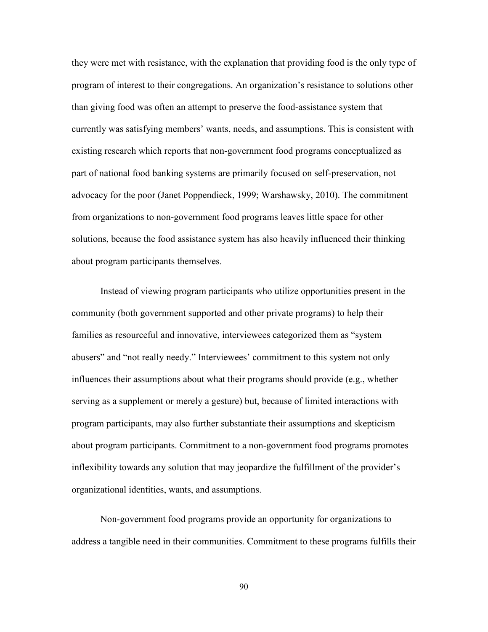they were met with resistance, with the explanation that providing food is the only type of program of interest to their congregations. An organization's resistance to solutions other than giving food was often an attempt to preserve the food-assistance system that currently was satisfying members' wants, needs, and assumptions. This is consistent with existing research which reports that non-government food programs conceptualized as part of national food banking systems are primarily focused on self-preservation, not advocacy for the poor (Janet Poppendieck, 1999; Warshawsky, 2010). The commitment from organizations to non-government food programs leaves little space for other solutions, because the food assistance system has also heavily influenced their thinking about program participants themselves.

 Instead of viewing program participants who utilize opportunities present in the community (both government supported and other private programs) to help their families as resourceful and innovative, interviewees categorized them as "system abusers" and "not really needy." Interviewees' commitment to this system not only influences their assumptions about what their programs should provide (e.g., whether serving as a supplement or merely a gesture) but, because of limited interactions with program participants, may also further substantiate their assumptions and skepticism about program participants. Commitment to a non-government food programs promotes inflexibility towards any solution that may jeopardize the fulfillment of the provider's organizational identities, wants, and assumptions.

 Non-government food programs provide an opportunity for organizations to address a tangible need in their communities. Commitment to these programs fulfills their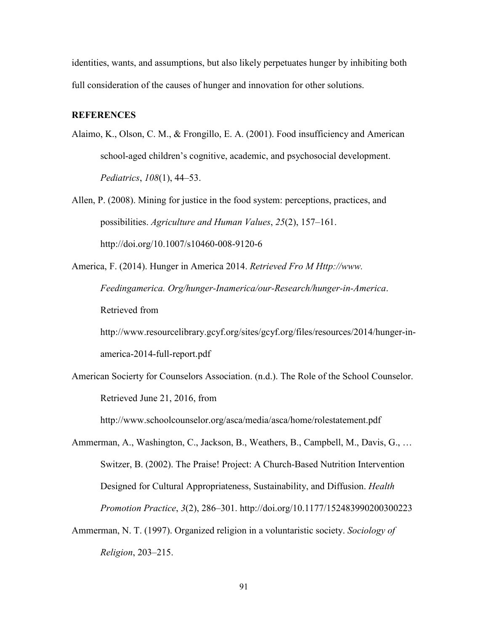identities, wants, and assumptions, but also likely perpetuates hunger by inhibiting both full consideration of the causes of hunger and innovation for other solutions.

# **REFERENCES**

- Alaimo, K., Olson, C. M., & Frongillo, E. A. (2001). Food insufficiency and American school-aged children's cognitive, academic, and psychosocial development. *Pediatrics*, *108*(1), 44–53.
- Allen, P. (2008). Mining for justice in the food system: perceptions, practices, and possibilities. *Agriculture and Human Values*, *25*(2), 157–161. http://doi.org/10.1007/s10460-008-9120-6
- America, F. (2014). Hunger in America 2014. *Retrieved Fro M Http://www. Feedingamerica. Org/hunger-Inamerica/our-Research/hunger-in-America*. Retrieved from

http://www.resourcelibrary.gcyf.org/sites/gcyf.org/files/resources/2014/hunger-inamerica-2014-full-report.pdf

American Socierty for Counselors Association. (n.d.). The Role of the School Counselor. Retrieved June 21, 2016, from

http://www.schoolcounselor.org/asca/media/asca/home/rolestatement.pdf

Ammerman, A., Washington, C., Jackson, B., Weathers, B., Campbell, M., Davis, G., … Switzer, B. (2002). The Praise! Project: A Church-Based Nutrition Intervention Designed for Cultural Appropriateness, Sustainability, and Diffusion. *Health Promotion Practice*, *3*(2), 286–301. http://doi.org/10.1177/152483990200300223

Ammerman, N. T. (1997). Organized religion in a voluntaristic society. *Sociology of Religion*, 203–215.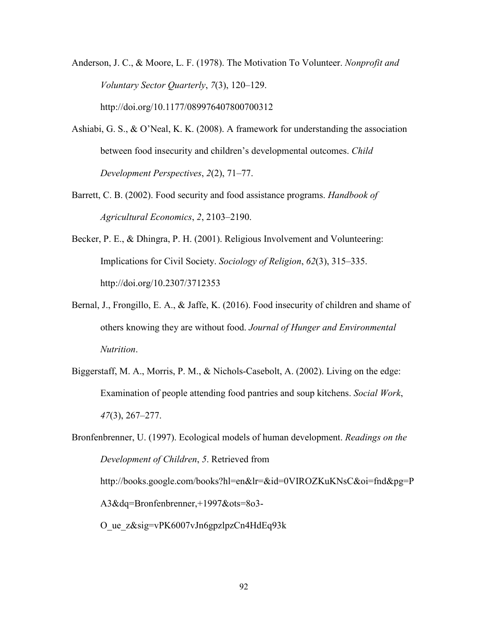Anderson, J. C., & Moore, L. F. (1978). The Motivation To Volunteer. *Nonprofit and Voluntary Sector Quarterly*, *7*(3), 120–129. http://doi.org/10.1177/089976407800700312

- Ashiabi, G. S., & O'Neal, K. K. (2008). A framework for understanding the association between food insecurity and children's developmental outcomes. *Child Development Perspectives*, *2*(2), 71–77.
- Barrett, C. B. (2002). Food security and food assistance programs. *Handbook of Agricultural Economics*, *2*, 2103–2190.
- Becker, P. E., & Dhingra, P. H. (2001). Religious Involvement and Volunteering: Implications for Civil Society. *Sociology of Religion*, *62*(3), 315–335. http://doi.org/10.2307/3712353
- Bernal, J., Frongillo, E. A., & Jaffe, K. (2016). Food insecurity of children and shame of others knowing they are without food. *Journal of Hunger and Environmental Nutrition*.
- Biggerstaff, M. A., Morris, P. M., & Nichols-Casebolt, A. (2002). Living on the edge: Examination of people attending food pantries and soup kitchens. *Social Work*, *47*(3), 267–277.

Bronfenbrenner, U. (1997). Ecological models of human development. *Readings on the Development of Children*, *5*. Retrieved from http://books.google.com/books?hl=en&lr=&id=0VIROZKuKNsC&oi=fnd&pg=P A3&dq=Bronfenbrenner,+1997&ots=8o3- O\_ue\_z&sig=vPK6007vJn6gpzlpzCn4HdEq93k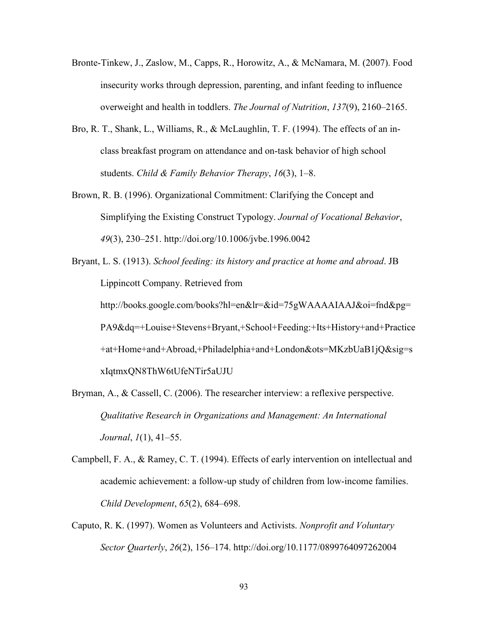- Bronte-Tinkew, J., Zaslow, M., Capps, R., Horowitz, A., & McNamara, M. (2007). Food insecurity works through depression, parenting, and infant feeding to influence overweight and health in toddlers. *The Journal of Nutrition*, *137*(9), 2160–2165.
- Bro, R. T., Shank, L., Williams, R., & McLaughlin, T. F. (1994). The effects of an inclass breakfast program on attendance and on-task behavior of high school students. *Child & Family Behavior Therapy*, *16*(3), 1–8.
- Brown, R. B. (1996). Organizational Commitment: Clarifying the Concept and Simplifying the Existing Construct Typology. *Journal of Vocational Behavior*, *49*(3), 230–251. http://doi.org/10.1006/jvbe.1996.0042
- Bryant, L. S. (1913). *School feeding: its history and practice at home and abroad*. JB Lippincott Company. Retrieved from http://books.google.com/books?hl=en&lr=&id=75gWAAAAIAAJ&oi=fnd&pg= PA9&dq=+Louise+Stevens+Bryant,+School+Feeding:+Its+History+and+Practice +at+Home+and+Abroad,+Philadelphia+and+London&ots=MKzbUaB1jQ&sig=s xIqtmxQN8ThW6tUfeNTir5aUJU
- Bryman, A., & Cassell, C. (2006). The researcher interview: a reflexive perspective. *Qualitative Research in Organizations and Management: An International Journal*, *1*(1), 41–55.
- Campbell, F. A., & Ramey, C. T. (1994). Effects of early intervention on intellectual and academic achievement: a follow-up study of children from low-income families. *Child Development*, *65*(2), 684–698.
- Caputo, R. K. (1997). Women as Volunteers and Activists. *Nonprofit and Voluntary Sector Quarterly*, *26*(2), 156–174. http://doi.org/10.1177/0899764097262004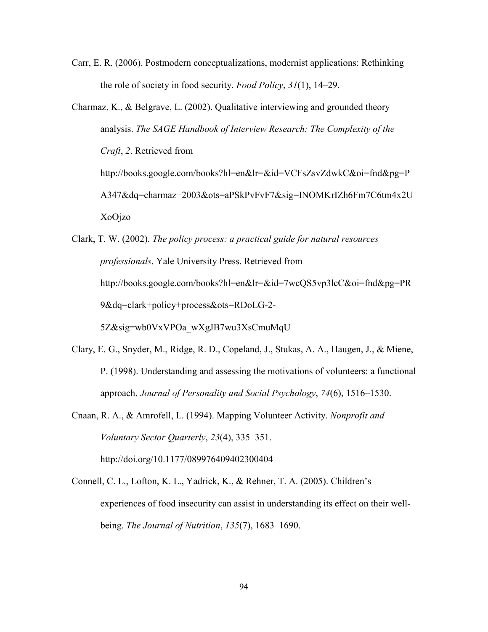Carr, E. R. (2006). Postmodern conceptualizations, modernist applications: Rethinking the role of society in food security. *Food Policy*, *31*(1), 14–29.

- Charmaz, K., & Belgrave, L. (2002). Qualitative interviewing and grounded theory analysis. *The SAGE Handbook of Interview Research: The Complexity of the Craft*, *2*. Retrieved from http://books.google.com/books?hl=en&lr=&id=VCFsZsvZdwkC&oi=fnd&pg=P A347&dq=charmaz+2003&ots=aPSkPvFvF7&sig=INOMKrIZh6Fm7C6tm4x2U XoOjzo
- Clark, T. W. (2002). *The policy process: a practical guide for natural resources professionals*. Yale University Press. Retrieved from http://books.google.com/books?hl=en&lr=&id=7wcQS5vp3lcC&oi=fnd&pg=PR 9&dq=clark+policy+process&ots=RDoLG-2- 5Z&sig=wb0VxVPOa\_wXgJB7wu3XsCmuMqU
- Clary, E. G., Snyder, M., Ridge, R. D., Copeland, J., Stukas, A. A., Haugen, J., & Miene, P. (1998). Understanding and assessing the motivations of volunteers: a functional approach. *Journal of Personality and Social Psychology*, *74*(6), 1516–1530.
- Cnaan, R. A., & Amrofell, L. (1994). Mapping Volunteer Activity. *Nonprofit and Voluntary Sector Quarterly*, *23*(4), 335–351. http://doi.org/10.1177/089976409402300404
- Connell, C. L., Lofton, K. L., Yadrick, K., & Rehner, T. A. (2005). Children's experiences of food insecurity can assist in understanding its effect on their wellbeing. *The Journal of Nutrition*, *135*(7), 1683–1690.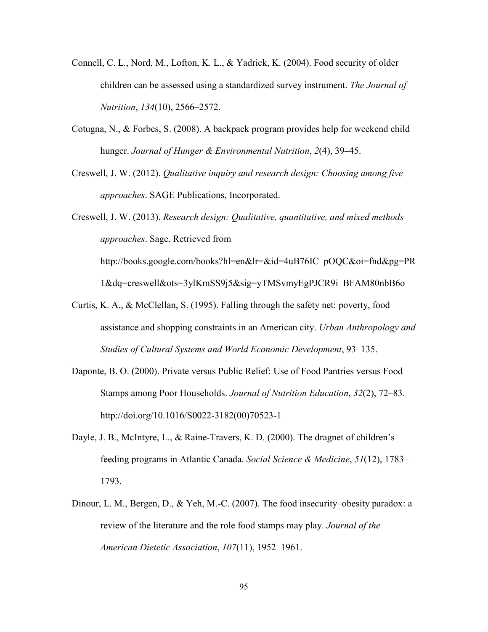- Connell, C. L., Nord, M., Lofton, K. L., & Yadrick, K. (2004). Food security of older children can be assessed using a standardized survey instrument. *The Journal of Nutrition*, *134*(10), 2566–2572.
- Cotugna, N., & Forbes, S. (2008). A backpack program provides help for weekend child hunger. *Journal of Hunger & Environmental Nutrition*, *2*(4), 39–45.
- Creswell, J. W. (2012). *Qualitative inquiry and research design: Choosing among five approaches*. SAGE Publications, Incorporated.

Creswell, J. W. (2013). *Research design: Qualitative, quantitative, and mixed methods approaches*. Sage. Retrieved from http://books.google.com/books?hl=en&lr=&id=4uB76IC\_pOQC&oi=fnd&pg=PR

1&dq=creswell&ots=3ylKmSS9j5&sig=yTMSvmyEgPJCR9i\_BFAM80nbB6o

- Curtis, K. A., & McClellan, S. (1995). Falling through the safety net: poverty, food assistance and shopping constraints in an American city. *Urban Anthropology and Studies of Cultural Systems and World Economic Development*, 93–135.
- Daponte, B. O. (2000). Private versus Public Relief: Use of Food Pantries versus Food Stamps among Poor Households. *Journal of Nutrition Education*, *32*(2), 72–83. http://doi.org/10.1016/S0022-3182(00)70523-1
- Dayle, J. B., McIntyre, L., & Raine-Travers, K. D. (2000). The dragnet of children's feeding programs in Atlantic Canada. *Social Science & Medicine*, *51*(12), 1783– 1793.
- Dinour, L. M., Bergen, D., & Yeh, M.-C. (2007). The food insecurity–obesity paradox: a review of the literature and the role food stamps may play. *Journal of the American Dietetic Association*, *107*(11), 1952–1961.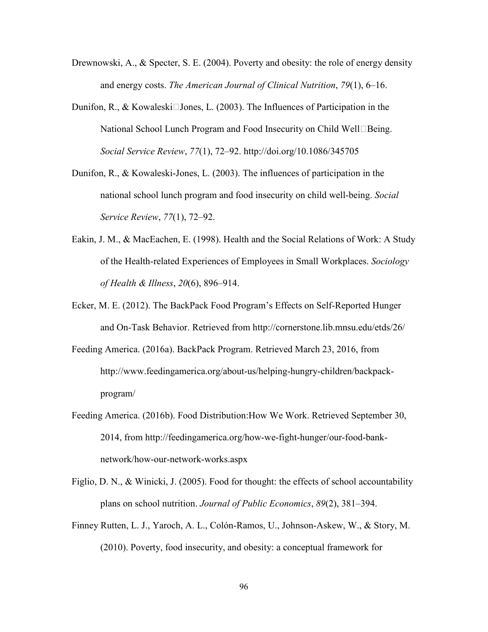- Drewnowski, A., & Specter, S. E. (2004). Poverty and obesity: the role of energy density and energy costs. *The American Journal of Clinical Nutrition*, *79*(1), 6–16.
- Dunifon, R., & Kowaleski $\Box$ Jones, L. (2003). The Influences of Participation in the National School Lunch Program and Food Insecurity on Child Well $\Box$ Being. *Social Service Review*, *77*(1), 72–92. http://doi.org/10.1086/345705
- Dunifon, R., & Kowaleski-Jones, L. (2003). The influences of participation in the national school lunch program and food insecurity on child well-being. *Social Service Review*, *77*(1), 72–92.
- Eakin, J. M., & MacEachen, E. (1998). Health and the Social Relations of Work: A Study of the Health-related Experiences of Employees in Small Workplaces. *Sociology of Health & Illness*, *20*(6), 896–914.
- Ecker, M. E. (2012). The BackPack Food Program's Effects on Self-Reported Hunger and On-Task Behavior. Retrieved from http://cornerstone.lib.mnsu.edu/etds/26/
- Feeding America. (2016a). BackPack Program. Retrieved March 23, 2016, from http://www.feedingamerica.org/about-us/helping-hungry-children/backpackprogram/
- Feeding America. (2016b). Food Distribution:How We Work. Retrieved September 30, 2014, from http://feedingamerica.org/how-we-fight-hunger/our-food-banknetwork/how-our-network-works.aspx
- Figlio, D. N., & Winicki, J. (2005). Food for thought: the effects of school accountability plans on school nutrition. *Journal of Public Economics*, *89*(2), 381–394.
- Finney Rutten, L. J., Yaroch, A. L., Colón-Ramos, U., Johnson-Askew, W., & Story, M. (2010). Poverty, food insecurity, and obesity: a conceptual framework for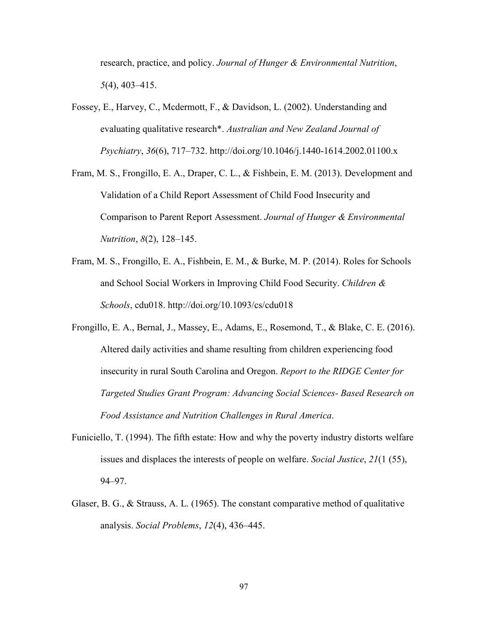research, practice, and policy. *Journal of Hunger & Environmental Nutrition*, *5*(4), 403–415.

- Fossey, E., Harvey, C., Mcdermott, F., & Davidson, L. (2002). Understanding and evaluating qualitative research\*. *Australian and New Zealand Journal of Psychiatry*, *36*(6), 717–732. http://doi.org/10.1046/j.1440-1614.2002.01100.x
- Fram, M. S., Frongillo, E. A., Draper, C. L., & Fishbein, E. M. (2013). Development and Validation of a Child Report Assessment of Child Food Insecurity and Comparison to Parent Report Assessment. *Journal of Hunger & Environmental Nutrition*, *8*(2), 128–145.
- Fram, M. S., Frongillo, E. A., Fishbein, E. M., & Burke, M. P. (2014). Roles for Schools and School Social Workers in Improving Child Food Security. *Children & Schools*, cdu018. http://doi.org/10.1093/cs/cdu018
- Frongillo, E. A., Bernal, J., Massey, E., Adams, E., Rosemond, T., & Blake, C. E. (2016). Altered daily activities and shame resulting from children experiencing food insecurity in rural South Carolina and Oregon. *Report to the RIDGE Center for Targeted Studies Grant Program: Advancing Social Sciences- Based Research on Food Assistance and Nutrition Challenges in Rural America*.
- Funiciello, T. (1994). The fifth estate: How and why the poverty industry distorts welfare issues and displaces the interests of people on welfare. *Social Justice*, *21*(1 (55), 94–97.
- Glaser, B. G., & Strauss, A. L. (1965). The constant comparative method of qualitative analysis. *Social Problems*, *12*(4), 436–445.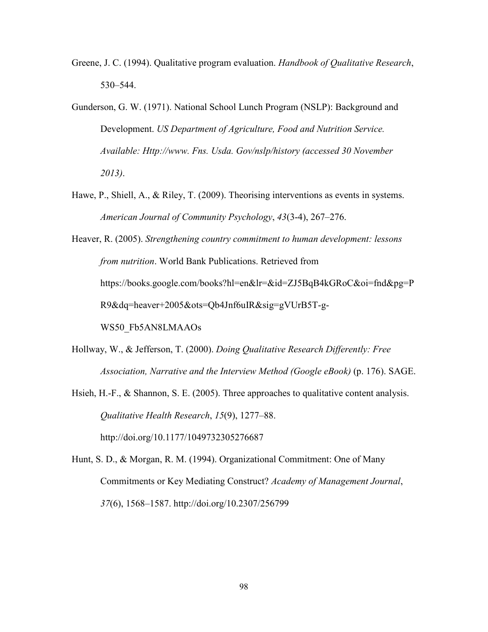- Greene, J. C. (1994). Qualitative program evaluation. *Handbook of Qualitative Research*, 530–544.
- Gunderson, G. W. (1971). National School Lunch Program (NSLP): Background and Development. *US Department of Agriculture, Food and Nutrition Service. Available: Http://www. Fns. Usda. Gov/nslp/history (accessed 30 November 2013)*.
- Hawe, P., Shiell, A., & Riley, T. (2009). Theorising interventions as events in systems. *American Journal of Community Psychology*, *43*(3-4), 267–276.
- Heaver, R. (2005). *Strengthening country commitment to human development: lessons from nutrition*. World Bank Publications. Retrieved from https://books.google.com/books?hl=en&lr=&id=ZJ5BqB4kGRoC&oi=fnd&pg=P R9&dq=heaver+2005&ots=Qb4Jnf6uIR&sig=gVUrB5T-g-WS50\_Fb5AN8LMAAOs
- Hollway, W., & Jefferson, T. (2000). *Doing Qualitative Research Differently: Free Association, Narrative and the Interview Method (Google eBook)* (p. 176). SAGE.
- Hsieh, H.-F., & Shannon, S. E. (2005). Three approaches to qualitative content analysis. *Qualitative Health Research*, *15*(9), 1277–88. http://doi.org/10.1177/1049732305276687
- Hunt, S. D., & Morgan, R. M. (1994). Organizational Commitment: One of Many Commitments or Key Mediating Construct? *Academy of Management Journal*, *37*(6), 1568–1587. http://doi.org/10.2307/256799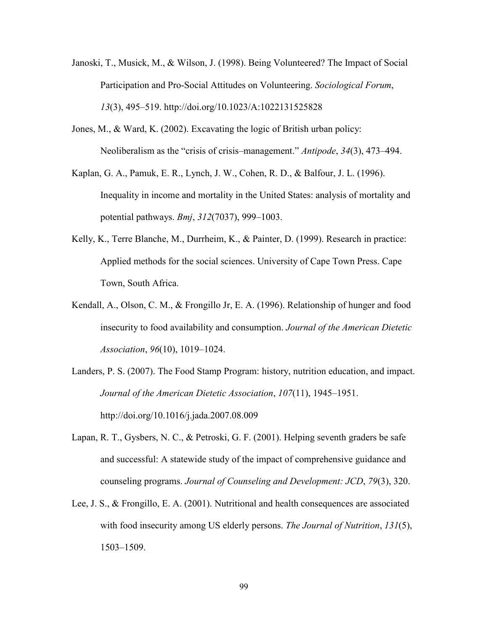- Janoski, T., Musick, M., & Wilson, J. (1998). Being Volunteered? The Impact of Social Participation and Pro-Social Attitudes on Volunteering. *Sociological Forum*, *13*(3), 495–519. http://doi.org/10.1023/A:1022131525828
- Jones, M., & Ward, K. (2002). Excavating the logic of British urban policy: Neoliberalism as the "crisis of crisis–management." *Antipode*, *34*(3), 473–494.
- Kaplan, G. A., Pamuk, E. R., Lynch, J. W., Cohen, R. D., & Balfour, J. L. (1996). Inequality in income and mortality in the United States: analysis of mortality and potential pathways. *Bmj*, *312*(7037), 999–1003.
- Kelly, K., Terre Blanche, M., Durrheim, K., & Painter, D. (1999). Research in practice: Applied methods for the social sciences. University of Cape Town Press. Cape Town, South Africa.
- Kendall, A., Olson, C. M., & Frongillo Jr, E. A. (1996). Relationship of hunger and food insecurity to food availability and consumption. *Journal of the American Dietetic Association*, *96*(10), 1019–1024.
- Landers, P. S. (2007). The Food Stamp Program: history, nutrition education, and impact. *Journal of the American Dietetic Association*, *107*(11), 1945–1951. http://doi.org/10.1016/j.jada.2007.08.009
- Lapan, R. T., Gysbers, N. C., & Petroski, G. F. (2001). Helping seventh graders be safe and successful: A statewide study of the impact of comprehensive guidance and counseling programs. *Journal of Counseling and Development: JCD*, *79*(3), 320.
- Lee, J. S., & Frongillo, E. A. (2001). Nutritional and health consequences are associated with food insecurity among US elderly persons. *The Journal of Nutrition*, *131*(5), 1503–1509.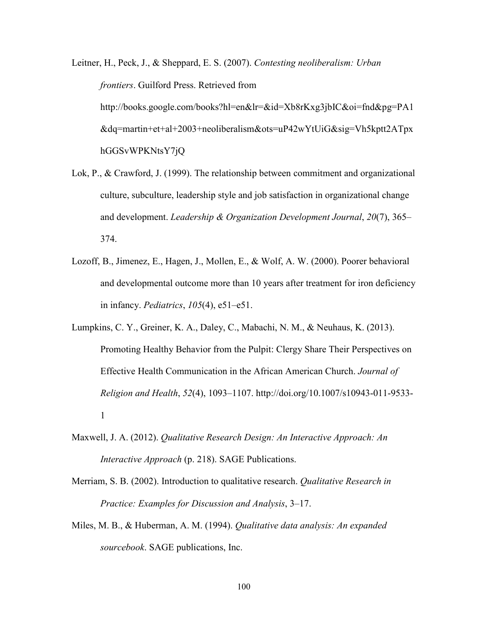Leitner, H., Peck, J., & Sheppard, E. S. (2007). *Contesting neoliberalism: Urban frontiers*. Guilford Press. Retrieved from http://books.google.com/books?hl=en&lr=&id=Xb8rKxg3jbIC&oi=fnd&pg=PA1 &dq=martin+et+al+2003+neoliberalism&ots=uP42wYtUiG&sig=Vh5kptt2ATpx hGGSvWPKNtsY7jQ

- Lok, P., & Crawford, J. (1999). The relationship between commitment and organizational culture, subculture, leadership style and job satisfaction in organizational change and development. *Leadership & Organization Development Journal*, *20*(7), 365– 374.
- Lozoff, B., Jimenez, E., Hagen, J., Mollen, E., & Wolf, A. W. (2000). Poorer behavioral and developmental outcome more than 10 years after treatment for iron deficiency in infancy. *Pediatrics*, *105*(4), e51–e51.
- Lumpkins, C. Y., Greiner, K. A., Daley, C., Mabachi, N. M., & Neuhaus, K. (2013). Promoting Healthy Behavior from the Pulpit: Clergy Share Their Perspectives on Effective Health Communication in the African American Church. *Journal of Religion and Health*, *52*(4), 1093–1107. http://doi.org/10.1007/s10943-011-9533- 1
- Maxwell, J. A. (2012). *Qualitative Research Design: An Interactive Approach: An Interactive Approach* (p. 218). SAGE Publications.
- Merriam, S. B. (2002). Introduction to qualitative research. *Qualitative Research in Practice: Examples for Discussion and Analysis*, 3–17.
- Miles, M. B., & Huberman, A. M. (1994). *Qualitative data analysis: An expanded sourcebook*. SAGE publications, Inc.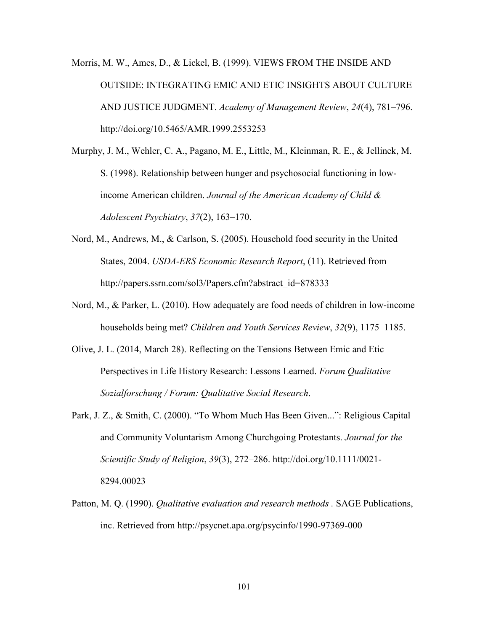Morris, M. W., Ames, D., & Lickel, B. (1999). VIEWS FROM THE INSIDE AND OUTSIDE: INTEGRATING EMIC AND ETIC INSIGHTS ABOUT CULTURE AND JUSTICE JUDGMENT. *Academy of Management Review*, *24*(4), 781–796. http://doi.org/10.5465/AMR.1999.2553253

Murphy, J. M., Wehler, C. A., Pagano, M. E., Little, M., Kleinman, R. E., & Jellinek, M. S. (1998). Relationship between hunger and psychosocial functioning in lowincome American children. *Journal of the American Academy of Child & Adolescent Psychiatry*, *37*(2), 163–170.

- Nord, M., Andrews, M., & Carlson, S. (2005). Household food security in the United States, 2004. *USDA-ERS Economic Research Report*, (11). Retrieved from http://papers.ssrn.com/sol3/Papers.cfm?abstract\_id=878333
- Nord, M., & Parker, L. (2010). How adequately are food needs of children in low-income households being met? *Children and Youth Services Review*, *32*(9), 1175–1185.
- Olive, J. L. (2014, March 28). Reflecting on the Tensions Between Emic and Etic Perspectives in Life History Research: Lessons Learned. *Forum Qualitative Sozialforschung / Forum: Qualitative Social Research*.
- Park, J. Z., & Smith, C. (2000). "To Whom Much Has Been Given...": Religious Capital and Community Voluntarism Among Churchgoing Protestants. *Journal for the Scientific Study of Religion*, *39*(3), 272–286. http://doi.org/10.1111/0021- 8294.00023
- Patton, M. Q. (1990). *Qualitative evaluation and research methods .* SAGE Publications, inc. Retrieved from http://psycnet.apa.org/psycinfo/1990-97369-000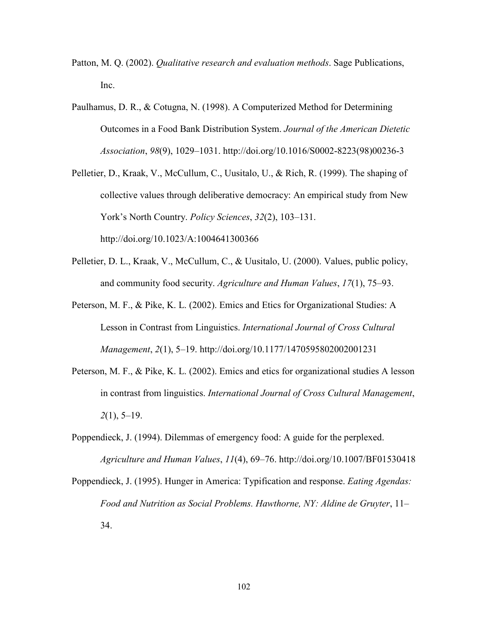- Patton, M. Q. (2002). *Qualitative research and evaluation methods*. Sage Publications, Inc.
- Paulhamus, D. R., & Cotugna, N. (1998). A Computerized Method for Determining Outcomes in a Food Bank Distribution System. *Journal of the American Dietetic Association*, *98*(9), 1029–1031. http://doi.org/10.1016/S0002-8223(98)00236-3
- Pelletier, D., Kraak, V., McCullum, C., Uusitalo, U., & Rich, R. (1999). The shaping of collective values through deliberative democracy: An empirical study from New York's North Country. *Policy Sciences*, *32*(2), 103–131. http://doi.org/10.1023/A:1004641300366
- Pelletier, D. L., Kraak, V., McCullum, C., & Uusitalo, U. (2000). Values, public policy, and community food security. *Agriculture and Human Values*, *17*(1), 75–93.
- Peterson, M. F., & Pike, K. L. (2002). Emics and Etics for Organizational Studies: A Lesson in Contrast from Linguistics. *International Journal of Cross Cultural Management*, *2*(1), 5–19. http://doi.org/10.1177/1470595802002001231
- Peterson, M. F., & Pike, K. L. (2002). Emics and etics for organizational studies A lesson in contrast from linguistics. *International Journal of Cross Cultural Management*, *2*(1), 5–19.
- Poppendieck, J. (1994). Dilemmas of emergency food: A guide for the perplexed. *Agriculture and Human Values*, *11*(4), 69–76. http://doi.org/10.1007/BF01530418
- Poppendieck, J. (1995). Hunger in America: Typification and response. *Eating Agendas: Food and Nutrition as Social Problems. Hawthorne, NY: Aldine de Gruyter*, 11– 34.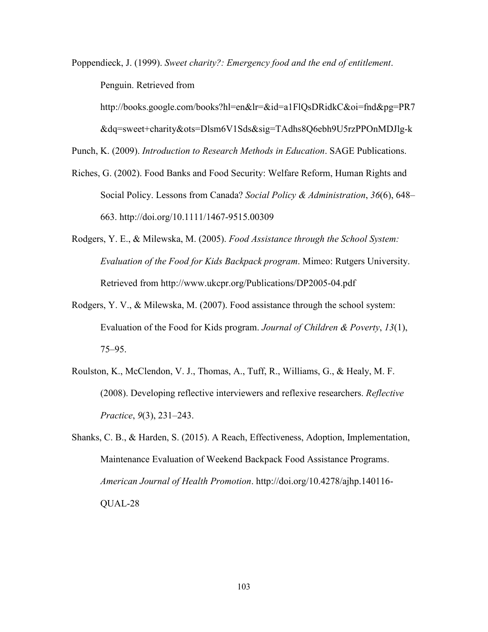Poppendieck, J. (1999). *Sweet charity?: Emergency food and the end of entitlement*. Penguin. Retrieved from

http://books.google.com/books?hl=en&lr=&id=a1FlQsDRidkC&oi=fnd&pg=PR7

&dq=sweet+charity&ots=Dlsm6V1Sds&sig=TAdhs8Q6ebh9U5rzPPOnMDJlg-k

Punch, K. (2009). *Introduction to Research Methods in Education*. SAGE Publications.

- Riches, G. (2002). Food Banks and Food Security: Welfare Reform, Human Rights and Social Policy. Lessons from Canada? *Social Policy & Administration*, *36*(6), 648– 663. http://doi.org/10.1111/1467-9515.00309
- Rodgers, Y. E., & Milewska, M. (2005). *Food Assistance through the School System: Evaluation of the Food for Kids Backpack program*. Mimeo: Rutgers University. Retrieved from http://www.ukcpr.org/Publications/DP2005-04.pdf
- Rodgers, Y. V., & Milewska, M. (2007). Food assistance through the school system: Evaluation of the Food for Kids program. *Journal of Children & Poverty*, *13*(1), 75–95.
- Roulston, K., McClendon, V. J., Thomas, A., Tuff, R., Williams, G., & Healy, M. F. (2008). Developing reflective interviewers and reflexive researchers. *Reflective Practice*, *9*(3), 231–243.
- Shanks, C. B., & Harden, S. (2015). A Reach, Effectiveness, Adoption, Implementation, Maintenance Evaluation of Weekend Backpack Food Assistance Programs. *American Journal of Health Promotion*. http://doi.org/10.4278/ajhp.140116- QUAL-28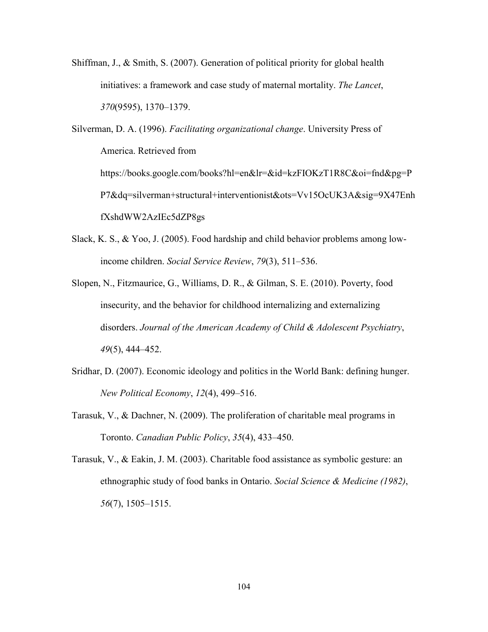Shiffman, J., & Smith, S. (2007). Generation of political priority for global health initiatives: a framework and case study of maternal mortality. *The Lancet*, *370*(9595), 1370–1379.

Silverman, D. A. (1996). *Facilitating organizational change*. University Press of America. Retrieved from https://books.google.com/books?hl=en&lr=&id=kzFIOKzT1R8C&oi=fnd&pg=P P7&dq=silverman+structural+interventionist&ots=Vv15OcUK3A&sig=9X47Enh fXshdWW2AzIEc5dZP8gs

- Slack, K. S., & Yoo, J. (2005). Food hardship and child behavior problems among lowincome children. *Social Service Review*, *79*(3), 511–536.
- Slopen, N., Fitzmaurice, G., Williams, D. R., & Gilman, S. E. (2010). Poverty, food insecurity, and the behavior for childhood internalizing and externalizing disorders. *Journal of the American Academy of Child & Adolescent Psychiatry*, *49*(5), 444–452.
- Sridhar, D. (2007). Economic ideology and politics in the World Bank: defining hunger. *New Political Economy*, *12*(4), 499–516.
- Tarasuk, V., & Dachner, N. (2009). The proliferation of charitable meal programs in Toronto. *Canadian Public Policy*, *35*(4), 433–450.
- Tarasuk, V., & Eakin, J. M. (2003). Charitable food assistance as symbolic gesture: an ethnographic study of food banks in Ontario. *Social Science & Medicine (1982)*, *56*(7), 1505–1515.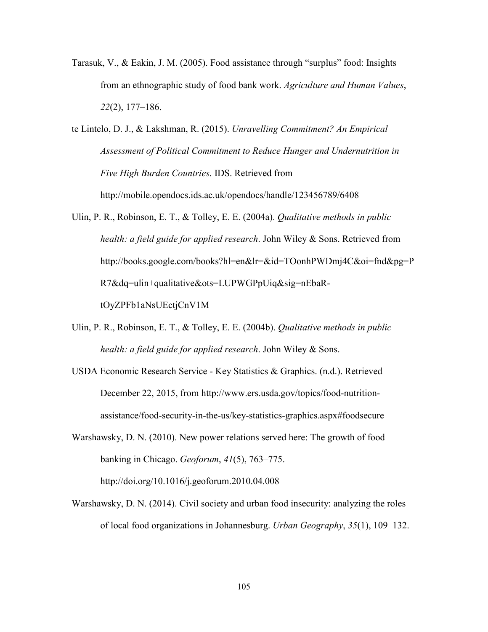- Tarasuk, V., & Eakin, J. M. (2005). Food assistance through "surplus" food: Insights from an ethnographic study of food bank work. *Agriculture and Human Values*, *22*(2), 177–186.
- te Lintelo, D. J., & Lakshman, R. (2015). *Unravelling Commitment? An Empirical Assessment of Political Commitment to Reduce Hunger and Undernutrition in Five High Burden Countries*. IDS. Retrieved from http://mobile.opendocs.ids.ac.uk/opendocs/handle/123456789/6408
- Ulin, P. R., Robinson, E. T., & Tolley, E. E. (2004a). *Qualitative methods in public health: a field guide for applied research*. John Wiley & Sons. Retrieved from http://books.google.com/books?hl=en&lr=&id=TOonhPWDmj4C&oi=fnd&pg=P R7&dq=ulin+qualitative&ots=LUPWGPpUiq&sig=nEbaRtOyZPFb1aNsUEctjCnV1M
- Ulin, P. R., Robinson, E. T., & Tolley, E. E. (2004b). *Qualitative methods in public health: a field guide for applied research*. John Wiley & Sons.
- USDA Economic Research Service Key Statistics & Graphics. (n.d.). Retrieved December 22, 2015, from http://www.ers.usda.gov/topics/food-nutritionassistance/food-security-in-the-us/key-statistics-graphics.aspx#foodsecure
- Warshawsky, D. N. (2010). New power relations served here: The growth of food banking in Chicago. *Geoforum*, *41*(5), 763–775. http://doi.org/10.1016/j.geoforum.2010.04.008
- Warshawsky, D. N. (2014). Civil society and urban food insecurity: analyzing the roles of local food organizations in Johannesburg. *Urban Geography*, *35*(1), 109–132.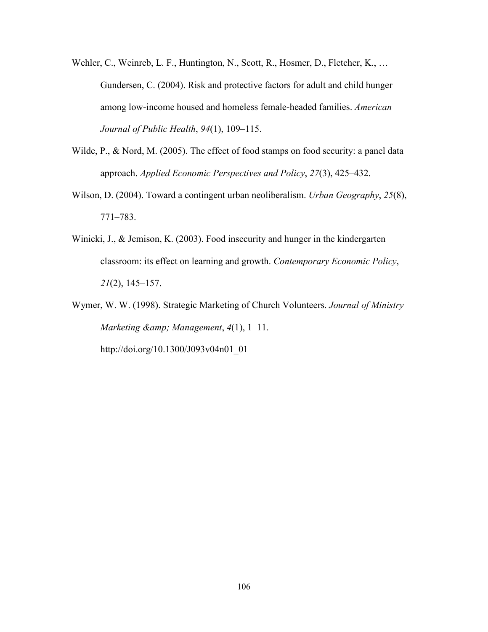- Wehler, C., Weinreb, L. F., Huntington, N., Scott, R., Hosmer, D., Fletcher, K., ... Gundersen, C. (2004). Risk and protective factors for adult and child hunger among low-income housed and homeless female-headed families. *American Journal of Public Health*, *94*(1), 109–115.
- Wilde, P., & Nord, M. (2005). The effect of food stamps on food security: a panel data approach. *Applied Economic Perspectives and Policy*, *27*(3), 425–432.
- Wilson, D. (2004). Toward a contingent urban neoliberalism. *Urban Geography*, *25*(8), 771–783.
- Winicki, J., & Jemison, K. (2003). Food insecurity and hunger in the kindergarten classroom: its effect on learning and growth. *Contemporary Economic Policy*, *21*(2), 145–157.
- Wymer, W. W. (1998). Strategic Marketing of Church Volunteers. *Journal of Ministry Marketing & Management*, *4*(1), 1–11.

http://doi.org/10.1300/J093v04n01\_01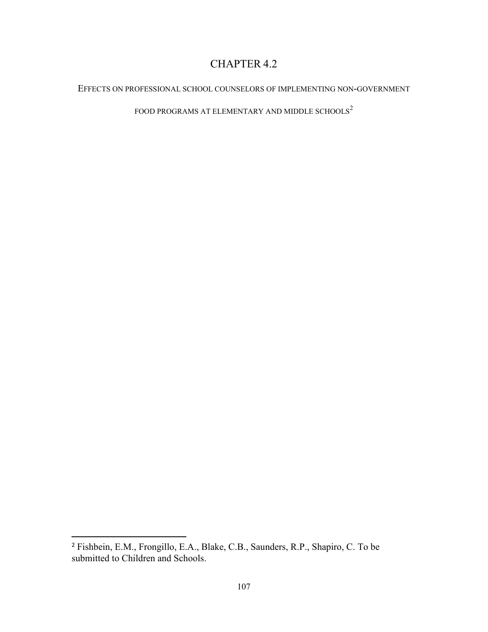# CHAPTER 4.2

# EFFECTS ON PROFESSIONAL SCHOOL COUNSELORS OF IMPLEMENTING NON-GOVERNMENT

FOOD PROGRAMS AT ELEMENTARY AND MIDDLE SCHOOLS  $\!2$ 

l

<sup>2</sup> Fishbein, E.M., Frongillo, E.A., Blake, C.B., Saunders, R.P., Shapiro, C. To be submitted to Children and Schools.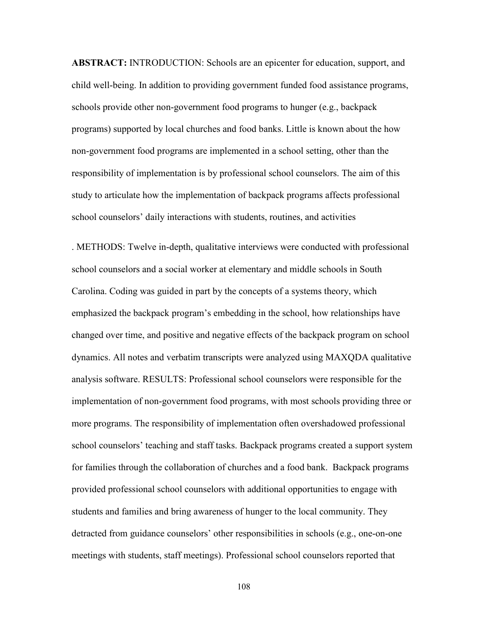**ABSTRACT:** INTRODUCTION: Schools are an epicenter for education, support, and child well-being. In addition to providing government funded food assistance programs, schools provide other non-government food programs to hunger (e.g., backpack programs) supported by local churches and food banks. Little is known about the how non-government food programs are implemented in a school setting, other than the responsibility of implementation is by professional school counselors. The aim of this study to articulate how the implementation of backpack programs affects professional school counselors' daily interactions with students, routines, and activities

. METHODS: Twelve in-depth, qualitative interviews were conducted with professional school counselors and a social worker at elementary and middle schools in South Carolina. Coding was guided in part by the concepts of a systems theory, which emphasized the backpack program's embedding in the school, how relationships have changed over time, and positive and negative effects of the backpack program on school dynamics. All notes and verbatim transcripts were analyzed using MAXQDA qualitative analysis software. RESULTS: Professional school counselors were responsible for the implementation of non-government food programs, with most schools providing three or more programs. The responsibility of implementation often overshadowed professional school counselors' teaching and staff tasks. Backpack programs created a support system for families through the collaboration of churches and a food bank. Backpack programs provided professional school counselors with additional opportunities to engage with students and families and bring awareness of hunger to the local community. They detracted from guidance counselors' other responsibilities in schools (e.g., one-on-one meetings with students, staff meetings). Professional school counselors reported that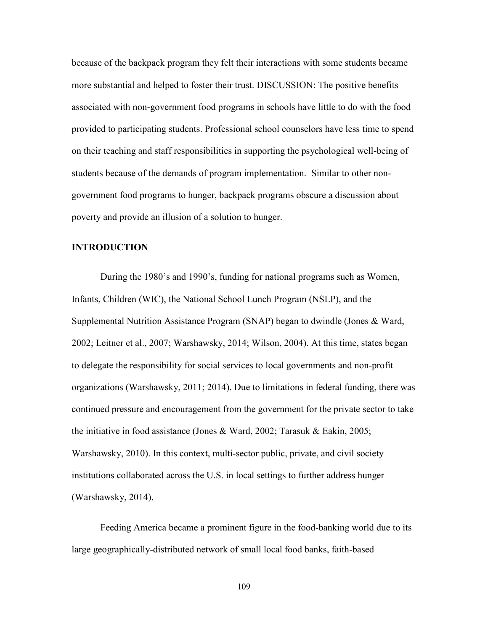because of the backpack program they felt their interactions with some students became more substantial and helped to foster their trust. DISCUSSION: The positive benefits associated with non-government food programs in schools have little to do with the food provided to participating students. Professional school counselors have less time to spend on their teaching and staff responsibilities in supporting the psychological well-being of students because of the demands of program implementation. Similar to other nongovernment food programs to hunger, backpack programs obscure a discussion about poverty and provide an illusion of a solution to hunger.

# **INTRODUCTION**

 During the 1980's and 1990's, funding for national programs such as Women, Infants, Children (WIC), the National School Lunch Program (NSLP), and the Supplemental Nutrition Assistance Program (SNAP) began to dwindle (Jones & Ward, 2002; Leitner et al., 2007; Warshawsky, 2014; Wilson, 2004). At this time, states began to delegate the responsibility for social services to local governments and non-profit organizations (Warshawsky, 2011; 2014). Due to limitations in federal funding, there was continued pressure and encouragement from the government for the private sector to take the initiative in food assistance (Jones & Ward, 2002; Tarasuk & Eakin, 2005; Warshawsky, 2010). In this context, multi-sector public, private, and civil society institutions collaborated across the U.S. in local settings to further address hunger (Warshawsky, 2014).

 Feeding America became a prominent figure in the food-banking world due to its large geographically-distributed network of small local food banks, faith-based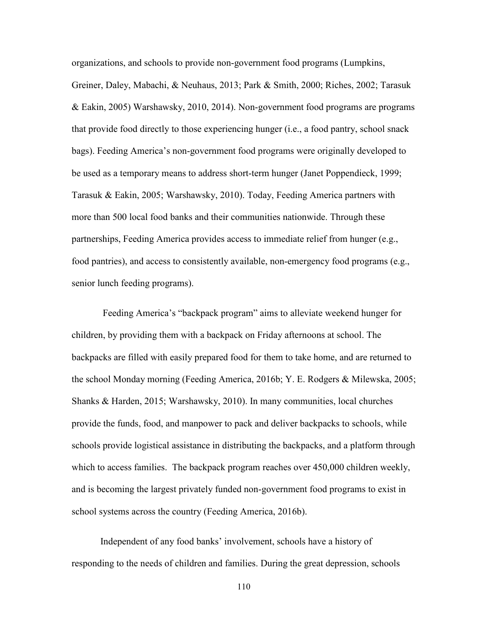organizations, and schools to provide non-government food programs (Lumpkins, Greiner, Daley, Mabachi, & Neuhaus, 2013; Park & Smith, 2000; Riches, 2002; Tarasuk & Eakin, 2005) Warshawsky, 2010, 2014). Non-government food programs are programs that provide food directly to those experiencing hunger (i.e., a food pantry, school snack bags). Feeding America's non-government food programs were originally developed to be used as a temporary means to address short-term hunger (Janet Poppendieck, 1999; Tarasuk & Eakin, 2005; Warshawsky, 2010). Today, Feeding America partners with more than 500 local food banks and their communities nationwide. Through these partnerships, Feeding America provides access to immediate relief from hunger (e.g., food pantries), and access to consistently available, non-emergency food programs (e.g., senior lunch feeding programs).

 Feeding America's "backpack program" aims to alleviate weekend hunger for children, by providing them with a backpack on Friday afternoons at school. The backpacks are filled with easily prepared food for them to take home, and are returned to the school Monday morning (Feeding America, 2016b; Y. E. Rodgers & Milewska, 2005; Shanks & Harden, 2015; Warshawsky, 2010). In many communities, local churches provide the funds, food, and manpower to pack and deliver backpacks to schools, while schools provide logistical assistance in distributing the backpacks, and a platform through which to access families. The backpack program reaches over 450,000 children weekly, and is becoming the largest privately funded non-government food programs to exist in school systems across the country (Feeding America, 2016b).

 Independent of any food banks' involvement, schools have a history of responding to the needs of children and families. During the great depression, schools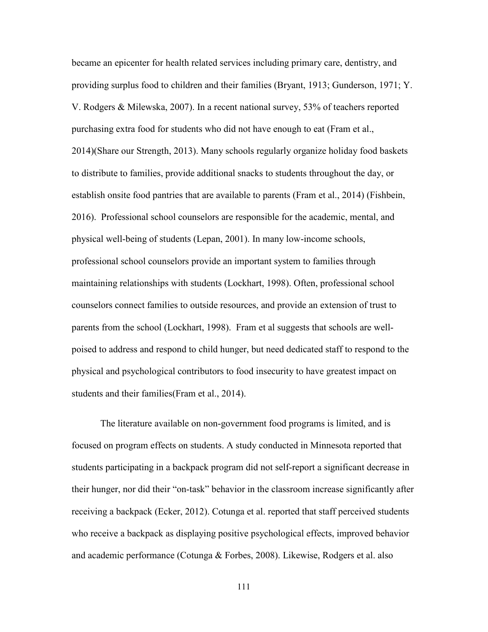became an epicenter for health related services including primary care, dentistry, and providing surplus food to children and their families (Bryant, 1913; Gunderson, 1971; Y. V. Rodgers & Milewska, 2007). In a recent national survey, 53% of teachers reported purchasing extra food for students who did not have enough to eat (Fram et al., 2014)(Share our Strength, 2013). Many schools regularly organize holiday food baskets to distribute to families, provide additional snacks to students throughout the day, or establish onsite food pantries that are available to parents (Fram et al., 2014) (Fishbein, 2016). Professional school counselors are responsible for the academic, mental, and physical well-being of students (Lepan, 2001). In many low-income schools, professional school counselors provide an important system to families through maintaining relationships with students (Lockhart, 1998). Often, professional school counselors connect families to outside resources, and provide an extension of trust to parents from the school (Lockhart, 1998). Fram et al suggests that schools are wellpoised to address and respond to child hunger, but need dedicated staff to respond to the physical and psychological contributors to food insecurity to have greatest impact on students and their families(Fram et al., 2014).

 The literature available on non-government food programs is limited, and is focused on program effects on students. A study conducted in Minnesota reported that students participating in a backpack program did not self-report a significant decrease in their hunger, nor did their "on-task" behavior in the classroom increase significantly after receiving a backpack (Ecker, 2012). Cotunga et al. reported that staff perceived students who receive a backpack as displaying positive psychological effects, improved behavior and academic performance (Cotunga & Forbes, 2008). Likewise, Rodgers et al. also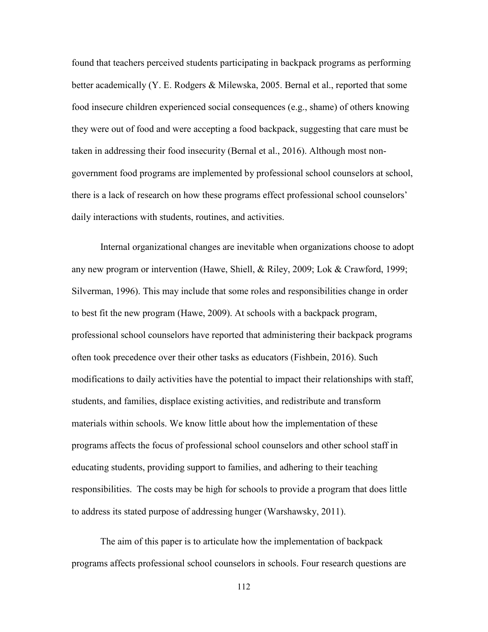found that teachers perceived students participating in backpack programs as performing better academically (Y. E. Rodgers & Milewska, 2005. Bernal et al., reported that some food insecure children experienced social consequences (e.g., shame) of others knowing they were out of food and were accepting a food backpack, suggesting that care must be taken in addressing their food insecurity (Bernal et al., 2016). Although most nongovernment food programs are implemented by professional school counselors at school, there is a lack of research on how these programs effect professional school counselors' daily interactions with students, routines, and activities.

 Internal organizational changes are inevitable when organizations choose to adopt any new program or intervention (Hawe, Shiell, & Riley, 2009; Lok & Crawford, 1999; Silverman, 1996). This may include that some roles and responsibilities change in order to best fit the new program (Hawe, 2009). At schools with a backpack program, professional school counselors have reported that administering their backpack programs often took precedence over their other tasks as educators (Fishbein, 2016). Such modifications to daily activities have the potential to impact their relationships with staff, students, and families, displace existing activities, and redistribute and transform materials within schools. We know little about how the implementation of these programs affects the focus of professional school counselors and other school staff in educating students, providing support to families, and adhering to their teaching responsibilities. The costs may be high for schools to provide a program that does little to address its stated purpose of addressing hunger (Warshawsky, 2011).

 The aim of this paper is to articulate how the implementation of backpack programs affects professional school counselors in schools. Four research questions are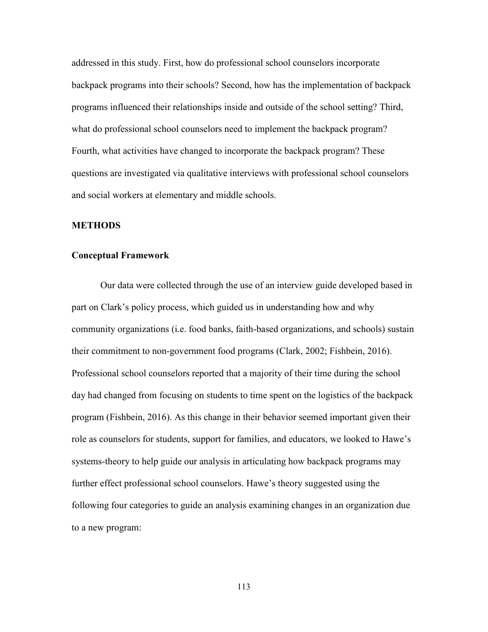addressed in this study. First, how do professional school counselors incorporate backpack programs into their schools? Second, how has the implementation of backpack programs influenced their relationships inside and outside of the school setting? Third, what do professional school counselors need to implement the backpack program? Fourth, what activities have changed to incorporate the backpack program? These questions are investigated via qualitative interviews with professional school counselors and social workers at elementary and middle schools.

#### **METHODS**

#### **Conceptual Framework**

Our data were collected through the use of an interview guide developed based in part on Clark's policy process, which guided us in understanding how and why community organizations (i.e. food banks, faith-based organizations, and schools) sustain their commitment to non-government food programs (Clark, 2002; Fishbein, 2016). Professional school counselors reported that a majority of their time during the school day had changed from focusing on students to time spent on the logistics of the backpack program (Fishbein, 2016). As this change in their behavior seemed important given their role as counselors for students, support for families, and educators, we looked to Hawe's systems-theory to help guide our analysis in articulating how backpack programs may further effect professional school counselors. Hawe's theory suggested using the following four categories to guide an analysis examining changes in an organization due to a new program: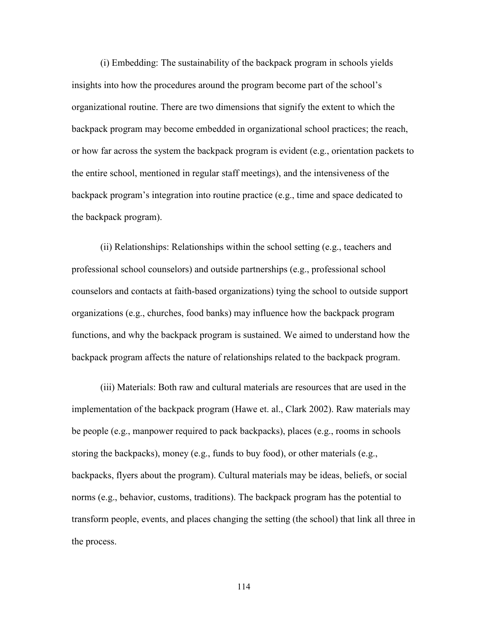(i) Embedding: The sustainability of the backpack program in schools yields insights into how the procedures around the program become part of the school's organizational routine. There are two dimensions that signify the extent to which the backpack program may become embedded in organizational school practices; the reach, or how far across the system the backpack program is evident (e.g., orientation packets to the entire school, mentioned in regular staff meetings), and the intensiveness of the backpack program's integration into routine practice (e.g., time and space dedicated to the backpack program).

 (ii) Relationships: Relationships within the school setting (e.g., teachers and professional school counselors) and outside partnerships (e.g., professional school counselors and contacts at faith-based organizations) tying the school to outside support organizations (e.g., churches, food banks) may influence how the backpack program functions, and why the backpack program is sustained. We aimed to understand how the backpack program affects the nature of relationships related to the backpack program.

 (iii) Materials: Both raw and cultural materials are resources that are used in the implementation of the backpack program (Hawe et. al., Clark 2002). Raw materials may be people (e.g., manpower required to pack backpacks), places (e.g., rooms in schools storing the backpacks), money (e.g., funds to buy food), or other materials (e.g., backpacks, flyers about the program). Cultural materials may be ideas, beliefs, or social norms (e.g., behavior, customs, traditions). The backpack program has the potential to transform people, events, and places changing the setting (the school) that link all three in the process.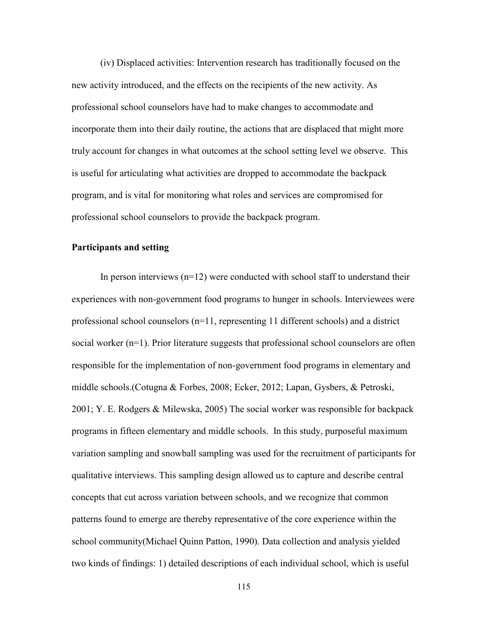(iv) Displaced activities: Intervention research has traditionally focused on the new activity introduced, and the effects on the recipients of the new activity. As professional school counselors have had to make changes to accommodate and incorporate them into their daily routine, the actions that are displaced that might more truly account for changes in what outcomes at the school setting level we observe. This is useful for articulating what activities are dropped to accommodate the backpack program, and is vital for monitoring what roles and services are compromised for professional school counselors to provide the backpack program.

# **Participants and setting**

In person interviews  $(n=12)$  were conducted with school staff to understand their experiences with non-government food programs to hunger in schools. Interviewees were professional school counselors  $(n=11)$ , representing 11 different schools) and a district social worker (n=1). Prior literature suggests that professional school counselors are often responsible for the implementation of non-government food programs in elementary and middle schools.(Cotugna & Forbes, 2008; Ecker, 2012; Lapan, Gysbers, & Petroski, 2001; Y. E. Rodgers & Milewska, 2005) The social worker was responsible for backpack programs in fifteen elementary and middle schools. In this study, purposeful maximum variation sampling and snowball sampling was used for the recruitment of participants for qualitative interviews. This sampling design allowed us to capture and describe central concepts that cut across variation between schools, and we recognize that common patterns found to emerge are thereby representative of the core experience within the school community(Michael Quinn Patton, 1990). Data collection and analysis yielded two kinds of findings: 1) detailed descriptions of each individual school, which is useful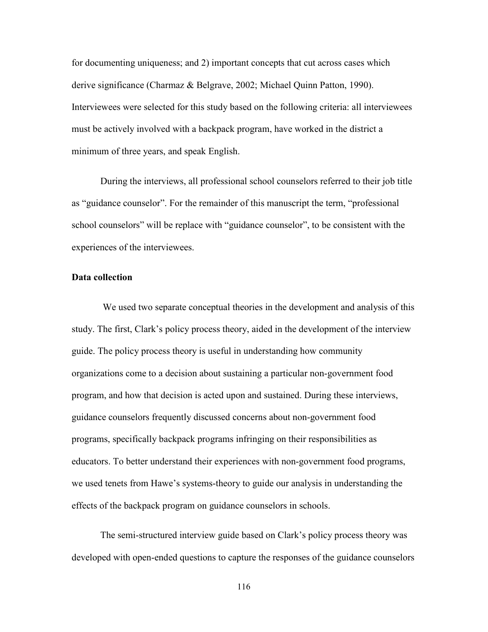for documenting uniqueness; and 2) important concepts that cut across cases which derive significance (Charmaz & Belgrave, 2002; Michael Quinn Patton, 1990). Interviewees were selected for this study based on the following criteria: all interviewees must be actively involved with a backpack program, have worked in the district a minimum of three years, and speak English.

 During the interviews, all professional school counselors referred to their job title as "guidance counselor". For the remainder of this manuscript the term, "professional school counselors" will be replace with "guidance counselor", to be consistent with the experiences of the interviewees.

# **Data collection**

 We used two separate conceptual theories in the development and analysis of this study. The first, Clark's policy process theory, aided in the development of the interview guide. The policy process theory is useful in understanding how community organizations come to a decision about sustaining a particular non-government food program, and how that decision is acted upon and sustained. During these interviews, guidance counselors frequently discussed concerns about non-government food programs, specifically backpack programs infringing on their responsibilities as educators. To better understand their experiences with non-government food programs, we used tenets from Hawe's systems-theory to guide our analysis in understanding the effects of the backpack program on guidance counselors in schools.

 The semi-structured interview guide based on Clark's policy process theory was developed with open-ended questions to capture the responses of the guidance counselors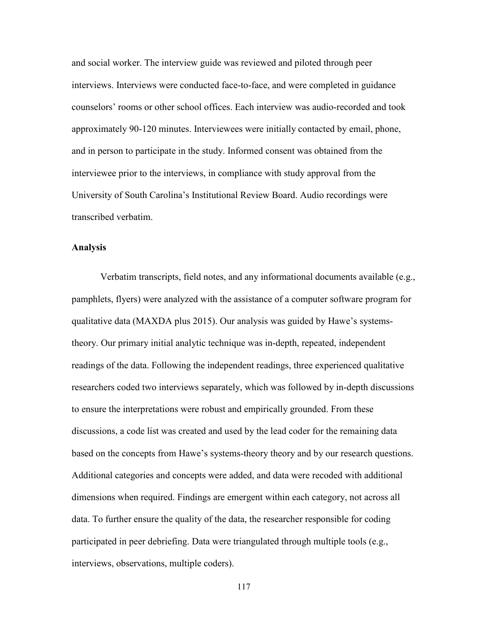and social worker. The interview guide was reviewed and piloted through peer interviews. Interviews were conducted face-to-face, and were completed in guidance counselors' rooms or other school offices. Each interview was audio-recorded and took approximately 90-120 minutes. Interviewees were initially contacted by email, phone, and in person to participate in the study. Informed consent was obtained from the interviewee prior to the interviews, in compliance with study approval from the University of South Carolina's Institutional Review Board. Audio recordings were transcribed verbatim.

# **Analysis**

Verbatim transcripts, field notes, and any informational documents available (e.g., pamphlets, flyers) were analyzed with the assistance of a computer software program for qualitative data (MAXDA plus 2015). Our analysis was guided by Hawe's systemstheory. Our primary initial analytic technique was in-depth, repeated, independent readings of the data. Following the independent readings, three experienced qualitative researchers coded two interviews separately, which was followed by in-depth discussions to ensure the interpretations were robust and empirically grounded. From these discussions, a code list was created and used by the lead coder for the remaining data based on the concepts from Hawe's systems-theory theory and by our research questions. Additional categories and concepts were added, and data were recoded with additional dimensions when required. Findings are emergent within each category, not across all data. To further ensure the quality of the data, the researcher responsible for coding participated in peer debriefing. Data were triangulated through multiple tools (e.g., interviews, observations, multiple coders).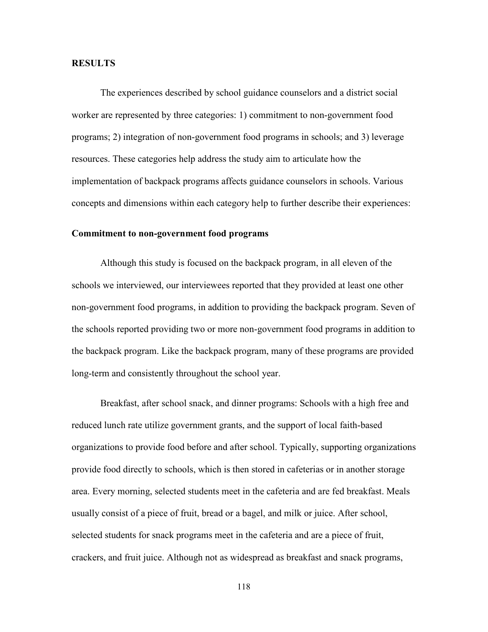#### **RESULTS**

 The experiences described by school guidance counselors and a district social worker are represented by three categories: 1) commitment to non-government food programs; 2) integration of non-government food programs in schools; and 3) leverage resources. These categories help address the study aim to articulate how the implementation of backpack programs affects guidance counselors in schools. Various concepts and dimensions within each category help to further describe their experiences:

#### **Commitment to non-government food programs**

 Although this study is focused on the backpack program, in all eleven of the schools we interviewed, our interviewees reported that they provided at least one other non-government food programs, in addition to providing the backpack program. Seven of the schools reported providing two or more non-government food programs in addition to the backpack program. Like the backpack program, many of these programs are provided long-term and consistently throughout the school year.

 Breakfast, after school snack, and dinner programs: Schools with a high free and reduced lunch rate utilize government grants, and the support of local faith-based organizations to provide food before and after school. Typically, supporting organizations provide food directly to schools, which is then stored in cafeterias or in another storage area. Every morning, selected students meet in the cafeteria and are fed breakfast. Meals usually consist of a piece of fruit, bread or a bagel, and milk or juice. After school, selected students for snack programs meet in the cafeteria and are a piece of fruit, crackers, and fruit juice. Although not as widespread as breakfast and snack programs,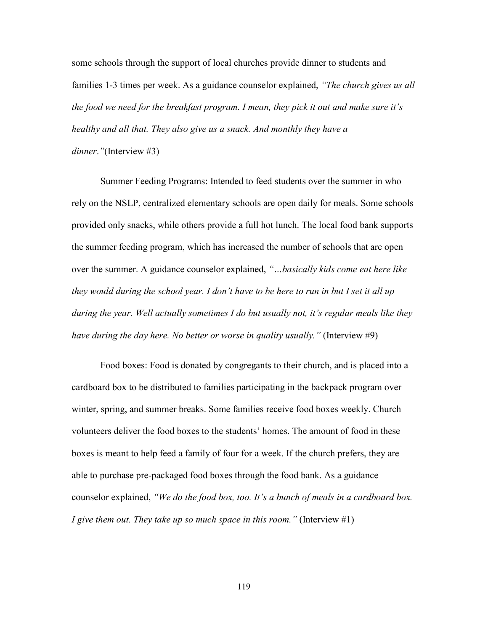some schools through the support of local churches provide dinner to students and families 1-3 times per week. As a guidance counselor explained, *"The church gives us all the food we need for the breakfast program. I mean, they pick it out and make sure it's healthy and all that. They also give us a snack. And monthly they have a dinner*.*"*(Interview #3)

 Summer Feeding Programs: Intended to feed students over the summer in who rely on the NSLP, centralized elementary schools are open daily for meals. Some schools provided only snacks, while others provide a full hot lunch. The local food bank supports the summer feeding program, which has increased the number of schools that are open over the summer. A guidance counselor explained, *"…basically kids come eat here like they would during the school year. I don't have to be here to run in but I set it all up during the year. Well actually sometimes I do but usually not, it's regular meals like they have during the day here. No better or worse in quality usually."* (Interview #9)

 Food boxes: Food is donated by congregants to their church, and is placed into a cardboard box to be distributed to families participating in the backpack program over winter, spring, and summer breaks. Some families receive food boxes weekly. Church volunteers deliver the food boxes to the students' homes. The amount of food in these boxes is meant to help feed a family of four for a week. If the church prefers, they are able to purchase pre-packaged food boxes through the food bank. As a guidance counselor explained, *"We do the food box, too. It's a bunch of meals in a cardboard box. I give them out. They take up so much space in this room.*" (Interview #1)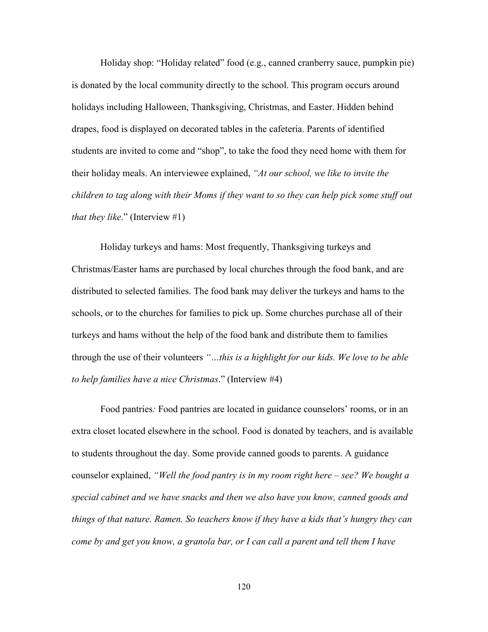Holiday shop: "Holiday related" food (e.g., canned cranberry sauce, pumpkin pie) is donated by the local community directly to the school. This program occurs around holidays including Halloween, Thanksgiving, Christmas, and Easter. Hidden behind drapes, food is displayed on decorated tables in the cafeteria. Parents of identified students are invited to come and "shop", to take the food they need home with them for their holiday meals. An interviewee explained, *"At our school, we like to invite the children to tag along with their Moms if they want to so they can help pick some stuff out that they like*." (Interview #1)

 Holiday turkeys and hams: Most frequently, Thanksgiving turkeys and Christmas/Easter hams are purchased by local churches through the food bank, and are distributed to selected families. The food bank may deliver the turkeys and hams to the schools, or to the churches for families to pick up. Some churches purchase all of their turkeys and hams without the help of the food bank and distribute them to families through the use of their volunteers *"…this is a highlight for our kids. We love to be able to help families have a nice Christmas*." (Interview #4)

 Food pantries*:* Food pantries are located in guidance counselors' rooms, or in an extra closet located elsewhere in the school. Food is donated by teachers, and is available to students throughout the day. Some provide canned goods to parents. A guidance counselor explained, *"Well the food pantry is in my room right here – see? We bought a special cabinet and we have snacks and then we also have you know, canned goods and things of that nature. Ramen. So teachers know if they have a kids that's hungry they can come by and get you know, a granola bar, or I can call a parent and tell them I have*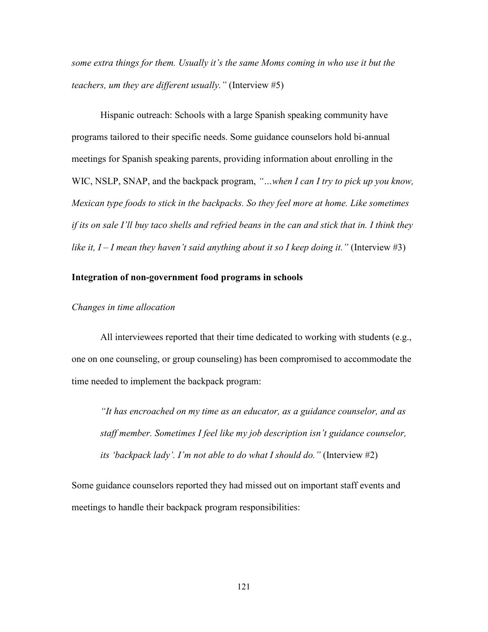*some extra things for them. Usually it's the same Moms coming in who use it but the teachers, um they are different usually."* (Interview #5)

 Hispanic outreach: Schools with a large Spanish speaking community have programs tailored to their specific needs. Some guidance counselors hold bi-annual meetings for Spanish speaking parents, providing information about enrolling in the WIC, NSLP, SNAP, and the backpack program, "...when I can I try to pick up you know, *Mexican type foods to stick in the backpacks. So they feel more at home. Like sometimes if its on sale I'll buy taco shells and refried beans in the can and stick that in. I think they* like it,  $I - I$  mean they haven't said anything about it so I keep doing it." (Interview #3)

# **Integration of non-government food programs in schools**

#### *Changes in time allocation*

 All interviewees reported that their time dedicated to working with students (e.g., one on one counseling, or group counseling) has been compromised to accommodate the time needed to implement the backpack program:

 *"It has encroached on my time as an educator, as a guidance counselor, and as staff member. Sometimes I feel like my job description isn't guidance counselor, its 'backpack lady'. I'm not able to do what I should do."* (Interview #2)

Some guidance counselors reported they had missed out on important staff events and meetings to handle their backpack program responsibilities: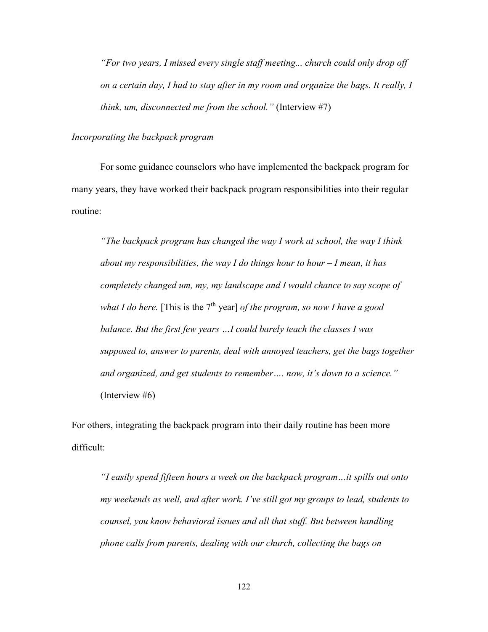*"For two years, I missed every single staff meeting... church could only drop off on a certain day, I had to stay after in my room and organize the bags. It really, I think, um, disconnected me from the school."* (Interview #7)

# *Incorporating the backpack program*

 For some guidance counselors who have implemented the backpack program for many years, they have worked their backpack program responsibilities into their regular routine:

*"The backpack program has changed the way I work at school, the way I think about my responsibilities, the way I do things hour to hour – I mean, it has completely changed um, my, my landscape and I would chance to say scope of what I do here.* [This is the 7<sup>th</sup> year] *of the program, so now I have a good balance. But the first few years …I could barely teach the classes I was supposed to, answer to parents, deal with annoyed teachers, get the bags together and organized, and get students to remember…. now, it's down to a science."*  (Interview #6)

For others, integrating the backpack program into their daily routine has been more difficult:

*"I easily spend fifteen hours a week on the backpack program…it spills out onto my weekends as well, and after work. I've still got my groups to lead, students to counsel, you know behavioral issues and all that stuff. But between handling phone calls from parents, dealing with our church, collecting the bags on*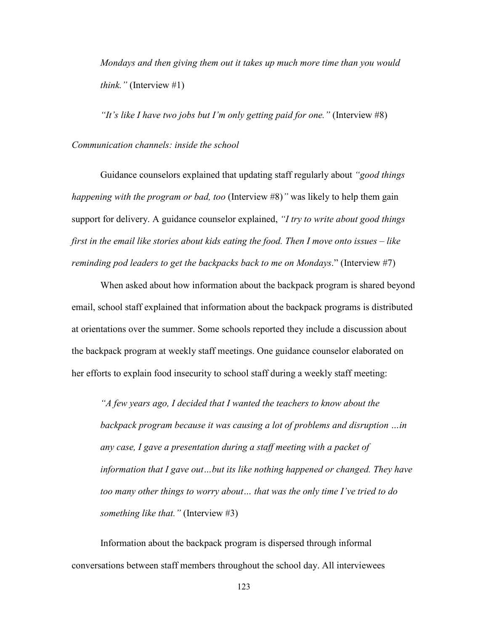*Mondays and then giving them out it takes up much more time than you would think."* (Interview #1)

 *"It's like I have two jobs but I'm only getting paid for one."* (Interview #8) *Communication channels: inside the school* 

 Guidance counselors explained that updating staff regularly about *"good things happening with the program or bad, too* (Interview #8)*"* was likely to help them gain support for delivery. A guidance counselor explained, *"I try to write about good things first in the email like stories about kids eating the food. Then I move onto issues – like reminding pod leaders to get the backpacks back to me on Mondays*." (Interview #7)

When asked about how information about the backpack program is shared beyond email, school staff explained that information about the backpack programs is distributed at orientations over the summer. Some schools reported they include a discussion about the backpack program at weekly staff meetings. One guidance counselor elaborated on her efforts to explain food insecurity to school staff during a weekly staff meeting:

 *"A few years ago, I decided that I wanted the teachers to know about the backpack program because it was causing a lot of problems and disruption …in any case, I gave a presentation during a staff meeting with a packet of information that I gave out…but its like nothing happened or changed. They have too many other things to worry about… that was the only time I've tried to do something like that."* (Interview #3)

 Information about the backpack program is dispersed through informal conversations between staff members throughout the school day. All interviewees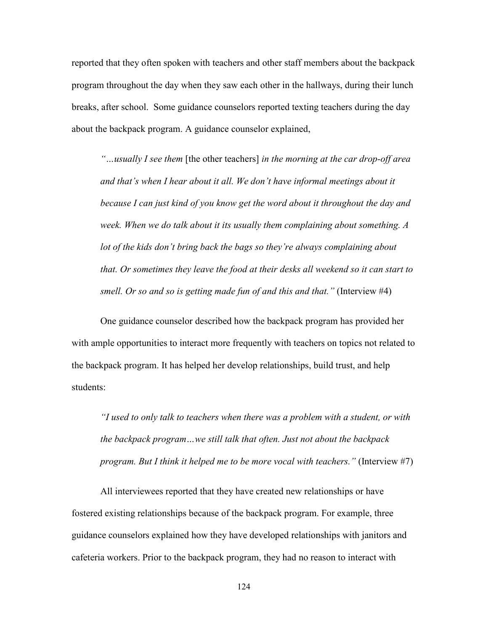reported that they often spoken with teachers and other staff members about the backpack program throughout the day when they saw each other in the hallways, during their lunch breaks, after school. Some guidance counselors reported texting teachers during the day about the backpack program. A guidance counselor explained,

*"…usually I see them* [the other teachers] *in the morning at the car drop-off area and that's when I hear about it all. We don't have informal meetings about it because I can just kind of you know get the word about it throughout the day and week. When we do talk about it its usually them complaining about something. A lot of the kids don't bring back the bags so they're always complaining about that. Or sometimes they leave the food at their desks all weekend so it can start to smell. Or so and so is getting made fun of and this and that.*" (Interview #4)

 One guidance counselor described how the backpack program has provided her with ample opportunities to interact more frequently with teachers on topics not related to the backpack program. It has helped her develop relationships, build trust, and help students:

*"I used to only talk to teachers when there was a problem with a student, or with the backpack program…we still talk that often. Just not about the backpack program. But I think it helped me to be more vocal with teachers."* (Interview #7)

 All interviewees reported that they have created new relationships or have fostered existing relationships because of the backpack program. For example, three guidance counselors explained how they have developed relationships with janitors and cafeteria workers. Prior to the backpack program, they had no reason to interact with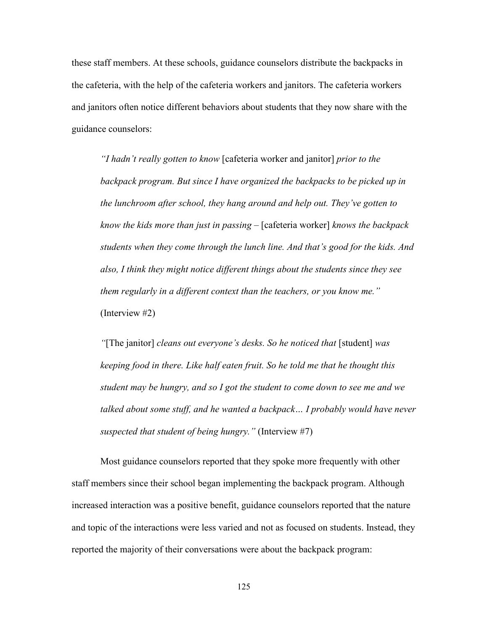these staff members. At these schools, guidance counselors distribute the backpacks in the cafeteria, with the help of the cafeteria workers and janitors. The cafeteria workers and janitors often notice different behaviors about students that they now share with the guidance counselors:

*"I hadn't really gotten to know* [cafeteria worker and janitor] *prior to the backpack program. But since I have organized the backpacks to be picked up in the lunchroom after school, they hang around and help out. They've gotten to know the kids more than just in passing –* [cafeteria worker] *knows the backpack students when they come through the lunch line. And that's good for the kids. And also, I think they might notice different things about the students since they see them regularly in a different context than the teachers, or you know me."*  (Interview #2)

 *"*[The janitor] *cleans out everyone's desks. So he noticed that* [student] *was keeping food in there. Like half eaten fruit. So he told me that he thought this student may be hungry, and so I got the student to come down to see me and we talked about some stuff, and he wanted a backpack… I probably would have never suspected that student of being hungry."* (Interview #7)

 Most guidance counselors reported that they spoke more frequently with other staff members since their school began implementing the backpack program. Although increased interaction was a positive benefit, guidance counselors reported that the nature and topic of the interactions were less varied and not as focused on students. Instead, they reported the majority of their conversations were about the backpack program: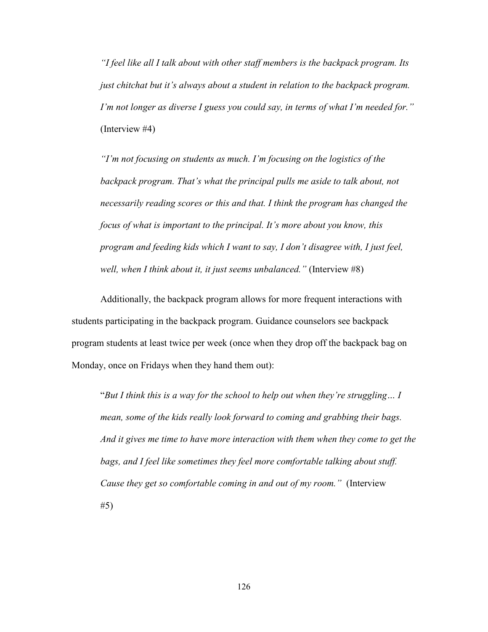*"I feel like all I talk about with other staff members is the backpack program. Its just chitchat but it's always about a student in relation to the backpack program. I'm not longer as diverse I guess you could say, in terms of what I'm needed for."*  (Interview #4)

 *"I'm not focusing on students as much. I'm focusing on the logistics of the backpack program. That's what the principal pulls me aside to talk about, not necessarily reading scores or this and that. I think the program has changed the focus of what is important to the principal. It's more about you know, this program and feeding kids which I want to say, I don't disagree with, I just feel, well, when I think about it, it just seems unbalanced."* (Interview #8)

 Additionally, the backpack program allows for more frequent interactions with students participating in the backpack program. Guidance counselors see backpack program students at least twice per week (once when they drop off the backpack bag on Monday, once on Fridays when they hand them out):

 "*But I think this is a way for the school to help out when they're struggling… I mean, some of the kids really look forward to coming and grabbing their bags. And it gives me time to have more interaction with them when they come to get the bags, and I feel like sometimes they feel more comfortable talking about stuff. Cause they get so comfortable coming in and out of my room."* (Interview #5)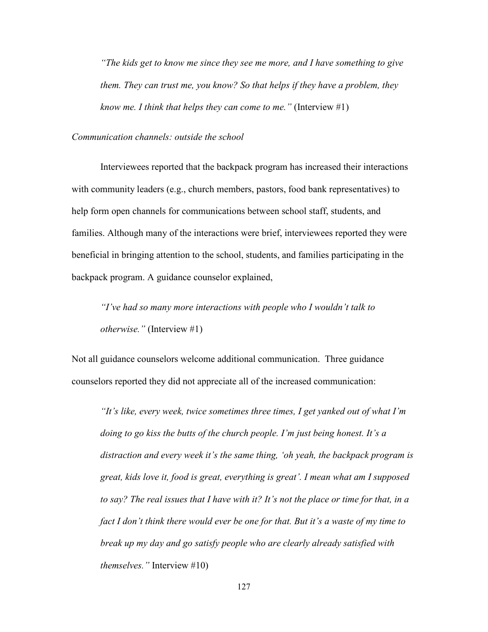*"The kids get to know me since they see me more, and I have something to give them. They can trust me, you know? So that helps if they have a problem, they know me. I think that helps they can come to me."* (Interview #1)

# *Communication channels: outside the school*

 Interviewees reported that the backpack program has increased their interactions with community leaders (e.g., church members, pastors, food bank representatives) to help form open channels for communications between school staff, students, and families. Although many of the interactions were brief, interviewees reported they were beneficial in bringing attention to the school, students, and families participating in the backpack program. A guidance counselor explained,

*"I've had so many more interactions with people who I wouldn't talk to otherwise."* (Interview #1)

Not all guidance counselors welcome additional communication. Three guidance counselors reported they did not appreciate all of the increased communication:

*"It's like, every week, twice sometimes three times, I get yanked out of what I'm doing to go kiss the butts of the church people. I'm just being honest. It's a distraction and every week it's the same thing, 'oh yeah, the backpack program is great, kids love it, food is great, everything is great'. I mean what am I supposed to say? The real issues that I have with it? It's not the place or time for that, in a fact I don't think there would ever be one for that. But it's a waste of my time to break up my day and go satisfy people who are clearly already satisfied with themselves."* Interview #10)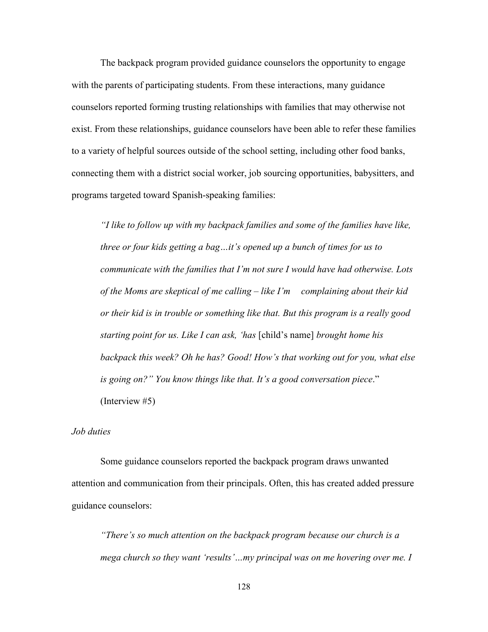The backpack program provided guidance counselors the opportunity to engage with the parents of participating students. From these interactions, many guidance counselors reported forming trusting relationships with families that may otherwise not exist. From these relationships, guidance counselors have been able to refer these families to a variety of helpful sources outside of the school setting, including other food banks, connecting them with a district social worker, job sourcing opportunities, babysitters, and programs targeted toward Spanish-speaking families:

*"I like to follow up with my backpack families and some of the families have like, three or four kids getting a bag…it's opened up a bunch of times for us to communicate with the families that I'm not sure I would have had otherwise. Lots of the Moms are skeptical of me calling – like I'm complaining about their kid or their kid is in trouble or something like that. But this program is a really good starting point for us. Like I can ask, 'has* [child's name] *brought home his backpack this week? Oh he has? Good! How's that working out for you, what else is going on?" You know things like that. It's a good conversation piece*." (Interview #5)

# *Job duties*

 Some guidance counselors reported the backpack program draws unwanted attention and communication from their principals. Often, this has created added pressure guidance counselors:

*"There's so much attention on the backpack program because our church is a mega church so they want 'results'…my principal was on me hovering over me. I*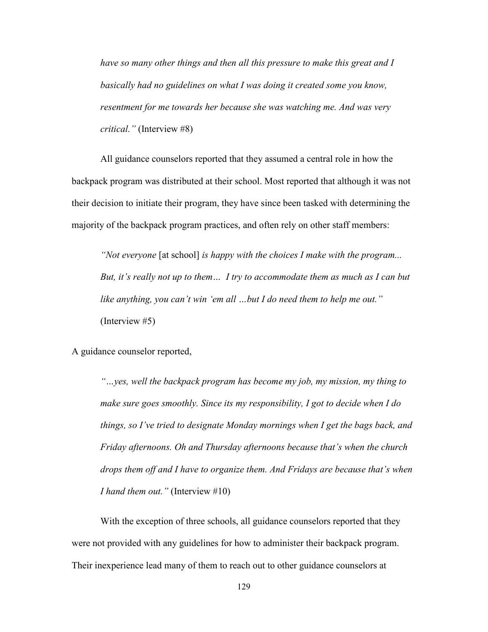*have so many other things and then all this pressure to make this great and I basically had no guidelines on what I was doing it created some you know, resentment for me towards her because she was watching me. And was very critical."* (Interview #8)

 All guidance counselors reported that they assumed a central role in how the backpack program was distributed at their school. Most reported that although it was not their decision to initiate their program, they have since been tasked with determining the majority of the backpack program practices, and often rely on other staff members:

 *"Not everyone* [at school] *is happy with the choices I make with the program... But, it's really not up to them… I try to accommodate them as much as I can but like anything, you can't win 'em all …but I do need them to help me out."*  (Interview #5)

A guidance counselor reported,

*"…yes, well the backpack program has become my job, my mission, my thing to make sure goes smoothly. Since its my responsibility, I got to decide when I do things, so I've tried to designate Monday mornings when I get the bags back, and Friday afternoons. Oh and Thursday afternoons because that's when the church drops them off and I have to organize them. And Fridays are because that's when I hand them out."* (Interview #10)

 With the exception of three schools, all guidance counselors reported that they were not provided with any guidelines for how to administer their backpack program. Their inexperience lead many of them to reach out to other guidance counselors at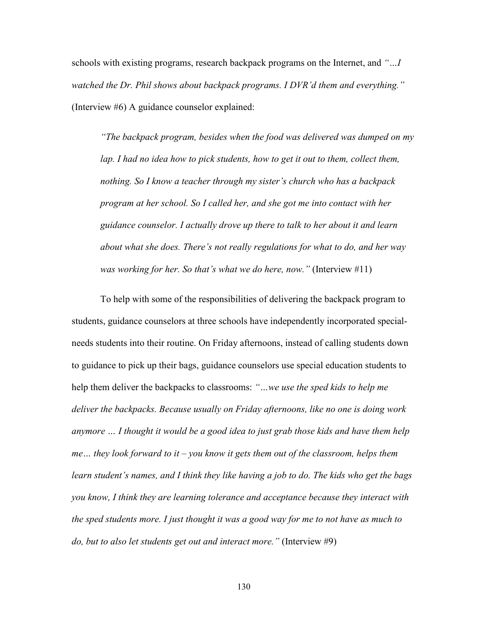schools with existing programs, research backpack programs on the Internet, and *"…I watched the Dr. Phil shows about backpack programs. I DVR'd them and everything."*  (Interview #6) A guidance counselor explained:

*"The backpack program, besides when the food was delivered was dumped on my lap. I had no idea how to pick students, how to get it out to them, collect them, nothing. So I know a teacher through my sister's church who has a backpack program at her school. So I called her, and she got me into contact with her guidance counselor. I actually drove up there to talk to her about it and learn about what she does. There's not really regulations for what to do, and her way was working for her. So that's what we do here, now."* (Interview #11)

 To help with some of the responsibilities of delivering the backpack program to students, guidance counselors at three schools have independently incorporated specialneeds students into their routine. On Friday afternoons, instead of calling students down to guidance to pick up their bags, guidance counselors use special education students to help them deliver the backpacks to classrooms: *"…we use the sped kids to help me deliver the backpacks. Because usually on Friday afternoons, like no one is doing work anymore … I thought it would be a good idea to just grab those kids and have them help me… they look forward to it – you know it gets them out of the classroom, helps them learn student's names, and I think they like having a job to do. The kids who get the bags you know, I think they are learning tolerance and acceptance because they interact with the sped students more. I just thought it was a good way for me to not have as much to do, but to also let students get out and interact more."* (Interview #9)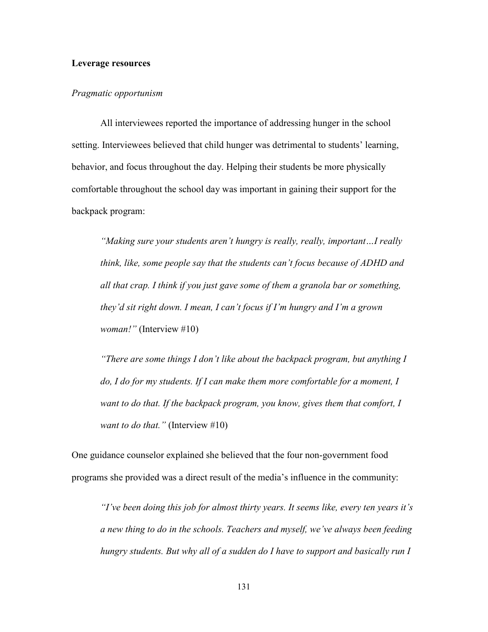#### **Leverage resources**

#### *Pragmatic opportunism*

 All interviewees reported the importance of addressing hunger in the school setting. Interviewees believed that child hunger was detrimental to students' learning, behavior, and focus throughout the day. Helping their students be more physically comfortable throughout the school day was important in gaining their support for the backpack program:

*"Making sure your students aren't hungry is really, really, important…I really think, like, some people say that the students can't focus because of ADHD and all that crap. I think if you just gave some of them a granola bar or something, they'd sit right down. I mean, I can't focus if I'm hungry and I'm a grown woman!"* (Interview #10)

 *"There are some things I don't like about the backpack program, but anything I do, I do for my students. If I can make them more comfortable for a moment, I want to do that. If the backpack program, you know, gives them that comfort, I want to do that."* (Interview #10)

One guidance counselor explained she believed that the four non-government food programs she provided was a direct result of the media's influence in the community:

*"I've been doing this job for almost thirty years. It seems like, every ten years it's a new thing to do in the schools. Teachers and myself, we've always been feeding hungry students. But why all of a sudden do I have to support and basically run I*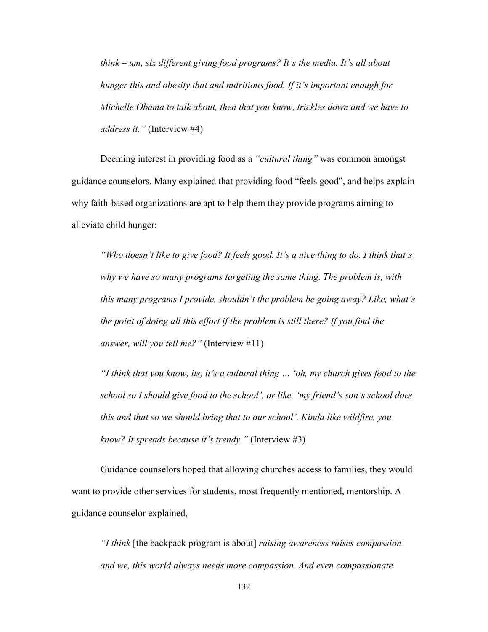*think – um, six different giving food programs? It's the media. It's all about hunger this and obesity that and nutritious food. If it's important enough for Michelle Obama to talk about, then that you know, trickles down and we have to address it."* (Interview #4)

 Deeming interest in providing food as a *"cultural thing"* was common amongst guidance counselors. Many explained that providing food "feels good", and helps explain why faith-based organizations are apt to help them they provide programs aiming to alleviate child hunger:

*"Who doesn't like to give food? It feels good. It's a nice thing to do. I think that's why we have so many programs targeting the same thing. The problem is, with this many programs I provide, shouldn't the problem be going away? Like, what's the point of doing all this effort if the problem is still there? If you find the answer, will you tell me?"* (Interview #11)

 *"I think that you know, its, it's a cultural thing … 'oh, my church gives food to the school so I should give food to the school', or like, 'my friend's son's school does this and that so we should bring that to our school'. Kinda like wildfire, you know? It spreads because it's trendy."* (Interview #3)

 Guidance counselors hoped that allowing churches access to families, they would want to provide other services for students, most frequently mentioned, mentorship. A guidance counselor explained,

*"I think* [the backpack program is about] *raising awareness raises compassion and we, this world always needs more compassion. And even compassionate*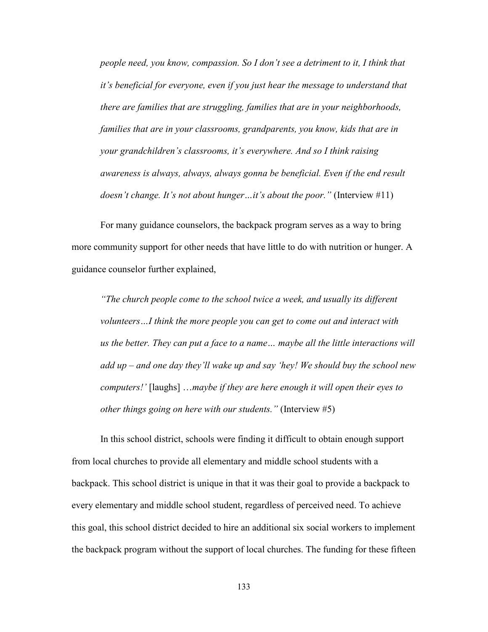*people need, you know, compassion. So I don't see a detriment to it, I think that it's beneficial for everyone, even if you just hear the message to understand that there are families that are struggling, families that are in your neighborhoods, families that are in your classrooms, grandparents, you know, kids that are in your grandchildren's classrooms, it's everywhere. And so I think raising awareness is always, always, always gonna be beneficial. Even if the end result doesn't change. It's not about hunger...it's about the poor."* (Interview #11)

 For many guidance counselors, the backpack program serves as a way to bring more community support for other needs that have little to do with nutrition or hunger. A guidance counselor further explained,

*"The church people come to the school twice a week, and usually its different volunteers…I think the more people you can get to come out and interact with us the better. They can put a face to a name… maybe all the little interactions will add up – and one day they'll wake up and say 'hey! We should buy the school new computers!'* [laughs] …*maybe if they are here enough it will open their eyes to other things going on here with our students."* (Interview #5)

 In this school district, schools were finding it difficult to obtain enough support from local churches to provide all elementary and middle school students with a backpack. This school district is unique in that it was their goal to provide a backpack to every elementary and middle school student, regardless of perceived need. To achieve this goal, this school district decided to hire an additional six social workers to implement the backpack program without the support of local churches. The funding for these fifteen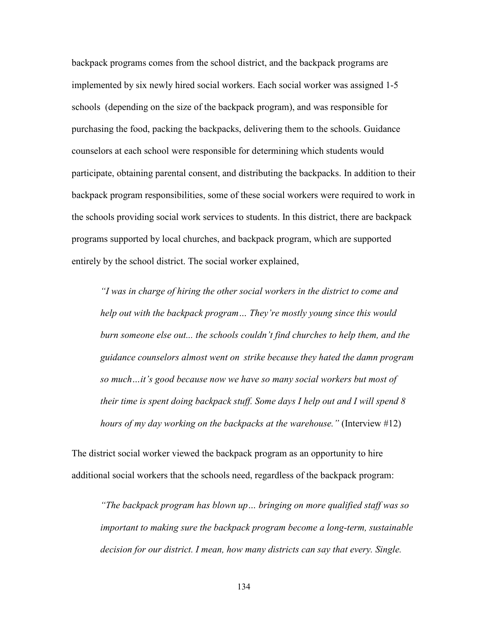backpack programs comes from the school district, and the backpack programs are implemented by six newly hired social workers. Each social worker was assigned 1-5 schools (depending on the size of the backpack program), and was responsible for purchasing the food, packing the backpacks, delivering them to the schools. Guidance counselors at each school were responsible for determining which students would participate, obtaining parental consent, and distributing the backpacks. In addition to their backpack program responsibilities, some of these social workers were required to work in the schools providing social work services to students. In this district, there are backpack programs supported by local churches, and backpack program, which are supported entirely by the school district. The social worker explained,

*"I was in charge of hiring the other social workers in the district to come and help out with the backpack program… They're mostly young since this would burn someone else out... the schools couldn't find churches to help them, and the guidance counselors almost went on strike because they hated the damn program so much…it's good because now we have so many social workers but most of their time is spent doing backpack stuff. Some days I help out and I will spend 8 hours of my day working on the backpacks at the warehouse."* (Interview #12)

The district social worker viewed the backpack program as an opportunity to hire additional social workers that the schools need, regardless of the backpack program:

*"The backpack program has blown up… bringing on more qualified staff was so important to making sure the backpack program become a long-term, sustainable decision for our district. I mean, how many districts can say that every. Single.*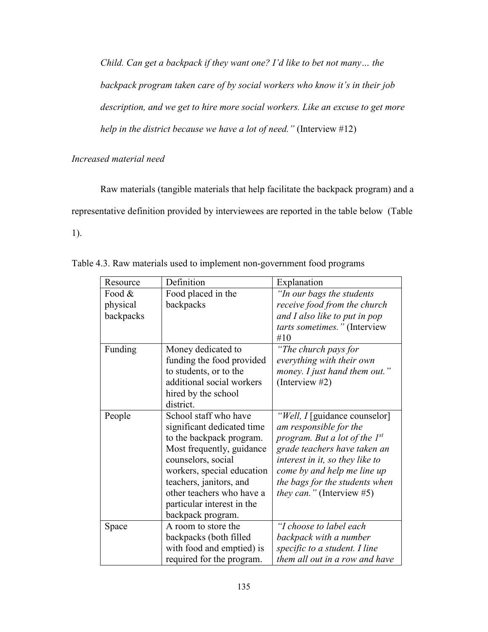*Child. Can get a backpack if they want one? I'd like to bet not many… the backpack program taken care of by social workers who know it's in their job description, and we get to hire more social workers. Like an excuse to get more help in the district because we have a lot of need."* (Interview #12)

# *Increased material need*

 Raw materials (tangible materials that help facilitate the backpack program) and a representative definition provided by interviewees are reported in the table below (Table 1).

| Resource  | Definition                 | Explanation                        |
|-----------|----------------------------|------------------------------------|
| Food &    | Food placed in the         | "In our bags the students"         |
| physical  | backpacks                  | receive food from the church       |
| backpacks |                            | and I also like to put in pop      |
|           |                            | tarts sometimes." (Interview       |
|           |                            | #10                                |
| Funding   | Money dedicated to         | "The church pays for               |
|           | funding the food provided  | everything with their own          |
|           | to students, or to the     | money. I just hand them out."      |
|           | additional social workers  | (Interview $#2$ )                  |
|           | hired by the school        |                                    |
|           | district.                  |                                    |
| People    | School staff who have      | "Well, I [guidance counselor]      |
|           | significant dedicated time | am responsible for the             |
|           | to the backpack program.   | program. But a lot of the $I^{st}$ |
|           | Most frequently, guidance  | grade teachers have taken an       |
|           | counselors, social         | interest in it, so they like to    |
|           | workers, special education | come by and help me line up        |
|           | teachers, janitors, and    | the bags for the students when     |
|           | other teachers who have a  | <i>they can.</i> " (Interview #5)  |
|           | particular interest in the |                                    |
|           | backpack program.          |                                    |
| Space     | A room to store the        | "I choose to label each            |
|           | backpacks (both filled     | backpack with a number             |
|           | with food and emptied) is  | specific to a student. I line      |
|           | required for the program.  | them all out in a row and have     |

Table 4.3. Raw materials used to implement non-government food programs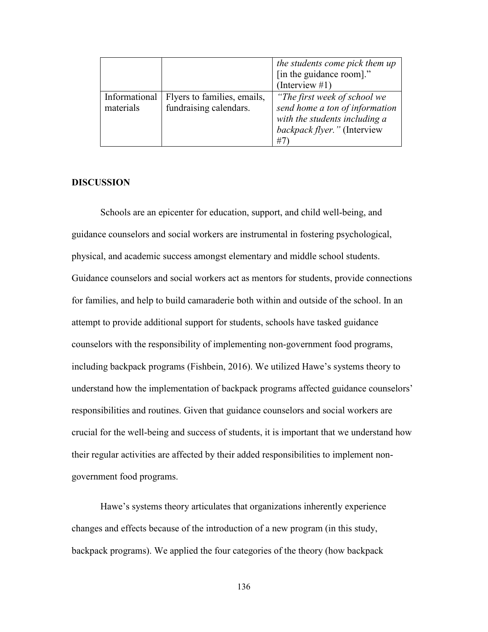|                            |                                                       | the students come pick them up<br>[in the guidance room]."<br>(Interview #1)                                                         |
|----------------------------|-------------------------------------------------------|--------------------------------------------------------------------------------------------------------------------------------------|
| Informational<br>materials | Flyers to families, emails,<br>fundraising calendars. | "The first week of school we<br>send home a ton of information<br>with the students including a<br>backpack flyer." (Interview<br>#7 |

### **DISCUSSION**

 Schools are an epicenter for education, support, and child well-being, and guidance counselors and social workers are instrumental in fostering psychological, physical, and academic success amongst elementary and middle school students. Guidance counselors and social workers act as mentors for students, provide connections for families, and help to build camaraderie both within and outside of the school. In an attempt to provide additional support for students, schools have tasked guidance counselors with the responsibility of implementing non-government food programs, including backpack programs (Fishbein, 2016). We utilized Hawe's systems theory to understand how the implementation of backpack programs affected guidance counselors' responsibilities and routines. Given that guidance counselors and social workers are crucial for the well-being and success of students, it is important that we understand how their regular activities are affected by their added responsibilities to implement nongovernment food programs.

 Hawe's systems theory articulates that organizations inherently experience changes and effects because of the introduction of a new program (in this study, backpack programs). We applied the four categories of the theory (how backpack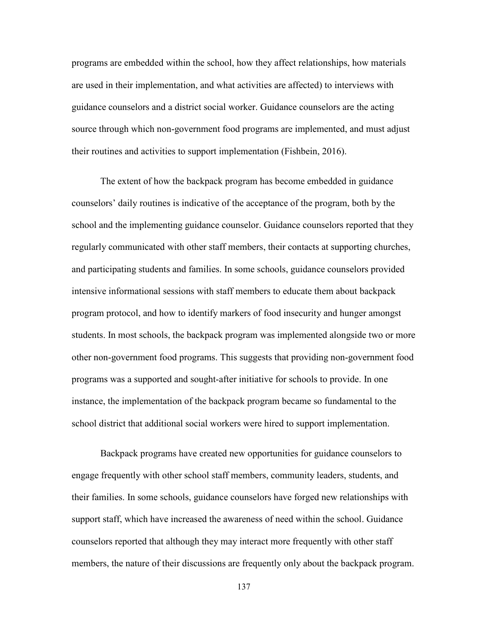programs are embedded within the school, how they affect relationships, how materials are used in their implementation, and what activities are affected) to interviews with guidance counselors and a district social worker. Guidance counselors are the acting source through which non-government food programs are implemented, and must adjust their routines and activities to support implementation (Fishbein, 2016).

 The extent of how the backpack program has become embedded in guidance counselors' daily routines is indicative of the acceptance of the program, both by the school and the implementing guidance counselor. Guidance counselors reported that they regularly communicated with other staff members, their contacts at supporting churches, and participating students and families. In some schools, guidance counselors provided intensive informational sessions with staff members to educate them about backpack program protocol, and how to identify markers of food insecurity and hunger amongst students. In most schools, the backpack program was implemented alongside two or more other non-government food programs. This suggests that providing non-government food programs was a supported and sought-after initiative for schools to provide. In one instance, the implementation of the backpack program became so fundamental to the school district that additional social workers were hired to support implementation.

 Backpack programs have created new opportunities for guidance counselors to engage frequently with other school staff members, community leaders, students, and their families. In some schools, guidance counselors have forged new relationships with support staff, which have increased the awareness of need within the school. Guidance counselors reported that although they may interact more frequently with other staff members, the nature of their discussions are frequently only about the backpack program.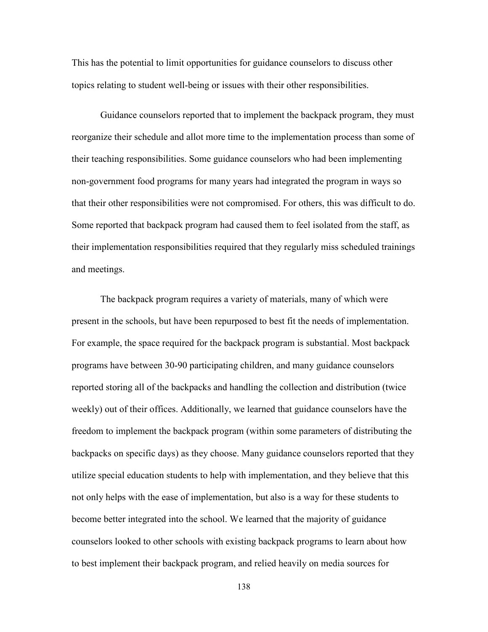This has the potential to limit opportunities for guidance counselors to discuss other topics relating to student well-being or issues with their other responsibilities.

 Guidance counselors reported that to implement the backpack program, they must reorganize their schedule and allot more time to the implementation process than some of their teaching responsibilities. Some guidance counselors who had been implementing non-government food programs for many years had integrated the program in ways so that their other responsibilities were not compromised. For others, this was difficult to do. Some reported that backpack program had caused them to feel isolated from the staff, as their implementation responsibilities required that they regularly miss scheduled trainings and meetings.

 The backpack program requires a variety of materials, many of which were present in the schools, but have been repurposed to best fit the needs of implementation. For example, the space required for the backpack program is substantial. Most backpack programs have between 30-90 participating children, and many guidance counselors reported storing all of the backpacks and handling the collection and distribution (twice weekly) out of their offices. Additionally, we learned that guidance counselors have the freedom to implement the backpack program (within some parameters of distributing the backpacks on specific days) as they choose. Many guidance counselors reported that they utilize special education students to help with implementation, and they believe that this not only helps with the ease of implementation, but also is a way for these students to become better integrated into the school. We learned that the majority of guidance counselors looked to other schools with existing backpack programs to learn about how to best implement their backpack program, and relied heavily on media sources for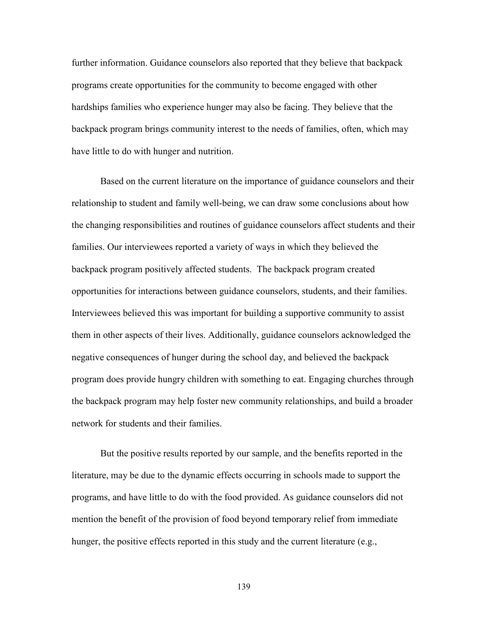further information. Guidance counselors also reported that they believe that backpack programs create opportunities for the community to become engaged with other hardships families who experience hunger may also be facing. They believe that the backpack program brings community interest to the needs of families, often, which may have little to do with hunger and nutrition.

Based on the current literature on the importance of guidance counselors and their relationship to student and family well-being, we can draw some conclusions about how the changing responsibilities and routines of guidance counselors affect students and their families. Our interviewees reported a variety of ways in which they believed the backpack program positively affected students. The backpack program created opportunities for interactions between guidance counselors, students, and their families. Interviewees believed this was important for building a supportive community to assist them in other aspects of their lives. Additionally, guidance counselors acknowledged the negative consequences of hunger during the school day, and believed the backpack program does provide hungry children with something to eat. Engaging churches through the backpack program may help foster new community relationships, and build a broader network for students and their families.

 But the positive results reported by our sample, and the benefits reported in the literature, may be due to the dynamic effects occurring in schools made to support the programs, and have little to do with the food provided. As guidance counselors did not mention the benefit of the provision of food beyond temporary relief from immediate hunger, the positive effects reported in this study and the current literature (e.g.,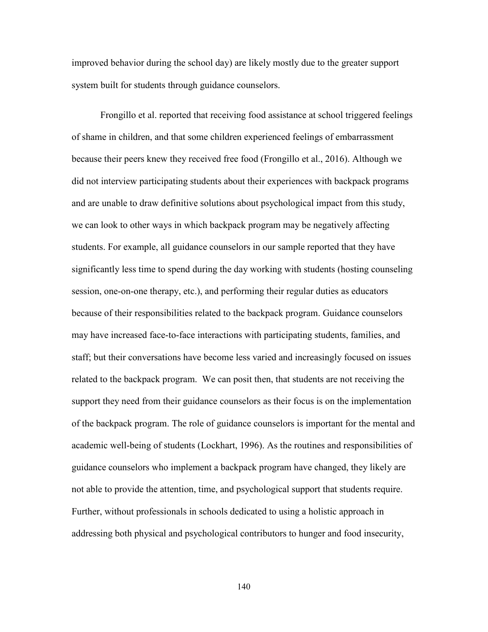improved behavior during the school day) are likely mostly due to the greater support system built for students through guidance counselors.

Frongillo et al. reported that receiving food assistance at school triggered feelings of shame in children, and that some children experienced feelings of embarrassment because their peers knew they received free food (Frongillo et al., 2016). Although we did not interview participating students about their experiences with backpack programs and are unable to draw definitive solutions about psychological impact from this study, we can look to other ways in which backpack program may be negatively affecting students. For example, all guidance counselors in our sample reported that they have significantly less time to spend during the day working with students (hosting counseling session, one-on-one therapy, etc.), and performing their regular duties as educators because of their responsibilities related to the backpack program. Guidance counselors may have increased face-to-face interactions with participating students, families, and staff; but their conversations have become less varied and increasingly focused on issues related to the backpack program. We can posit then, that students are not receiving the support they need from their guidance counselors as their focus is on the implementation of the backpack program. The role of guidance counselors is important for the mental and academic well-being of students (Lockhart, 1996). As the routines and responsibilities of guidance counselors who implement a backpack program have changed, they likely are not able to provide the attention, time, and psychological support that students require. Further, without professionals in schools dedicated to using a holistic approach in addressing both physical and psychological contributors to hunger and food insecurity,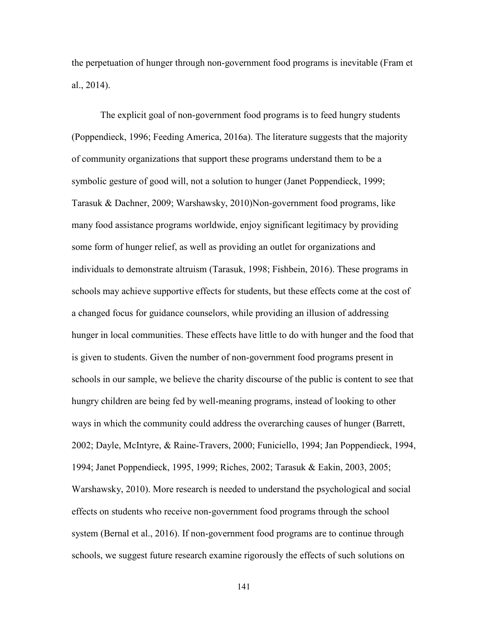the perpetuation of hunger through non-government food programs is inevitable (Fram et al., 2014).

 The explicit goal of non-government food programs is to feed hungry students (Poppendieck, 1996; Feeding America, 2016a). The literature suggests that the majority of community organizations that support these programs understand them to be a symbolic gesture of good will, not a solution to hunger (Janet Poppendieck, 1999; Tarasuk & Dachner, 2009; Warshawsky, 2010)Non-government food programs, like many food assistance programs worldwide, enjoy significant legitimacy by providing some form of hunger relief, as well as providing an outlet for organizations and individuals to demonstrate altruism (Tarasuk, 1998; Fishbein, 2016). These programs in schools may achieve supportive effects for students, but these effects come at the cost of a changed focus for guidance counselors, while providing an illusion of addressing hunger in local communities. These effects have little to do with hunger and the food that is given to students. Given the number of non-government food programs present in schools in our sample, we believe the charity discourse of the public is content to see that hungry children are being fed by well-meaning programs, instead of looking to other ways in which the community could address the overarching causes of hunger (Barrett, 2002; Dayle, McIntyre, & Raine-Travers, 2000; Funiciello, 1994; Jan Poppendieck, 1994, 1994; Janet Poppendieck, 1995, 1999; Riches, 2002; Tarasuk & Eakin, 2003, 2005; Warshawsky, 2010). More research is needed to understand the psychological and social effects on students who receive non-government food programs through the school system (Bernal et al., 2016). If non-government food programs are to continue through schools, we suggest future research examine rigorously the effects of such solutions on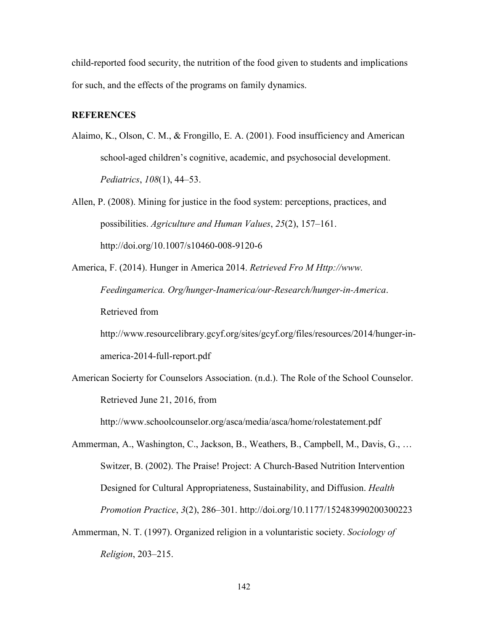child-reported food security, the nutrition of the food given to students and implications for such, and the effects of the programs on family dynamics.

## **REFERENCES**

- Alaimo, K., Olson, C. M., & Frongillo, E. A. (2001). Food insufficiency and American school-aged children's cognitive, academic, and psychosocial development. *Pediatrics*, *108*(1), 44–53.
- Allen, P. (2008). Mining for justice in the food system: perceptions, practices, and possibilities. *Agriculture and Human Values*, *25*(2), 157–161. http://doi.org/10.1007/s10460-008-9120-6
- America, F. (2014). Hunger in America 2014. *Retrieved Fro M Http://www. Feedingamerica. Org/hunger-Inamerica/our-Research/hunger-in-America*. Retrieved from

http://www.resourcelibrary.gcyf.org/sites/gcyf.org/files/resources/2014/hunger-inamerica-2014-full-report.pdf

American Socierty for Counselors Association. (n.d.). The Role of the School Counselor. Retrieved June 21, 2016, from

http://www.schoolcounselor.org/asca/media/asca/home/rolestatement.pdf

Ammerman, A., Washington, C., Jackson, B., Weathers, B., Campbell, M., Davis, G., … Switzer, B. (2002). The Praise! Project: A Church-Based Nutrition Intervention Designed for Cultural Appropriateness, Sustainability, and Diffusion. *Health Promotion Practice*, *3*(2), 286–301. http://doi.org/10.1177/152483990200300223

Ammerman, N. T. (1997). Organized religion in a voluntaristic society. *Sociology of Religion*, 203–215.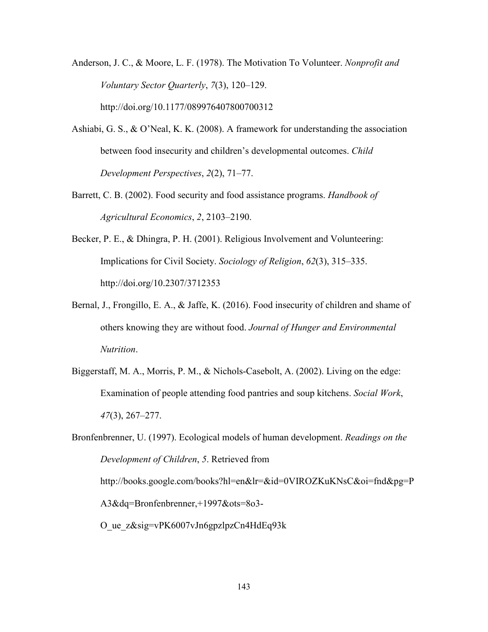Anderson, J. C., & Moore, L. F. (1978). The Motivation To Volunteer. *Nonprofit and Voluntary Sector Quarterly*, *7*(3), 120–129. http://doi.org/10.1177/089976407800700312

- Ashiabi, G. S., & O'Neal, K. K. (2008). A framework for understanding the association between food insecurity and children's developmental outcomes. *Child Development Perspectives*, *2*(2), 71–77.
- Barrett, C. B. (2002). Food security and food assistance programs. *Handbook of Agricultural Economics*, *2*, 2103–2190.
- Becker, P. E., & Dhingra, P. H. (2001). Religious Involvement and Volunteering: Implications for Civil Society. *Sociology of Religion*, *62*(3), 315–335. http://doi.org/10.2307/3712353
- Bernal, J., Frongillo, E. A., & Jaffe, K. (2016). Food insecurity of children and shame of others knowing they are without food. *Journal of Hunger and Environmental Nutrition*.
- Biggerstaff, M. A., Morris, P. M., & Nichols-Casebolt, A. (2002). Living on the edge: Examination of people attending food pantries and soup kitchens. *Social Work*, *47*(3), 267–277.

Bronfenbrenner, U. (1997). Ecological models of human development. *Readings on the Development of Children*, *5*. Retrieved from http://books.google.com/books?hl=en&lr=&id=0VIROZKuKNsC&oi=fnd&pg=P A3&dq=Bronfenbrenner,+1997&ots=8o3- O\_ue\_z&sig=vPK6007vJn6gpzlpzCn4HdEq93k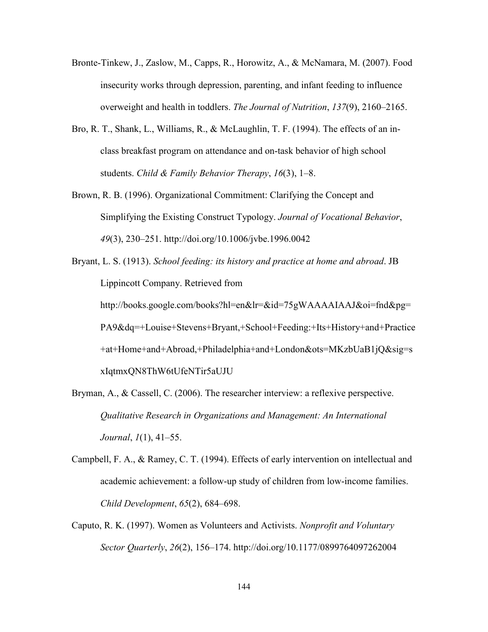- Bronte-Tinkew, J., Zaslow, M., Capps, R., Horowitz, A., & McNamara, M. (2007). Food insecurity works through depression, parenting, and infant feeding to influence overweight and health in toddlers. *The Journal of Nutrition*, *137*(9), 2160–2165.
- Bro, R. T., Shank, L., Williams, R., & McLaughlin, T. F. (1994). The effects of an inclass breakfast program on attendance and on-task behavior of high school students. *Child & Family Behavior Therapy*, *16*(3), 1–8.
- Brown, R. B. (1996). Organizational Commitment: Clarifying the Concept and Simplifying the Existing Construct Typology. *Journal of Vocational Behavior*, *49*(3), 230–251. http://doi.org/10.1006/jvbe.1996.0042
- Bryant, L. S. (1913). *School feeding: its history and practice at home and abroad*. JB Lippincott Company. Retrieved from http://books.google.com/books?hl=en&lr=&id=75gWAAAAIAAJ&oi=fnd&pg= PA9&dq=+Louise+Stevens+Bryant,+School+Feeding:+Its+History+and+Practice +at+Home+and+Abroad,+Philadelphia+and+London&ots=MKzbUaB1jQ&sig=s xIqtmxQN8ThW6tUfeNTir5aUJU
- Bryman, A., & Cassell, C. (2006). The researcher interview: a reflexive perspective. *Qualitative Research in Organizations and Management: An International Journal*, *1*(1), 41–55.
- Campbell, F. A., & Ramey, C. T. (1994). Effects of early intervention on intellectual and academic achievement: a follow-up study of children from low-income families. *Child Development*, *65*(2), 684–698.
- Caputo, R. K. (1997). Women as Volunteers and Activists. *Nonprofit and Voluntary Sector Quarterly*, *26*(2), 156–174. http://doi.org/10.1177/0899764097262004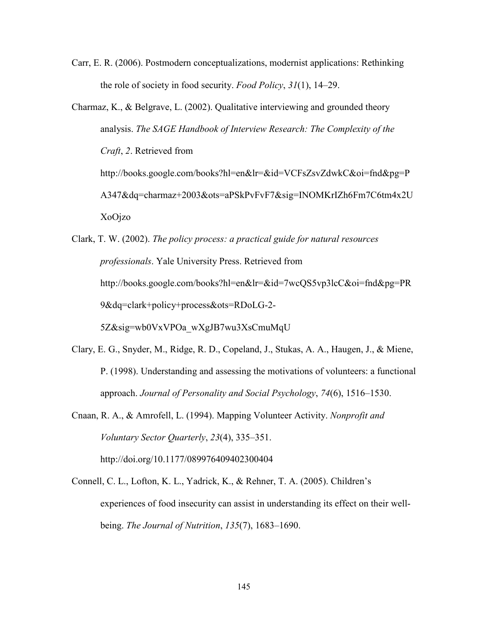Carr, E. R. (2006). Postmodern conceptualizations, modernist applications: Rethinking the role of society in food security. *Food Policy*, *31*(1), 14–29.

- Charmaz, K., & Belgrave, L. (2002). Qualitative interviewing and grounded theory analysis. *The SAGE Handbook of Interview Research: The Complexity of the Craft*, *2*. Retrieved from http://books.google.com/books?hl=en&lr=&id=VCFsZsvZdwkC&oi=fnd&pg=P A347&dq=charmaz+2003&ots=aPSkPvFvF7&sig=INOMKrIZh6Fm7C6tm4x2U XoOjzo
- Clark, T. W. (2002). *The policy process: a practical guide for natural resources professionals*. Yale University Press. Retrieved from http://books.google.com/books?hl=en&lr=&id=7wcQS5vp3lcC&oi=fnd&pg=PR 9&dq=clark+policy+process&ots=RDoLG-2- 5Z&sig=wb0VxVPOa\_wXgJB7wu3XsCmuMqU
- Clary, E. G., Snyder, M., Ridge, R. D., Copeland, J., Stukas, A. A., Haugen, J., & Miene, P. (1998). Understanding and assessing the motivations of volunteers: a functional approach. *Journal of Personality and Social Psychology*, *74*(6), 1516–1530.
- Cnaan, R. A., & Amrofell, L. (1994). Mapping Volunteer Activity. *Nonprofit and Voluntary Sector Quarterly*, *23*(4), 335–351. http://doi.org/10.1177/089976409402300404
- Connell, C. L., Lofton, K. L., Yadrick, K., & Rehner, T. A. (2005). Children's experiences of food insecurity can assist in understanding its effect on their wellbeing. *The Journal of Nutrition*, *135*(7), 1683–1690.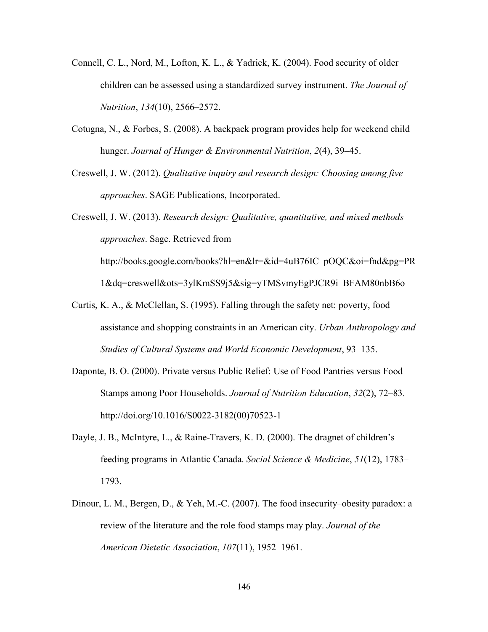- Connell, C. L., Nord, M., Lofton, K. L., & Yadrick, K. (2004). Food security of older children can be assessed using a standardized survey instrument. *The Journal of Nutrition*, *134*(10), 2566–2572.
- Cotugna, N., & Forbes, S. (2008). A backpack program provides help for weekend child hunger. *Journal of Hunger & Environmental Nutrition*, *2*(4), 39–45.
- Creswell, J. W. (2012). *Qualitative inquiry and research design: Choosing among five approaches*. SAGE Publications, Incorporated.

Creswell, J. W. (2013). *Research design: Qualitative, quantitative, and mixed methods approaches*. Sage. Retrieved from http://books.google.com/books?hl=en&lr=&id=4uB76IC\_pOQC&oi=fnd&pg=PR

1&dq=creswell&ots=3ylKmSS9j5&sig=yTMSvmyEgPJCR9i\_BFAM80nbB6o

- Curtis, K. A., & McClellan, S. (1995). Falling through the safety net: poverty, food assistance and shopping constraints in an American city. *Urban Anthropology and Studies of Cultural Systems and World Economic Development*, 93–135.
- Daponte, B. O. (2000). Private versus Public Relief: Use of Food Pantries versus Food Stamps among Poor Households. *Journal of Nutrition Education*, *32*(2), 72–83. http://doi.org/10.1016/S0022-3182(00)70523-1
- Dayle, J. B., McIntyre, L., & Raine-Travers, K. D. (2000). The dragnet of children's feeding programs in Atlantic Canada. *Social Science & Medicine*, *51*(12), 1783– 1793.
- Dinour, L. M., Bergen, D., & Yeh, M.-C. (2007). The food insecurity–obesity paradox: a review of the literature and the role food stamps may play. *Journal of the American Dietetic Association*, *107*(11), 1952–1961.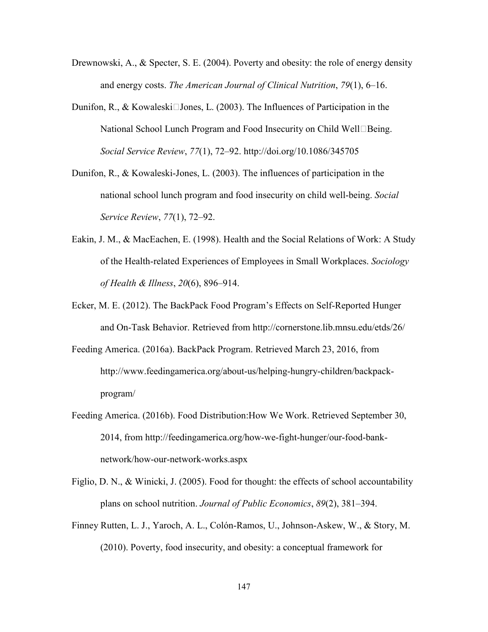- Drewnowski, A., & Specter, S. E. (2004). Poverty and obesity: the role of energy density and energy costs. *The American Journal of Clinical Nutrition*, *79*(1), 6–16.
- Dunifon, R., & Kowaleski $\Box$ Jones, L. (2003). The Influences of Participation in the National School Lunch Program and Food Insecurity on Child Well $\Box$ Being. *Social Service Review*, *77*(1), 72–92. http://doi.org/10.1086/345705
- Dunifon, R., & Kowaleski-Jones, L. (2003). The influences of participation in the national school lunch program and food insecurity on child well-being. *Social Service Review*, *77*(1), 72–92.
- Eakin, J. M., & MacEachen, E. (1998). Health and the Social Relations of Work: A Study of the Health-related Experiences of Employees in Small Workplaces. *Sociology of Health & Illness*, *20*(6), 896–914.
- Ecker, M. E. (2012). The BackPack Food Program's Effects on Self-Reported Hunger and On-Task Behavior. Retrieved from http://cornerstone.lib.mnsu.edu/etds/26/
- Feeding America. (2016a). BackPack Program. Retrieved March 23, 2016, from http://www.feedingamerica.org/about-us/helping-hungry-children/backpackprogram/
- Feeding America. (2016b). Food Distribution:How We Work. Retrieved September 30, 2014, from http://feedingamerica.org/how-we-fight-hunger/our-food-banknetwork/how-our-network-works.aspx
- Figlio, D. N., & Winicki, J. (2005). Food for thought: the effects of school accountability plans on school nutrition. *Journal of Public Economics*, *89*(2), 381–394.
- Finney Rutten, L. J., Yaroch, A. L., Colón-Ramos, U., Johnson-Askew, W., & Story, M. (2010). Poverty, food insecurity, and obesity: a conceptual framework for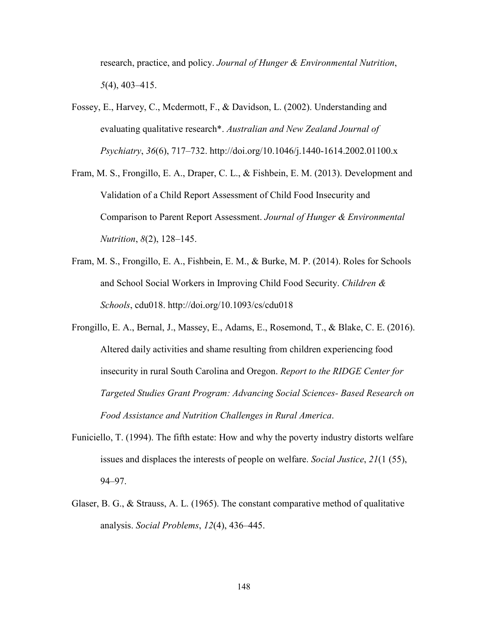research, practice, and policy. *Journal of Hunger & Environmental Nutrition*, *5*(4), 403–415.

- Fossey, E., Harvey, C., Mcdermott, F., & Davidson, L. (2002). Understanding and evaluating qualitative research\*. *Australian and New Zealand Journal of Psychiatry*, *36*(6), 717–732. http://doi.org/10.1046/j.1440-1614.2002.01100.x
- Fram, M. S., Frongillo, E. A., Draper, C. L., & Fishbein, E. M. (2013). Development and Validation of a Child Report Assessment of Child Food Insecurity and Comparison to Parent Report Assessment. *Journal of Hunger & Environmental Nutrition*, *8*(2), 128–145.
- Fram, M. S., Frongillo, E. A., Fishbein, E. M., & Burke, M. P. (2014). Roles for Schools and School Social Workers in Improving Child Food Security. *Children & Schools*, cdu018. http://doi.org/10.1093/cs/cdu018
- Frongillo, E. A., Bernal, J., Massey, E., Adams, E., Rosemond, T., & Blake, C. E. (2016). Altered daily activities and shame resulting from children experiencing food insecurity in rural South Carolina and Oregon. *Report to the RIDGE Center for Targeted Studies Grant Program: Advancing Social Sciences- Based Research on Food Assistance and Nutrition Challenges in Rural America*.
- Funiciello, T. (1994). The fifth estate: How and why the poverty industry distorts welfare issues and displaces the interests of people on welfare. *Social Justice*, *21*(1 (55), 94–97.
- Glaser, B. G., & Strauss, A. L. (1965). The constant comparative method of qualitative analysis. *Social Problems*, *12*(4), 436–445.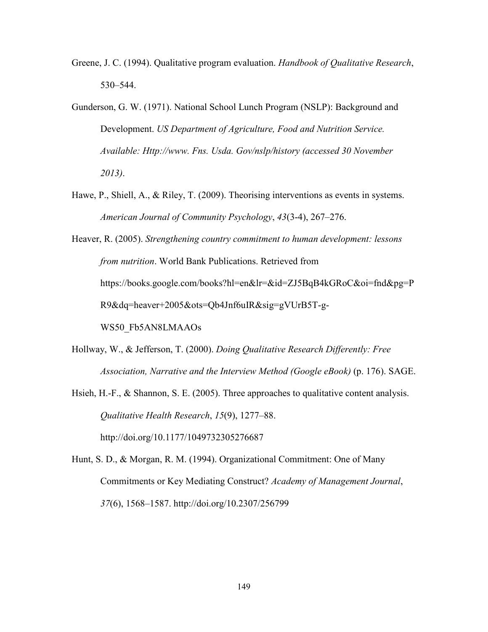- Greene, J. C. (1994). Qualitative program evaluation. *Handbook of Qualitative Research*, 530–544.
- Gunderson, G. W. (1971). National School Lunch Program (NSLP): Background and Development. *US Department of Agriculture, Food and Nutrition Service. Available: Http://www. Fns. Usda. Gov/nslp/history (accessed 30 November 2013)*.
- Hawe, P., Shiell, A., & Riley, T. (2009). Theorising interventions as events in systems. *American Journal of Community Psychology*, *43*(3-4), 267–276.
- Heaver, R. (2005). *Strengthening country commitment to human development: lessons from nutrition*. World Bank Publications. Retrieved from https://books.google.com/books?hl=en&lr=&id=ZJ5BqB4kGRoC&oi=fnd&pg=P R9&dq=heaver+2005&ots=Qb4Jnf6uIR&sig=gVUrB5T-g-WS50\_Fb5AN8LMAAOs
- Hollway, W., & Jefferson, T. (2000). *Doing Qualitative Research Differently: Free Association, Narrative and the Interview Method (Google eBook)* (p. 176). SAGE.
- Hsieh, H.-F., & Shannon, S. E. (2005). Three approaches to qualitative content analysis. *Qualitative Health Research*, *15*(9), 1277–88. http://doi.org/10.1177/1049732305276687
- Hunt, S. D., & Morgan, R. M. (1994). Organizational Commitment: One of Many Commitments or Key Mediating Construct? *Academy of Management Journal*, *37*(6), 1568–1587. http://doi.org/10.2307/256799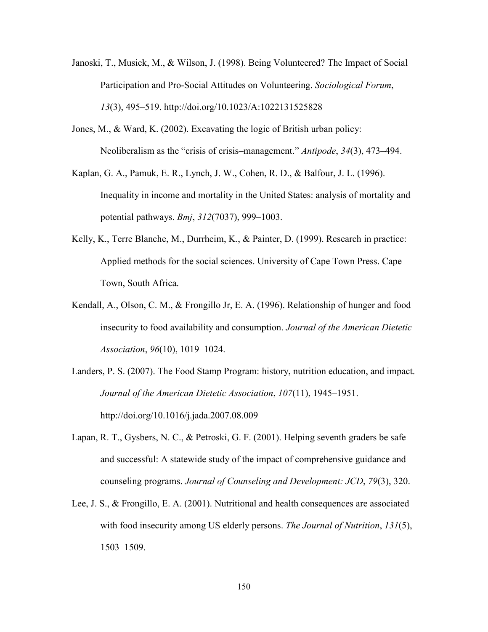- Janoski, T., Musick, M., & Wilson, J. (1998). Being Volunteered? The Impact of Social Participation and Pro-Social Attitudes on Volunteering. *Sociological Forum*, *13*(3), 495–519. http://doi.org/10.1023/A:1022131525828
- Jones, M., & Ward, K. (2002). Excavating the logic of British urban policy: Neoliberalism as the "crisis of crisis–management." *Antipode*, *34*(3), 473–494.
- Kaplan, G. A., Pamuk, E. R., Lynch, J. W., Cohen, R. D., & Balfour, J. L. (1996). Inequality in income and mortality in the United States: analysis of mortality and potential pathways. *Bmj*, *312*(7037), 999–1003.
- Kelly, K., Terre Blanche, M., Durrheim, K., & Painter, D. (1999). Research in practice: Applied methods for the social sciences. University of Cape Town Press. Cape Town, South Africa.
- Kendall, A., Olson, C. M., & Frongillo Jr, E. A. (1996). Relationship of hunger and food insecurity to food availability and consumption. *Journal of the American Dietetic Association*, *96*(10), 1019–1024.
- Landers, P. S. (2007). The Food Stamp Program: history, nutrition education, and impact. *Journal of the American Dietetic Association*, *107*(11), 1945–1951. http://doi.org/10.1016/j.jada.2007.08.009
- Lapan, R. T., Gysbers, N. C., & Petroski, G. F. (2001). Helping seventh graders be safe and successful: A statewide study of the impact of comprehensive guidance and counseling programs. *Journal of Counseling and Development: JCD*, *79*(3), 320.
- Lee, J. S., & Frongillo, E. A. (2001). Nutritional and health consequences are associated with food insecurity among US elderly persons. *The Journal of Nutrition*, *131*(5), 1503–1509.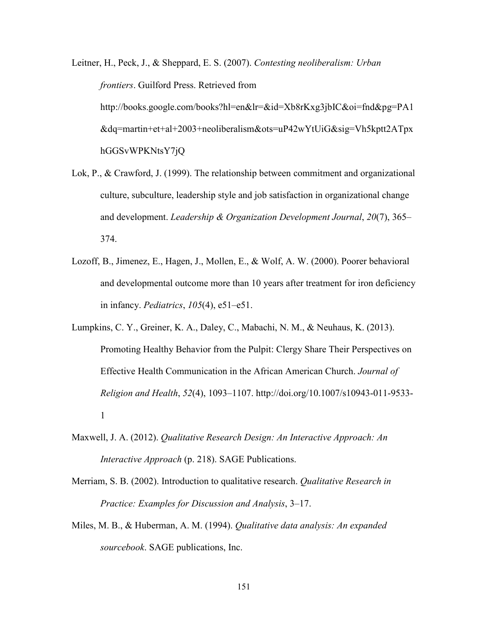Leitner, H., Peck, J., & Sheppard, E. S. (2007). *Contesting neoliberalism: Urban frontiers*. Guilford Press. Retrieved from http://books.google.com/books?hl=en&lr=&id=Xb8rKxg3jbIC&oi=fnd&pg=PA1 &dq=martin+et+al+2003+neoliberalism&ots=uP42wYtUiG&sig=Vh5kptt2ATpx hGGSvWPKNtsY7jQ

- Lok, P., & Crawford, J. (1999). The relationship between commitment and organizational culture, subculture, leadership style and job satisfaction in organizational change and development. *Leadership & Organization Development Journal*, *20*(7), 365– 374.
- Lozoff, B., Jimenez, E., Hagen, J., Mollen, E., & Wolf, A. W. (2000). Poorer behavioral and developmental outcome more than 10 years after treatment for iron deficiency in infancy. *Pediatrics*, *105*(4), e51–e51.
- Lumpkins, C. Y., Greiner, K. A., Daley, C., Mabachi, N. M., & Neuhaus, K. (2013). Promoting Healthy Behavior from the Pulpit: Clergy Share Their Perspectives on Effective Health Communication in the African American Church. *Journal of Religion and Health*, *52*(4), 1093–1107. http://doi.org/10.1007/s10943-011-9533- 1
- Maxwell, J. A. (2012). *Qualitative Research Design: An Interactive Approach: An Interactive Approach* (p. 218). SAGE Publications.
- Merriam, S. B. (2002). Introduction to qualitative research. *Qualitative Research in Practice: Examples for Discussion and Analysis*, 3–17.
- Miles, M. B., & Huberman, A. M. (1994). *Qualitative data analysis: An expanded sourcebook*. SAGE publications, Inc.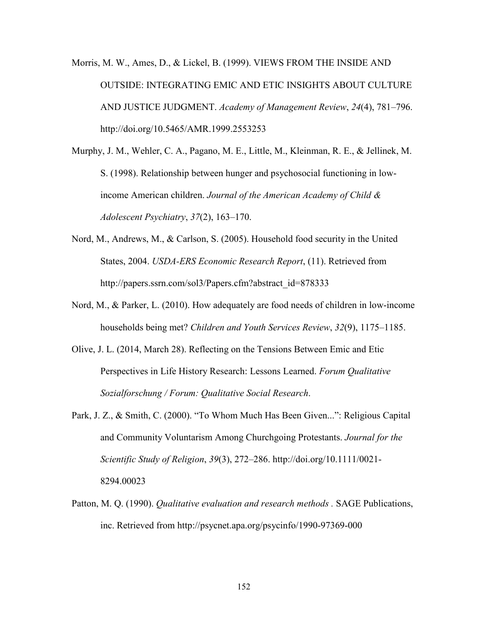Morris, M. W., Ames, D., & Lickel, B. (1999). VIEWS FROM THE INSIDE AND OUTSIDE: INTEGRATING EMIC AND ETIC INSIGHTS ABOUT CULTURE AND JUSTICE JUDGMENT. *Academy of Management Review*, *24*(4), 781–796. http://doi.org/10.5465/AMR.1999.2553253

Murphy, J. M., Wehler, C. A., Pagano, M. E., Little, M., Kleinman, R. E., & Jellinek, M. S. (1998). Relationship between hunger and psychosocial functioning in lowincome American children. *Journal of the American Academy of Child & Adolescent Psychiatry*, *37*(2), 163–170.

- Nord, M., Andrews, M., & Carlson, S. (2005). Household food security in the United States, 2004. *USDA-ERS Economic Research Report*, (11). Retrieved from http://papers.ssrn.com/sol3/Papers.cfm?abstract\_id=878333
- Nord, M., & Parker, L. (2010). How adequately are food needs of children in low-income households being met? *Children and Youth Services Review*, *32*(9), 1175–1185.
- Olive, J. L. (2014, March 28). Reflecting on the Tensions Between Emic and Etic Perspectives in Life History Research: Lessons Learned. *Forum Qualitative Sozialforschung / Forum: Qualitative Social Research*.
- Park, J. Z., & Smith, C. (2000). "To Whom Much Has Been Given...": Religious Capital and Community Voluntarism Among Churchgoing Protestants. *Journal for the Scientific Study of Religion*, *39*(3), 272–286. http://doi.org/10.1111/0021- 8294.00023
- Patton, M. Q. (1990). *Qualitative evaluation and research methods .* SAGE Publications, inc. Retrieved from http://psycnet.apa.org/psycinfo/1990-97369-000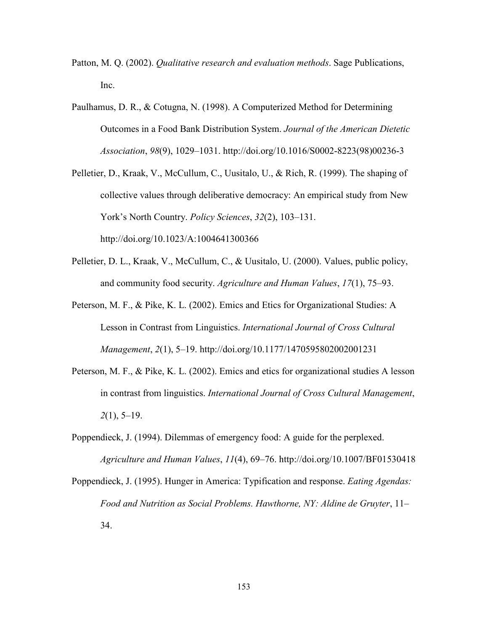- Patton, M. Q. (2002). *Qualitative research and evaluation methods*. Sage Publications, Inc.
- Paulhamus, D. R., & Cotugna, N. (1998). A Computerized Method for Determining Outcomes in a Food Bank Distribution System. *Journal of the American Dietetic Association*, *98*(9), 1029–1031. http://doi.org/10.1016/S0002-8223(98)00236-3
- Pelletier, D., Kraak, V., McCullum, C., Uusitalo, U., & Rich, R. (1999). The shaping of collective values through deliberative democracy: An empirical study from New York's North Country. *Policy Sciences*, *32*(2), 103–131. http://doi.org/10.1023/A:1004641300366
- Pelletier, D. L., Kraak, V., McCullum, C., & Uusitalo, U. (2000). Values, public policy, and community food security. *Agriculture and Human Values*, *17*(1), 75–93.
- Peterson, M. F., & Pike, K. L. (2002). Emics and Etics for Organizational Studies: A Lesson in Contrast from Linguistics. *International Journal of Cross Cultural Management*, *2*(1), 5–19. http://doi.org/10.1177/1470595802002001231
- Peterson, M. F., & Pike, K. L. (2002). Emics and etics for organizational studies A lesson in contrast from linguistics. *International Journal of Cross Cultural Management*, *2*(1), 5–19.
- Poppendieck, J. (1994). Dilemmas of emergency food: A guide for the perplexed. *Agriculture and Human Values*, *11*(4), 69–76. http://doi.org/10.1007/BF01530418
- Poppendieck, J. (1995). Hunger in America: Typification and response. *Eating Agendas: Food and Nutrition as Social Problems. Hawthorne, NY: Aldine de Gruyter*, 11– 34.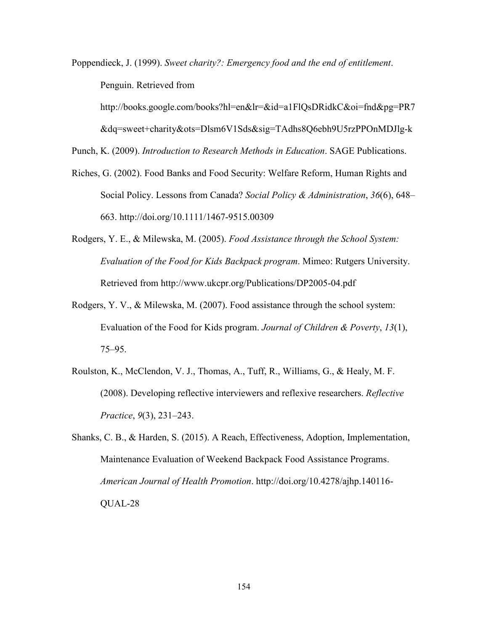Poppendieck, J. (1999). *Sweet charity?: Emergency food and the end of entitlement*. Penguin. Retrieved from

http://books.google.com/books?hl=en&lr=&id=a1FlQsDRidkC&oi=fnd&pg=PR7

&dq=sweet+charity&ots=Dlsm6V1Sds&sig=TAdhs8Q6ebh9U5rzPPOnMDJlg-k

Punch, K. (2009). *Introduction to Research Methods in Education*. SAGE Publications.

- Riches, G. (2002). Food Banks and Food Security: Welfare Reform, Human Rights and Social Policy. Lessons from Canada? *Social Policy & Administration*, *36*(6), 648– 663. http://doi.org/10.1111/1467-9515.00309
- Rodgers, Y. E., & Milewska, M. (2005). *Food Assistance through the School System: Evaluation of the Food for Kids Backpack program*. Mimeo: Rutgers University. Retrieved from http://www.ukcpr.org/Publications/DP2005-04.pdf
- Rodgers, Y. V., & Milewska, M. (2007). Food assistance through the school system: Evaluation of the Food for Kids program. *Journal of Children & Poverty*, *13*(1), 75–95.
- Roulston, K., McClendon, V. J., Thomas, A., Tuff, R., Williams, G., & Healy, M. F. (2008). Developing reflective interviewers and reflexive researchers. *Reflective Practice*, *9*(3), 231–243.
- Shanks, C. B., & Harden, S. (2015). A Reach, Effectiveness, Adoption, Implementation, Maintenance Evaluation of Weekend Backpack Food Assistance Programs. *American Journal of Health Promotion*. http://doi.org/10.4278/ajhp.140116- QUAL-28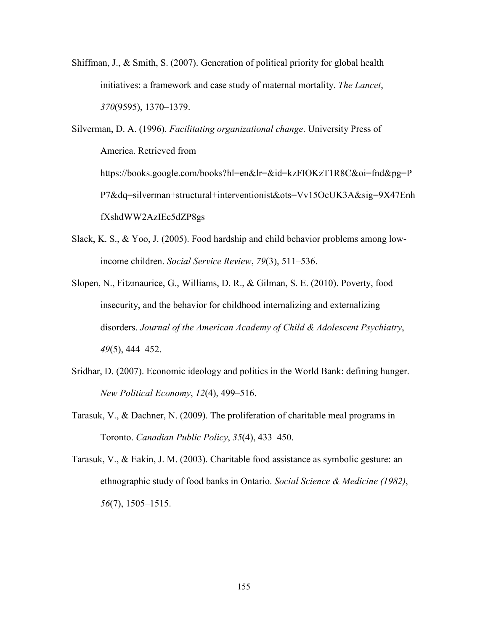Shiffman, J., & Smith, S. (2007). Generation of political priority for global health initiatives: a framework and case study of maternal mortality. *The Lancet*, *370*(9595), 1370–1379.

Silverman, D. A. (1996). *Facilitating organizational change*. University Press of America. Retrieved from https://books.google.com/books?hl=en&lr=&id=kzFIOKzT1R8C&oi=fnd&pg=P P7&dq=silverman+structural+interventionist&ots=Vv15OcUK3A&sig=9X47Enh fXshdWW2AzIEc5dZP8gs

- Slack, K. S., & Yoo, J. (2005). Food hardship and child behavior problems among lowincome children. *Social Service Review*, *79*(3), 511–536.
- Slopen, N., Fitzmaurice, G., Williams, D. R., & Gilman, S. E. (2010). Poverty, food insecurity, and the behavior for childhood internalizing and externalizing disorders. *Journal of the American Academy of Child & Adolescent Psychiatry*, *49*(5), 444–452.
- Sridhar, D. (2007). Economic ideology and politics in the World Bank: defining hunger. *New Political Economy*, *12*(4), 499–516.
- Tarasuk, V., & Dachner, N. (2009). The proliferation of charitable meal programs in Toronto. *Canadian Public Policy*, *35*(4), 433–450.
- Tarasuk, V., & Eakin, J. M. (2003). Charitable food assistance as symbolic gesture: an ethnographic study of food banks in Ontario. *Social Science & Medicine (1982)*, *56*(7), 1505–1515.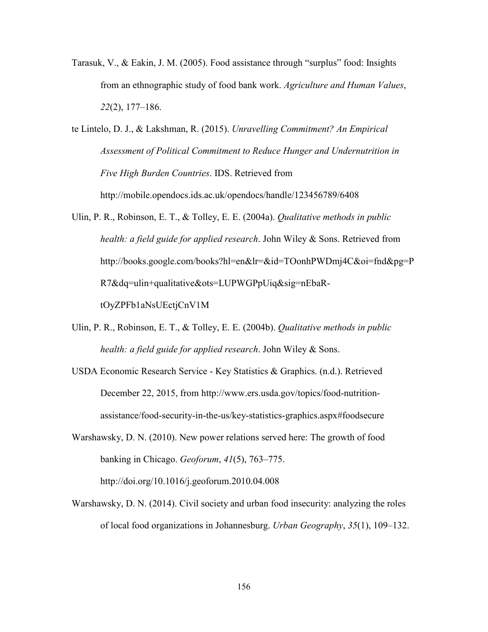- Tarasuk, V., & Eakin, J. M. (2005). Food assistance through "surplus" food: Insights from an ethnographic study of food bank work. *Agriculture and Human Values*, *22*(2), 177–186.
- te Lintelo, D. J., & Lakshman, R. (2015). *Unravelling Commitment? An Empirical Assessment of Political Commitment to Reduce Hunger and Undernutrition in Five High Burden Countries*. IDS. Retrieved from http://mobile.opendocs.ids.ac.uk/opendocs/handle/123456789/6408
- Ulin, P. R., Robinson, E. T., & Tolley, E. E. (2004a). *Qualitative methods in public health: a field guide for applied research*. John Wiley & Sons. Retrieved from http://books.google.com/books?hl=en&lr=&id=TOonhPWDmj4C&oi=fnd&pg=P R7&dq=ulin+qualitative&ots=LUPWGPpUiq&sig=nEbaRtOyZPFb1aNsUEctjCnV1M
- Ulin, P. R., Robinson, E. T., & Tolley, E. E. (2004b). *Qualitative methods in public health: a field guide for applied research*. John Wiley & Sons.
- USDA Economic Research Service Key Statistics & Graphics. (n.d.). Retrieved December 22, 2015, from http://www.ers.usda.gov/topics/food-nutritionassistance/food-security-in-the-us/key-statistics-graphics.aspx#foodsecure
- Warshawsky, D. N. (2010). New power relations served here: The growth of food banking in Chicago. *Geoforum*, *41*(5), 763–775. http://doi.org/10.1016/j.geoforum.2010.04.008
- Warshawsky, D. N. (2014). Civil society and urban food insecurity: analyzing the roles of local food organizations in Johannesburg. *Urban Geography*, *35*(1), 109–132.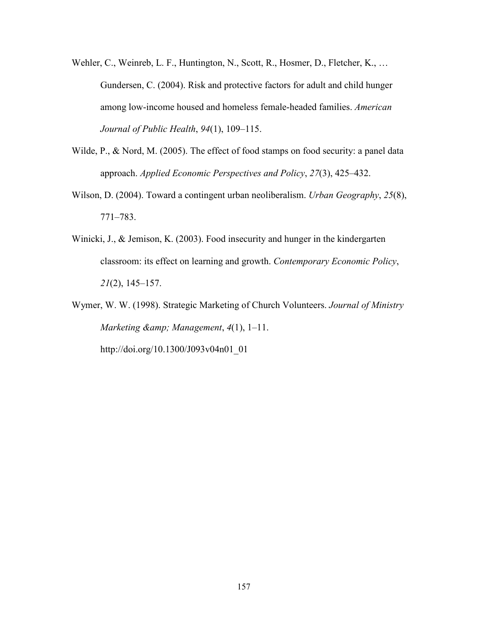- Wehler, C., Weinreb, L. F., Huntington, N., Scott, R., Hosmer, D., Fletcher, K., ... Gundersen, C. (2004). Risk and protective factors for adult and child hunger among low-income housed and homeless female-headed families. *American Journal of Public Health*, *94*(1), 109–115.
- Wilde, P., & Nord, M. (2005). The effect of food stamps on food security: a panel data approach. *Applied Economic Perspectives and Policy*, *27*(3), 425–432.
- Wilson, D. (2004). Toward a contingent urban neoliberalism. *Urban Geography*, *25*(8), 771–783.
- Winicki, J., & Jemison, K. (2003). Food insecurity and hunger in the kindergarten classroom: its effect on learning and growth. *Contemporary Economic Policy*, *21*(2), 145–157.
- Wymer, W. W. (1998). Strategic Marketing of Church Volunteers. *Journal of Ministry Marketing & Management*, *4*(1), 1–11.

http://doi.org/10.1300/J093v04n01\_01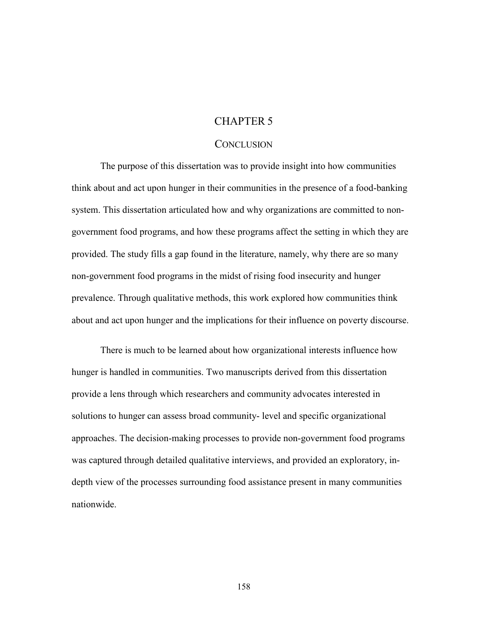# CHAPTER 5

## **CONCLUSION**

The purpose of this dissertation was to provide insight into how communities think about and act upon hunger in their communities in the presence of a food-banking system. This dissertation articulated how and why organizations are committed to nongovernment food programs, and how these programs affect the setting in which they are provided. The study fills a gap found in the literature, namely, why there are so many non-government food programs in the midst of rising food insecurity and hunger prevalence. Through qualitative methods, this work explored how communities think about and act upon hunger and the implications for their influence on poverty discourse.

There is much to be learned about how organizational interests influence how hunger is handled in communities. Two manuscripts derived from this dissertation provide a lens through which researchers and community advocates interested in solutions to hunger can assess broad community- level and specific organizational approaches. The decision-making processes to provide non-government food programs was captured through detailed qualitative interviews, and provided an exploratory, indepth view of the processes surrounding food assistance present in many communities nationwide.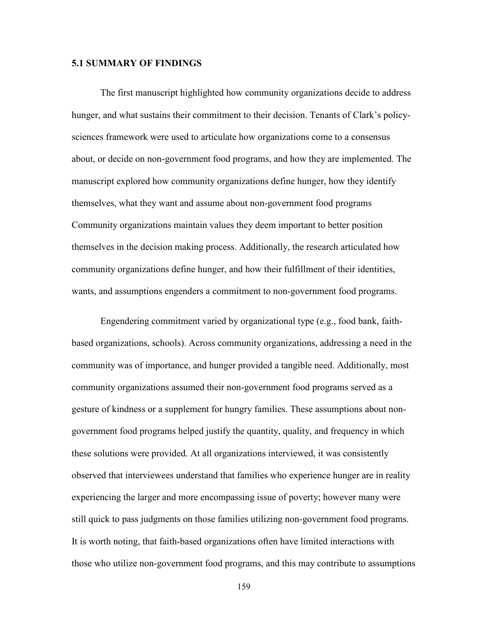#### **5.1 SUMMARY OF FINDINGS**

The first manuscript highlighted how community organizations decide to address hunger, and what sustains their commitment to their decision. Tenants of Clark's policysciences framework were used to articulate how organizations come to a consensus about, or decide on non-government food programs, and how they are implemented. The manuscript explored how community organizations define hunger, how they identify themselves, what they want and assume about non-government food programs Community organizations maintain values they deem important to better position themselves in the decision making process. Additionally, the research articulated how community organizations define hunger, and how their fulfillment of their identities, wants, and assumptions engenders a commitment to non-government food programs.

Engendering commitment varied by organizational type (e.g., food bank, faithbased organizations, schools). Across community organizations, addressing a need in the community was of importance, and hunger provided a tangible need. Additionally, most community organizations assumed their non-government food programs served as a gesture of kindness or a supplement for hungry families. These assumptions about nongovernment food programs helped justify the quantity, quality, and frequency in which these solutions were provided. At all organizations interviewed, it was consistently observed that interviewees understand that families who experience hunger are in reality experiencing the larger and more encompassing issue of poverty; however many were still quick to pass judgments on those families utilizing non-government food programs. It is worth noting, that faith-based organizations often have limited interactions with those who utilize non-government food programs, and this may contribute to assumptions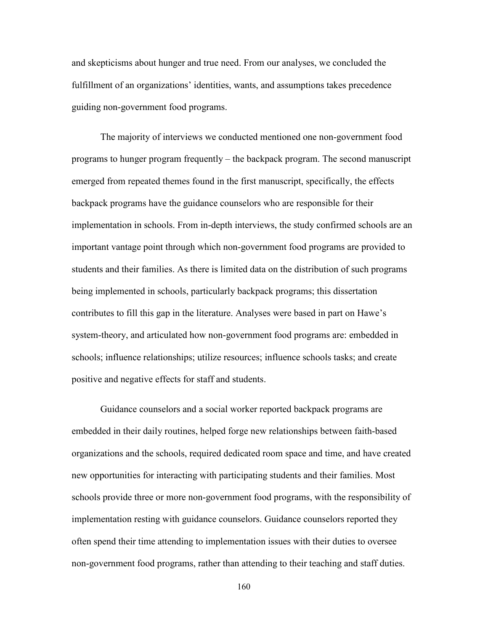and skepticisms about hunger and true need. From our analyses, we concluded the fulfillment of an organizations' identities, wants, and assumptions takes precedence guiding non-government food programs.

The majority of interviews we conducted mentioned one non-government food programs to hunger program frequently – the backpack program. The second manuscript emerged from repeated themes found in the first manuscript, specifically, the effects backpack programs have the guidance counselors who are responsible for their implementation in schools. From in-depth interviews, the study confirmed schools are an important vantage point through which non-government food programs are provided to students and their families. As there is limited data on the distribution of such programs being implemented in schools, particularly backpack programs; this dissertation contributes to fill this gap in the literature. Analyses were based in part on Hawe's system-theory, and articulated how non-government food programs are: embedded in schools; influence relationships; utilize resources; influence schools tasks; and create positive and negative effects for staff and students.

Guidance counselors and a social worker reported backpack programs are embedded in their daily routines, helped forge new relationships between faith-based organizations and the schools, required dedicated room space and time, and have created new opportunities for interacting with participating students and their families. Most schools provide three or more non-government food programs, with the responsibility of implementation resting with guidance counselors. Guidance counselors reported they often spend their time attending to implementation issues with their duties to oversee non-government food programs, rather than attending to their teaching and staff duties.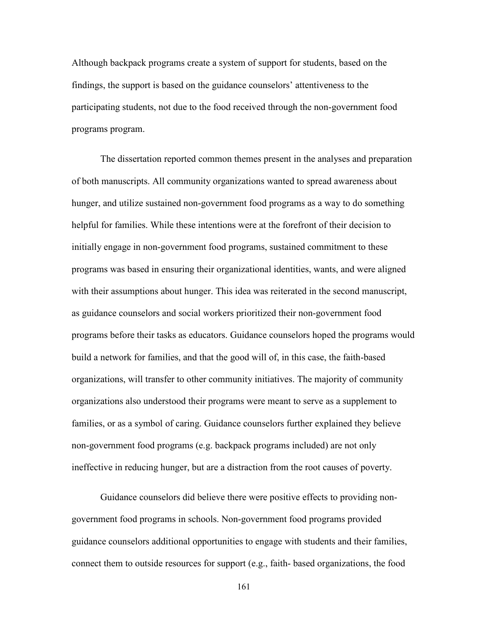Although backpack programs create a system of support for students, based on the findings, the support is based on the guidance counselors' attentiveness to the participating students, not due to the food received through the non-government food programs program.

The dissertation reported common themes present in the analyses and preparation of both manuscripts. All community organizations wanted to spread awareness about hunger, and utilize sustained non-government food programs as a way to do something helpful for families. While these intentions were at the forefront of their decision to initially engage in non-government food programs, sustained commitment to these programs was based in ensuring their organizational identities, wants, and were aligned with their assumptions about hunger. This idea was reiterated in the second manuscript, as guidance counselors and social workers prioritized their non-government food programs before their tasks as educators. Guidance counselors hoped the programs would build a network for families, and that the good will of, in this case, the faith-based organizations, will transfer to other community initiatives. The majority of community organizations also understood their programs were meant to serve as a supplement to families, or as a symbol of caring. Guidance counselors further explained they believe non-government food programs (e.g. backpack programs included) are not only ineffective in reducing hunger, but are a distraction from the root causes of poverty.

Guidance counselors did believe there were positive effects to providing nongovernment food programs in schools. Non-government food programs provided guidance counselors additional opportunities to engage with students and their families, connect them to outside resources for support (e.g., faith- based organizations, the food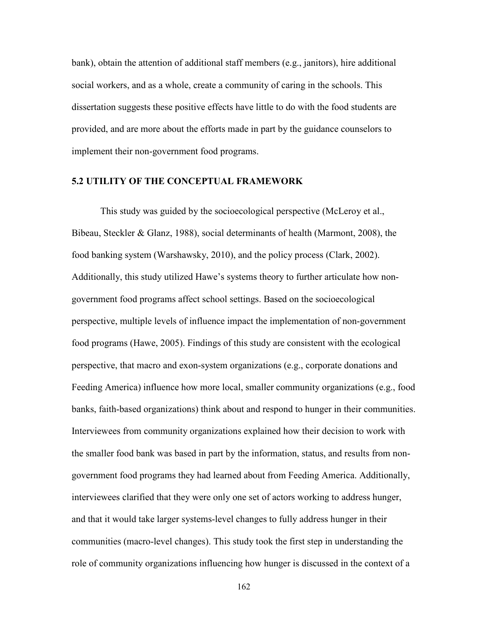bank), obtain the attention of additional staff members (e.g., janitors), hire additional social workers, and as a whole, create a community of caring in the schools. This dissertation suggests these positive effects have little to do with the food students are provided, and are more about the efforts made in part by the guidance counselors to implement their non-government food programs.

#### **5.2 UTILITY OF THE CONCEPTUAL FRAMEWORK**

 This study was guided by the socioecological perspective (McLeroy et al., Bibeau, Steckler & Glanz, 1988), social determinants of health (Marmont, 2008), the food banking system (Warshawsky, 2010), and the policy process (Clark, 2002). Additionally, this study utilized Hawe's systems theory to further articulate how nongovernment food programs affect school settings. Based on the socioecological perspective, multiple levels of influence impact the implementation of non-government food programs (Hawe, 2005). Findings of this study are consistent with the ecological perspective, that macro and exon-system organizations (e.g., corporate donations and Feeding America) influence how more local, smaller community organizations (e.g., food banks, faith-based organizations) think about and respond to hunger in their communities. Interviewees from community organizations explained how their decision to work with the smaller food bank was based in part by the information, status, and results from nongovernment food programs they had learned about from Feeding America. Additionally, interviewees clarified that they were only one set of actors working to address hunger, and that it would take larger systems-level changes to fully address hunger in their communities (macro-level changes). This study took the first step in understanding the role of community organizations influencing how hunger is discussed in the context of a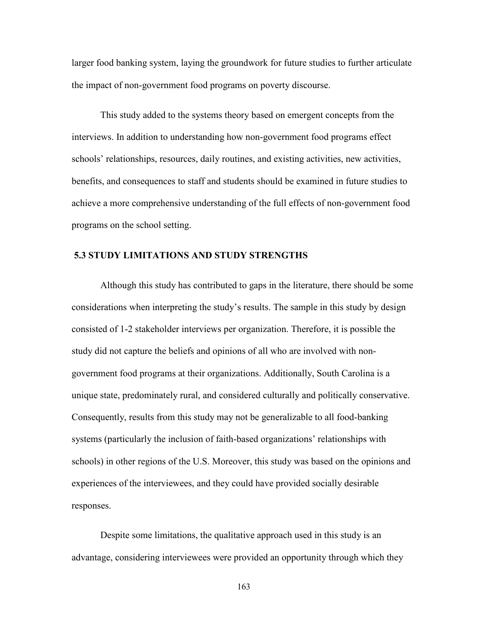larger food banking system, laying the groundwork for future studies to further articulate the impact of non-government food programs on poverty discourse.

 This study added to the systems theory based on emergent concepts from the interviews. In addition to understanding how non-government food programs effect schools' relationships, resources, daily routines, and existing activities, new activities, benefits, and consequences to staff and students should be examined in future studies to achieve a more comprehensive understanding of the full effects of non-government food programs on the school setting.

### **5.3 STUDY LIMITATIONS AND STUDY STRENGTHS**

Although this study has contributed to gaps in the literature, there should be some considerations when interpreting the study's results. The sample in this study by design consisted of 1-2 stakeholder interviews per organization. Therefore, it is possible the study did not capture the beliefs and opinions of all who are involved with nongovernment food programs at their organizations. Additionally, South Carolina is a unique state, predominately rural, and considered culturally and politically conservative. Consequently, results from this study may not be generalizable to all food-banking systems (particularly the inclusion of faith-based organizations' relationships with schools) in other regions of the U.S. Moreover, this study was based on the opinions and experiences of the interviewees, and they could have provided socially desirable responses.

Despite some limitations, the qualitative approach used in this study is an advantage, considering interviewees were provided an opportunity through which they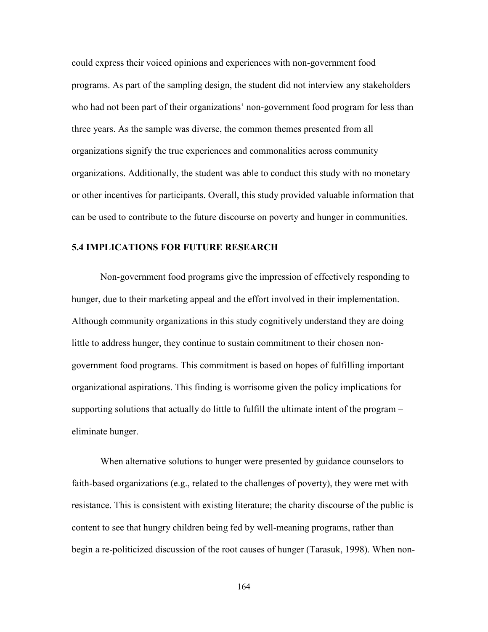could express their voiced opinions and experiences with non-government food programs. As part of the sampling design, the student did not interview any stakeholders who had not been part of their organizations' non-government food program for less than three years. As the sample was diverse, the common themes presented from all organizations signify the true experiences and commonalities across community organizations. Additionally, the student was able to conduct this study with no monetary or other incentives for participants. Overall, this study provided valuable information that can be used to contribute to the future discourse on poverty and hunger in communities.

#### **5.4 IMPLICATIONS FOR FUTURE RESEARCH**

Non-government food programs give the impression of effectively responding to hunger, due to their marketing appeal and the effort involved in their implementation. Although community organizations in this study cognitively understand they are doing little to address hunger, they continue to sustain commitment to their chosen nongovernment food programs. This commitment is based on hopes of fulfilling important organizational aspirations. This finding is worrisome given the policy implications for supporting solutions that actually do little to fulfill the ultimate intent of the program – eliminate hunger.

When alternative solutions to hunger were presented by guidance counselors to faith-based organizations (e.g., related to the challenges of poverty), they were met with resistance. This is consistent with existing literature; the charity discourse of the public is content to see that hungry children being fed by well-meaning programs, rather than begin a re-politicized discussion of the root causes of hunger (Tarasuk, 1998). When non-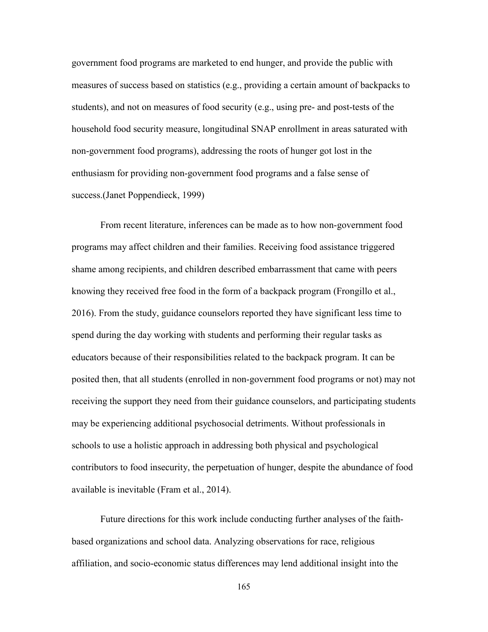government food programs are marketed to end hunger, and provide the public with measures of success based on statistics (e.g., providing a certain amount of backpacks to students), and not on measures of food security (e.g., using pre- and post-tests of the household food security measure, longitudinal SNAP enrollment in areas saturated with non-government food programs), addressing the roots of hunger got lost in the enthusiasm for providing non-government food programs and a false sense of success.(Janet Poppendieck, 1999)

From recent literature, inferences can be made as to how non-government food programs may affect children and their families. Receiving food assistance triggered shame among recipients, and children described embarrassment that came with peers knowing they received free food in the form of a backpack program (Frongillo et al., 2016). From the study, guidance counselors reported they have significant less time to spend during the day working with students and performing their regular tasks as educators because of their responsibilities related to the backpack program. It can be posited then, that all students (enrolled in non-government food programs or not) may not receiving the support they need from their guidance counselors, and participating students may be experiencing additional psychosocial detriments. Without professionals in schools to use a holistic approach in addressing both physical and psychological contributors to food insecurity, the perpetuation of hunger, despite the abundance of food available is inevitable (Fram et al., 2014).

Future directions for this work include conducting further analyses of the faithbased organizations and school data. Analyzing observations for race, religious affiliation, and socio-economic status differences may lend additional insight into the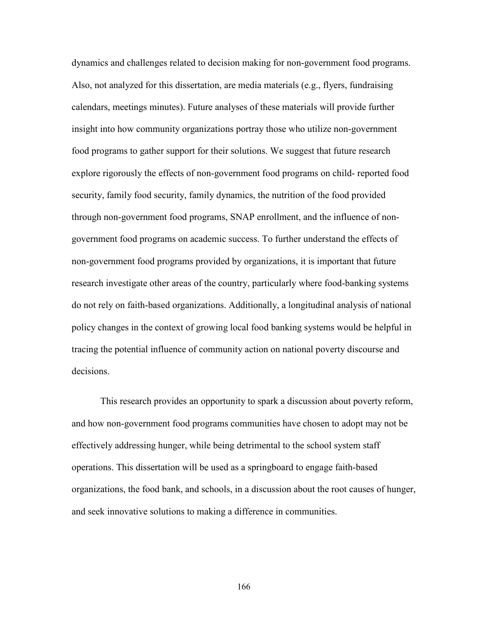dynamics and challenges related to decision making for non-government food programs. Also, not analyzed for this dissertation, are media materials (e.g., flyers, fundraising calendars, meetings minutes). Future analyses of these materials will provide further insight into how community organizations portray those who utilize non-government food programs to gather support for their solutions. We suggest that future research explore rigorously the effects of non-government food programs on child- reported food security, family food security, family dynamics, the nutrition of the food provided through non-government food programs, SNAP enrollment, and the influence of nongovernment food programs on academic success. To further understand the effects of non-government food programs provided by organizations, it is important that future research investigate other areas of the country, particularly where food-banking systems do not rely on faith-based organizations. Additionally, a longitudinal analysis of national policy changes in the context of growing local food banking systems would be helpful in tracing the potential influence of community action on national poverty discourse and decisions.

This research provides an opportunity to spark a discussion about poverty reform, and how non-government food programs communities have chosen to adopt may not be effectively addressing hunger, while being detrimental to the school system staff operations. This dissertation will be used as a springboard to engage faith-based organizations, the food bank, and schools, in a discussion about the root causes of hunger, and seek innovative solutions to making a difference in communities.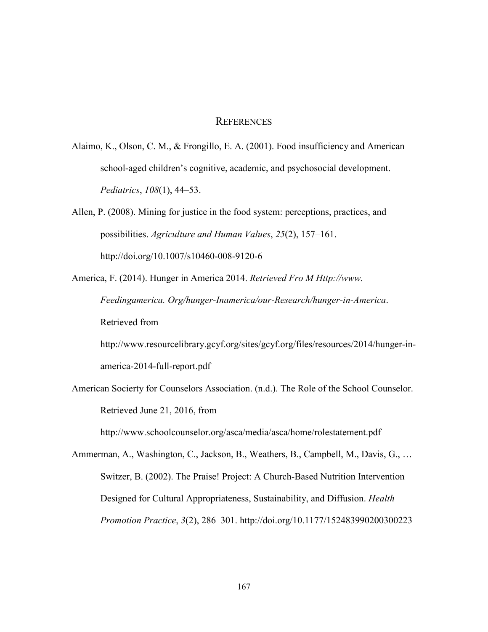## **REFERENCES**

Alaimo, K., Olson, C. M., & Frongillo, E. A. (2001). Food insufficiency and American school-aged children's cognitive, academic, and psychosocial development. *Pediatrics*, *108*(1), 44–53.

Allen, P. (2008). Mining for justice in the food system: perceptions, practices, and possibilities. *Agriculture and Human Values*, *25*(2), 157–161. http://doi.org/10.1007/s10460-008-9120-6

America, F. (2014). Hunger in America 2014. *Retrieved Fro M Http://www. Feedingamerica. Org/hunger-Inamerica/our-Research/hunger-in-America*. Retrieved from http://www.resourcelibrary.gcyf.org/sites/gcyf.org/files/resources/2014/hunger-in-

america-2014-full-report.pdf

American Socierty for Counselors Association. (n.d.). The Role of the School Counselor. Retrieved June 21, 2016, from

http://www.schoolcounselor.org/asca/media/asca/home/rolestatement.pdf

Ammerman, A., Washington, C., Jackson, B., Weathers, B., Campbell, M., Davis, G., … Switzer, B. (2002). The Praise! Project: A Church-Based Nutrition Intervention Designed for Cultural Appropriateness, Sustainability, and Diffusion. *Health Promotion Practice*, *3*(2), 286–301. http://doi.org/10.1177/152483990200300223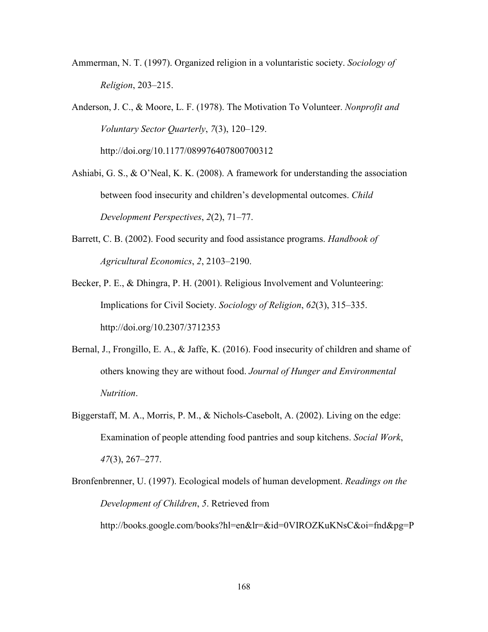Ammerman, N. T. (1997). Organized religion in a voluntaristic society. *Sociology of Religion*, 203–215.

Anderson, J. C., & Moore, L. F. (1978). The Motivation To Volunteer. *Nonprofit and Voluntary Sector Quarterly*, *7*(3), 120–129. http://doi.org/10.1177/089976407800700312

Ashiabi, G. S., & O'Neal, K. K. (2008). A framework for understanding the association between food insecurity and children's developmental outcomes. *Child Development Perspectives*, *2*(2), 71–77.

- Barrett, C. B. (2002). Food security and food assistance programs. *Handbook of Agricultural Economics*, *2*, 2103–2190.
- Becker, P. E., & Dhingra, P. H. (2001). Religious Involvement and Volunteering: Implications for Civil Society. *Sociology of Religion*, *62*(3), 315–335. http://doi.org/10.2307/3712353
- Bernal, J., Frongillo, E. A., & Jaffe, K. (2016). Food insecurity of children and shame of others knowing they are without food. *Journal of Hunger and Environmental Nutrition*.
- Biggerstaff, M. A., Morris, P. M., & Nichols-Casebolt, A. (2002). Living on the edge: Examination of people attending food pantries and soup kitchens. *Social Work*, *47*(3), 267–277.

Bronfenbrenner, U. (1997). Ecological models of human development. *Readings on the Development of Children*, *5*. Retrieved from http://books.google.com/books?hl=en&lr=&id=0VIROZKuKNsC&oi=fnd&pg=P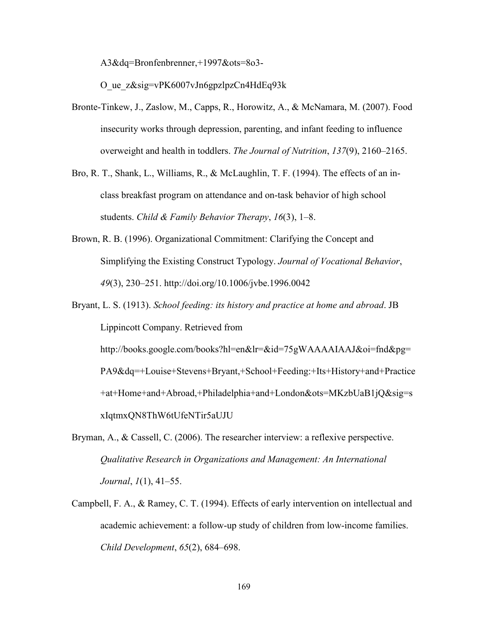A3&dq=Bronfenbrenner,+1997&ots=8o3-

O\_ue\_z&sig=vPK6007vJn6gpzlpzCn4HdEq93k

- Bronte-Tinkew, J., Zaslow, M., Capps, R., Horowitz, A., & McNamara, M. (2007). Food insecurity works through depression, parenting, and infant feeding to influence overweight and health in toddlers. *The Journal of Nutrition*, *137*(9), 2160–2165.
- Bro, R. T., Shank, L., Williams, R., & McLaughlin, T. F. (1994). The effects of an inclass breakfast program on attendance and on-task behavior of high school students. *Child & Family Behavior Therapy*, *16*(3), 1–8.
- Brown, R. B. (1996). Organizational Commitment: Clarifying the Concept and Simplifying the Existing Construct Typology. *Journal of Vocational Behavior*, *49*(3), 230–251. http://doi.org/10.1006/jvbe.1996.0042
- Bryant, L. S. (1913). *School feeding: its history and practice at home and abroad*. JB Lippincott Company. Retrieved from http://books.google.com/books?hl=en&lr=&id=75gWAAAAIAAJ&oi=fnd&pg= PA9&dq=+Louise+Stevens+Bryant,+School+Feeding:+Its+History+and+Practice +at+Home+and+Abroad,+Philadelphia+and+London&ots=MKzbUaB1jQ&sig=s xIqtmxQN8ThW6tUfeNTir5aUJU
- Bryman, A., & Cassell, C. (2006). The researcher interview: a reflexive perspective. *Qualitative Research in Organizations and Management: An International Journal*, *1*(1), 41–55.
- Campbell, F. A., & Ramey, C. T. (1994). Effects of early intervention on intellectual and academic achievement: a follow-up study of children from low-income families. *Child Development*, *65*(2), 684–698.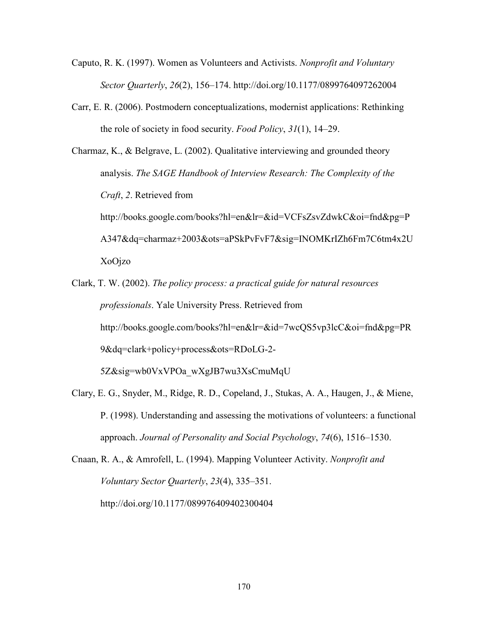- Caputo, R. K. (1997). Women as Volunteers and Activists. *Nonprofit and Voluntary Sector Quarterly*, *26*(2), 156–174. http://doi.org/10.1177/0899764097262004
- Carr, E. R. (2006). Postmodern conceptualizations, modernist applications: Rethinking the role of society in food security. *Food Policy*, *31*(1), 14–29.

Charmaz, K., & Belgrave, L. (2002). Qualitative interviewing and grounded theory analysis. *The SAGE Handbook of Interview Research: The Complexity of the Craft*, *2*. Retrieved from http://books.google.com/books?hl=en&lr=&id=VCFsZsvZdwkC&oi=fnd&pg=P A347&dq=charmaz+2003&ots=aPSkPvFvF7&sig=INOMKrIZh6Fm7C6tm4x2U XoOjzo

Clark, T. W. (2002). *The policy process: a practical guide for natural resources professionals*. Yale University Press. Retrieved from http://books.google.com/books?hl=en&lr=&id=7wcQS5vp3lcC&oi=fnd&pg=PR 9&dq=clark+policy+process&ots=RDoLG-2- 5Z&sig=wb0VxVPOa\_wXgJB7wu3XsCmuMqU

- Clary, E. G., Snyder, M., Ridge, R. D., Copeland, J., Stukas, A. A., Haugen, J., & Miene, P. (1998). Understanding and assessing the motivations of volunteers: a functional approach. *Journal of Personality and Social Psychology*, *74*(6), 1516–1530.
- Cnaan, R. A., & Amrofell, L. (1994). Mapping Volunteer Activity. *Nonprofit and Voluntary Sector Quarterly*, *23*(4), 335–351. http://doi.org/10.1177/089976409402300404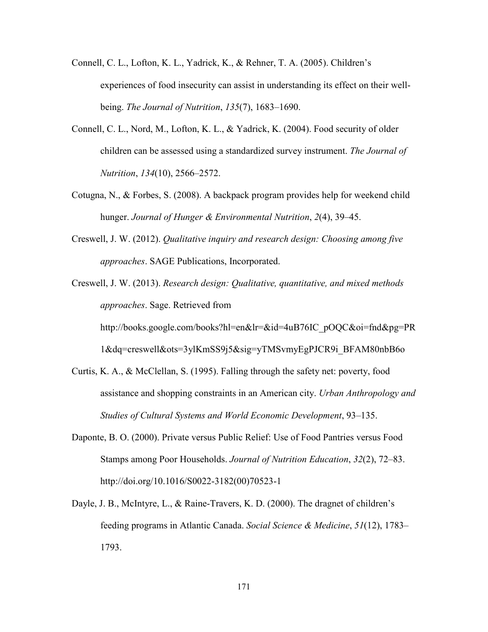- Connell, C. L., Lofton, K. L., Yadrick, K., & Rehner, T. A. (2005). Children's experiences of food insecurity can assist in understanding its effect on their wellbeing. *The Journal of Nutrition*, *135*(7), 1683–1690.
- Connell, C. L., Nord, M., Lofton, K. L., & Yadrick, K. (2004). Food security of older children can be assessed using a standardized survey instrument. *The Journal of Nutrition*, *134*(10), 2566–2572.
- Cotugna, N., & Forbes, S. (2008). A backpack program provides help for weekend child hunger. *Journal of Hunger & Environmental Nutrition*, *2*(4), 39–45.
- Creswell, J. W. (2012). *Qualitative inquiry and research design: Choosing among five approaches*. SAGE Publications, Incorporated.

Creswell, J. W. (2013). *Research design: Qualitative, quantitative, and mixed methods approaches*. Sage. Retrieved from http://books.google.com/books?hl=en&lr=&id=4uB76IC\_pOQC&oi=fnd&pg=PR

1&dq=creswell&ots=3ylKmSS9j5&sig=yTMSvmyEgPJCR9i\_BFAM80nbB6o

- Curtis, K. A., & McClellan, S. (1995). Falling through the safety net: poverty, food assistance and shopping constraints in an American city. *Urban Anthropology and Studies of Cultural Systems and World Economic Development*, 93–135.
- Daponte, B. O. (2000). Private versus Public Relief: Use of Food Pantries versus Food Stamps among Poor Households. *Journal of Nutrition Education*, *32*(2), 72–83. http://doi.org/10.1016/S0022-3182(00)70523-1
- Dayle, J. B., McIntyre, L., & Raine-Travers, K. D. (2000). The dragnet of children's feeding programs in Atlantic Canada. *Social Science & Medicine*, *51*(12), 1783– 1793.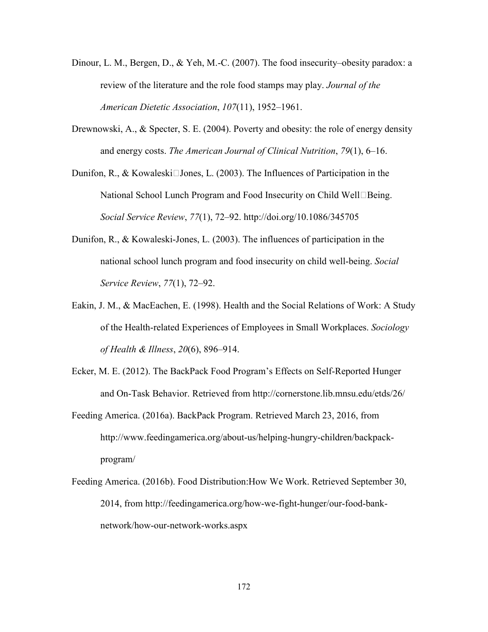- Dinour, L. M., Bergen, D., & Yeh, M.-C. (2007). The food insecurity–obesity paradox: a review of the literature and the role food stamps may play. *Journal of the American Dietetic Association*, *107*(11), 1952–1961.
- Drewnowski, A., & Specter, S. E. (2004). Poverty and obesity: the role of energy density and energy costs. *The American Journal of Clinical Nutrition*, *79*(1), 6–16.
- Dunifon, R., & Kowaleski $\Box$ Jones, L. (2003). The Influences of Participation in the National School Lunch Program and Food Insecurity on Child Well $\Box$ Being. *Social Service Review*, *77*(1), 72–92. http://doi.org/10.1086/345705
- Dunifon, R., & Kowaleski-Jones, L. (2003). The influences of participation in the national school lunch program and food insecurity on child well-being. *Social Service Review*, *77*(1), 72–92.
- Eakin, J. M., & MacEachen, E. (1998). Health and the Social Relations of Work: A Study of the Health-related Experiences of Employees in Small Workplaces. *Sociology of Health & Illness*, *20*(6), 896–914.
- Ecker, M. E. (2012). The BackPack Food Program's Effects on Self-Reported Hunger and On-Task Behavior. Retrieved from http://cornerstone.lib.mnsu.edu/etds/26/
- Feeding America. (2016a). BackPack Program. Retrieved March 23, 2016, from http://www.feedingamerica.org/about-us/helping-hungry-children/backpackprogram/
- Feeding America. (2016b). Food Distribution:How We Work. Retrieved September 30, 2014, from http://feedingamerica.org/how-we-fight-hunger/our-food-banknetwork/how-our-network-works.aspx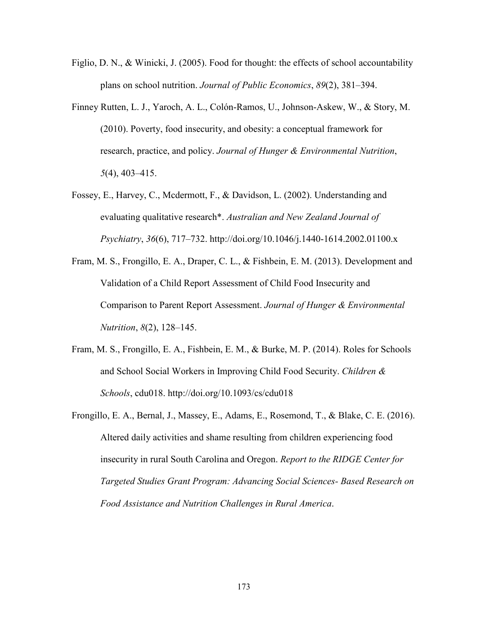- Figlio, D. N., & Winicki, J. (2005). Food for thought: the effects of school accountability plans on school nutrition. *Journal of Public Economics*, *89*(2), 381–394.
- Finney Rutten, L. J., Yaroch, A. L., Colón-Ramos, U., Johnson-Askew, W., & Story, M. (2010). Poverty, food insecurity, and obesity: a conceptual framework for research, practice, and policy. *Journal of Hunger & Environmental Nutrition*, *5*(4), 403–415.
- Fossey, E., Harvey, C., Mcdermott, F., & Davidson, L. (2002). Understanding and evaluating qualitative research\*. *Australian and New Zealand Journal of Psychiatry*, *36*(6), 717–732. http://doi.org/10.1046/j.1440-1614.2002.01100.x
- Fram, M. S., Frongillo, E. A., Draper, C. L., & Fishbein, E. M. (2013). Development and Validation of a Child Report Assessment of Child Food Insecurity and Comparison to Parent Report Assessment. *Journal of Hunger & Environmental Nutrition*, *8*(2), 128–145.
- Fram, M. S., Frongillo, E. A., Fishbein, E. M., & Burke, M. P. (2014). Roles for Schools and School Social Workers in Improving Child Food Security. *Children & Schools*, cdu018. http://doi.org/10.1093/cs/cdu018
- Frongillo, E. A., Bernal, J., Massey, E., Adams, E., Rosemond, T., & Blake, C. E. (2016). Altered daily activities and shame resulting from children experiencing food insecurity in rural South Carolina and Oregon. *Report to the RIDGE Center for Targeted Studies Grant Program: Advancing Social Sciences- Based Research on Food Assistance and Nutrition Challenges in Rural America*.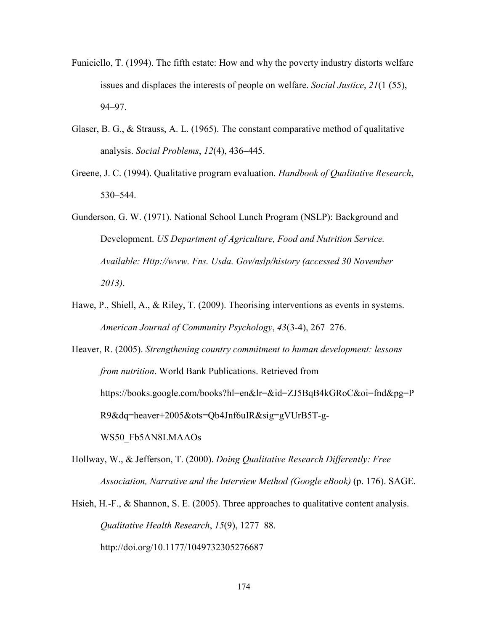- Funiciello, T. (1994). The fifth estate: How and why the poverty industry distorts welfare issues and displaces the interests of people on welfare. *Social Justice*, *21*(1 (55), 94–97.
- Glaser, B. G., & Strauss, A. L. (1965). The constant comparative method of qualitative analysis. *Social Problems*, *12*(4), 436–445.
- Greene, J. C. (1994). Qualitative program evaluation. *Handbook of Qualitative Research*, 530–544.

Gunderson, G. W. (1971). National School Lunch Program (NSLP): Background and Development. *US Department of Agriculture, Food and Nutrition Service. Available: Http://www. Fns. Usda. Gov/nslp/history (accessed 30 November 2013)*.

Hawe, P., Shiell, A., & Riley, T. (2009). Theorising interventions as events in systems. *American Journal of Community Psychology*, *43*(3-4), 267–276.

Heaver, R. (2005). *Strengthening country commitment to human development: lessons from nutrition*. World Bank Publications. Retrieved from https://books.google.com/books?hl=en&lr=&id=ZJ5BqB4kGRoC&oi=fnd&pg=P R9&dq=heaver+2005&ots=Qb4Jnf6uIR&sig=gVUrB5T-g-WS50\_Fb5AN8LMAAOs

- Hollway, W., & Jefferson, T. (2000). *Doing Qualitative Research Differently: Free Association, Narrative and the Interview Method (Google eBook)* (p. 176). SAGE.
- Hsieh, H.-F.,  $\&$  Shannon, S. E. (2005). Three approaches to qualitative content analysis. *Qualitative Health Research*, *15*(9), 1277–88. http://doi.org/10.1177/1049732305276687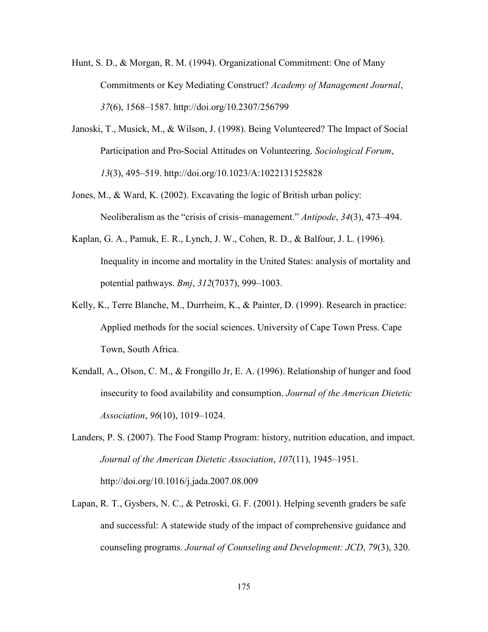- Hunt, S. D., & Morgan, R. M. (1994). Organizational Commitment: One of Many Commitments or Key Mediating Construct? *Academy of Management Journal*, *37*(6), 1568–1587. http://doi.org/10.2307/256799
- Janoski, T., Musick, M., & Wilson, J. (1998). Being Volunteered? The Impact of Social Participation and Pro-Social Attitudes on Volunteering. *Sociological Forum*, *13*(3), 495–519. http://doi.org/10.1023/A:1022131525828
- Jones, M., & Ward, K. (2002). Excavating the logic of British urban policy: Neoliberalism as the "crisis of crisis–management." *Antipode*, *34*(3), 473–494.
- Kaplan, G. A., Pamuk, E. R., Lynch, J. W., Cohen, R. D., & Balfour, J. L. (1996). Inequality in income and mortality in the United States: analysis of mortality and potential pathways. *Bmj*, *312*(7037), 999–1003.
- Kelly, K., Terre Blanche, M., Durrheim, K., & Painter, D. (1999). Research in practice: Applied methods for the social sciences. University of Cape Town Press. Cape Town, South Africa.
- Kendall, A., Olson, C. M., & Frongillo Jr, E. A. (1996). Relationship of hunger and food insecurity to food availability and consumption. *Journal of the American Dietetic Association*, *96*(10), 1019–1024.
- Landers, P. S. (2007). The Food Stamp Program: history, nutrition education, and impact. *Journal of the American Dietetic Association*, *107*(11), 1945–1951. http://doi.org/10.1016/j.jada.2007.08.009
- Lapan, R. T., Gysbers, N. C., & Petroski, G. F. (2001). Helping seventh graders be safe and successful: A statewide study of the impact of comprehensive guidance and counseling programs. *Journal of Counseling and Development: JCD*, *79*(3), 320.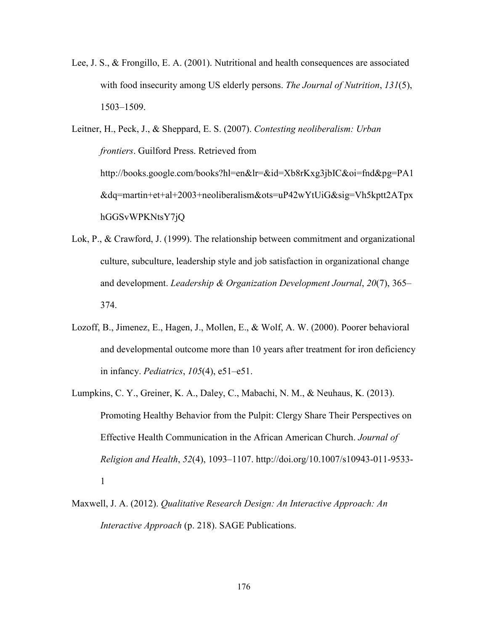Lee, J. S., & Frongillo, E. A. (2001). Nutritional and health consequences are associated with food insecurity among US elderly persons. *The Journal of Nutrition*, *131*(5), 1503–1509.

Leitner, H., Peck, J., & Sheppard, E. S. (2007). *Contesting neoliberalism: Urban frontiers*. Guilford Press. Retrieved from http://books.google.com/books?hl=en&lr=&id=Xb8rKxg3jbIC&oi=fnd&pg=PA1 &dq=martin+et+al+2003+neoliberalism&ots=uP42wYtUiG&sig=Vh5kptt2ATpx hGGSvWPKNtsY7jQ

- Lok, P., & Crawford, J. (1999). The relationship between commitment and organizational culture, subculture, leadership style and job satisfaction in organizational change and development. *Leadership & Organization Development Journal*, *20*(7), 365– 374.
- Lozoff, B., Jimenez, E., Hagen, J., Mollen, E., & Wolf, A. W. (2000). Poorer behavioral and developmental outcome more than 10 years after treatment for iron deficiency in infancy. *Pediatrics*, *105*(4), e51–e51.
- Lumpkins, C. Y., Greiner, K. A., Daley, C., Mabachi, N. M., & Neuhaus, K. (2013). Promoting Healthy Behavior from the Pulpit: Clergy Share Their Perspectives on Effective Health Communication in the African American Church. *Journal of Religion and Health*, *52*(4), 1093–1107. http://doi.org/10.1007/s10943-011-9533- 1
- Maxwell, J. A. (2012). *Qualitative Research Design: An Interactive Approach: An Interactive Approach* (p. 218). SAGE Publications.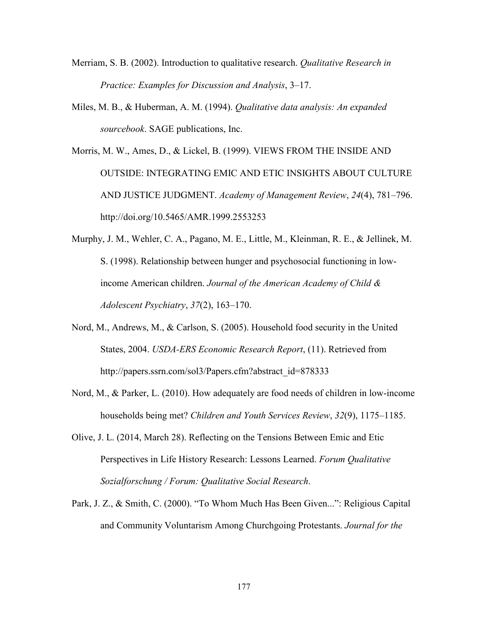- Merriam, S. B. (2002). Introduction to qualitative research. *Qualitative Research in Practice: Examples for Discussion and Analysis*, 3–17.
- Miles, M. B., & Huberman, A. M. (1994). *Qualitative data analysis: An expanded sourcebook*. SAGE publications, Inc.
- Morris, M. W., Ames, D., & Lickel, B. (1999). VIEWS FROM THE INSIDE AND OUTSIDE: INTEGRATING EMIC AND ETIC INSIGHTS ABOUT CULTURE AND JUSTICE JUDGMENT. *Academy of Management Review*, *24*(4), 781–796. http://doi.org/10.5465/AMR.1999.2553253
- Murphy, J. M., Wehler, C. A., Pagano, M. E., Little, M., Kleinman, R. E., & Jellinek, M. S. (1998). Relationship between hunger and psychosocial functioning in lowincome American children. *Journal of the American Academy of Child & Adolescent Psychiatry*, *37*(2), 163–170.
- Nord, M., Andrews, M., & Carlson, S. (2005). Household food security in the United States, 2004. *USDA-ERS Economic Research Report*, (11). Retrieved from http://papers.ssrn.com/sol3/Papers.cfm?abstract\_id=878333
- Nord, M., & Parker, L. (2010). How adequately are food needs of children in low-income households being met? *Children and Youth Services Review*, *32*(9), 1175–1185.
- Olive, J. L. (2014, March 28). Reflecting on the Tensions Between Emic and Etic Perspectives in Life History Research: Lessons Learned. *Forum Qualitative Sozialforschung / Forum: Qualitative Social Research*.
- Park, J. Z., & Smith, C. (2000). "To Whom Much Has Been Given...": Religious Capital and Community Voluntarism Among Churchgoing Protestants. *Journal for the*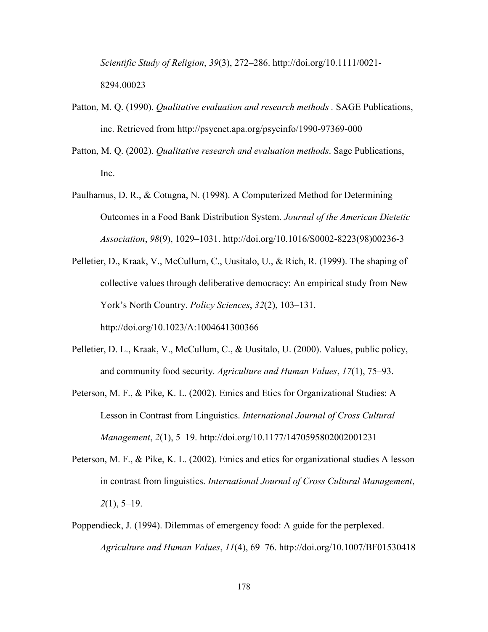*Scientific Study of Religion*, *39*(3), 272–286. http://doi.org/10.1111/0021- 8294.00023

- Patton, M. Q. (1990). *Qualitative evaluation and research methods .* SAGE Publications, inc. Retrieved from http://psycnet.apa.org/psycinfo/1990-97369-000
- Patton, M. Q. (2002). *Qualitative research and evaluation methods*. Sage Publications, Inc.
- Paulhamus, D. R., & Cotugna, N. (1998). A Computerized Method for Determining Outcomes in a Food Bank Distribution System. *Journal of the American Dietetic Association*, *98*(9), 1029–1031. http://doi.org/10.1016/S0002-8223(98)00236-3
- Pelletier, D., Kraak, V., McCullum, C., Uusitalo, U., & Rich, R. (1999). The shaping of collective values through deliberative democracy: An empirical study from New York's North Country. *Policy Sciences*, *32*(2), 103–131. http://doi.org/10.1023/A:1004641300366
- Pelletier, D. L., Kraak, V., McCullum, C., & Uusitalo, U. (2000). Values, public policy, and community food security. *Agriculture and Human Values*, *17*(1), 75–93.
- Peterson, M. F., & Pike, K. L. (2002). Emics and Etics for Organizational Studies: A Lesson in Contrast from Linguistics. *International Journal of Cross Cultural Management*, *2*(1), 5–19. http://doi.org/10.1177/1470595802002001231
- Peterson, M. F., & Pike, K. L. (2002). Emics and etics for organizational studies A lesson in contrast from linguistics. *International Journal of Cross Cultural Management*, *2*(1), 5–19.
- Poppendieck, J. (1994). Dilemmas of emergency food: A guide for the perplexed. *Agriculture and Human Values*, *11*(4), 69–76. http://doi.org/10.1007/BF01530418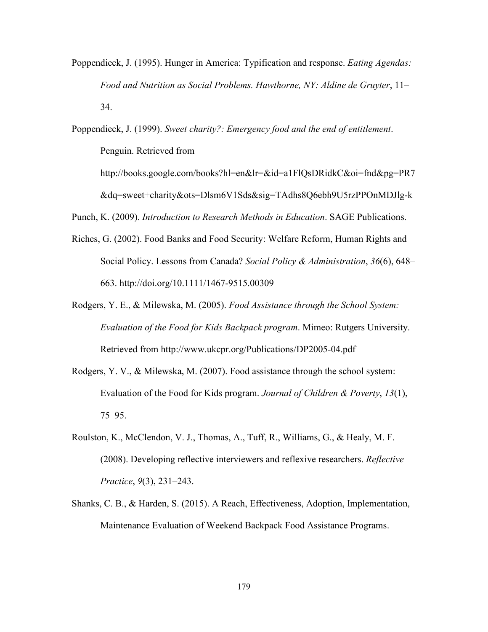Poppendieck, J. (1995). Hunger in America: Typification and response. *Eating Agendas: Food and Nutrition as Social Problems. Hawthorne, NY: Aldine de Gruyter*, 11– 34.

Poppendieck, J. (1999). *Sweet charity?: Emergency food and the end of entitlement*. Penguin. Retrieved from http://books.google.com/books?hl=en&lr=&id=a1FlQsDRidkC&oi=fnd&pg=PR7 &dq=sweet+charity&ots=Dlsm6V1Sds&sig=TAdhs8Q6ebh9U5rzPPOnMDJlg-k

Punch, K. (2009). *Introduction to Research Methods in Education*. SAGE Publications.

- Riches, G. (2002). Food Banks and Food Security: Welfare Reform, Human Rights and Social Policy. Lessons from Canada? *Social Policy & Administration*, *36*(6), 648– 663. http://doi.org/10.1111/1467-9515.00309
- Rodgers, Y. E., & Milewska, M. (2005). *Food Assistance through the School System: Evaluation of the Food for Kids Backpack program*. Mimeo: Rutgers University. Retrieved from http://www.ukcpr.org/Publications/DP2005-04.pdf
- Rodgers, Y. V., & Milewska, M. (2007). Food assistance through the school system: Evaluation of the Food for Kids program. *Journal of Children & Poverty*, *13*(1), 75–95.
- Roulston, K., McClendon, V. J., Thomas, A., Tuff, R., Williams, G., & Healy, M. F. (2008). Developing reflective interviewers and reflexive researchers. *Reflective Practice*, *9*(3), 231–243.
- Shanks, C. B., & Harden, S. (2015). A Reach, Effectiveness, Adoption, Implementation, Maintenance Evaluation of Weekend Backpack Food Assistance Programs.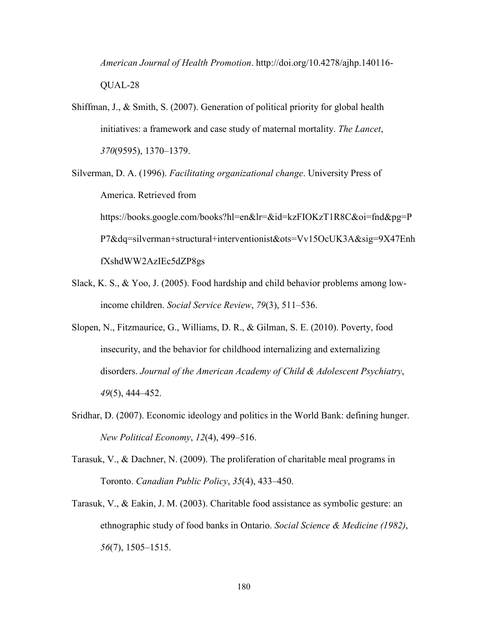*American Journal of Health Promotion*. http://doi.org/10.4278/ajhp.140116- QUAL-28

- Shiffman, J., & Smith, S. (2007). Generation of political priority for global health initiatives: a framework and case study of maternal mortality. *The Lancet*, *370*(9595), 1370–1379.
- Silverman, D. A. (1996). *Facilitating organizational change*. University Press of America. Retrieved from https://books.google.com/books?hl=en&lr=&id=kzFIOKzT1R8C&oi=fnd&pg=P P7&dq=silverman+structural+interventionist&ots=Vv15OcUK3A&sig=9X47Enh fXshdWW2AzIEc5dZP8gs
- Slack, K. S., & Yoo, J. (2005). Food hardship and child behavior problems among lowincome children. *Social Service Review*, *79*(3), 511–536.
- Slopen, N., Fitzmaurice, G., Williams, D. R., & Gilman, S. E. (2010). Poverty, food insecurity, and the behavior for childhood internalizing and externalizing disorders. *Journal of the American Academy of Child & Adolescent Psychiatry*, *49*(5), 444–452.
- Sridhar, D. (2007). Economic ideology and politics in the World Bank: defining hunger. *New Political Economy*, *12*(4), 499–516.
- Tarasuk, V., & Dachner, N. (2009). The proliferation of charitable meal programs in Toronto. *Canadian Public Policy*, *35*(4), 433–450.
- Tarasuk, V., & Eakin, J. M. (2003). Charitable food assistance as symbolic gesture: an ethnographic study of food banks in Ontario. *Social Science & Medicine (1982)*, *56*(7), 1505–1515.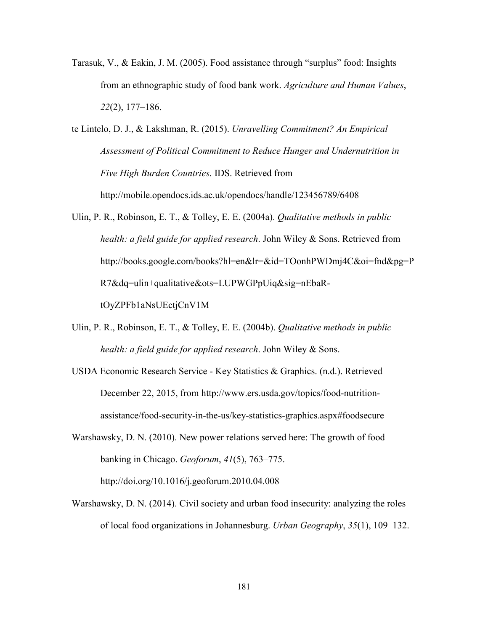- Tarasuk, V., & Eakin, J. M. (2005). Food assistance through "surplus" food: Insights from an ethnographic study of food bank work. *Agriculture and Human Values*, *22*(2), 177–186.
- te Lintelo, D. J., & Lakshman, R. (2015). *Unravelling Commitment? An Empirical Assessment of Political Commitment to Reduce Hunger and Undernutrition in Five High Burden Countries*. IDS. Retrieved from http://mobile.opendocs.ids.ac.uk/opendocs/handle/123456789/6408
- Ulin, P. R., Robinson, E. T., & Tolley, E. E. (2004a). *Qualitative methods in public health: a field guide for applied research*. John Wiley & Sons. Retrieved from http://books.google.com/books?hl=en&lr=&id=TOonhPWDmj4C&oi=fnd&pg=P R7&dq=ulin+qualitative&ots=LUPWGPpUiq&sig=nEbaRtOyZPFb1aNsUEctjCnV1M
- Ulin, P. R., Robinson, E. T., & Tolley, E. E. (2004b). *Qualitative methods in public health: a field guide for applied research*. John Wiley & Sons.
- USDA Economic Research Service Key Statistics & Graphics. (n.d.). Retrieved December 22, 2015, from http://www.ers.usda.gov/topics/food-nutritionassistance/food-security-in-the-us/key-statistics-graphics.aspx#foodsecure
- Warshawsky, D. N. (2010). New power relations served here: The growth of food banking in Chicago. *Geoforum*, *41*(5), 763–775. http://doi.org/10.1016/j.geoforum.2010.04.008
- Warshawsky, D. N. (2014). Civil society and urban food insecurity: analyzing the roles of local food organizations in Johannesburg. *Urban Geography*, *35*(1), 109–132.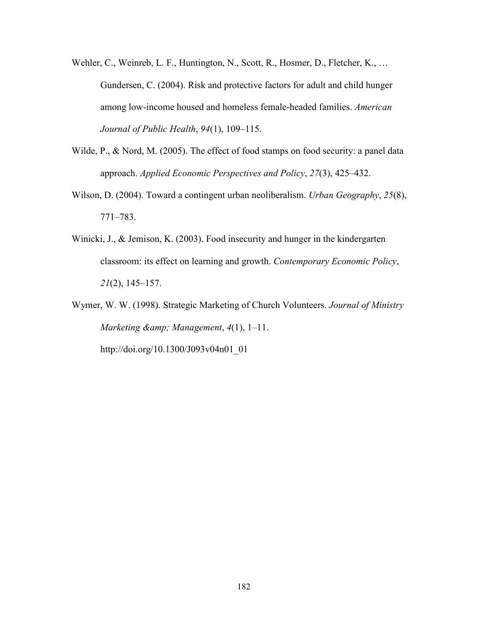- Wehler, C., Weinreb, L. F., Huntington, N., Scott, R., Hosmer, D., Fletcher, K., ... Gundersen, C. (2004). Risk and protective factors for adult and child hunger among low-income housed and homeless female-headed families. *American Journal of Public Health*, *94*(1), 109–115.
- Wilde, P., & Nord, M. (2005). The effect of food stamps on food security: a panel data approach. *Applied Economic Perspectives and Policy*, *27*(3), 425–432.
- Wilson, D. (2004). Toward a contingent urban neoliberalism. *Urban Geography*, *25*(8), 771–783.
- Winicki, J., & Jemison, K. (2003). Food insecurity and hunger in the kindergarten classroom: its effect on learning and growth. *Contemporary Economic Policy*, *21*(2), 145–157.
- Wymer, W. W. (1998). Strategic Marketing of Church Volunteers. *Journal of Ministry Marketing & Management*, *4*(1), 1–11.

http://doi.org/10.1300/J093v04n01\_01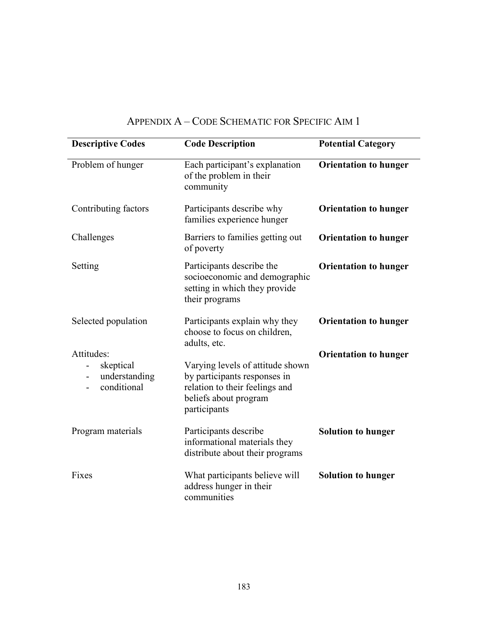| <b>Descriptive Codes</b>                                                            | <b>Code Description</b>                                                                                                                     | <b>Potential Category</b>    |
|-------------------------------------------------------------------------------------|---------------------------------------------------------------------------------------------------------------------------------------------|------------------------------|
| Problem of hunger                                                                   | Each participant's explanation<br>of the problem in their<br>community                                                                      | <b>Orientation to hunger</b> |
| Contributing factors                                                                | Participants describe why<br>families experience hunger                                                                                     | <b>Orientation to hunger</b> |
| Challenges                                                                          | Barriers to families getting out<br>of poverty                                                                                              | <b>Orientation to hunger</b> |
| Setting                                                                             | Participants describe the<br>socioeconomic and demographic<br>setting in which they provide<br>their programs                               | <b>Orientation to hunger</b> |
| Selected population                                                                 | Participants explain why they<br>choose to focus on children,<br>adults, etc.                                                               | <b>Orientation to hunger</b> |
| Attitudes:<br>skeptical<br>understanding<br>$\overline{\phantom{0}}$<br>conditional | Varying levels of attitude shown<br>by participants responses in<br>relation to their feelings and<br>beliefs about program<br>participants | <b>Orientation to hunger</b> |
| Program materials                                                                   | Participants describe<br>informational materials they<br>distribute about their programs                                                    | <b>Solution to hunger</b>    |
| Fixes                                                                               | What participants believe will<br>address hunger in their<br>communities                                                                    | <b>Solution to hunger</b>    |

# APPENDIX A – CODE SCHEMATIC FOR SPECIFIC AIM 1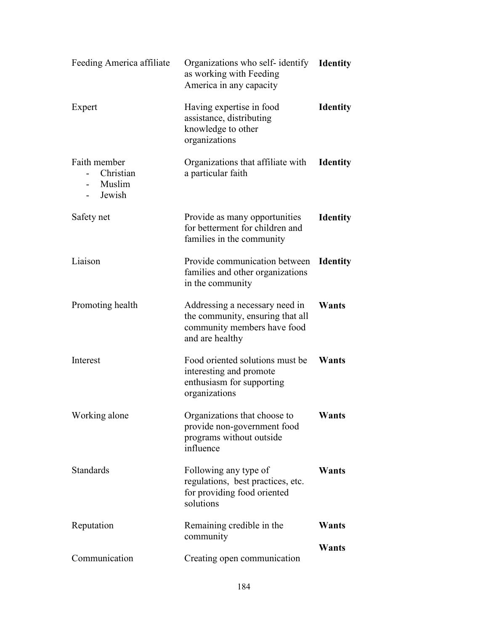| Feeding America affiliate                       | Organizations who self-identify <b>Identity</b><br>as working with Feeding<br>America in any capacity                |                 |
|-------------------------------------------------|----------------------------------------------------------------------------------------------------------------------|-----------------|
| Expert                                          | Having expertise in food<br>assistance, distributing<br>knowledge to other<br>organizations                          | <b>Identity</b> |
| Faith member<br>Christian<br>- Muslim<br>Jewish | Organizations that affiliate with<br>a particular faith                                                              | <b>Identity</b> |
| Safety net                                      | Provide as many opportunities<br>for betterment for children and<br>families in the community                        | <b>Identity</b> |
| Liaison                                         | Provide communication between<br>families and other organizations<br>in the community                                | <b>Identity</b> |
| Promoting health                                | Addressing a necessary need in<br>the community, ensuring that all<br>community members have food<br>and are healthy | Wants           |
| Interest                                        | Food oriented solutions must be<br>interesting and promote<br>enthusiasm for supporting<br>organizations             | Wants           |
| Working alone                                   | Organizations that choose to<br>provide non-government food<br>programs without outside<br>influence                 | Wants           |
| Standards                                       | Following any type of<br>regulations, best practices, etc.<br>for providing food oriented<br>solutions               | Wants           |
| Reputation                                      | Remaining credible in the<br>community                                                                               | Wants           |
| Communication                                   | Creating open communication                                                                                          | Wants           |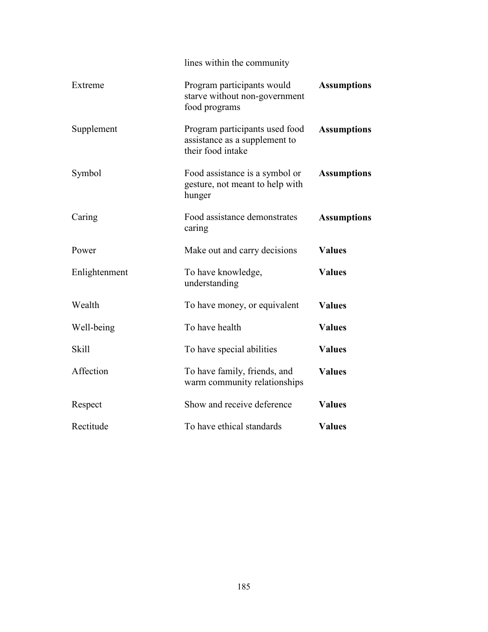|               | lines within the community                                                           |                    |  |
|---------------|--------------------------------------------------------------------------------------|--------------------|--|
| Extreme       | Program participants would<br>starve without non-government<br>food programs         | <b>Assumptions</b> |  |
| Supplement    | Program participants used food<br>assistance as a supplement to<br>their food intake | <b>Assumptions</b> |  |
| Symbol        | Food assistance is a symbol or<br>gesture, not meant to help with<br>hunger          | <b>Assumptions</b> |  |
| Caring        | Food assistance demonstrates<br>caring                                               | <b>Assumptions</b> |  |
| Power         | Make out and carry decisions                                                         | <b>Values</b>      |  |
| Enlightenment | To have knowledge,<br>understanding                                                  | <b>Values</b>      |  |
| Wealth        | To have money, or equivalent                                                         | <b>Values</b>      |  |
| Well-being    | To have health                                                                       | <b>Values</b>      |  |
| <b>Skill</b>  | To have special abilities                                                            | <b>Values</b>      |  |
| Affection     | To have family, friends, and<br>warm community relationships                         | <b>Values</b>      |  |
| Respect       | Show and receive deference                                                           | <b>Values</b>      |  |
| Rectitude     | To have ethical standards                                                            | <b>Values</b>      |  |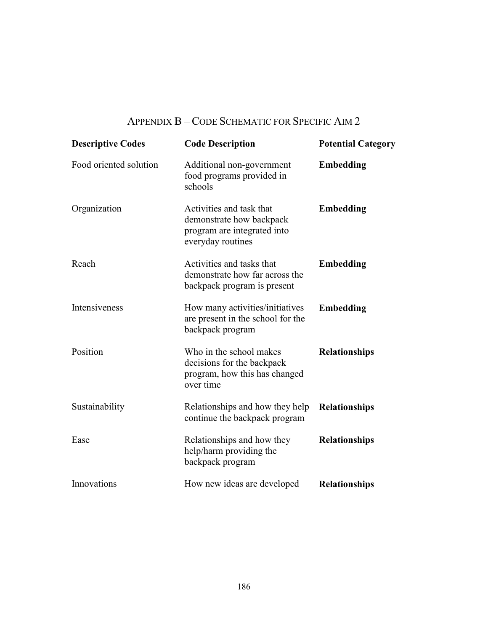| <b>Descriptive Codes</b> | <b>Code Description</b>                                                                                  | <b>Potential Category</b> |
|--------------------------|----------------------------------------------------------------------------------------------------------|---------------------------|
| Food oriented solution   | Additional non-government<br>food programs provided in<br>schools                                        | Embedding                 |
| Organization             | Activities and task that<br>demonstrate how backpack<br>program are integrated into<br>everyday routines | <b>Embedding</b>          |
| Reach                    | Activities and tasks that<br>demonstrate how far across the<br>backpack program is present               | <b>Embedding</b>          |
| Intensiveness            | How many activities/initiatives<br>are present in the school for the<br>backpack program                 | <b>Embedding</b>          |
| Position                 | Who in the school makes<br>decisions for the backpack<br>program, how this has changed<br>over time      | <b>Relationships</b>      |
| Sustainability           | Relationships and how they help<br>continue the backpack program                                         | <b>Relationships</b>      |
| Ease                     | Relationships and how they<br>help/harm providing the<br>backpack program                                | <b>Relationships</b>      |
| Innovations              | How new ideas are developed                                                                              | <b>Relationships</b>      |

# APPENDIX B – CODE SCHEMATIC FOR SPECIFIC AIM 2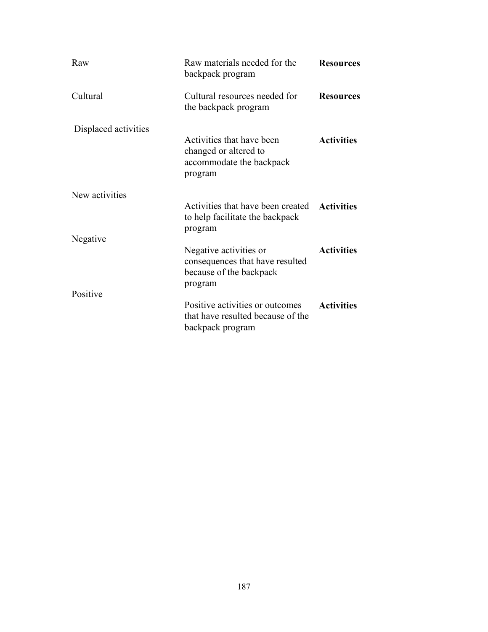| Raw                        | Raw materials needed for the<br>backpack program                                                | <b>Resources</b>  |
|----------------------------|-------------------------------------------------------------------------------------------------|-------------------|
| Cultural                   | Cultural resources needed for<br>the backpack program                                           | <b>Resources</b>  |
| Displaced activities       | Activities that have been<br>changed or altered to<br>accommodate the backpack<br>program       | <b>Activities</b> |
| New activities<br>Negative | Activities that have been created Activities<br>to help facilitate the backpack<br>program      |                   |
|                            | Negative activities or<br>consequences that have resulted<br>because of the backpack<br>program | <b>Activities</b> |
| Positive                   | Positive activities or outcomes<br>that have resulted because of the<br>backpack program        | <b>Activities</b> |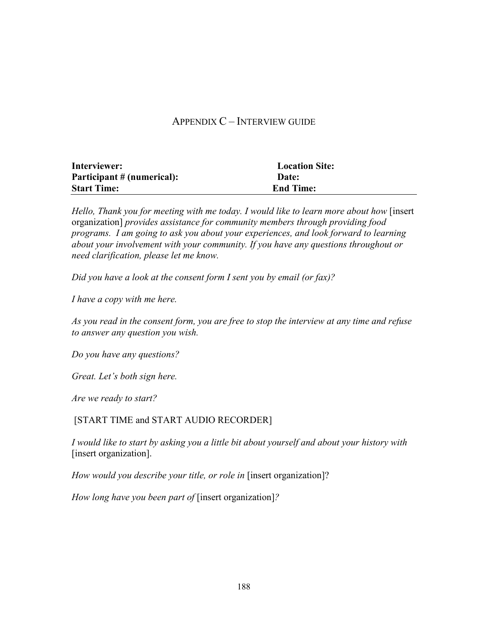# APPENDIX C – INTERVIEW GUIDE

| Interviewer:               | <b>Location Site:</b> |
|----------------------------|-----------------------|
| Participant # (numerical): | Date:                 |
| <b>Start Time:</b>         | <b>End Time:</b>      |

*Hello, Thank you for meeting with me today. I would like to learn more about how* [insert] organization] *provides assistance for community members through providing food programs. I am going to ask you about your experiences, and look forward to learning about your involvement with your community. If you have any questions throughout or need clarification, please let me know.* 

*Did you have a look at the consent form I sent you by email (or fax)?* 

*I have a copy with me here.* 

*As you read in the consent form, you are free to stop the interview at any time and refuse to answer any question you wish.* 

*Do you have any questions?* 

*Great. Let's both sign here.* 

*Are we ready to start?* 

#### [START TIME and START AUDIO RECORDER]

*I would like to start by asking you a little bit about yourself and about your history with*  [insert organization].

*How would you describe your title, or role in* [insert organization]?

*How long have you been part of* [insert organization]*?*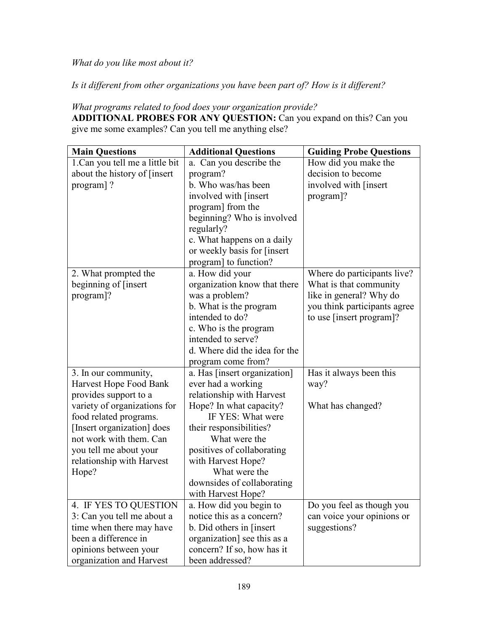*What do you like most about it?* 

*Is it different from other organizations you have been part of? How is it different?* 

*What programs related to food does your organization provide?*  ADDITIONAL PROBES FOR ANY QUESTION: Can you expand on this? Can you give me some examples? Can you tell me anything else?

| <b>Main Questions</b>           | <b>Additional Questions</b>   | <b>Guiding Probe Questions</b> |
|---------------------------------|-------------------------------|--------------------------------|
| 1. Can you tell me a little bit | a. Can you describe the       | How did you make the           |
| about the history of [insert]   | program?                      | decision to become             |
| program]?                       | b. Who was/has been           | involved with [insert          |
|                                 | involved with [insert         | program]?                      |
|                                 | program] from the             |                                |
|                                 | beginning? Who is involved    |                                |
|                                 | regularly?                    |                                |
|                                 | c. What happens on a daily    |                                |
|                                 | or weekly basis for [insert   |                                |
|                                 | program] to function?         |                                |
| 2. What prompted the            | a. How did your               | Where do participants live?    |
| beginning of [insert            | organization know that there  | What is that community         |
| program]?                       | was a problem?                | like in general? Why do        |
|                                 | b. What is the program        | you think participants agree   |
|                                 | intended to do?               | to use [insert program]?       |
|                                 | c. Who is the program         |                                |
|                                 | intended to serve?            |                                |
|                                 | d. Where did the idea for the |                                |
|                                 | program come from?            |                                |
| 3. In our community,            | a. Has [insert organization]  | Has it always been this        |
| Harvest Hope Food Bank          | ever had a working            | way?                           |
| provides support to a           | relationship with Harvest     |                                |
| variety of organizations for    | Hope? In what capacity?       | What has changed?              |
| food related programs.          | IF YES: What were             |                                |
| [Insert organization] does      | their responsibilities?       |                                |
| not work with them. Can         | What were the                 |                                |
| you tell me about your          | positives of collaborating    |                                |
| relationship with Harvest       | with Harvest Hope?            |                                |
| Hope?                           | What were the                 |                                |
|                                 | downsides of collaborating    |                                |
|                                 | with Harvest Hope?            |                                |
| 4. IF YES TO QUESTION           | a. How did you begin to       | Do you feel as though you      |
| 3: Can you tell me about a      | notice this as a concern?     | can voice your opinions or     |
| time when there may have        | b. Did others in [insert      | suggestions?                   |
| been a difference in            | organization] see this as a   |                                |
| opinions between your           | concern? If so, how has it    |                                |
| organization and Harvest        | been addressed?               |                                |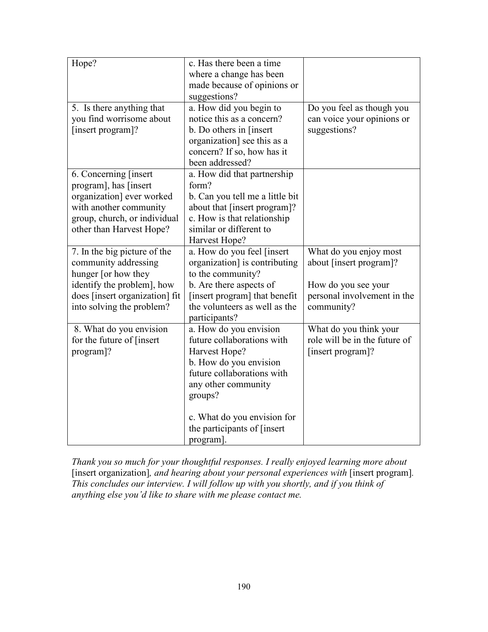| Hope?                          | c. Has there been a time        |                               |
|--------------------------------|---------------------------------|-------------------------------|
|                                | where a change has been         |                               |
|                                | made because of opinions or     |                               |
|                                | suggestions?                    |                               |
| 5. Is there anything that      | a. How did you begin to         | Do you feel as though you     |
| you find worrisome about       | notice this as a concern?       | can voice your opinions or    |
| [insert program]?              | b. Do others in [insert]        | suggestions?                  |
|                                | organization] see this as a     |                               |
|                                | concern? If so, how has it      |                               |
|                                | been addressed?                 |                               |
| 6. Concerning [insert]         | a. How did that partnership     |                               |
| program], has [insert]         | form?                           |                               |
| organization] ever worked      | b. Can you tell me a little bit |                               |
| with another community         | about that [insert program]?    |                               |
| group, church, or individual   | c. How is that relationship     |                               |
| other than Harvest Hope?       | similar or different to         |                               |
|                                | Harvest Hope?                   |                               |
| 7. In the big picture of the   | a. How do you feel [insert      | What do you enjoy most        |
| community addressing           | organization] is contributing   | about [insert program]?       |
| hunger [or how they            | to the community?               |                               |
| identify the problem], how     | b. Are there aspects of         | How do you see your           |
| does [insert organization] fit | [insert program] that benefit   | personal involvement in the   |
| into solving the problem?      | the volunteers as well as the   | community?                    |
|                                | participants?                   |                               |
| 8. What do you envision        | a. How do you envision          | What do you think your        |
| for the future of [insert]     | future collaborations with      | role will be in the future of |
| program]?                      | Harvest Hope?                   | [insert program]?             |
|                                | b. How do you envision          |                               |
|                                | future collaborations with      |                               |
|                                | any other community             |                               |
|                                | groups?                         |                               |
|                                |                                 |                               |
|                                | c. What do you envision for     |                               |
|                                | the participants of [insert]    |                               |
|                                | program].                       |                               |

*Thank you so much for your thoughtful responses. I really enjoyed learning more about*  [insert organization], and hearing about your personal experiences with [insert program]. *This concludes our interview. I will follow up with you shortly, and if you think of anything else you'd like to share with me please contact me.*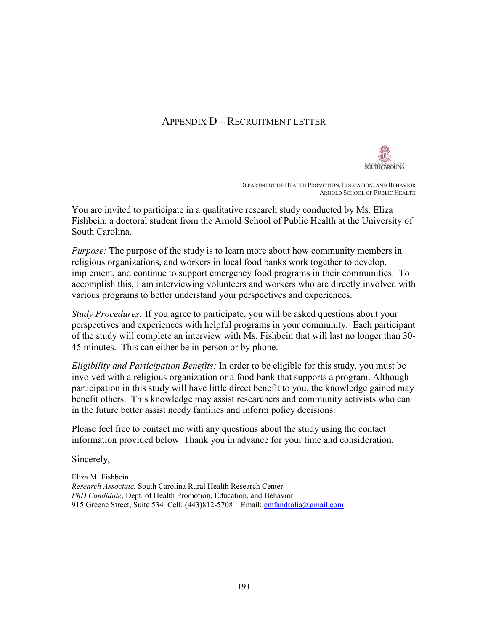### APPENDIX D – RECRUITMENT LETTER



 DEPARTMENT OF HEALTH PROMOTION, EDUCATION, AND BEHAVIOR ARNOLD SCHOOL OF PUBLIC HEALTH

You are invited to participate in a qualitative research study conducted by Ms. Eliza Fishbein, a doctoral student from the Arnold School of Public Health at the University of South Carolina.

*Purpose:* The purpose of the study is to learn more about how community members in religious organizations, and workers in local food banks work together to develop, implement, and continue to support emergency food programs in their communities. To accomplish this, I am interviewing volunteers and workers who are directly involved with various programs to better understand your perspectives and experiences.

*Study Procedures:* If you agree to participate, you will be asked questions about your perspectives and experiences with helpful programs in your community. Each participant of the study will complete an interview with Ms. Fishbein that will last no longer than 30- 45 minutes. This can either be in-person or by phone.

*Eligibility and Participation Benefits:* In order to be eligible for this study, you must be involved with a religious organization or a food bank that supports a program. Although participation in this study will have little direct benefit to you, the knowledge gained may benefit others. This knowledge may assist researchers and community activists who can in the future better assist needy families and inform policy decisions.

Please feel free to contact me with any questions about the study using the contact information provided below. Thank you in advance for your time and consideration.

Sincerely,

Eliza M. Fishbein *Research Associate*, South Carolina Rural Health Research Center *PhD Candidate*, Dept. of Health Promotion, Education, and Behavior 915 Greene Street, Suite 534 Cell: (443)812-5708 Email: emfandrolia@gmail.com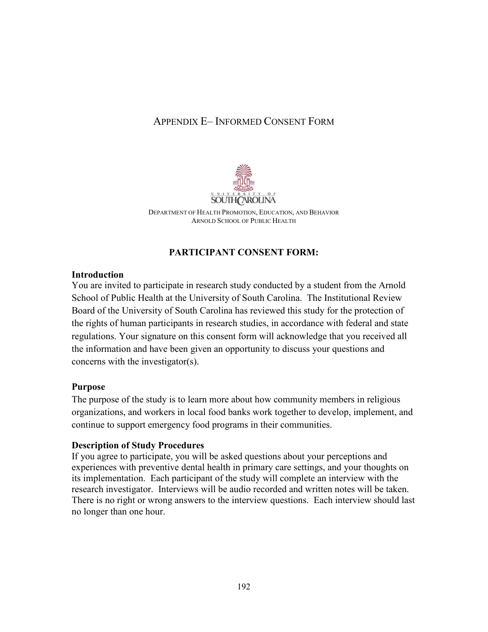# APPENDIX E– INFORMED CONSENT FORM



DEPARTMENT OF HEALTH PROMOTION, EDUCATION, AND BEHAVIOR ARNOLD SCHOOL OF PUBLIC HEALTH

# **PARTICIPANT CONSENT FORM:**

#### **Introduction**

You are invited to participate in research study conducted by a student from the Arnold School of Public Health at the University of South Carolina. The Institutional Review Board of the University of South Carolina has reviewed this study for the protection of the rights of human participants in research studies, in accordance with federal and state regulations. Your signature on this consent form will acknowledge that you received all the information and have been given an opportunity to discuss your questions and concerns with the investigator(s).

### **Purpose**

The purpose of the study is to learn more about how community members in religious organizations, and workers in local food banks work together to develop, implement, and continue to support emergency food programs in their communities.

#### **Description of Study Procedures**

If you agree to participate, you will be asked questions about your perceptions and experiences with preventive dental health in primary care settings, and your thoughts on its implementation. Each participant of the study will complete an interview with the research investigator. Interviews will be audio recorded and written notes will be taken. There is no right or wrong answers to the interview questions. Each interview should last no longer than one hour.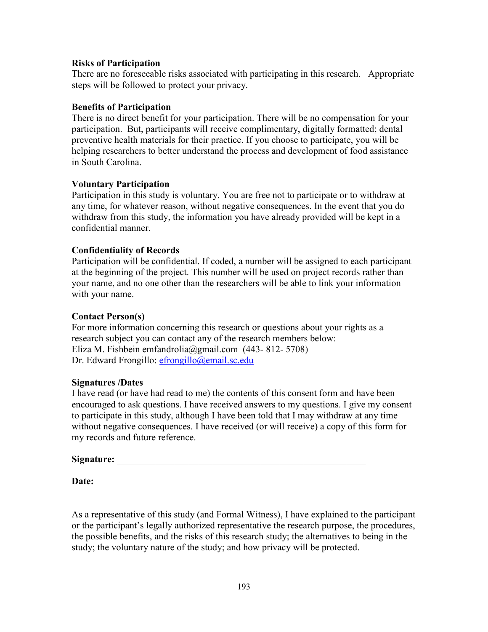#### **Risks of Participation**

There are no foreseeable risks associated with participating in this research. Appropriate steps will be followed to protect your privacy.

#### **Benefits of Participation**

There is no direct benefit for your participation. There will be no compensation for your participation. But, participants will receive complimentary, digitally formatted; dental preventive health materials for their practice. If you choose to participate, you will be helping researchers to better understand the process and development of food assistance in South Carolina.

#### **Voluntary Participation**

Participation in this study is voluntary. You are free not to participate or to withdraw at any time, for whatever reason, without negative consequences. In the event that you do withdraw from this study, the information you have already provided will be kept in a confidential manner.

#### **Confidentiality of Records**

Participation will be confidential. If coded, a number will be assigned to each participant at the beginning of the project. This number will be used on project records rather than your name, and no one other than the researchers will be able to link your information with your name.

#### **Contact Person(s)**

For more information concerning this research or questions about your rights as a research subject you can contact any of the research members below: Eliza M. Fishbein emfandrolia@gmail.com (443- 812- 5708) Dr. Edward Frongillo: efrongillo@email.sc.edu

#### **Signatures /Dates**

I have read (or have had read to me) the contents of this consent form and have been encouraged to ask questions. I have received answers to my questions. I give my consent to participate in this study, although I have been told that I may withdraw at any time without negative consequences. I have received (or will receive) a copy of this form for my records and future reference.

#### **Signature:** \_\_\_\_\_\_\_\_\_\_\_\_\_\_\_\_\_\_\_\_\_\_\_\_\_\_\_\_\_\_\_\_\_\_\_\_\_\_\_\_\_\_\_\_\_\_\_\_\_\_\_\_

**Date:** *\_\_\_\_\_\_\_\_\_\_\_\_\_\_\_\_\_\_\_\_\_\_\_\_\_\_\_\_\_\_\_\_\_\_\_\_\_\_\_\_\_\_\_\_\_\_\_\_\_\_\_\_* 

As a representative of this study (and Formal Witness), I have explained to the participant or the participant's legally authorized representative the research purpose, the procedures, the possible benefits, and the risks of this research study; the alternatives to being in the study; the voluntary nature of the study; and how privacy will be protected.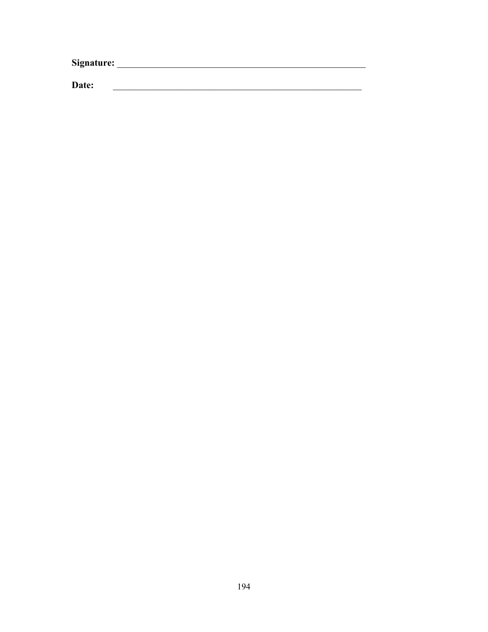Date: <u> 1989 - Johann Harry Harry Harry Harry Harry Harry Harry Harry Harry Harry Harry Harry Harry Harry Harry Harry</u>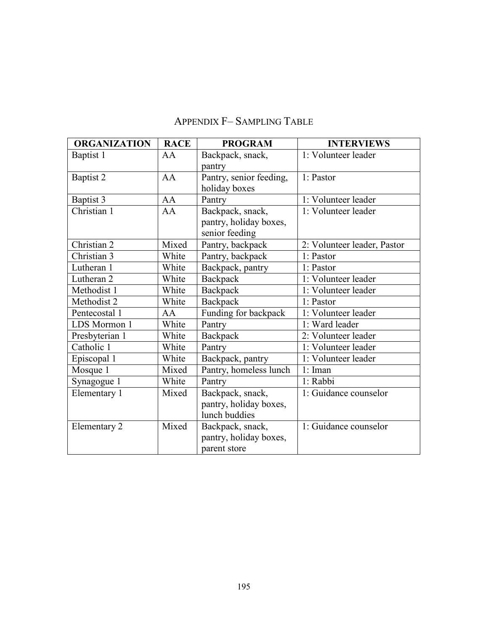| <b>ORGANIZATION</b> | <b>RACE</b> | <b>PROGRAM</b>          | <b>INTERVIEWS</b>           |
|---------------------|-------------|-------------------------|-----------------------------|
| Baptist 1           | AA          | Backpack, snack,        | 1: Volunteer leader         |
|                     |             | pantry                  |                             |
| Baptist 2           | AA          | Pantry, senior feeding, | 1: Pastor                   |
|                     |             | holiday boxes           |                             |
| Baptist 3           | AA          | Pantry                  | 1: Volunteer leader         |
| Christian 1         | AA          | Backpack, snack,        | 1: Volunteer leader         |
|                     |             | pantry, holiday boxes,  |                             |
|                     |             | senior feeding          |                             |
| Christian 2         | Mixed       | Pantry, backpack        | 2: Volunteer leader, Pastor |
| Christian 3         | White       | Pantry, backpack        | 1: Pastor                   |
| Lutheran 1          | White       | Backpack, pantry        | 1: Pastor                   |
| Lutheran 2          | White       | Backpack                | 1: Volunteer leader         |
| Methodist 1         | White       | Backpack                | 1: Volunteer leader         |
| Methodist 2         | White       | Backpack                | 1: Pastor                   |
| Pentecostal 1       | AA          | Funding for backpack    | 1: Volunteer leader         |
| LDS Mormon 1        | White       | Pantry                  | 1: Ward leader              |
| Presbyterian 1      | White       | Backpack                | 2: Volunteer leader         |
| Catholic 1          | White       | Pantry                  | 1: Volunteer leader         |
| Episcopal 1         | White       | Backpack, pantry        | 1: Volunteer leader         |
| Mosque 1            | Mixed       | Pantry, homeless lunch  | 1: Iman                     |
| Synagogue 1         | White       | Pantry                  | 1: Rabbi                    |
| Elementary 1        | Mixed       | Backpack, snack,        | 1: Guidance counselor       |
|                     |             | pantry, holiday boxes,  |                             |
|                     |             | lunch buddies           |                             |
| Elementary 2        | Mixed       | Backpack, snack,        | 1: Guidance counselor       |
|                     |             | pantry, holiday boxes,  |                             |
|                     |             | parent store            |                             |